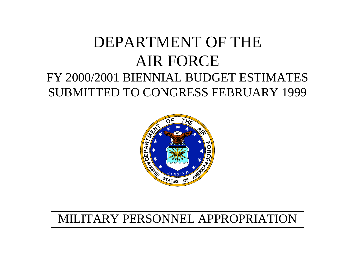# DEPARTMENT OF THE AIR FORCE FY 2000/2001 BIENNIAL BUDGET ESTIMATES SUBMITTED TO CONGRESS FEBRUARY 1999



# MILITARY PERSONNEL APPROPRIATION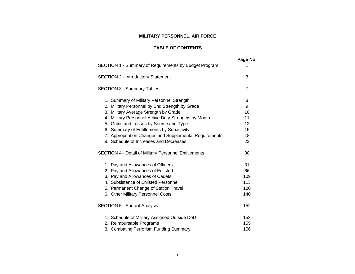# **MILITARY PERSONNEL, AIR FORCE**

## **TABLE OF CONTENTS**

|                                                              | Page No. |
|--------------------------------------------------------------|----------|
| SECTION 1 - Summary of Requirements by Budget Program        | 1        |
| <b>SECTION 2 - Introductory Statement</b>                    | 3        |
| <b>SECTION 3 - Summary Tables</b>                            | 7        |
| 1. Summary of Military Personnel Strength                    | 8        |
| 2. Military Personnel by End Strength by Grade               | 9        |
| 3. Military Average Strength by Grade                        | 10       |
| 4. Military Personnel Active Duty Strengths by Month         | 11       |
| 5. Gains and Losses by Source and Type                       | 12       |
| 6. Summary of Entitlements by Subactivity                    | 15       |
| 7. Appropriation Changes and Supplemental Requirements       | 18       |
| 8. Schedule of Increases and Decreases                       | 22       |
| <b>SECTION 4 - Detail of Military Personnel Entitlements</b> | 30       |
| 1. Pay and Allowances of Officers                            | 31       |
| 2. Pay and Allowances of Enlisted                            | 66       |
| 3. Pay and Allowances of Cadets                              | 109      |
| 4. Subsistence of Enlisted Personnel                         | 113      |
| 5. Permanent Change of Station Travel                        | 120      |
| 6. Other Military Personnel Costs                            | 140      |
| <b>SECTION 5 - Special Analysis</b>                          | 152      |
| 1. Schedule of Military Assigned Outside DoD                 | 153      |
| 2. Reimbursable Programs                                     | 155      |
| 3. Combating Terrorism Funding Summary                       | 156      |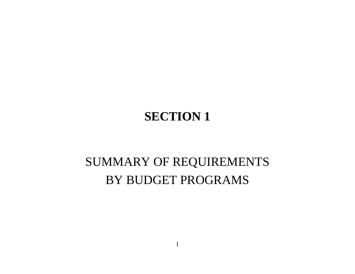# **SECTION 1**

# SUMMARY OF REQUIREMENTS BY BUDGET PROGRAMS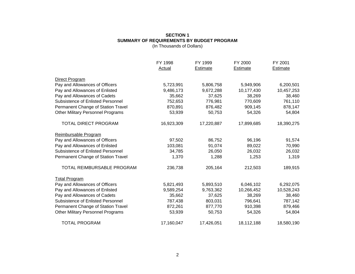### **SECTION 1 SUMMARY OF REQUIREMENTS BY BUDGET PROGRAM** (In Thousands of Dollars)

|                                          | FY 1998       | FY 1999         | FY 2000         | FY 2001         |
|------------------------------------------|---------------|-----------------|-----------------|-----------------|
|                                          | <b>Actual</b> | <b>Estimate</b> | <b>Estimate</b> | <b>Estimate</b> |
| Direct Program                           |               |                 |                 |                 |
| Pay and Allowances of Officers           | 5,723,991     | 5,806,758       | 5,949,906       | 6,200,501       |
| Pay and Allowances of Enlisted           | 9,486,173     | 9,672,288       | 10,177,430      | 10,457,253      |
| Pay and Allowances of Cadets             | 35,662        | 37,625          | 38,269          | 38,460          |
| <b>Subsistence of Enlisted Personnel</b> | 752,653       | 776,981         | 770,609         | 761,110         |
| Permanent Change of Station Travel       | 870,891       | 876,482         | 909,145         | 878,147         |
| <b>Other Military Personnel Programs</b> | 53,939        | 50,753          | 54,326          | 54,804          |
| <b>TOTAL DIRECT PROGRAM</b>              | 16,923,309    | 17,220,887      | 17,899,685      | 18,390,275      |
| Reimbursable Program                     |               |                 |                 |                 |
| Pay and Allowances of Officers           | 97,502        | 86,752          | 96,196          | 91,574          |
| Pay and Allowances of Enlisted           | 103,081       | 91,074          | 89,022          | 70,990          |
| <b>Subsistence of Enlisted Personnel</b> | 34,785        | 26,050          | 26,032          | 26,032          |
| Permanent Change of Station Travel       | 1,370         | 1,288           | 1,253           | 1,319           |
| TOTAL REIMBURSABLE PROGRAM               | 236,738       | 205,164         | 212,503         | 189,915         |
| <b>Total Program</b>                     |               |                 |                 |                 |
| Pay and Allowances of Officers           | 5,821,493     | 5,893,510       | 6,046,102       | 6,292,075       |
| Pay and Allowances of Enlisted           | 9,589,254     | 9,763,362       | 10,266,452      | 10,528,243      |
| Pay and Allowances of Cadets             | 35,662        | 37,625          | 38,269          | 38,460          |
| <b>Subsistence of Enlisted Personnel</b> | 787,438       | 803,031         | 796,641         | 787,142         |
| Permanent Change of Station Travel       | 872,261       | 877,770         | 910,398         | 879,466         |
| <b>Other Military Personnel Programs</b> | 53,939        | 50,753          | 54,326          | 54,804          |
| <b>TOTAL PROGRAM</b>                     | 17,160,047    | 17,426,051      | 18,112,188      | 18,580,190      |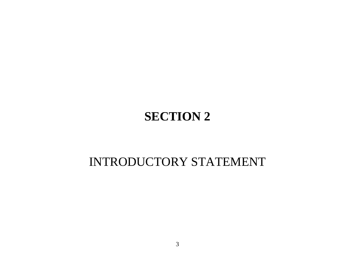# **SECTION 2**

# INTRODUCTORY STATEMENT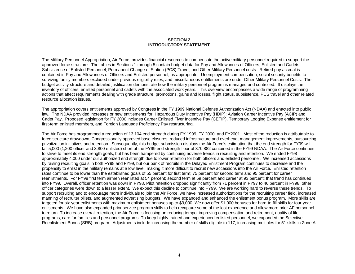#### **` SECTION 2 INTRODUCTORY STATEMENT**

The Military Personnel Appropriation, Air Force, provides financial resources to compensate the active military personnel required to support the approved force structure. The tables in Sections 1 through 5 contain budget data for Pay and Allowances of Officers, Enlisted and Cadets; Subsistence of Enlisted Personnel; Permanent Change of Station (PCS) Travel; and Other Military Personnel costs. Retired pay accrual is contained in Pay and Allowances of Officers and Enlisted personnel, as appropriate. Unemployment compensation, social security benefits to surviving family members excluded under previous eligibility rules, and miscellaneous entitlements are under Other Military Personnel Costs. The budget activity structure and detailed justification demonstrate how the military personnel program is managed and controlled. It displays the inventory of officers, enlisted personnel and cadets with the associated work years. This overview encompasses a wide range of programming actions that affect requirements dealing with grade structure, promotions, gains and losses, flight status, subsistence, PCS travel and other related resource allocation issues.

The appropriation covers entitlements approved by Congress in the FY 1999 National Defense Authorization Act (NDAA) and enacted into public law. The NDAA provided increases or new entitlements for: Hazardous Duty Incentive Pay (HDIP); Aviation Career Incentive Pay (ACIP) and Cadet Pay. Proposed legislation for FY 2000 includes Career Enlisted Flyer Incentive Pay (CEFIP), Temporary Lodging Expense entitlement for first-term enlisted members, and Foreign Language Proficiency Pay restructuring.

The Air Force has programmed a reduction of 13,104 end strength during FY 1999, FY 2000, and FY2001. Most of the reduction is attributable to force structure drawdown, Congressionally approved base closures, reduced infrastructure and overhead, management improvements, outsourcing privatization initiatives and retention. Subsequently, this budget submission displays the Air Force's estimation that the end strength for FY99 will fall 5,000 (1,200 officer and 3,800 enlisted) short of the FY99 end strength floor of 370,882 contained in the FY99 NDAA. The Air Force continues to strive to meet its end strength goals, but has been hampered by continuing adverse trends in recruiting and retention. We ended FY98 approximately 4,000 under our authorized end strength due to lower retention for both officers and enlisted personnel. We increased accessions by raising recruiting goals in both FY98 and FY99, but our bank of recruits in the Delayed Enlistment Program continues to decrease and the propensity to enlist in the military remains at a low level, making it more difficult to recruit new accessions into the Air Force. Enlisted retention rates continue to be lower than the established goals of 55 percent for first term; 75 percent for second term and 95 percent for career reenlistments. For FY98 first term airmen reenlisted at 54 percent; second term at 69 percent and career at 93 percent; that trend has continued into FY99. Overall, officer retention was down in FY98. Pilot retention dropped significantly from 71 percent in FY97 to 46 percent in FY98; other officer categories were down to a lesser extent. We expect this decline to continue into FY99. We are working hard to reverse these trends. To support recruiting and to encourage more individuals to join the Air Force, we have increased authorizations for the recruiting career field, increased manning of recruiter billets, and augmented advertising budgets. We have expanded and enhanced the enlistment bonus program. More skills are targeted for six-year enlistments with maximum enlistment bonuses up to \$9,000. We now offer \$1,000 bonuses for hard-to-fill skills for four-year enlistments. We have also expanded prior service program skills to help recapture some of the lost experience and allow more prior AF personnel to return. To increase overall retention, the Air Force is focusing on reducing tempo, improving compensation and retirement, quality of life programs, care for families and personnel programs. To keep highly trained and experienced enlisted personnel, we expanded the Selective Reenlistment Bonus (SRB) program. Adjustments include increasing the number of skills eligible to 117, increasing multiples for 51 skills in Zone A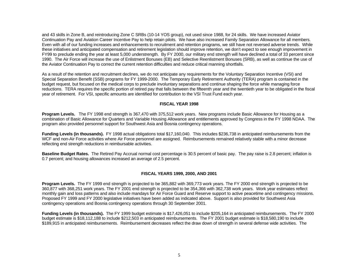and 43 skills in Zone B, and reintroducing Zone C SRBs (10-14 YOS group), not used since 1988, for 24 skills. We have increased Aviator Continuation Pay and Aviation Career Incentive Pay to help retain pilots. We have also increased Family Separation Allowance for all members. Even with all of our funding increases and enhancements to recruitment and retention programs, we still have not reversed adverse trends. While these initiatives and anticipated compensation and retirement legislation should improve retention, we don't expect to see enough improvement in FY99 to preclude ending the year at least 5,000 understrength. By FY 2000, our military end strength will have declined a total of 33 percent since 1990. The Air Force will increase the use of Enlistment Bonuses (EB) and Selective Reenlistment Bonuses (SRB), as well as continue the use of the Aviator Continuation Pay to correct the current retention difficulties and reduce critical manning shortfalls.

As a result of the retention and recruitment declines, we do not anticipate any requirements for the Voluntary Separation Incentive (VSI) and Special Separation Benefit (SSB) programs for FY 1999-2000. The Temporary Early Retirement Authority (TERA) program is contained in the budget request, but focused on the medical corps to preclude involuntary separations and continue shaping the force while managing force reductions. TERA requires the specific portion of retired pay that falls between the fifteenth year and the twentieth year to be obligated in the fiscal year of retirement. For VSI, specific amounts are identified for contribution to the VSI Trust Fund each year.

#### **FISCAL YEAR 1998**

**Program Levels.** The FY 1998 end strength is 367,470 with 375,512 work years. New programs include Basic Allowance for Housing as a combination of Basic Allowance for Quarters and Variable Housing Allowance and entitlements approved by Congress in the FY 1998 NDAA. The program also provided personnel support for Southwest Asia and Bosnia contingency operations.

**Funding Levels (in thousands).** FY 1998 actual obligations total \$17,160,040. This includes \$236,738 in anticipated reimbursements from the WCF and non-Air Force activities where Air Force personnel are assigned. Reimbursements remained relatively stable with a minor decrease reflecting end strength reductions in reimbursable activities.

**Baseline Budget Rates.** The Retired Pay Accrual normal cost percentage is 30.5 percent of basic pay. The pay raise is 2.8 percent; inflation is 0.7 percent; and housing allowances increased an average of 2.5 percent.

### **FISCAL YEARS 1999, 2000, AND 2001**

**Program Levels.** The FY 1999 end strength is projected to be 365,882 with 369,773 work years. The FY 2000 end strength is projected to be 360,877 with 368,251 work years. The FY 2001 end strength is projected to be 354,366 with 362,738 work years. Work year estimates reflect monthly gain and loss patterns and also include mandays for Air Force Guard and Reserve support to active peacetime and contingency missions. Proposed FY 1999 and FY 2000 legislative initiatives have been added as indicated above. Support is also provided for Southwest Asia contingency operations and Bosnia contingency operations through 30 September 2001.

**Funding Levels (in thousands).** The FY 1999 budget estimate is \$17,426,051 to include \$205,164 in anticipated reimbursements. The FY 2000 budget estimate is \$18,112,188 to include \$212,503 in anticipated reimbursements. The FY 2001 budget estimate is \$18,580,190 to include \$189,915 in anticipated reimbursements. Reimbursement decreases reflect the draw down of strength in several defense wide activities. The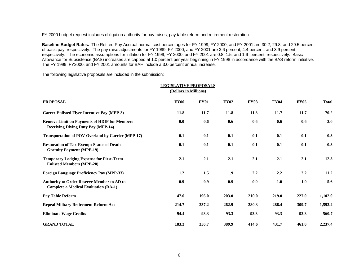FY 2000 budget request includes obligation authority for pay raises, pay table reform and retirement restoration.

**Baseline Budget Rates.** The Retired Pay Accrual normal cost percentages for FY 1999, FY 2000, and FY 2001 are 30.2, 29.8, and 29.5 percent of basic pay, respectively. The pay raise adjustments for FY 1999, FY 2000, and FY 2001 are 3.6 percent, 4.4 percent, and 3.9 percent, respectively. The economic assumptions for inflation for FY 1999, FY 2000, and FY 2001 are 0.8, 1.5, and 1.6 percent, respectively. Basic Allowance for Subsistence (BAS) increases are capped at 1.0 percent per year beginning in FY 1998 in accordance with the BAS reform initiative. The FY 1999, FY2000, and FY 2001 amounts for BAH include a 3.0 percent annual increase.

The following legislative proposals are included in the submission:

|                                                                                                  | <b>LEGISLATIVE PROPOSALS</b> | (Dollars in Millions) |             |             |             |             |              |
|--------------------------------------------------------------------------------------------------|------------------------------|-----------------------|-------------|-------------|-------------|-------------|--------------|
| <b>PROPOSAL</b>                                                                                  | <b>FY00</b>                  | <b>FY01</b>           | <b>FY02</b> | <b>FY03</b> | <b>FY04</b> | <b>FY05</b> | <b>Total</b> |
| <b>Career Enlisted Flyer Incentive Pay (MPP-3)</b>                                               | 11.8                         | 11.7                  | 11.8        | 11.8        | 11.7        | 11.7        | 70.2         |
| <b>Remove Limit on Payments of HDIP for Members</b><br><b>Receiving Diving Duty Pay (MPP-14)</b> | 0.0                          | 0.6                   | 0.6         | 0.6         | 0.6         | 0.6         | 3.0          |
| <b>Transportation of POV Overland by Carrier (MPP-17)</b>                                        | 0.1                          | 0.1                   | 0.1         | 0.1         | 0.1         | 0.1         | 0.3          |
| <b>Restoration of Tax-Exempt Status of Death</b><br><b>Gratuity Payment (MPP-19)</b>             | 0.1                          | 0.1                   | 0.1         | 0.1         | 0.1         | 0.1         | 0.3          |
| <b>Temporary Lodging Expense for First-Term</b><br><b>Enlisted Members (MPP-28)</b>              | 2.1                          | 2.1                   | 2.1         | 2.1         | 2.1         | 2.1         | 12.3         |
| <b>Foreign Language Proficiency Pay (MPP-33)</b>                                                 | 1.2                          | 1.5                   | 1.9         | 2.2         | 2.2         | 2.2         | 11.2         |
| <b>Authority to Order Reserve Member to AD to</b><br><b>Complete a Medical Evaluation (RA-1)</b> | 0.9                          | 0.9                   | 0.9         | 0.9         | 1.0         | 1.0         | 5.6          |
| Pay Table Reform                                                                                 | 47.0                         | 196.0                 | 203.0       | 210.0       | 219.0       | 227.0       | 1,102.0      |
| <b>Repeal Military Retirement Reform Act</b>                                                     | 214.7                        | 237.2                 | 262.9       | 280.3       | 288.4       | 309.7       | 1,593.2      |
| <b>Eliminate Wage Credits</b>                                                                    | $-94.4$                      | $-93.3$               | $-93.3$     | $-93.3$     | $-93.3$     | $-93.3$     | $-560.7$     |
| <b>GRAND TOTAL</b>                                                                               | 183.3                        | 356.7                 | 389.9       | 414.6       | 431.7       | 461.0       | 2,237.4      |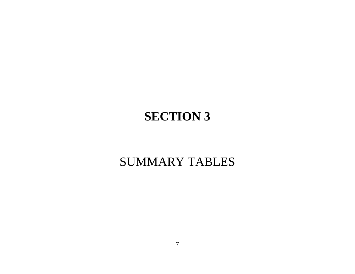# **SECTION 3**

# SUMMARY TABLES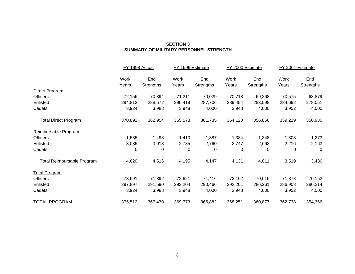### **SECTION 3 SUMMARY OF MILITARY PERSONNEL STRENGTH**

|                             | FY 1998 Actual |                  | FY 1999 Estimate |                  | FY 2000 Estimate |                  | FY 2001 Estimate |                  |
|-----------------------------|----------------|------------------|------------------|------------------|------------------|------------------|------------------|------------------|
|                             | Work           | End              | Work             | End              | Work             | End              | Work             | End              |
|                             | <u>Years</u>   | <b>Strengths</b> | Years            | <b>Strengths</b> | Years            | <b>Strengths</b> | Years            | <b>Strengths</b> |
| Direct Program              |                |                  |                  |                  |                  |                  |                  |                  |
| Officers                    | 72,156         | 70,394           | 71,211           | 70,029           | 70,718           | 69,268           | 70,575           | 68,879           |
| Enlisted                    | 294,812        | 288,572          | 290,419          | 287,706          | 289,454          | 283,598          | 284,692          | 278,051          |
| Cadets                      | 3,924          | 3,988            | 3,948            | 4,000            | 3,948            | 4,000            | 3,952            | 4,000            |
| <b>Total Direct Program</b> | 370,892        | 362,954          | 365,578          | 361,735          | 364,120          | 356,866          | 359,219          | 350,930          |
| Reimbursable Program        |                |                  |                  |                  |                  |                  |                  |                  |
| Officers                    | 1,535          | 1,498            | 1,410            | 1,387            | 1,384            | 1,348            | 1,303            | 1,273            |
| Enlisted                    | 3,085          | 3,018            | 2,785            | 2,760            | 2,747            | 2,663            | 2,216            | 2,163            |
| Cadets                      | 0              | $\mathbf 0$      | 0                | 0                | 0                | 0                | 0                | 0                |
| Total Reimbursable Program  | 4,620          | 4,516            | 4,195            | 4,147            | 4,131            | 4,011            | 3,519            | 3,436            |
| <b>Total Program</b>        |                |                  |                  |                  |                  |                  |                  |                  |
| <b>Officers</b>             | 73,691         | 71,892           | 72,621           | 71,416           | 72,102           | 70,616           | 71,878           | 70,152           |
| Enlisted                    | 297,897        | 291,590          | 293,204          | 290,466          | 292,201          | 286,261          | 286,908          | 280,214          |
| Cadets                      | 3,924          | 3,988            | 3,948            | 4,000            | 3,948            | 4,000            | 3,952            | 4,000            |
| <b>TOTAL PROGRAM</b>        | 375,512        | 367,470          | 369,773          | 365,882          | 368,251          | 360,877          | 362,738          | 354,366          |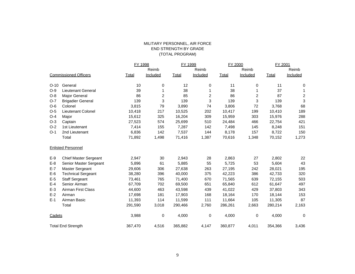### MILITARY PERSONNEL, AIR FORCE END STRENGTH BY GRADE (TOTAL PROGRAM)

|                           |                              | FY 1998 |                | FY 1999 |          | FY 2000 |          | FY 2001 |                |
|---------------------------|------------------------------|---------|----------------|---------|----------|---------|----------|---------|----------------|
|                           |                              |         | Reimb          |         | Reimb    |         | Reimb    |         | Reimb          |
|                           | <b>Commissioned Officers</b> | Total   | Included       | Total   | Included | Total   | Included | Total   | Included       |
| $O-10$                    | General                      | 10      | 0              | 12      | 0        | 11      | 0        | 11      | 0              |
| $O-9$                     | <b>Lieutenant General</b>    | 39      | 1              | 38      |          | 38      | 1        | 37      | 1              |
| $O-8$                     | <b>Major General</b>         | 86      | $\overline{c}$ | 85      | 2        | 86      | 2        | 87      | $\overline{c}$ |
| $O-7$                     | <b>Brigadier General</b>     | 139     | 3              | 139     | 3        | 139     | 3        | 139     | 3              |
| $O-6$                     | Colonel                      | 3,815   | 79             | 3,890   | 74       | 3,806   | 72       | 3,768   | 68             |
| $O-5$                     | <b>Lieutenant Colonel</b>    | 10,418  | 217            | 10,525  | 202      | 10,417  | 199      | 10,410  | 189            |
| $O-4$                     | Major                        | 15,612  | 325            | 16,204  | 309      | 15,959  | 303      | 15,976  | 288            |
| $O-3$                     | Captain                      | 27,523  | 574            | 25,699  | 510      | 24,484  | 466      | 22,754  | 421            |
| $O-2$                     | 1st Lieutenant               | 7,414   | 155            | 7,287   | 142      | 7,498   | 145      | 8,248   | 151            |
| $O-1$                     | 2nd Lieutenant               | 6,836   | 142            | 7,537   | 144      | 8,178   | 157      | 8,722   | 150            |
|                           | Total                        | 71,892  | 1,498          | 71,416  | 1,387    | 70,616  | 1,348    | 70,152  | 1,273          |
| <b>Enlisted Personnel</b> |                              |         |                |         |          |         |          |         |                |
| $E-9$                     | <b>Chief Master Sergeant</b> | 2,947   | 30             | 2,943   | 28       | 2,863   | 27       | 2,802   | 22             |
| $E-8$                     | Senior Master Sergeant       | 5,896   | 61             | 5,885   | 55       | 5,725   | 53       | 5,604   | 43             |
| $E-7$                     | Master Sergeant              | 29,606  | 306            | 27,638  | 263      | 27,195  | 242      | 28,021  | 195            |
| $E-6$                     | <b>Technical Sergeant</b>    | 38,280  | 396            | 40,000  | 375      | 42,223  | 386      | 42,733  | 320            |
| $E-5$                     | <b>Staff Sergeant</b>        | 73,461  | 765            | 71,400  | 670      | 71,565  | 639      | 72,155  | 503            |
| $E-4$                     | Senior Airman                | 67,709  | 702            | 69,500  | 651      | 65,840  | 612      | 61,647  | 497            |
| $E-3$                     | <b>Airman First Class</b>    | 44,600  | 463            | 43,598  | 439      | 41,022  | 429      | 37,803  | 343            |
| $E-2$                     | Airman                       | 17,698  | 181            | 17,903  | 168      | 18,164  | 170      | 18,144  | 153            |
| $E-1$                     | Airman Basic                 | 11,393  | 114            | 11,599  | 111      | 11,664  | 105      | 11,305  | 87             |
|                           | Total                        | 291,590 | 3,018          | 290,466 | 2,760    | 286,261 | 2,663    | 280,214 | 2,163          |
| Cadets                    |                              | 3,988   | 0              | 4,000   | 0        | 4,000   | 0        | 4,000   | 0              |
|                           | <b>Total End Strength</b>    | 367,470 | 4,516          | 365,882 | 4,147    | 360,877 | 4,011    | 354,366 | 3,436          |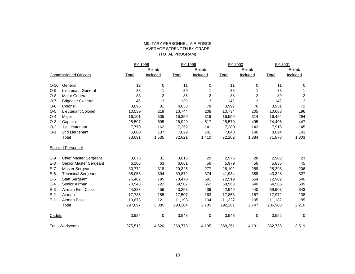#### MILITARY PERSONNEL, AIR FORCE AVERAGE STRENGTH BY GRADE (TOTAL PROGRAM)

|                           |                              | FY 1998      |                | FY 1999 |          | FY 2000      |          | FY 2001      |                |
|---------------------------|------------------------------|--------------|----------------|---------|----------|--------------|----------|--------------|----------------|
|                           |                              |              | Reimb          |         | Reimb    |              | Reimb    |              | Reimb          |
|                           | <b>Commissioned Officers</b> | <b>Total</b> | Included       | Total   | Included | <b>Total</b> | Included | <b>Total</b> | Included       |
| $O-10$                    | General                      | 12           | 0              | 11      | 0        | 11           | 0        | 11           | 0              |
| $O-9$                     | <b>Lieutenant General</b>    | 38           | 1              | 39      | 1        | 38           | 1        | 38           |                |
| $O-8$                     | <b>Major General</b>         | 83           | $\overline{c}$ | 86      | 2        | 88           | 2        | 89           | $\overline{2}$ |
| $O-7$                     | <b>Brigadier General</b>     | 146          | 3              | 139     | 3        | 142          | 3        | 142          | 3              |
| $O-6$                     | Colonel                      | 3,895        | 81             | 4,033   | 78       | 3,997        | 76       | 3,951        | 72             |
| $O-5$                     | Lieutenant Colonel           | 10,539       | 219            | 10,744  | 208      | 10,734       | 205      | 10,688       | 196            |
| $O-4$                     | Major                        | 16,101       | 335            | 16,359  | 319      | 16,599       | 314      | 16,454       | 294            |
| $O-3$                     | Captain                      | 28,507       | 595            | 26,929  | 517      | 25,570       | 495      | 24,495       | 447            |
| $O-2$                     | 1st Lieutenant               | 7,770        | 162            | 7,252   | 141      | 7,280        | 142      | 7,916        | 145            |
| $O-1$                     | 2nd Lieutenant               | 6,600        | 137            | 7,029   | 141      | 7,643        | 146      | 8,094        | 143            |
|                           | Total                        | 73,691       | 1,535          | 72,621  | 1,410    | 72,102       | 1,384    | 71,878       | 1,303          |
| <b>Enlisted Personnel</b> |                              |              |                |         |          |              |          |              |                |
| $E-9$                     | <b>Chief Master Sergeant</b> | 3,073        | 31             | 3,016   | 29       | 2,975        | 28       | 2,903        | 23             |
| $E-8$                     | Senior Master Sergeant       | 6,103        | 63             | 6,061   | 56       | 5,979        | 56       | 5,835        | 45             |
| $E-7$                     | Master Sergeant              | 30,772       | 318            | 29,325  | 277      | 28,102       | 259      | 28,298       | 206            |
| $E-6$                     | <b>Technical Sergeant</b>    | 38,058       | 394            | 39,872  | 374      | 41,934       | 388      | 43,328       | 327            |
| $E-5$                     | <b>Staff Sergeant</b>        | 76,402       | 795            | 73,470  | 691      | 72,519       | 664      | 72,902       | 540            |
| $E-4$                     | Senior Airman                | 70,543       | 722            | 69,507  | 652      | 68,563       | 640      | 64,585       | 509            |
| $E-3$                     | <b>Airman First Class</b>    | 44,333       | 456            | 43,253  | 439      | 42,949       | 440      | 39,903       | 343            |
| $E-2$                     | Airman                       | 17,735       | 185            | 17,507  | 163      | 17,853       | 167      | 17,972       | 138            |
| $E-1$                     | Airman Basic                 | 10,878       | 121            | 11,193  | 104      | 11,327       | 105      | 11,182       | 85             |
|                           | Total                        | 297,897      | 3,085          | 293,204 | 2,785    | 292,201      | 2,747    | 286,908      | 2,216          |
| Cadets                    |                              | 3,924        | 0              | 3,948   | 0        | 3,948        | 0        | 3,952        | 0              |
|                           | <b>Total Workyears</b>       | 375,512      | 4,620          | 369,773 | 4,195    | 368,251      | 4,131    | 362,738      | 3,519          |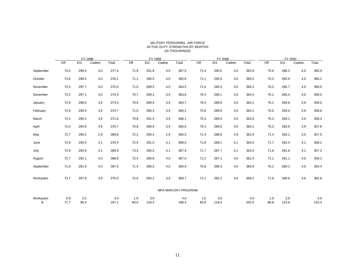|                 |             | FY 1998     |        |              |             | FY 1999      |        |                     | FY 2000     |              |        |              | FY 2001     |              |        |              |
|-----------------|-------------|-------------|--------|--------------|-------------|--------------|--------|---------------------|-------------|--------------|--------|--------------|-------------|--------------|--------|--------------|
|                 | Off         | Enl         | Cadets | Total        | Off         | Enl          | Cadets | Total               | Off         | Enl          | Cadets | Total        | Off         | Enl          | Cadets | Total        |
| September       | 74.0        | 299.4       | 4.0    | 377.4        | 71.9        | 291.6        | 4.0    | 367.5               | 71.4        | 290.5        | 4.0    | 365.9        | 70.6        | 286.3        | 4.0    | 360.9        |
| October         | 73.6        | 298.5       | 4.0    | 376.1        | 71.1        | 290.5        | 4.0    | 365.6               | 71.1        | 290.4        | 4.0    | 365.5        | 70.3        | 285.9        | 4.0    | 360.2        |
| November        | 73.3        | 297.7       | 4.0    | 375.0        | 71.0        | 289.5        | 4.0    | 364.5               | 71.0        | 290.3        | 4.0    | 365.3        | 70.3        | 285.7        | 4.0    | 360.0        |
| December        | 73.2        | 297.1       | 4.0    | 374.3        | 70.7        | 289.2        | 3.9    | 363.8               | 70.4        | 290.1        | 3.9    | 364.4        | 70.1        | 285.4        | 4.0    | 359.5        |
| January         | 72.9        | 296.6       | 3.9    | 373.4        | 70.9        | 289.9        | 3.9    | 364.7               | 70.4        | 289.8        | 3.9    | 364.1        | 70.2        | 284.9        | 3.9    | 359.0        |
| February        | 72.9        | 295.9       | 3.9    | 372.7        | 71.0        | 290.3        | 3.9    | 365.2               | 70.6        | 289.6        | 3.9    | 364.1        | 70.5        | 284.4        | 3.9    | 358.8        |
| March           | 72.4        | 295.3       | 3.9    | 371.6        | 70.8        | 291.4        | 3.9    | 366.1               | 70.4        | 289.3        | 3.9    | 363.6        | 70.3        | 284.1        | 3.9    | 358.3        |
| April           | 72.0        | 294.8       | 3.9    | 370.7        | 70.8        | 290.9        | 3.9    | 365.6               | 70.3        | 288.9        | 3.9    | 363.1        | 70.3        | 283.6        | 3.9    | 357.8        |
| May             | 72.7        | 294.2       | 2.9    | 369.8        | 72.2        | 290.4        | 2.9    | 365.5               | 71.4        | 288.6        | 2.9    | 362.9        | 71.4        | 283.1        | 3.0    | 357.5        |
| June            | 72.9        | 293.4       | 4.1    | 370.4        | 72.9        | 291.0        | 4.1    | 368.0               | 71.8        | 288.1        | 4.1    | 364.0        | 71.7        | 282.4        | 4.1    | 358.2        |
| July            | 72.9        | 292.9       | 4.1    | 369.9        | 73.3        | 290.5        | 4.1    | 367.9               | 71.7        | 287.7        | 4.1    | 363.5        | 71.6        | 281.6        | 4.1    | 357.3        |
| August          | 72.7        | 292.1       | 4.0    | 368.8        | 72.4        | 290.6        | 4.0    | 367.0               | 71.2        | 287.1        | 4.0    | 362.3        | 71.1        | 281.1        | 4.0    | 356.2        |
| September       | 71.9        | 291.6       | 4.0    | 367.5        | 71.4        | 290.5        | 4.0    | 365.9               | 70.6        | 286.3        | 4.0    | 360.9        | 70.2        | 280.2        | 4.0    | 354.4        |
| Workyears       | 73.7        | 297.9       | 3.9    | 375.5        | 72.6        | 293.2        | 3.9    | 369.7               | 72.1        | 292.2        | 3.9    | 368.2        | 71.9        | 286.9        | 4.0    | 362.8        |
|                 |             |             |        |              |             |              |        | MPA MAN-DAY PROGRAM |             |              |        |              |             |              |        |              |
| Workyears<br>\$ | 0.9<br>71.7 | 2.5<br>95.4 |        | 3.4<br>167.1 | 1.0<br>80.0 | 3.0<br>118.4 |        | 4.0<br>198.4        | 1.0<br>83.6 | 3.0<br>118.4 |        | 4.0<br>202.0 | 1.0<br>86.8 | 3.0<br>123.6 |        | 4.0<br>210.4 |

#### MILITARY PERSONNEL, AIR FORCE ACTIVE DUTY STRENGTHS BY MONTHS (IN THOUSANDS)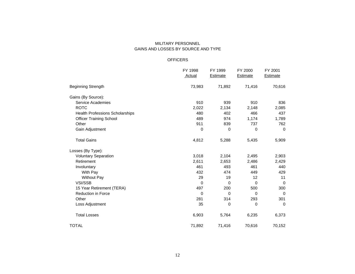### MILITARY PERSONNEL GAINS AND LOSSES BY SOURCE AND TYPE

#### OFFICERS

|                                        | FY 1998       | FY 1999         | FY 2000         | FY 2001         |
|----------------------------------------|---------------|-----------------|-----------------|-----------------|
|                                        | <b>Actual</b> | <b>Estimate</b> | <b>Estimate</b> | <b>Estimate</b> |
| <b>Beginning Strength</b>              | 73,983        | 71,892          | 71,416          | 70,616          |
| Gains (By Source):                     |               |                 |                 |                 |
| <b>Service Academies</b>               | 910           | 939             | 910             | 836             |
| <b>ROTC</b>                            | 2,022         | 2,134           | 2,148           | 2,085           |
| <b>Health Professions Scholarships</b> | 480           | 402             | 466             | 437             |
| <b>Officer Training School</b>         | 489           | 974             | 1,174           | 1,789           |
| Other                                  | 911           | 839             | 737             | 762             |
| Gain Adjustment                        | 0             | 0               | 0               | $\mathbf 0$     |
| <b>Total Gains</b>                     | 4,812         | 5,288           | 5,435           | 5,909           |
| Losses (By Type):                      |               |                 |                 |                 |
| <b>Voluntary Separation</b>            | 3,018         | 2,104           | 2,495           | 2,903           |
| Retirement                             | 2,611         | 2,653           | 2,486           | 2,429           |
| Involuntary                            | 461           | 493             | 461             | 440             |
| With Pay                               | 432           | 474             | 449             | 429             |
| <b>Without Pay</b>                     | 29            | 19              | 12              | 11              |
| VSI/SSB                                | 0             | $\Omega$        | $\mathbf 0$     | $\mathbf 0$     |
| 15 Year Retirement (TERA)              | 497           | 200             | 500             | 300             |
| Reduction in Force                     | 0             | 0               | $\Omega$        | $\Omega$        |
| Other                                  | 281           | 314             | 293             | 301             |
| Loss Adjustment                        | 35            | 0               | 0               | $\mathbf 0$     |
| <b>Total Losses</b>                    | 6,903         | 5,764           | 6,235           | 6,373           |
| <b>TOTAL</b>                           | 71,892        | 71,416          | 70,616          | 70,152          |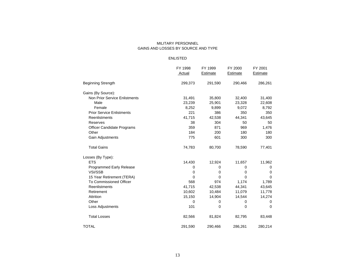#### MILITARY PERSONNEL GAINS AND LOSSES BY SOURCE AND TYPE

#### ENLISTED

|                                      | FY 1998  | FY 1999  | FY 2000  | FY 2001  |
|--------------------------------------|----------|----------|----------|----------|
|                                      | Actual   | Estimate | Estimate | Estimate |
| <b>Beginning Strength</b>            | 299,373  | 291,590  | 290,466  | 286,261  |
| Gains (By Source):                   |          |          |          |          |
| <b>Non Prior Service Enlistments</b> | 31,491   | 35,800   | 32,400   | 31,400   |
| Male                                 | 23,239   | 25,901   | 23,328   | 22,608   |
| Female                               | 8,252    | 9,899    | 9,072    | 8,792    |
| <b>Prior Service Enlistments</b>     | 221      | 386      | 350      | 350      |
| Reenlistments                        | 41,715   | 42,538   | 44,341   | 43,645   |
| Reserves                             | 38       | 304      | 50       | 50       |
| Officer Candidate Programs           | 359      | 871      | 969      | 1,476    |
| Other                                | 184      | 200      | 180      | 180      |
| Gain Adjustments                     | 775      | 601      | 300      | 300      |
| <b>Total Gains</b>                   | 74,783   | 80,700   | 78,590   | 77,401   |
| Losses (By Type):                    |          |          |          |          |
| <b>ETS</b>                           | 14,430   | 12,924   | 11,657   | 11,962   |
| <b>Programmed Early Release</b>      | 0        | $\Omega$ | $\Omega$ | 0        |
| VSI/SSB                              | 0        | 0        | 0        | 0        |
| 15 Year Retirement (TERA)            | $\Omega$ | 0        | $\Omega$ | $\Omega$ |
| To Commissioned Officer              | 568      | 974      | 1,174    | 1,789    |
| Reenlistments                        | 41,715   | 42,538   | 44,341   | 43,645   |
| Retirement                           | 10,602   | 10,484   | 11,079   | 11,778   |
| Attrition                            | 15,150   | 14,904   | 14,544   | 14,274   |
| Other                                | 0        | 0        | 0        | 0        |
| Loss Adjustments                     | 101      | 0        | 0        | $\Omega$ |
| <b>Total Losses</b>                  | 82,566   | 81,824   | 82,795   | 83,448   |
| <b>TOTAL</b>                         | 291,590  | 290,466  | 286,261  | 280,214  |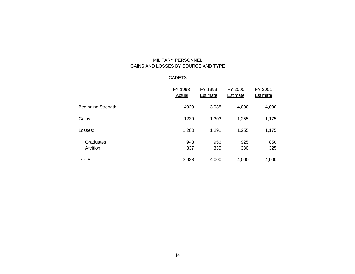## MILITARY PERSONNEL GAINS AND LOSSES BY SOURCE AND TYPE

### CADETS

|                           | FY 1998<br>Actual | FY 1999<br><b>Estimate</b> | FY 2000<br>Estimate | FY 2001<br><b>Estimate</b> |
|---------------------------|-------------------|----------------------------|---------------------|----------------------------|
| <b>Beginning Strength</b> | 4029              | 3,988                      | 4,000               | 4,000                      |
| Gains:                    | 1239              | 1,303                      | 1,255               | 1,175                      |
| Losses:                   | 1,280             | 1,291                      | 1,255               | 1,175                      |
| Graduates<br>Attrition    | 943<br>337        | 956<br>335                 | 925<br>330          | 850<br>325                 |
| <b>TOTAL</b>              | 3,988             | 4,000                      | 4,000               | 4,000                      |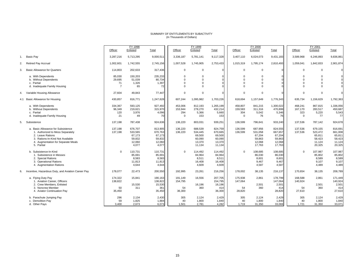#### SUMMARY OF ENTITLEMENTS BY SUBACTIVITY (In Thousands of Dollars)

|                                                                                                                                                                                    |                    | FY 1998                                                   |                                                           |                    | FY 1999                                                    |                                                            |                    | FY 2000                                                    |                                                            |                    | FY 2001                                                    |                                                            |
|------------------------------------------------------------------------------------------------------------------------------------------------------------------------------------|--------------------|-----------------------------------------------------------|-----------------------------------------------------------|--------------------|------------------------------------------------------------|------------------------------------------------------------|--------------------|------------------------------------------------------------|------------------------------------------------------------|--------------------|------------------------------------------------------------|------------------------------------------------------------|
|                                                                                                                                                                                    | Officer            | Enlisted                                                  | Total                                                     | Officer            | Enlisted                                                   | Total                                                      | Officer            | Enlisted                                                   | Total                                                      | Officer            | Enlisted                                                   | Total                                                      |
| <b>Basic Pay</b><br>1.                                                                                                                                                             | 3,287,216          | 5,713,295                                                 | 9,000,511                                                 | 3,336,187          | 5,781,141                                                  | 9,117,328                                                  | 3.407.110          | 6,024,073                                                  | 9,431,183                                                  | 3,589,968          | 6,246,893                                                  | 9,836,861                                                  |
| <b>Retired Pay Accrual</b><br>2.                                                                                                                                                   | 1,002,601          | 1,742,555                                                 | 2,745,156                                                 | 1,007,528          | 1,745,905                                                  | 2,753,433                                                  | 1,015,319          | 1,795,174                                                  | 2,810,493                                                  | 1,059,041          | 1,842,833                                                  | 2,901,874                                                  |
| <b>Basic Allowance for Quarters</b><br>3.                                                                                                                                          | 114,803            | 202,633                                                   | 317,436                                                   | $\mathbf 0$        | $\mathbf 0$                                                |                                                            | $\Omega$           | $\Omega$                                                   | $\Omega$                                                   | $\Omega$           | $\mathbf 0$                                                | $\Omega$                                                   |
| a. With Dependents                                                                                                                                                                 | 85,030             | 150,203                                                   | 235,233                                                   | $\Omega$           | $\Omega$                                                   |                                                            | $\Omega$           | $\Omega$                                                   | $\Omega$                                                   | $\Omega$           | $\Omega$                                                   |                                                            |
| b. Without Dependents                                                                                                                                                              | 29,695             | 51.039                                                    | 80,734                                                    | $\Omega$           | $\Omega$                                                   |                                                            | $\Omega$           | $\Omega$                                                   | $\Omega$                                                   | $\Omega$           | $\Omega$                                                   |                                                            |
| c. Partial                                                                                                                                                                         | 71                 | 1,326                                                     | 1,397                                                     | $\Omega$           | $\mathbf 0$                                                |                                                            | $\Omega$           | $\mathbf 0$                                                | $\Omega$                                                   | $\Omega$           | $\mathbf 0$                                                |                                                            |
| d. Inadequate Family Housing                                                                                                                                                       | $\overline{7}$     | 65                                                        | 72                                                        | $\Omega$           | $\mathbf 0$                                                |                                                            | $\Omega$           | $\Omega$                                                   | $\Omega$                                                   | $\Omega$           | $\Omega$                                                   |                                                            |
| Variable Housing Allowance<br>4.                                                                                                                                                   | 27,604             | 49,843                                                    | 77,447                                                    | $\mathbf 0$        | $\mathsf 0$                                                |                                                            | $\Omega$           | $\mathbf 0$                                                | $\Omega$                                                   | $\Omega$           | $\mathbf 0$                                                | $\Omega$                                                   |
| 4.1 Basic Allowance for Housing                                                                                                                                                    | 430,857            | 816,771                                                   | 1,247,628                                                 | 607,244            | 1,095,982                                                  | 1,703,226                                                  | 618,694            | 1,157,649                                                  | 1,776,343                                                  | 635,734            | 1,156,629                                                  | 1,792,363                                                  |
| a. With Dependents                                                                                                                                                                 | 334,367            | 593,125                                                   | 927,492                                                   | 453,006            | 812,193                                                    | 1,265,199                                                  | 458,807            | 841,215                                                    | 1,300,022                                                  | 468,241            | 867,815                                                    | 1,336,056                                                  |
| b. Without Dependents                                                                                                                                                              | 96,349             | 219,621                                                   | 315,970                                                   | 153,944            | 278,270                                                    | 432,214                                                    | 159,583            | 311,316                                                    | 470,899                                                    | 167,170            | 283,517                                                    | 450,687                                                    |
| c. Partial                                                                                                                                                                         | 120                | 3,976                                                     | 4,096                                                     | 294                | 5,366                                                      | 5,660                                                      | 304                | 5,042                                                      | 5,346                                                      | 323                | 5,220                                                      | 5,543                                                      |
| d. Inadequate Family Housing                                                                                                                                                       | 21                 | 49                                                        | 70                                                        | $\Omega$           | 153                                                        | 153                                                        | $\Omega$           | 76                                                         | 76                                                         | $\Omega$           | 77                                                         | 77                                                         |
| Subsistence<br>5.                                                                                                                                                                  | 137,198            | 787,438                                                   | 924,636                                                   | 136,220            | 803,031                                                    | 939,251                                                    | 136,599            | 796,641                                                    | 933,240                                                    | 137,536            | 787,142                                                    | 924,678                                                    |
| a. Basic Allowance for Subsistence<br>1. Authorized to Mess Separately<br>2. Leave Rations<br>3. Rations-In-Kind Not Available<br>4. Augmentation for Separate Meals<br>5. Partial | 137.198<br>137.198 | 676,707<br>533,565<br>67,173<br>59,832<br>12,060<br>4.077 | 813,905<br>670,763<br>67,173<br>59,832<br>12,060<br>4,077 | 136,220<br>136.220 | 688,539<br>534,445<br>69,500<br>60,090<br>13,370<br>11,134 | 824,759<br>670,665<br>69,500<br>60,090<br>13,370<br>11,134 | 136,599<br>136.599 | 687,956<br>531,058<br>67,204<br>59,863<br>12,068<br>17,763 | 824,555<br>667.657<br>67.204<br>59,863<br>12,068<br>17,763 | 137,536<br>137.536 | 679,155<br>523,472<br>65,811<br>58,423<br>11,124<br>20,325 | 816,691<br>661,008<br>65,811<br>58,423<br>11,124<br>20,325 |
| b. Subsistence-In-Kind<br>1. Subsistence in Messes<br>2. Special Rations<br>3. Operational Rations<br>4. Augmentation Rations                                                      | $\Omega$           | 110,731<br>85,691<br>8,583<br>11,813<br>4.644             | 110,731<br>85,691<br>8,583<br>11,813<br>4,644             | $\Omega$           | 114,492<br>84,964<br>8,511<br>16,408<br>4.609              | 114,492<br>84,964<br>8,511<br>16,408<br>4,609              | $\Omega$           | 108,685<br>86,030<br>8,601<br>9,467<br>4,587               | 108,685<br>86,030<br>8,601<br>9,467<br>4,587               | $\Omega$           | 107,987<br>85,802<br>8,589<br>9.107<br>4.489               | 107,987<br>85,802<br>8,589<br>9,107<br>4,489               |
| Incentive, Hazardous Duty, and Aviation Career Pay<br>6.                                                                                                                           | 178,077            | 22,473                                                    | 200,550                                                   | 192,995            | 23,261                                                     | 216,256                                                    | 178.002            | 38,135                                                     | 216,137                                                    | 170.654            | 38,135                                                     | 208,789                                                    |
| a. Flying Duty Pay<br>1. Aviation Career, Officers<br>2. Crew Members, Enlisted                                                                                                    | 174,322<br>138,822 | 15,841<br>15,530                                          | 190,163<br>138,822<br>15,530                              | 191,149<br>154,795 | 16,556<br>16,196                                           | 207,705<br>154,795<br>16,196                               | 175,938<br>147,064 | 2,861<br>2,501                                             | 178,799<br>147,064<br>2,501                                | 168,588<br>140,924 | 2,861<br>2,501                                             | 171,449<br>140,924<br>2,501                                |
| 3. Noncrew Member<br>4. Aviator Continuation Pay                                                                                                                                   | 50<br>35,450       | 311                                                       | 361<br>35,450                                             | 54<br>36,300       | 360                                                        | 41 <sub>0</sub><br>36,300                                  | 54<br>28,820       | 360                                                        | 414<br>28,820                                              | 54<br>27,610       | 360                                                        | 414<br>27,610                                              |
| b. Parachute Jumping Pay<br>c. Demolition Pav<br>d. Other Pavs                                                                                                                     | 296<br>59<br>3.400 | 2,134<br>1,825<br>2.673                                   | 2,430<br>1,884<br>6.073                                   | 305<br>40<br>1.501 | 2,124<br>1,800<br>2.781                                    | 2,429<br>1,840<br>4.282                                    | 305<br>40<br>1.719 | 2,124<br>1,800<br>31.350                                   | 2,429<br>1,840<br>33.069                                   | 305<br>40<br>1.721 | 2,124<br>1.800<br>31.350                                   | 2,429<br>1,840<br>33,071                                   |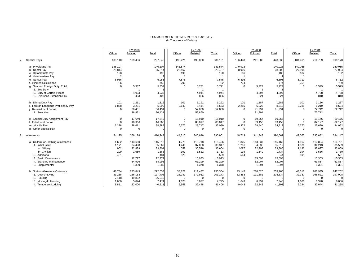# SUMMARY OF ENTITLEMENTS BY SUBACTIVITY (In Thousands of Dollars)

|    |                                                    |                       | FY 1998            |                    |                   | FY 1999            |                    |                       | FY 2000            |                    |                       | FY 2001            |                    |
|----|----------------------------------------------------|-----------------------|--------------------|--------------------|-------------------|--------------------|--------------------|-----------------------|--------------------|--------------------|-----------------------|--------------------|--------------------|
|    |                                                    | Officer               | Enlisted           | Total              | Officer           | Enlisted           | Total              | Officer               | Enlisted           | Total              | Officer               | Enlisted           | Total              |
| 7. | <b>Special Pays</b>                                | 188,110               | 109,436            | 297,546            | 190,221           | 195,880            | 386,101            | 186,448               | 241,882            | 428,330            | 184,461               | 214,709            | 399,170            |
|    | a. Physicians Pay                                  | 146,107               |                    | 146,107            | 143,574           |                    | 143,574            | 140,928               |                    | 140,928            | 140,055               |                    | 140,055            |
|    | b. Dental Pay                                      | 25,814                |                    | 25,814             | 29,467            |                    | 29,467             | 28,906                |                    | 28,906             | 27,994                |                    | 27,994             |
|    | c. Optometrists Pav                                | 198<br>$\overline{2}$ |                    | 198                | 190               |                    | 190                | 186<br>$\overline{1}$ |                    | 186                | 182<br>$\overline{1}$ |                    | 182                |
|    | d. Veterinarians Pay<br>e. Nurses Pay              | 6,986                 |                    | 6,986              | 7,575             |                    | 7,575              | 6,895                 |                    | 6,895              | 6,712                 |                    | 6,712              |
|    | <b>Biomedical Science</b>                          | 756                   |                    | 756                | 792               |                    | 792                | 774                   |                    | 774                | 759                   |                    | 759                |
|    | g. Sea and Foreign Duty, Total                     | $\Omega$              | 5,337              | 5,337              | $\Omega$          | 5,771              | 5,771              | $\Omega$              | 5,722              | 5,722              | $\Omega$              | 5,579              | 5,579              |
|    | 1. Sea Duty                                        |                       |                    |                    |                   |                    |                    |                       |                    |                    |                       | - 1                |                    |
|    | 2. Duty at Certain Places                          |                       | 4,933              | 4,933              |                   | 4,944              | 4,944              |                       | 4,897              | 4,897              |                       | 4,768              | 4,768              |
|    | 3. Overseas Extension Pay                          |                       | 403                | 403                |                   | 826                | 826                |                       | 824                | 824                |                       | 810                | 810                |
|    | h. Diving Duty Pay                                 | 101                   | 1,211              | 1,312              | 101               | 1,191              | 1,292              | 101                   | 1,187              | 1,288              | 101                   | 1,166              | 1,267              |
|    | i. Foreign Language Proficiency Pay                | 1,868                 | 3,231              | 5,099              | 2,149             | 3,414              | 5,563              | 2,285                 | 6,025              | 8,310              | 2,285                 | 6,219              | 8,504              |
|    | j. Reenlistment Bonus                              | $\Omega$              | 36,431             | 36,431             | $\Omega$          | 52,860             | 52,860             | $\Omega$              | 91,991             | 91,991             | $\Omega$              | 72,712             | 72,712             |
|    | 1. Selective                                       |                       | 36,431             | 36,431             |                   | 52,860             |                    |                       | 91,991             |                    |                       | 72,712             |                    |
|    | k. Special Duty Assignment Pay                     | 0                     | 17,649             | 17,649             | 0                 | 18,910             | 18,910             | $^{\circ}$            | 19,067             | 19,067             | 0                     | 19,176             | 19,176             |
|    | I. Enlistment Bonus                                | $\Omega$              | 16,966             | 16,966             | $\Omega$          | 85,017             | 85,017             | $\Omega$              | 89,450             | 89,450             | $\Omega$              | 82,177             | 82,177             |
|    | m. Hostile Fire                                    | 6,278<br>$\Omega$     | 28,611<br>$\Omega$ | 34,889             | 6,372<br>$\Omega$ | 28,717<br>$\Omega$ | 35,089             | 6,372<br>$\Omega$     | 28,440<br>$\Omega$ | 34,812             | 6,372<br>$\Omega$     | 27,680<br>$\Omega$ | 34,052             |
|    | n. Other Special Pay                               |                       |                    |                    |                   |                    |                    |                       |                    |                    |                       |                    | $\overline{0}$     |
| 8. | Allowances                                         | 54,125                | 356,124            | 410,249            | 44,315            | 346,646            | 390,961            | 48,713                | 341,848            | 390,561            | 49,065                | 335,082            | 384,147            |
|    | a. Uniform or Clothing Allowances                  | 1,652                 | 113,660            | 115,312            | 1,778             | 116,718            | 118,496            | 1,825                 | 113,337            | 115,162            | 1,967                 | 112,824            | 114,791            |
|    | 1. Initial Issue                                   | 1,171                 | 34,498             | 35,669             | 1,249             | 37,068             | 38,317             | 1,281                 | 34,338             | 35,619             | 1,376                 | 34,213             | 35,589             |
|    | a. Military<br>b. Civilian                         | 962                   | 32,839             | 33,801             | 1058              | 35,546             | 36,604             | 1087                  | 32,798             | 33,885             | 1,182                 | 32,677             | 33,859             |
|    | 2. Additional                                      | 209<br>481            | 1.659              | 1,868<br>481       | 191<br>529        | 1,522              | 1,713<br>529       | 194<br>544            | 1.540              | 1,734<br>544       | 194<br>591            | 1.536              | 1,730<br>591       |
|    | 3. Basic Maintenance                               |                       | 12,777             | 12,777             |                   | 16,973             | 16,973             |                       | 15,598             | 15,598             |                       | 15,363             | 15,363             |
|    | 4. Standard Maintenance                            |                       | 64,996             | 64,996             |                   | 61,299             | 61,299             |                       | 62,007             | 62,007             |                       | 61,857             | 61,857             |
|    | 5. Supplemental                                    |                       | 1,389              | 1,389              |                   | 1,378              | 1,378              |                       | 1,394              | 1,394              |                       | 1,391              | 1,391              |
|    |                                                    |                       |                    |                    |                   |                    |                    |                       |                    |                    |                       |                    |                    |
|    | b. Station Allowance Overseas<br>1. Cost-of-Living | 48,784<br>31,255      | 223,849<br>166,153 | 272,633<br>197,408 | 38,827<br>28,241  | 211,477<br>172,932 | 250,304<br>201,173 | 43,145<br>32,453      | 210,020<br>171,381 | 253,165<br>203,834 | 43,317<br>32,387      | 203,935<br>165,521 | 247,252<br>197,908 |
|    | 2. Housing                                         | 7.118                 | 19,822             | 26,940             | $\mathbf 0$       | $\mathbf 0$        |                    | $\mathbf{0}$          | $\Omega$           |                    | $\mathbf 0$           | $\mathbf 0$        |                    |
|    | 3. Moving-In Housing                               | 1,600                 | 5,874              | 7,474              | 1,628             | 6,097              | 7,725              | 1,649                 | 6,291              | 7,940              | 1,686                 | 6,370              | 8,056              |
|    | 4. Temporary Lodging                               | 8,811                 | 32,000             | 40,811             | 8,958             | 32,448             | 41,406             | 9.043                 | 32,348             | 41,391             | 9.244                 | 32,044             | 41,288             |
|    |                                                    |                       |                    |                    |                   |                    |                    |                       |                    |                    |                       |                    |                    |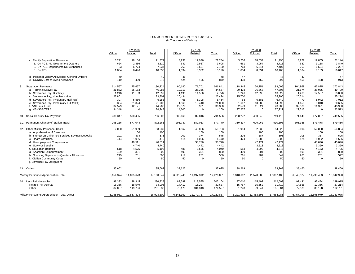# SUMMARY OF ENTITLEMENTS BY SUBACTIVITY (In Thousands of Dollars)

|                                                    |           | FY 1998    |            |           | FY 1999     |            |           | FY 2000     |            |           | FY 2001     |            |
|----------------------------------------------------|-----------|------------|------------|-----------|-------------|------------|-----------|-------------|------------|-----------|-------------|------------|
|                                                    | Officer   | Enlisted   | Total      | Officer   | Enlisted    | Total      | Officer   | Enlisted    | Total      | Officer   | Enlisted    | Total      |
| c. Family Separation Allowance                     | 3,221     | 18,156     | 21,377     | 3,238     | 17,996      | 21,234     | 3,258     | 18,032      | 21,290     | 3,279     | 17.865      | 21.144     |
| 1. On PCS, No Government Quarters                  | 624       | 2,886      | 3,510      | 641       | 2,967       | 3,608      | 661       | 3,054       | 3,715      | 682       | 3,158       | 3,840      |
| 2. On PCS, Dependents Not Authorized               | 763       | 6,774      | 7,537      | 763       | 6,667       | 7,430      | 763       | 6,644       | 7,407      | 763       | 6,524       | 7,287      |
| 3. On TDY                                          | 1,834     | 8,496      | 10,330     | 1,834     | 8,362       | 10,196     | 1,834     | 8,334       | 10,168     | 1,834     | 8,183       | 10,017     |
| d. Personal Money Allowance, General Officers      | 49        |            | 49         | 48        |             | 48         | 47        |             | 47         | 47        |             | 47         |
| e. CONUS Cost of Living Allowance                  | 419       | 459        | 878        | 424       | 455         | 879        | 438       | 459         | 897        | 455       | 458         | 913        |
| <b>Separation Payments</b><br>9.                   | 114,557   | 75,667     | 190,224    | 90,140    | 71,701      | 161,841    | 118,845   | 70,251      | 189,096    | 104,968   | 67,875      | 172,843    |
| a. Terminal Leave Pay                              | 21,832    | 25,153     | 46,985     | 19,311    | 25,356      | 44,667     | 20,438    | 26,868      | 47,306     | 21,674    | 28,035      | 49,709     |
| b. Severance Pay, Disability                       | 1,216     | 11,183     | 12,399     | 1,190     | 11,586      | 12,776     | 1,226     | 12,096      | 13,322     | 1,263     | 12.567      | 13,830     |
| Severance Pay, Non-Promotion                       | 23,801    |            | 23,801     | 26,434    |             | 26,434     | 25,700    |             | 25,700     | 25,214    |             | 25,214     |
| d. Severance Pay, Involuntary Half (5%)            | 397       | 5,886      | 6,283      | 66        | 6,398       | 6,464      | 68        | 6,681       | 6.749      | 70        | 6,942       | 7,012      |
| e. Severance Pay, Involuntary Full (10%)           | 384       | 21,324     | 21,708     | 1,560     | 19,440      | 21,000     | 1,607     | 13,285      | 14,892     | 1,655     | 9,010       | 10,665     |
| f. VSI Trust Fund                                  | 32,579    | 12,121     | 44,700     | 27,379    | 8,921       | 36,300     | 32,579    | 11,321      | 43,900     | 32,579    | 11,321      | 43,900     |
| g. VSI/SSB/TERA                                    | 34,348    | $\Omega$   | 34,348     | 14,200    | $\Omega$    | 14,200     | 37,227    | $\Omega$    | 37,227     | 22,513    | $\Omega$    | 22,513     |
| 10. Social Security Tax Payment                    | 286,347   | 500,455    | 786,802    | 288,660   | 502,846     | 791,506    | 258,272   | 460,840     | 719,112    | 271,648   | 477,887     | 749,535    |
| 11. Permanent Change of Station Travel             | 295,216   | 577.044    | 872,261    | 295,737   | 582,033     | 877,770    | 310,337   | 600,062     | 910,398    | 305,988   | 573,478     | 879,466    |
| 12. Other Military Personnel Costs                 | 2,000     | 51.939     | 53,939     | 1.867     | 48,886      | 50,753     | 1.994     | 52,332      | 54,326     | 2.004     | 52,800      | 54,804     |
| a. Apprehension of Deserters                       |           | 100        | 100        |           | 100         | 100        |           | 100         | 100        |           | 100         | 100        |
| b. Interest on Uniformed Services Savings Deposits | 201       | 374        | 575        | 201       | 374         | 575        | 208       | 387         | 595        | 208       | 387         | 595        |
| c. Death Gratuities                                | 414       | 1,056      | 1,470      | 414       | 1,056       | 1,470      | 424       | 1,082       | 1,506      | 424       | 1,082       | 1,506      |
| d. Unemployment Compensation                       |           | 40,511     | 40,511     |           | 38,776      | 38,776     |           | 42,474      | 42,474     |           | 43,096      | 43,096     |
| e. Survivor Benefits                               |           | 4,740      | 4,740      |           | 4,442       | 4,442      |           | 3,613       | 3,613      |           | 3,390       | 3,390      |
| <b>Education Benefits</b>                          | 618       | 4,575      | 5,193      | 485       | 3,555       | 4,040      | 553       | 4,093       | 4,646      | 562       | 4,163       | 4,725      |
| g. Adoption Reimbursement                          | 499       | 301        | 800        | 499       | 301         | 800        | 499       | 301         | 800        | 499       | 301         | 800        |
| h. Surviving Dependents Quarters Allowance         | 219       | 281        | 500        | 219       | 281         | 500        | 261       | 281         | 542        | 261       | 281         | 542        |
| <b>Civilian Community Corps</b>                    | 50        | $\Omega$   | 50         | 50        | $\mathbf 0$ | 50         | 50        | $\mathbf 0$ | 50         | 50        | $\mathbf 0$ | 50         |
| Advance Pay Obligations                            |           |            |            |           |             |            |           |             |            |           |             |            |
| 13. Cadets                                         | 35,662    |            | 35,662     | 37,625    |             | 37,625     | 38,269    |             | 38,269     | 38,460    |             | 38,460     |
| Military Personnel Appropriation Total             | 6,154,374 | 11,005,673 | 17,160,047 | 6,228,740 | 11,197,312  | 17,426,051 | 6,318,602 | 11,578,886  | 17,897,488 | 6,549,527 | 11,793,463  | 18,342,990 |
| 14. Less Reimbursables:                            | 98,393    | 138.345    | 236,738    | 87,589    | 117,575     | 205,164    | 97,010    | 115,493     | 212,503    | 92.431    | 97.484      | 189,915    |
| <b>Retired Pay Accrual</b>                         | 16,356    | 18,549     | 34,905     | 14,410    | 16,227      | 30,637     | 15,767    | 15,652      | 31,419     | 14,858    | 12,356      | 27,214     |
| Other                                              | 82,037    | 119,796    | 201,833    | 73,179    | 101,348     | 174,527    | 81,243    | 99,841      | 181,084    | 77,573    | 85,128      | 162,701    |
| Military Personnel Appropriation Total, Direct     | 6,055,981 | 10,867,328 | 16,923,309 | 6,141,151 | 11,079,737  | 17,220,887 | 6,221,592 | 11,463,393  | 17,684,985 | 6,457,096 | 11,695,979  | 18,153,075 |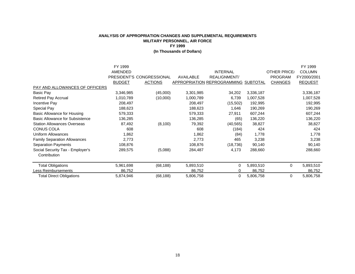|                                        | FY 1999<br>AMENDED |                           |           | <b>INTERNAL</b>                             |           | OTHER PRICE/   | FY 1999<br><b>COLUMN</b> |
|----------------------------------------|--------------------|---------------------------|-----------|---------------------------------------------|-----------|----------------|--------------------------|
|                                        |                    | PRESIDENT'S CONGRESSIONAL | AVAILABLE | <b>REALIGNMENT/</b>                         |           | <b>PROGRAM</b> | FY2000/2001              |
|                                        | <b>BUDGET</b>      | <b>ACTIONS</b>            |           | <b>APPROPRIATION REPROGRAMMING SUBTOTAL</b> |           | <b>CHANGES</b> | <b>REQUEST</b>           |
| PAY AND ALLOWANCES OF OFFICERS         |                    |                           |           |                                             |           |                |                          |
| Basic Pay                              | 3,346,985          | (45,000)                  | 3,301,985 | 34,202                                      | 3,336,187 |                | 3,336,187                |
| <b>Retired Pay Accrual</b>             | 1,010,789          | (10,000)                  | 1,000,789 | 6,739                                       | 1,007,528 |                | 1,007,528                |
| Incentive Pay                          | 208,497            |                           | 208,497   | (15,502)                                    | 192,995   |                | 192,995                  |
| Special Pay                            | 188,623            |                           | 188,623   | 1,646                                       | 190,269   |                | 190,269                  |
| Basic Allowance for Housing            | 579,333            |                           | 579,333   | 27,911                                      | 607,244   |                | 607,244                  |
| <b>Basic Allowance for Subsistence</b> | 136,285            |                           | 136,285   | (65)                                        | 136,220   |                | 136,220                  |
| <b>Station Allowances Overseas</b>     | 87,492             | (8, 100)                  | 79,392    | (40, 565)                                   | 38,827    |                | 38,827                   |
| <b>CONUS COLA</b>                      | 608                |                           | 608       | (184)                                       | 424       |                | 424                      |
| Uniform Allowances                     | 1,862              |                           | 1,862     | (84)                                        | 1,778     |                | 1,778                    |
| <b>Family Separation Allowances</b>    | 2,773              |                           | 2,773     | 465                                         | 3,238     |                | 3,238                    |
| <b>Separation Payments</b>             | 108,876            |                           | 108,876   | (18, 736)                                   | 90,140    |                | 90,140                   |
| Social Security Tax - Employer's       | 289,575            | (5,088)                   | 284,487   | 4,173                                       | 288,660   |                | 288,660                  |
| Contribution                           |                    |                           |           |                                             |           |                |                          |
| <b>Total Obligations</b>               | 5,961,698          | (68, 188)                 | 5,893,510 | 0                                           | 5,893,510 | $\mathbf 0$    | 5,893,510                |
| Less Reimbursements                    | 86,752             |                           | 86,752    |                                             | 86,752    |                | 86,752                   |
| <b>Total Direct Obligations</b>        | 5,874,946          | (68, 188)                 | 5,806,758 | 0                                           | 5,806,758 | 0              | 5,806,758                |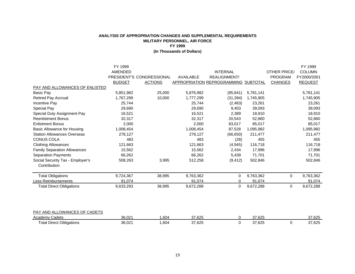|                                     | FY 1999        |                           |           |                                      |           |                     | FY 1999        |
|-------------------------------------|----------------|---------------------------|-----------|--------------------------------------|-----------|---------------------|----------------|
|                                     | <b>AMENDED</b> |                           |           | <b>INTERNAL</b>                      |           | <b>OTHER PRICE/</b> | <b>COLUMN</b>  |
|                                     |                | PRESIDENT'S CONGRESSIONAL | AVAILABLE | REALIGNMENT/                         |           | <b>PROGRAM</b>      | FY2000/2001    |
|                                     | <b>BUDGET</b>  | <b>ACTIONS</b>            |           | APPROPRIATION REPROGRAMMING SUBTOTAL |           | <b>CHANGES</b>      | <b>REQUEST</b> |
| PAY AND ALLOWANCES OF ENLISTED      |                |                           |           |                                      |           |                     |                |
| Basic Pay                           | 5,851,982      | 25,000                    | 5,876,982 | (95, 841)                            | 5,781,141 |                     | 5,781,141      |
| <b>Retired Pay Accrual</b>          | 1,767,299      | 10,000                    | 1,777,299 | (31, 394)                            | 1,745,905 |                     | 1,745,905      |
| <b>Incentive Pay</b>                | 25,744         |                           | 25,744    | (2,483)                              | 23,261    |                     | 23,261         |
| Special Pay                         | 29,690         |                           | 29,690    | 9,403                                | 39,093    |                     | 39,093         |
| Special Duty Assignment Pay         | 16,521         |                           | 16,521    | 2,389                                | 18,910    |                     | 18,910         |
| <b>Reenlistment Bonus</b>           | 32,317         |                           | 32,317    | 20,543                               | 52,860    |                     | 52,860         |
| <b>Enlistment Bonus</b>             | 2,000          |                           | 2,000     | 83,017                               | 85,017    |                     | 85,017         |
| <b>Basic Allowance for Housing</b>  | 1,008,454      |                           | 1,008,454 | 87,528                               | 1,095,982 |                     | 1,095,982      |
| <b>Station Allowances Overseas</b>  | 278,127        |                           | 278,127   | (66, 650)                            | 211,477   |                     | 211,477        |
| <b>CONUS COLA</b>                   | 483            |                           | 483       | (28)                                 | 455       |                     | 455            |
| <b>Clothing Allowances</b>          | 121,663        |                           | 121,663   | (4,945)                              | 116,718   |                     | 116,718        |
| <b>Family Separation Allowances</b> | 15,562         |                           | 15,562    | 2,434                                | 17,996    |                     | 17,996         |
| <b>Separation Payments</b>          | 66,262         |                           | 66,262    | 5,439                                | 71,701    |                     | 71,701         |
| Social Security Tax - Employer's    | 508,263        | 3,995                     | 512,258   | (9, 412)                             | 502,846   |                     | 502,846        |
| Contribution                        |                |                           |           |                                      |           |                     |                |
| <b>Total Obligations</b>            | 9,724,367      | 38,995                    | 9,763,362 | 0                                    | 9,763,362 | 0                   | 9,763,362      |
| <b>Less Reimbursements</b>          | 91,074         |                           | 91,074    | 0                                    | 91,074    |                     | 91,074         |
| <b>Total Direct Obligations</b>     | 9,633,293      | 38,995                    | 9,672,288 | 0                                    | 9,672,288 | 0                   | 9,672,288      |
|                                     |                |                           |           |                                      |           |                     |                |
|                                     |                |                           |           |                                      |           |                     |                |
| PAY AND ALLOWANCES OF CADETS        |                |                           |           |                                      |           |                     |                |

| Cadets<br>Academ <sup>,</sup>    | 36.021 | .604 | 37.625        | $\sim$ $\sim$ $\sim$ $\sim$<br><u>.,,</u><br>ن ےں ، ان | $\sim$ $\sim$ $\sim$<br>- 25ס. ، .<br>. |
|----------------------------------|--------|------|---------------|--------------------------------------------------------|-----------------------------------------|
| Total L<br>Obligations<br>Direct | 36,021 | .604 | 37,625<br>. . | 27.22<br>$\sim$<br>ل 20. ا                             | $\sim$ $\sim$ $\sim$<br>.b∠5            |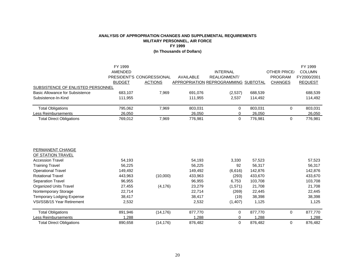|                                        | FY 1999<br>AMENDED |                           |             | <b>INTERNAL</b>                      |         | OTHER PRICE/   | FY 1999<br><b>COLUMN</b> |
|----------------------------------------|--------------------|---------------------------|-------------|--------------------------------------|---------|----------------|--------------------------|
|                                        |                    | PRESIDENT'S CONGRESSIONAL | AVAII ABI F | REALIGNMENT/                         |         | PROGRAM        | FY2000/2001              |
|                                        | <b>BUDGET</b>      | <b>ACTIONS</b>            |             | APPROPRIATION REPROGRAMMING SUBTOTAL |         | <b>CHANGES</b> | <b>REQUEST</b>           |
| SUBSISTENCE OF ENLISTED PERSONNEL      |                    |                           |             |                                      |         |                |                          |
| <b>Basic Allowance for Subsistence</b> | 683.107            | 7.969                     | 691,076     | (2,537)                              | 688,539 |                | 688,539                  |
| Subsistence-In-Kind                    | 111,955            |                           | 111,955     | 2.537                                | 114,492 |                | 114,492                  |
| <b>Total Obligations</b>               | 795,062            | 7.969                     | 803,031     |                                      | 803.031 |                | 803,031                  |
| Less Reimbursements                    | 26,050             |                           | 26,050      |                                      | 26,050  |                | 26,050                   |
| <b>Total Direct Obligations</b>        | 769,012            | 7.969                     | 776,981     |                                      | 776.981 |                | 776,981                  |

| PERMANENT CHANGE                 |         |           |         |         |         |          |         |
|----------------------------------|---------|-----------|---------|---------|---------|----------|---------|
| OF STATION TRAVEL                |         |           |         |         |         |          |         |
| <b>Accession Travel</b>          | 54.193  |           | 54,193  | 3,330   | 57,523  |          | 57,523  |
| <b>Training Travel</b>           | 56,225  |           | 56,225  | 92      | 56,317  |          | 56,317  |
| <b>Operational Travel</b>        | 149,492 |           | 149.492 | (6,616) | 142,876 |          | 142,876 |
| <b>Rotational Travel</b>         | 443,963 | (10,000)  | 433,963 | (293)   | 433,670 |          | 433,670 |
| <b>Separation Travel</b>         | 96,955  |           | 96,955  | 6,753   | 103,708 |          | 103,708 |
| <b>Organized Units Travel</b>    | 27,455  | (4, 176)  | 23,279  | (1,571) | 21,708  |          | 21,708  |
| Nontemporary Storage             | 22,714  |           | 22,714  | (269)   | 22,445  |          | 22,445  |
| <b>Temporary Lodging Expense</b> | 38,417  |           | 38,417  | (19)    | 38,398  |          | 38,398  |
| VSI/SSB/15 Year Retirement       | 2,532   |           | 2,532   | (1,407) | 1,125   |          | 1,125   |
| <b>Total Obligations</b>         | 891,946 | (14, 176) | 877,770 | 0       | 877.770 | $\Omega$ | 877.770 |
| Less Reimbursements              | 288. ا  |           | 1.288   |         | 1.288   |          | 1,288   |
| <b>Total Direct Obligations</b>  | 890.658 | (14, 176) | 876.482 | 0       | 876.482 | 0        | 876.482 |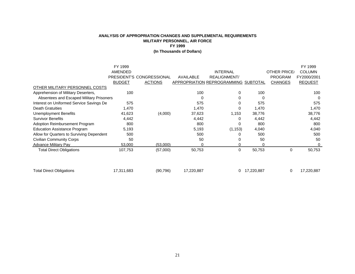|                                           | FY 1999       |                           |            |                                             |            |                | FY 1999        |
|-------------------------------------------|---------------|---------------------------|------------|---------------------------------------------|------------|----------------|----------------|
|                                           | AMENDED       |                           |            | <b>INTERNAL</b>                             |            | OTHER PRICE/   | <b>COLUMN</b>  |
|                                           |               | PRESIDENT'S CONGRESSIONAL | AVAILABLE  | <b>REALIGNMENT/</b>                         |            | <b>PROGRAM</b> | FY2000/2001    |
|                                           | <b>BUDGET</b> | <b>ACTIONS</b>            |            | <b>APPROPRIATION REPROGRAMMING SUBTOTAL</b> |            | <b>CHANGES</b> | <b>REQUEST</b> |
| OTHER MILITARY PERSONNEL COSTS            |               |                           |            |                                             |            |                |                |
| Apprehension of Military Deserters,       | 100           |                           | 100        | 0                                           | 100        |                | 100            |
| Absentees and Escaped Military Prisoners  |               |                           | 0          |                                             | 0          |                | 0              |
| Interest on Uniformed Service Savings De  | 575           |                           | 575        |                                             | 575        |                | 575            |
| <b>Death Gratuities</b>                   | 1,470         |                           | 1,470      |                                             | 1,470      |                | 1,470          |
| Unemployment Benefits                     | 41,623        | (4,000)                   | 37,623     | 1,153                                       | 38,776     |                | 38,776         |
| <b>Survivor Benefits</b>                  | 4,442         |                           | 4,442      | 0                                           | 4,442      |                | 4,442          |
| <b>Adoption Reimbursement Program</b>     | 800           |                           | 800        | C                                           | 800        |                | 800            |
| <b>Education Assistance Program</b>       | 5,193         |                           | 5,193      | (1, 153)                                    | 4,040      |                | 4,040          |
| Allow for Quarters to Surviving Dependent | 500           |                           | 500        |                                             | 500        |                | 500            |
| <b>Civilian Community Corps</b>           | 50            |                           | 50         |                                             | 50         |                | 50             |
| <b>Advance Military Pay</b>               | 53,000        | (53,000)                  | $\Omega$   |                                             |            |                | $\Omega$       |
| <b>Total Direct Obligations</b>           | 107,753       | (57,000)                  | 50,753     | 0                                           | 50,753     | $\Omega$       | 50,753         |
|                                           |               |                           |            |                                             |            |                |                |
| <b>Total Direct Obligations</b>           | 17,311,683    | (90, 796)                 | 17,220,887 | 0                                           | 17,220,887 | 0              | 17,220,887     |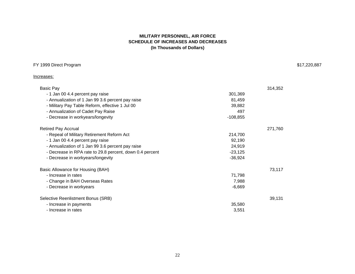## **MILITARY PERSONNEL, AIR FORCE SCHEDULE OF INCREASES AND DECREASES (In Thousands of Dollars)**

| FY 1999 Direct Program                                   |            | \$17,220,887 |
|----------------------------------------------------------|------------|--------------|
| Increases:                                               |            |              |
| Basic Pay                                                |            | 314,352      |
| - 1 Jan 00 4.4 percent pay raise                         | 301,369    |              |
| - Annualization of 1 Jan 99 3.6 percent pay raise        | 81,459     |              |
| - Military Pay Table Reform, effective 1 Jul 00          | 39,882     |              |
| - Annualization of Cadet Pay Raise                       | 497        |              |
| - Decrease in workyears/longevity                        | $-108,855$ |              |
| <b>Retired Pay Accrual</b>                               |            | 271,760      |
| - Repeal of Military Retirement Reform Act               | 214,700    |              |
| - 1 Jan 00 4.4 percent pay raise                         | 92,190     |              |
| - Annualization of 1 Jan 99 3.6 percent pay raise        | 24,919     |              |
| - Decrease in RPA rate to 29.8 percent, down 0.4 percent | $-23,125$  |              |
| - Decrease in workyears/longevity                        | $-36,924$  |              |
| Basic Allowance for Housing (BAH)                        |            | 73,117       |
| - Increase in rates                                      | 71,798     |              |
| - Change in BAH Overseas Rates                           | 7,988      |              |
| - Decrease in workyears                                  | $-6,669$   |              |
| Selective Reenlistment Bonus (SRB)                       |            | 39,131       |
| - Increase in payments                                   | 35,580     |              |
| - Increase in rates                                      | 3,551      |              |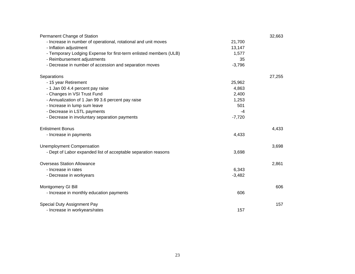| Permanent Change of Station                                       |          | 32,663 |
|-------------------------------------------------------------------|----------|--------|
| - Increase in number of operational, rotational and unit moves    | 21,700   |        |
| - Inflation adjustment                                            | 13,147   |        |
| - Temporary Lodging Expense for first-term enlisted members (ULB) | 1,577    |        |
| - Reimbursement adjustments                                       | 35       |        |
| - Decrease in number of accession and separation moves            | $-3,796$ |        |
| Separations                                                       |          | 27,255 |
| - 15 year Retirement                                              | 25,962   |        |
| - 1 Jan 00 4.4 percent pay raise                                  | 4,863    |        |
| - Changes in VSI Trust Fund                                       | 2,400    |        |
| - Annualization of 1 Jan 99 3.6 percent pay raise                 | 1,253    |        |
| - Increase in lump sum leave                                      | 501      |        |
| - Decrease in LSTL payments                                       | -4       |        |
| - Decrease in involuntary separation payments                     | $-7,720$ |        |
| <b>Enlistment Bonus</b>                                           |          | 4,433  |
| - Increase in payments                                            | 4,433    |        |
| <b>Unemployment Compensation</b>                                  |          | 3,698  |
| - Dept of Labor expanded list of acceptable separation reasons    | 3,698    |        |
| <b>Overseas Station Allowance</b>                                 |          | 2,861  |
| - Increase in rates                                               | 6,343    |        |
| - Decrease in workyears                                           | $-3,482$ |        |
| Montgomery GI Bill                                                |          | 606    |
| - Increase in monthly education payments                          | 606      |        |
| Special Duty Assignment Pay                                       |          | 157    |
| - Increase in workyears/rates                                     | 157      |        |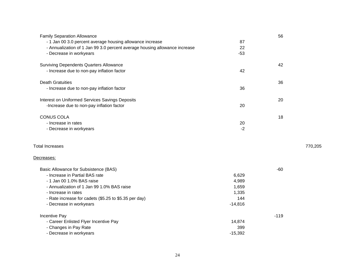| <b>Family Separation Allowance</b>                                         |           | 56     |         |
|----------------------------------------------------------------------------|-----------|--------|---------|
| - 1 Jan 00 3.0 percent average housing allowance increase                  | 87        |        |         |
| - Annualization of 1 Jan 99 3.0 percent average housing allowance increase | 22        |        |         |
| - Decrease in workyears                                                    | $-53$     |        |         |
| <b>Surviving Dependents Quarters Allowance</b>                             |           | 42     |         |
| - Increase due to non-pay inflation factor                                 | 42        |        |         |
| <b>Death Gratuities</b>                                                    |           | 36     |         |
| - Increase due to non-pay inflation factor                                 | 36        |        |         |
| Interest on Uniformed Services Savings Deposits                            |           | 20     |         |
| -Increase due to non-pay inflation factor                                  | 20        |        |         |
| <b>CONUS COLA</b>                                                          |           | 18     |         |
| - Increase in rates                                                        | 20        |        |         |
| - Decrease in workyears                                                    | $-2$      |        |         |
| <b>Total Increases</b>                                                     |           |        | 770,205 |
| Decreases:                                                                 |           |        |         |
| Basic Allowance for Subsistence (BAS)                                      |           | $-60$  |         |
| - Increase in Partial BAS rate                                             | 6,629     |        |         |
| - 1 Jan 00 1.0% BAS raise                                                  | 4,989     |        |         |
| - Annualization of 1 Jan 99 1.0% BAS raise                                 | 1,659     |        |         |
| - Increase in rates                                                        | 1,335     |        |         |
| - Rate increase for cadets (\$5.25 to \$5.35 per day)                      | 144       |        |         |
| - Decrease in workyears                                                    | $-14,816$ |        |         |
| <b>Incentive Pay</b>                                                       |           | $-119$ |         |
| - Career Enlisted Flyer Incentive Pay                                      | 14,874    |        |         |
| - Changes in Pay Rate                                                      | 399       |        |         |
| - Decrease in workyears                                                    | $-15,392$ |        |         |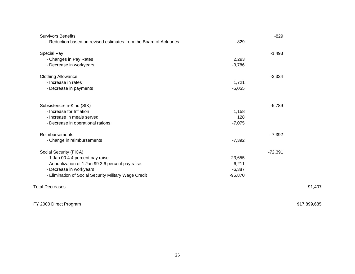| <b>Survivors Benefits</b>                                          |           | $-829$    |              |
|--------------------------------------------------------------------|-----------|-----------|--------------|
| - Reduction based on revised estimates from the Board of Actuaries | $-829$    |           |              |
| Special Pay                                                        |           | $-1,493$  |              |
| - Changes in Pay Rates                                             | 2,293     |           |              |
| - Decrease in workyears                                            | $-3,786$  |           |              |
| <b>Clothing Allowance</b>                                          |           | $-3,334$  |              |
| - Increase in rates                                                | 1,721     |           |              |
| - Decrease in payments                                             | $-5,055$  |           |              |
| Subsistence-In-Kind (SIK)                                          |           | $-5,789$  |              |
| - Increase for Inflation                                           | 1,158     |           |              |
| - Increase in meals served                                         | 128       |           |              |
| - Decrease in operational rations                                  | $-7,075$  |           |              |
| Reimbursements                                                     |           | $-7,392$  |              |
| - Change in reimbursements                                         | $-7,392$  |           |              |
| Social Security (FICA)                                             |           | $-72,391$ |              |
| - 1 Jan 00 4.4 percent pay raise                                   | 23,655    |           |              |
| - Annualization of 1 Jan 99 3.6 percent pay raise                  | 6,211     |           |              |
| - Decrease in workyears                                            | $-6,387$  |           |              |
| - Elimination of Social Security Military Wage Credit              | $-95,870$ |           |              |
| <b>Total Decreases</b>                                             |           |           | $-91,407$    |
| FY 2000 Direct Program                                             |           |           | \$17,899,685 |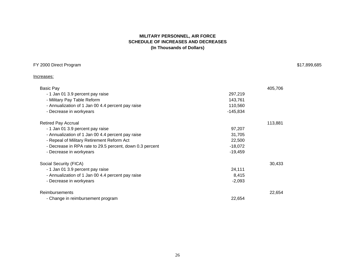## **MILITARY PERSONNEL, AIR FORCE SCHEDULE OF INCREASES AND DECREASES (In Thousands of Dollars)**

| FY 2000 Direct Program | \$17,899,685 |
|------------------------|--------------|
|                        |              |

Increases:

| <b>Basic Pay</b>                                         |            | 405,706 |
|----------------------------------------------------------|------------|---------|
| - 1 Jan 01 3.9 percent pay raise                         | 297,219    |         |
| - Military Pay Table Reform                              | 143,761    |         |
| - Annualization of 1 Jan 00 4.4 percent pay raise        | 110,560    |         |
| - Decrease in workyears                                  | $-145,834$ |         |
| <b>Retired Pay Accrual</b>                               |            | 113,881 |
| - 1 Jan 01 3.9 percent pay raise                         | 97,207     |         |
| - Annualization of 1 Jan 00 4.4 percent pay raise        | 31,705     |         |
| - Repeal of Military Retirement Reform Act               | 22,500     |         |
| - Decrease in RPA rate to 29.5 percent, down 0.3 percent | $-18,072$  |         |
| - Decrease in workyears                                  | $-19,459$  |         |
| Social Security (FICA)                                   |            | 30,433  |
| - 1 Jan 01 3.9 percent pay raise                         | 24,111     |         |
| - Annualization of 1 Jan 00 4.4 percent pay raise        | 8,415      |         |
| - Decrease in workyears                                  | $-2,093$   |         |
| <b>Reimbursements</b>                                    |            | 22,654  |
| - Change in reimbursement program                        | 22,654     |         |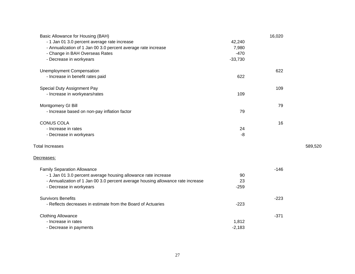| Basic Allowance for Housing (BAH)                                               |           | 16,020 |         |
|---------------------------------------------------------------------------------|-----------|--------|---------|
| - 1 Jan 01 3.0 percent average rate increase                                    | 42,240    |        |         |
| - Annualization of 1 Jan 00 3.0 percent average rate increase                   | 7,980     |        |         |
| - Change in BAH Overseas Rates                                                  | $-470$    |        |         |
| - Decrease in workyears                                                         | $-33,730$ |        |         |
| <b>Unemployment Compensation</b>                                                |           | 622    |         |
| - Increase in benefit rates paid                                                | 622       |        |         |
| Special Duty Assignment Pay                                                     |           | 109    |         |
| - Increase in workyears/rates                                                   | 109       |        |         |
| Montgomery GI Bill                                                              |           | 79     |         |
| - Increase based on non-pay inflation factor                                    | 79        |        |         |
| <b>CONUS COLA</b>                                                               |           | 16     |         |
| - Increase in rates                                                             | 24        |        |         |
| - Decrease in workyears                                                         | $-8$      |        |         |
| <b>Total Increases</b>                                                          |           |        | 589,520 |
| Decreases:                                                                      |           |        |         |
| <b>Family Separation Allowance</b>                                              |           | $-146$ |         |
| - 1 Jan 01 3.0 percent average housing allowance rate increase                  | 90        |        |         |
| - Annualization of 1 Jan 00 3.0 percent average housing allowance rate increase | 23        |        |         |
| - Decrease in workyears                                                         | $-259$    |        |         |
| <b>Survivors Benefits</b>                                                       |           | $-223$ |         |
| - Reflects decreases in estimate from the Board of Actuaries                    | $-223$    |        |         |
| <b>Clothing Allowance</b>                                                       |           | $-371$ |         |
| - Increase in rates                                                             | 1,812     |        |         |
| - Decrease in payments                                                          | $-2,183$  |        |         |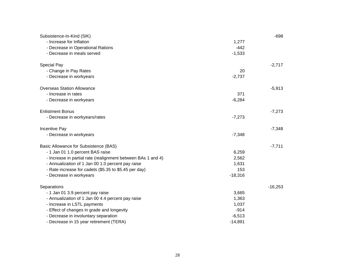| Subsistence-In-Kind (SIK)                                    |           | $-698$    |
|--------------------------------------------------------------|-----------|-----------|
| - Increase for Inflation                                     | 1,277     |           |
| - Decrease in Operational Rations                            | $-442$    |           |
| - Decrease in meals served                                   | $-1,533$  |           |
| Special Pay                                                  |           | $-2,717$  |
| - Change in Pay Rates                                        | 20        |           |
| - Decrease in workyears                                      | $-2,737$  |           |
| <b>Overseas Station Allowance</b>                            |           | $-5,913$  |
| - Increase in rates                                          | 371       |           |
| - Decrease in workyears                                      | $-6,284$  |           |
| <b>Enlistment Bonus</b>                                      |           | $-7,273$  |
| - Decrease in workyears/rates                                | $-7,273$  |           |
| Incentive Pay                                                |           | $-7,348$  |
| - Decrease in workyears                                      | $-7,348$  |           |
| Basic Allowance for Subsistence (BAS)                        |           | $-7,711$  |
| - 1 Jan 01 1.0 percent BAS raise                             | 6,259     |           |
| - Increase in partial rate (realignment between BAs 1 and 4) | 2,562     |           |
| - Annualization of 1 Jan 00 1.0 percent pay raise            | 1,631     |           |
| - Rate increase for cadets (\$5.35 to \$5.45 per day)        | 153       |           |
| - Decrease in workyears                                      | $-18,316$ |           |
| Separations                                                  |           | $-16,253$ |
| - 1 Jan 01 3.9 percent pay raise                             | 3,665     |           |
| - Annualization of 1 Jan 00 4.4 percent pay raise            | 1,363     |           |
| - Increase in LSTL payments                                  | 1,037     |           |
| - Effect of changes in grade and longevity                   | $-914$    |           |
| - Decrease in involuntary separation                         | $-6,513$  |           |
| - Decrease in 15 year retirement (TERA)                      | $-14,891$ |           |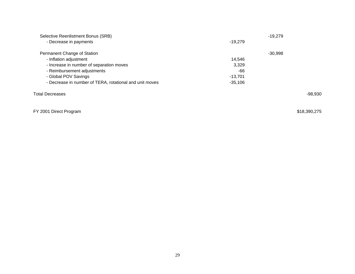| Selective Reenlistment Bonus (SRB)                      |           | $-19.279$ |           |
|---------------------------------------------------------|-----------|-----------|-----------|
| - Decrease in payments                                  | $-19.279$ |           |           |
| Permanent Change of Station                             |           | $-30,998$ |           |
| - Inflation adjustment                                  | 14.546    |           |           |
| - Increase in number of separation moves                | 3,329     |           |           |
| - Reimbursement adjustments                             | -66       |           |           |
| - Global POV Savings                                    | $-13.701$ |           |           |
| - Decrease in number of TERA, rotational and unit moves | $-35.106$ |           |           |
| Total Decreases                                         |           |           | $-98,930$ |
|                                                         |           |           |           |
|                                                         |           |           |           |

# FY 2001 Direct Program \$18,390,275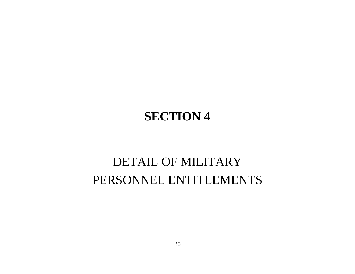# **SECTION 4**

# DETAIL OF MILITARY PERSONNEL ENTITLEMENTS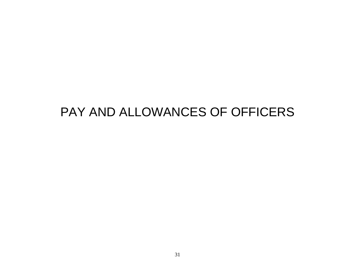# PAY AND ALLOWANCES OF OFFICERS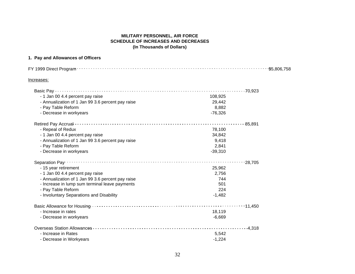### **MILITARY PERSONNEL, AIR FORCE SCHEDULE OF INCREASES AND DECREASES (In Thousands of Dollars)**

# **1. Pay and Allowances of Officers**

| Increases:                                        |                 |  |
|---------------------------------------------------|-----------------|--|
|                                                   |                 |  |
| - 1 Jan 00 4.4 percent pay raise                  | 108,925         |  |
| - Annualization of 1 Jan 99 3.6 percent pay raise | 29,442          |  |
| - Pay Table Reform                                | 8,882           |  |
| - Decrease in workyears                           | $-76,326$       |  |
|                                                   | $\cdots$ 85,891 |  |
| - Repeal of Redux                                 | 78,100          |  |
| - 1 Jan 00 4.4 percent pay raise                  | 34,842          |  |
| - Annualization of 1 Jan 99 3.6 percent pay raise | 9,418           |  |
| - Pay Table Reform                                | 2,841           |  |
| - Decrease in workyears                           | $-39,310$       |  |
| Separation Pay                                    | $-28,705$       |  |
| - 15 year retirement                              | 25,962          |  |
| - 1 Jan 00 4.4 percent pay raise                  | 2,756           |  |
| - Annualization of 1 Jan 99 3.6 percent pay raise | 744             |  |
| - Increase in lump sum terminal leave payments    | 501             |  |
| - Pay Table Reform                                | 224             |  |
| - Involuntary Separations and Disability          | $-1,482$        |  |
|                                                   |                 |  |
| - Increase in rates                               | 18,119          |  |
| - Decrease in workyears                           | $-6,669$        |  |
|                                                   | $\cdots$ 4,318  |  |
| - Increase in Rates                               | 5,542           |  |
| - Decrease in Workyears                           | $-1,224$        |  |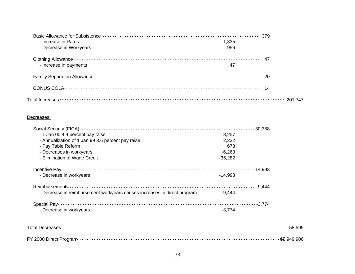| - Increase in Rates     | 1,335  |         |
|-------------------------|--------|---------|
| - Decrease in Workyears | $-956$ |         |
| - Increase in payments  | 47     | -47     |
|                         |        | -20     |
|                         |        |         |
|                         |        | 201.747 |

### Decreases:

|                                                                          |           | $-30,388$   |
|--------------------------------------------------------------------------|-----------|-------------|
| - 1 Jan 00 4.4 percent pay raise                                         | 8,257     |             |
| - Annualization of 1 Jan 99 3.6 percent pay raise                        | 2,232     |             |
| - Pay Table Reform                                                       | 673       |             |
| - Decreases in workyears                                                 | $-6,268$  |             |
| - Elimination of Wage Credit                                             | $-35,282$ |             |
|                                                                          |           |             |
| - Decrease in workyears                                                  | $-14,993$ |             |
|                                                                          |           |             |
| - Decrease in reimbursement workyears causes increases in direct program | $-9,444$  |             |
|                                                                          |           | $-3,774$    |
| - Decrease in workyears                                                  | $-3,774$  |             |
|                                                                          |           |             |
|                                                                          |           | $-58,599$   |
|                                                                          |           | \$5,949,906 |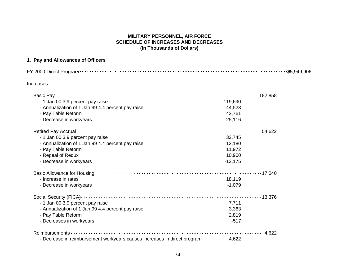## **MILITARY PERSONNEL, AIR FORCE SCHEDULE OF INCREASES AND DECREASES (In Thousands of Dollars)**

# **1. Pay and Allowances of Officers**

| FY 2000 Direct Program                                                   |           | $-$ \$5,949,906 |
|--------------------------------------------------------------------------|-----------|-----------------|
| Increases:                                                               |           |                 |
|                                                                          |           | $-182,858$      |
| - 1 Jan 00 3.9 percent pay raise                                         | 119,690   |                 |
| - Annualization of 1 Jan 99 4.4 percent pay raise                        | 44,523    |                 |
| - Pay Table Reform                                                       | 43,761    |                 |
| - Decrease in workyears                                                  | $-25,116$ |                 |
|                                                                          |           | $-54,622$       |
| - 1 Jan 00 3.9 percent pay raise                                         | 32,745    |                 |
| - Annualization of 1 Jan 99 4.4 percent pay raise                        | 12,180    |                 |
| - Pay Table Reform                                                       | 11,972    |                 |
| - Repeal of Redux                                                        | 10,900    |                 |
| - Decrease in workyears                                                  | $-13,175$ |                 |
|                                                                          |           |                 |
| - Increase in rates                                                      | 18,119    |                 |
| - Decrease in workyears                                                  | $-1,079$  |                 |
|                                                                          |           |                 |
| - 1 Jan 00 3.9 percent pay raise                                         | 7,711     |                 |
| - Annualization of 1 Jan 99 4.4 percent pay raise                        | 3,363     |                 |
| - Pay Table Reform                                                       | 2,819     |                 |
| - Decreases in workyears                                                 | $-517$    |                 |
|                                                                          |           | 4,622           |
| - Decrease in reimbursement workyears causes increases in direct program | 4,622     |                 |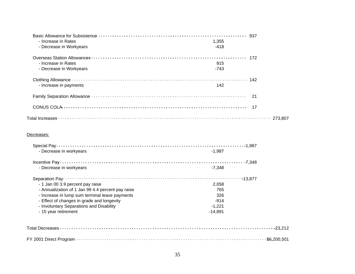| - Increase in Rates     | 1.355  |         |
|-------------------------|--------|---------|
| - Decrease in Workyears | $-418$ |         |
|                         |        |         |
| - Increase in Rates     | 915    |         |
| - Decrease in Workyears | $-743$ |         |
|                         |        |         |
| - Increase in payments  | 142    |         |
|                         |        | - 21    |
|                         |        |         |
|                         |        | 273.807 |

# Decreases:

| - Decrease in workyears                           | $-1.987$  |         |
|---------------------------------------------------|-----------|---------|
|                                                   |           |         |
| - Decrease in workyears                           | $-7.348$  |         |
| Separation Pay-                                   |           |         |
| - 1 Jan 00 3.9 percent pay raise                  | 2,058     |         |
| - Annualization of 1 Jan 99 4.4 percent pay raise | 765       |         |
| - Increase in lump sum terminal leave payments    | 326       |         |
| - Effect of changes in grade and longevity        | $-914$    |         |
| - Involuntary Separations and Disability          | $-1,221$  |         |
| - 15 year retirement                              | $-14,891$ |         |
|                                                   |           |         |
|                                                   |           |         |
| Total Decreases                                   |           | -23.212 |
|                                                   |           |         |

|--|--|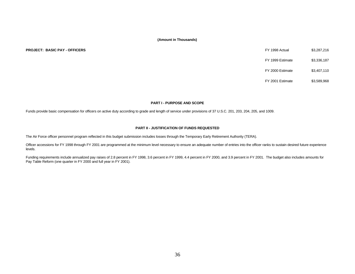#### **PROJECT: BASIC PAY - OFFICERS**

| FY 1998 Actual   | \$3.287.216 |
|------------------|-------------|
| FY 1999 Estimate | \$3,336,187 |
| FY 2000 Estimate | \$3,407,110 |
| FY 2001 Estimate | \$3.589.968 |

#### **PART I - PURPOSE AND SCOPE**

Funds provide basic compensation for officers on active duty according to grade and length of service under provisions of 37 U.S.C. 201, 203, 204, 205, and 1009.

#### **PART II - JUSTIFICATION OF FUNDS REQUESTED**

The Air Force officer personnel program reflected in this budget submission includes losses through the Temporary Early Retirement Authority (TERA).

Officer accessions for FY 1998 through FY 2001 are programmed at the minimum level necessary to ensure an adequate number of entries into the officer ranks to sustain desired future experience levels.

Funding requirements include annualized pay raises of 2.8 percent in FY 1998, 3.6 percent in FY 1999, 4.4 percent in FY 2000, and 3.9 percent in FY 2001. The budget also includes amounts for Pay Table Reform (one quarter in FY 2000 and full year in FY 2001).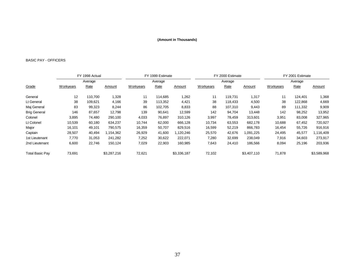# BASIC PAY - OFFICERS

|                        | FY 1998 Actual<br>Average |         |             |           | FY 1999 Estimate |             |                  | FY 2000 Estimate |             | FY 2001 Estimate |         |               |  |
|------------------------|---------------------------|---------|-------------|-----------|------------------|-------------|------------------|------------------|-------------|------------------|---------|---------------|--|
|                        |                           |         |             |           | Average          |             |                  | Average          |             |                  | Average |               |  |
| Grade                  | Workyears                 | Rate    | Amount      | Workyears | Rate             | Amount      | <b>Workyears</b> | Rate             | Amount      | Workyears        | Rate    | <b>Amount</b> |  |
| General                | 12                        | 110,700 | 1,328       | 11        | 114,685          | 1,262       | 11               | 119,731          | 1,317       | 11               | 124,401 | 1,368         |  |
| Lt General             | 38                        | 109,621 | 4,166       | 39        | 113,352          | 4,421       | 38               | 118,433          | 4,500       | 38               | 122,868 | 4,669         |  |
| Maj General            | 83                        | 99,323  | 8,244       | 86        | 102.705          | 8,833       | 88               | 107,310          | 9,443       | 89               | 111,332 | 9,909         |  |
| <b>Brig General</b>    | 146                       | 87,657  | 12,798      | 139       | 90,641           | 12,599      | 142              | 94,704           | 13,448      | 142              | 98,252  | 13,952        |  |
| Colonel                | 3,895                     | 74,480  | 290,100     | 4,033     | 76,897           | 310,126     | 3,997            | 78,459           | 313,601     | 3,951            | 83,008  | 327,965       |  |
| Lt Colonel             | 10,539                    | 60,180  | 634,237     | 10,744    | 62,000           | 666,128     | 10,734           | 63,553           | 682,178     | 10,688           | 67,452  | 720,927       |  |
| Major                  | 16,101                    | 49,101  | 790,575     | 16,359    | 50,707           | 829,516     | 16,599           | 52,219           | 866,783     | 16,454           | 55,726  | 916,916       |  |
| Captain                | 28,507                    | 40,494  | 1,154,362   | 26,929    | 41,600           | 1,120,246   | 25,570           | 42,676           | 1,091,225   | 24,495           | 45,577  | 1,116,409     |  |
| 1st Lieutenant         | 7,770                     | 31,053  | 241,282     | 7,252     | 30,622           | 222,071     | 7,280            | 32,699           | 238,049     | 7,916            | 34,603  | 273,917       |  |
| 2nd Lieutenant         | 6,600                     | 22,746  | 150,124     | 7,029     | 22,903           | 160,985     | 7,643            | 24,410           | 186,566     | 8,094            | 25,196  | 203,936       |  |
| <b>Total Basic Pay</b> | 73,691                    |         | \$3,287,216 | 72,621    |                  | \$3,336,187 | 72,102           |                  | \$3,407,110 | 71,878           |         | \$3,589,968   |  |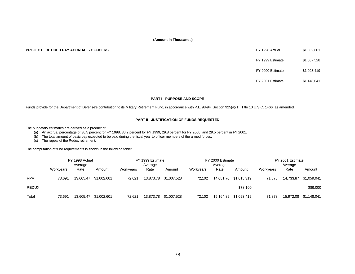#### **PROJECT: RETIRED PAY ACCRUAL - OFFICERS**

| FY 1998 Actual   | \$1.002.601 |
|------------------|-------------|
| FY 1999 Estimate | \$1.007.528 |
| FY 2000 Estimate | \$1.093.419 |
| FY 2001 Estimate | \$1,148,041 |

#### **PART I - PURPOSE AND SCOPE**

Funds provide for the Department of Defense's contribution to its Military Retirement Fund, in accordance with P.L. 98-94, Section 925(a)(1), Title 10 U.S.C. 1466, as amended.

#### **PART II - JUSTIFICATION OF FUNDS REQUESTED**

The budgetary estimates are derived as a product of:

(a) An accrual percentage of 30.5 percent for FY 1998, 30.2 percent for FY 1999, 29.8 percent for FY 2000, and 29.5 percent in FY 2001.

(b) The total amount of basic pay expected to be paid during the fiscal year to officer members of the armed forces.

(c) The repeal of the Redux retirement.

The computation of fund requirements is shown in the following table:

|              |           | FY 1998 Actual |             |           | FY 1999 Estimate |             |           | FY 2000 Estimate |                       | FY 2001 Estimate |           |               |  |
|--------------|-----------|----------------|-------------|-----------|------------------|-------------|-----------|------------------|-----------------------|------------------|-----------|---------------|--|
|              | Average   |                |             | Average   |                  |             |           | Average          |                       | Average          |           |               |  |
|              | Workyears | Rate           | Amount      | Workyears | Rate             | Amount      | Workyears | Rate             | Amount                | Workyears        | Rate      | <b>Amount</b> |  |
| <b>RPA</b>   | 73.691    | 13.605.47      | \$1,002,601 | 72.621    | 13.873.78        | \$1,007,528 | 72.102    |                  | 14,081.70 \$1,015,319 | 71.878           | 14,733.87 | \$1,059,041   |  |
| <b>REDUX</b> |           |                |             |           |                  |             |           |                  | \$78,100              |                  |           | \$89,000      |  |
| Total        | 73,691    | 13.605.47      | \$1,002,601 | 72,621    | 13.873.78        | \$1,007,528 | 72.102    | 15.164.89        | \$1.093.419           | 71,878           | 15,972.08 | \$1,148,041   |  |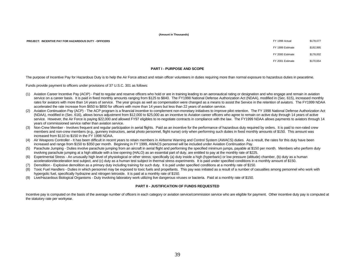**PROJECT: INCENTIVE PAY FOR HAZARDOUS DUTY - OFFICERS** 

| FY 1998 Actual   | \$178,077 |
|------------------|-----------|
| FY 1999 Estimate | \$192.995 |
| FY 2000 Estimate | \$178,002 |
| FY 2001 Estimate | \$170.654 |

#### **PART I - PURPOSE AND SCOPE**

The purpose of Incentive Pay for Hazardous Duty is to help the Air Force attract and retain officer volunteers in duties requiring more than normal exposure to hazardous duties in peacetime.

Funds provide payment to officers under provisions of 37 U.S.C. 301 as follows:

- (1) Aviation Career Incentive Pay (ACIP) Paid to regular and reserve officers who hold or are in training leading to an aeronautical rating or designation and who engage and remain in aviation service on a career basis. It is paid in fixed monthly amounts ranging from \$125 to \$840. The FY1998 National Defense Authorization Act (NDAA), modified in (Sec. 615), increased monthly rates for aviators with more than 14 years of service. The year groups as well as compensation were changed as a means to assist the Service in the retention of aviators. The FY1999 NDAA accelerated the rate increase from \$650 to \$850 for officers with more than 14 years but less than 22 years of aviation service.
- (2) Aviation Continuation Pay (ACP) The ACP program is a financial incentive to complement non-monetary initiatives to improve pilot retention. The FY 1998 National Defense Authorization Act (NDAA), modified in (Sec. 616), allows bonus adjustment from \$12,000 to \$25,000 as an incentive to Aviation career officers who agree to remain on active duty through 14 years of active service. However, the Air Force is paying \$22,000 and allowed FY97 eligibles to re-negotiate contracts in compliance with the law. The FY1999 NDAA allows payments to aviators through 14 years of commissioned service rather than aviation service.
- (3) Non-Crew Member Involves frequent and regular participation in aerial flights. Paid as an incentive for the performance of hazardous duty required by orders. It is paid to non-rated crew members and non-crew members (e.g., gunnery instructors, aerial photo personnel, flight nurse) only when performing such duties in fixed monthly amounts of \$150. This amount was increased from \$110 to \$150 in the FY 1998 NDAA.
- (4) Air Weapons Controller It has been difficult in recent years to retain members in Airborne Warning and Control System (AWACS) duties. As a result, the rates for this duty have been increased and range from \$150 to \$350 per month. Beginning in FY 1999, AWACS personnel will be included under Aviation Continuation Pay.
- (5) Parachute Jumping Duties involve parachute jumping from an aircraft in aerial flight and performing the specified minimum jumps, payable at \$150 per month. Members who perform duty involving parachute jumping at a high altitude with a low opening (HALO) as an essential part of duty, are entitled to pay at the monthly rate of \$225.
- (6) Experimental Stress An unusually high level of physiological or other stress; specifically (a) duty inside a high (hyperbaric) or low pressure (altitude) chamber, (b) duty as a human acceleration/deceleration test subject, and (c) duty as a human test subject in thermal stress experiments. It is paid under specified conditions in a monthly amount of \$150.
- (7) Demolition Explosive demolition as a primary duty including training for such duty. It is paid under specified conditions at a monthly rate of \$150.
- (8) Toxic Fuel Handlers Duties in which personnel may be exposed to toxic fuels and propellants. This pay was initiated as a result of a number of casualties among personnel who work with hypergolic fuel, specifically hydrazine and nitrogen tetroxide. It is paid at a monthly rate of \$150.
- (9) Live/Hazardous Biological Organisms Duty involving laboratory work utilizing live dangerous viruses or bacteria. Paid at a monthly rate of \$150.

#### **PART II - JUSTIFICATION OF FUNDS REQUESTED**

Incentive pay is computed on the basis of the average number of officers in each category or aviation service/commission service who are eligible for payment. Other incentive duty pay is computed at the statutory rate per workyear.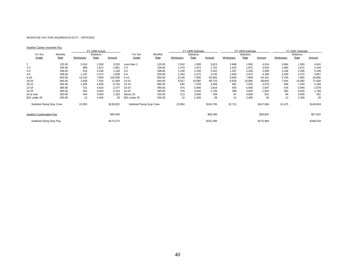#### INCENTIVE PAY FOR HAZARDOUS DUTY - OFFICERS

#### Aviation Career Incentive Pay

|                                  |         | FY 1998 Actual |           |           |                           |         | FY 1999 Estimate |           |           |           | FY 2000 Estimate |           | FY 2001 Estimate |           |           |  |
|----------------------------------|---------|----------------|-----------|-----------|---------------------------|---------|------------------|-----------|-----------|-----------|------------------|-----------|------------------|-----------|-----------|--|
| Yrs Svc                          | Monthly |                | Statutory |           | Yrs Svc                   | Monthly |                  | Statutory |           |           | Statutory        |           |                  | Statutory |           |  |
| Grade                            | Rate    | Workyears      | Rate      | Amount    | Grade                     | Rate    | Workyears        | Rate      | Amount    | Workyears | Rate             | Amount    | Workyears        | Rate      | Amount    |  |
| $\overline{2}$                   | 125.00  | 2,010          | 1,500     | 3,015     | Less than 2               | 125.00  | 2,542            | 1,500     | 3,813     | 2,689     | 1,500            | 4,034     | 2,694            | 1,500     | 4,041     |  |
| $2 - 3$                          | 156.00  | 989            | 1,872     | 1,851     | $2 - 3$                   | 156.00  | 1,470            | 1,872     | 2,752     | 1,625     | 1,872            | 3,042     | 1,690            | 1,872     | 3,164     |  |
| $3 - 4$                          | 188.00  | 516            | 2,256     | 1,164     | $3 - 4$                   | 188.00  | 1,109            | 2,256     | 2,502     | 1,307     | 2,256            | 2,949     | 1,439            | 2,256     | 3,246     |  |
| $4-6$                            | 206.00  | 1,197          | 2,472     | 2,959     | $4-6$                     | 206.00  | 1,264            | 2,472     | 3,125     | 1,693     | 2,472            | 4,185     | 2,349            | 2,472     | 5,807     |  |
| $6 - 18$                         | 650.00  | 13,142         | 7,800     | 102,508   | $6 - 14$                  | 650.00  | 8,140            | 7,800     | 63,492    | 6,936     | 7,800            | 54,101    | 5,750            | 7,800     | 44,850    |  |
| 18-20                            | 585.00  | 1,648          | 7,020     | 11,569    | 14-22                     | 840.00  | 6,917            | 10,080    | 69,723    | 6,929     | 10,080           | 69,844    | 7,044            | 10,080    | 71,004    |  |
| 20-22                            | 495.00  | 1,465          | 5,940     | 8,702     | 22-23                     | 585.00  | 635              | 7,020     | 4,458     | 581       | 7,020            | 4,079     | 596              | 7,020     | 4,184     |  |
| 22-24                            | 385.00  | 731            | 4,620     | 3,377     | 23-24                     | 495.00  | 474              | 5,940     | 2,816     | 454       | 5,940            | 2,697     | 434              | 5,940     | 2,578     |  |
| 24-25                            | 385.00  | 502            | 4,620     | 2,319     | 24-25                     | 385.00  | 378              | 4,620     | 1,746     | 399       | 4,620            | 1,843     | 383              | 4,620     | 1,769     |  |
| 25 & over                        | 250.00  | 443            | 3,000     | 1,329     | Above 25                  | 250.00  | 113              | 3,000     | 339       | 87        | 3,000            | 261       | 84               | 3,000     | 252       |  |
| B/G under 25                     | 200.00  | 12             | 2,400     | 29        | B/G under 25              | 200.00  | 12               | 2,400     | 29        | 12        | 2,400            | 29        | 12               | 2,400     | 29        |  |
| Subtotal Flying Duty Crew        |         | 22,655         |           | \$138,822 | Subtotal Flying Duty Crew |         | 23,054           |           | \$154,795 | 22,712    |                  | \$147,064 | 22,475           |           | \$140,924 |  |
| <b>Aviation Continuation Pay</b> |         |                |           | \$35,450  |                           |         |                  |           | \$36,300  |           |                  | \$28,820  |                  |           | \$27,610  |  |
| Subtotal Flying Duty Pay         |         |                |           | \$174,272 |                           |         |                  |           | \$191,095 |           |                  | \$175,884 |                  |           | \$168,534 |  |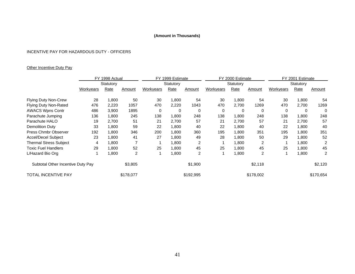# INCENTIVE PAY FOR HAZARDOUS DUTY - OFFICERS

# **Other Incentive Duty Pay**

|                                   |           | FY 1998 Actual |           | FY 1999 Estimate |           |           |                  | FY 2000 Estimate |           | FY 2001 Estimate |       |                |  |
|-----------------------------------|-----------|----------------|-----------|------------------|-----------|-----------|------------------|------------------|-----------|------------------|-------|----------------|--|
|                                   |           | Statutory      |           |                  | Statutory |           |                  | Statutory        |           | Statutory        |       |                |  |
|                                   | Workyears | Rate           | Amount    | Workyears        | Rate      | Amount    | <b>Workyears</b> | Rate             | Amount    | <b>Workyears</b> | Rate  | Amount         |  |
| <b>Flying Duty Non-Crew</b>       | 28        | 1,800          | 50        | 30               | 1,800     | 54        | 30               | 1,800            | 54        | 30               | 1,800 | 54             |  |
| <b>Flying Duty Non-Rated</b>      | 476       | 2,220          | 1057      | 470              | 2,220     | 1043      | 470              | 2,700            | 1269      | 470              | 2,700 | 1269           |  |
| <b>AWACS Wpns Contr</b>           | 486       | 3,900          | 1895      | 0                | 0         | 0         | 0                | 0                | 0         | 0                | 0     | 0              |  |
| Parachute Jumping                 | 136       | 1,800          | 245       | 138              | 1,800     | 248       | 138              | 1,800            | 248       | 138              | 1,800 | 248            |  |
| Parachute HALO                    | 19        | 2,700          | 51        | 21               | 2,700     | 57        | 21               | 2,700            | 57        | 21               | 2,700 | 57             |  |
| <b>Demolition Duty</b>            | 33        | 1,800          | 59        | 22               | 1,800     | 40        | 22               | 1,800            | 40        | 22               | 1,800 | 40             |  |
| Press Chmbr Observer              | 192       | 1,800          | 346       | 200              | 1,800     | 360       | 195              | 1,800            | 351       | 195              | 1,800 | 351            |  |
| <b>Accel/Decel Subject</b>        | 23        | 1,800          | 41        | 27               | 1,800     | 49        | 28               | 1,800            | 50        | 29               | 1,800 | 52             |  |
| <b>Thermal Stress Subject</b>     | 4         | 1,800          |           |                  | 1,800     | 2         |                  | 1,800            | 2         |                  | 1,800 | 2              |  |
| <b>Toxic Fuel Handlers</b>        | 29        | 1,800          | 52        | 25               | 1,800     | 45        | 25               | 1,800            | 45        | 25               | 1,800 | 45             |  |
| L/Hazard Bio Org                  |           | .800           | 2         |                  | 1,800     | 2         |                  | 1,800            | 2         |                  | 1,800 | $\overline{2}$ |  |
| Subtotal Other Incentive Duty Pay |           |                | \$3,805   |                  |           | \$1,900   |                  |                  | \$2,118   |                  |       | \$2,120        |  |
| <b>TOTAL INCENTIVE PAY</b>        |           |                | \$178,077 |                  |           | \$192,995 |                  |                  | \$178,002 |                  |       | \$170,654      |  |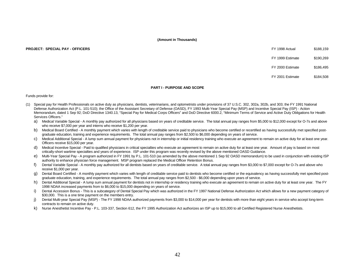#### **PROJECT: SPECIAL PAY - OFFICERS** 6188,159

FY 1999 Estimate \$190,269

FY 2000 Estimate \$186,495

FY 2001 Estimate \$184,508

#### **PART I - PURPOSE AND SCOPE**

Funds provide for:

- (1) Special pay for Health Professionals on active duty as physicians, dentists, veterinarians, and optometrists under provisions of 37 U.S.C. 302, 302a, 302b, and 303; the FY 1991 National Defense Authorization Act (P.L. 101-510); the Office of the Assistant Secretary of Defense (OASD), FY 1993 Multi-Year Special Pay (MSP) and Incentive Special Pay (ISP) - Action Memorandum, dated 1 Sep 92; DoD Directive 1340.13, "Special Pay for Medical Corps Officers" and DoD Directive 6000.2, "Minimum Terms of Service and Active Duty Obligations for Health Services Officers."
	- a) Medical Variable Special A monthly pay authorized for all physicians based on years of creditable service. The total annual pay ranges from \$5,000 to \$12,000 except for O-7s and above who receive \$7,000 per year and interns who receive \$1,200 per year.
	- b) Medical Board Certified A monthly payment which varies with length of creditable service paid to physicians who become certified or recertified as having successfully met specified postgraduate education, training and experience requirements. The total annual pay ranges from \$2,500 to \$6,000 depending on years of service.
	- c) Medical Additional Special A lump sum annual payment for physicians not in internship or initial residency training who execute an agreement to remain on active duty for at least one year. Officers receive \$15,000 per year.
	- d) Medical Incentive Special Paid to qualified physicians in critical specialties who execute an agreement to remain on active duty for at least one year. Amount of pay is based on most critically-short wartime specialties and years of experience. ISP under this program was recently revised by the above mentioned OASD Guidance.
	- e) Multi-Year Special Pay A program authorized in FY 1991 by P.L. 101-510 (as amended by the above mentioned 1 Sep 92 OASD memorandum) to be used in conjunction with existing ISP authority to enhance physician force management. MSP program replaced the Medical Officer Retention Bonus.
	- f) Dental Variable Special A monthly pay authorized for all dentists based on years of creditable service. A total annual pay ranges from \$3,000 to \$7,000 except for O-7s and above who receive \$1,000 per year.
	- g) Dental Board Certified A monthly payment which varies with length of creditable service paid to dentists who become certified or the equivalency as having successfully met specified postgraduate education, training, and experience requirements. The total annual pay ranges from \$2,500 - \$6,000 depending upon years of service.
	- h) Dental Additional Special A lump sum annual payment for dentists not in internship or residency training who execute an agreement to remain on active duty for at least one year. The FY 1998 NDAA increased payments from to \$6,000 to \$15,000 depending on years of service.
	- i) Dental Accession Bonus This is a subcategory of Dental Special Pay which was authorized in the FY 1997 National Defense Authorization Act which allows for a new payment category of \$30,000. This is a one time payment on the members entry.
	- j) Dental Multi-year Special Pay (MSP) The FY 1998 NDAA authorized payments from \$3,000 to \$14,000 per year for dentists with more than eight years in service who accept long-term contracts to remain on active duty.
	- k) Nurse Anesthetist Incentive Pay P.L. 103-337, Section 612, the FY 1995 Authorization Act authorizes an ISP up to \$15,000 to all Certified Registered Nurse Anesthetists.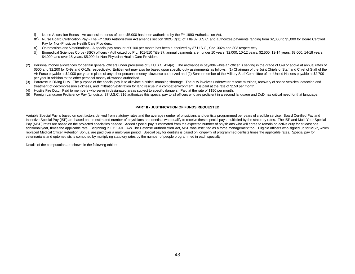- l) Nurse Accession Bonus An accession bonus of up to \$5,000 has been authorized by the FY 1990 Authorization Act.
- m) Nurse Board Certification Pay The FY 1996 Authorization Act amends section 302C(D(1)) of Title 37 U.S.C. and authorizes payments ranging from \$2,000 to \$5,000 for Board Certified Pay for Non-Physician Health Care Providers.
- n) Optometrists and Veterinarians A special pay amount of \$100 per month has been authorized by 37 U.S.C., Sec. 302a and 303 respectively.
- o) Biomedical Sciences Corps (BSC) officers Authorized by P.L. 101-510 Title 37, annual payments are: under 10 years, \$2,000; 10-12 years, \$2,500; 12-14 years, \$3,000; 14-18 years, \$4,000; and over 18 years, \$5,000 for Non-Physician Health Care Providers.
- (2) Personal money allowances for certain general officers under provisions of 37 U.S.C. 414(a). The allowance is payable while an officer is serving in the grade of O-9 or above at annual rates of \$500 and \$2.200 for O-9s and O-10s respectively. Entitlement may also be based upon specific duty assignments as follows: (1) Chairman of the Joint Chiefs of Staff and Chief of Staff of the Air Force payable at \$4,000 per year in place of any other personal money allowance authorized and (2) Senior member of the Military Staff Committee of the United Nations payable at \$2,700 per year in addition to the other personal money allowance authorized.
- (3) Pararescue Diving Duty. The purpose of the special pay is to alleviate a critical manning shortage. The duty involves underwater rescue missions, recovery of space vehicles, detection and treatment of decompression sickness, and infiltration/exfiltration for land rescue in a combat environment. It is paid at the rate of \$150 per month.
- (4) Hostile Fire Duty. Paid to members who serve in designated areas subject to specific dangers. Paid at the rate of \$150 per month.
- (5) Foreign Language Proficiency Pay (Linguist). 37 U.S.C. 316 authorizes this special pay to all officers who are proficient in a second language and DoD has critical need for that language.

#### **PART II - JUSTIFICATION OF FUNDS REQUESTED**

Variable Special Pay is based on cost factors derived from statutory rates and the average number of physicians and dentists programmed per years of credible service. Board Certified Pay and Incentive Special Pay (ISP) are based on the estimated number of physicians and dentists who qualify to receive these special pays multiplied by the statutory rates. The ISP and Multi-Year Special Pay (MSP) rates are based on the projected specialties needed. Added Special pay is estimated from the expected number of physicians who will agree to remain on active duty for at least one additional year, times the applicable rate. Beginning in FY 1991, IAW The Defense Authorization Act, MSP was instituted as a force management tool. Eligible officers who signed up for MSP, which replaced Medical Officer Retention Bonus, are paid over a multi-year period. Special pay for dentists is based on longevity of programmed dentists times the applicable rates. Special pay for veterinarians and optometrists is computed by multiplying statutory rates by the number of people programmed in each specialty.

Details of the computation are shown in the following tables: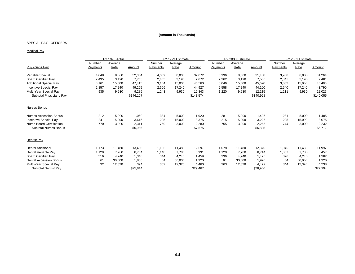#### SPECIAL PAY - OFFICERS

#### Medical Pay

|                               |                 | FY 1998 Actual |           |          | FY 1999 Estimate |           |          | FY 2000 Estimate |           | FY 2001 Estimate |         |           |
|-------------------------------|-----------------|----------------|-----------|----------|------------------|-----------|----------|------------------|-----------|------------------|---------|-----------|
|                               | Number          | Average        |           | Number   | Average          |           | Number   | Average          |           | Number           | Average |           |
| <b>Physicians Pay</b>         | <b>Payments</b> | Rate           | Amount    | Payments | Rate             | Amount    | Payments | Rate             | Amount    | Payments         | Rate    | Amount    |
| Variable Special              | 4,048           | 8,000          | 32,384    | 4,009    | 8,000            | 32,072    | 3,936    | 8,000            | 31,488    | 3,908            | 8,000   | 31,264    |
| <b>Board Certified Pay</b>    | 2,435           | 3,190          | 7,768     | 2,405    | 3,190            | 7.672     | 2,362    | 3,190            | 7,535     | 2,345            | 3,190   | 7,481     |
| <b>Additional Special Pay</b> | 3,161           | 15,000         | 47,415    | 3,104    | 15,000           | 46,560    | 3,046    | 15,000           | 45,690    | 3,033            | 15,000  | 45,495    |
| Incentive Special Pay         | 2,857           | 17.240         | 49,255    | 2,606    | 17,240           | 44,927    | 2,558    | 17,240           | 44,100    | 2,540            | 17,240  | 43,790    |
| Multi-Year Special Pay        | 935             | 9,930          | 9,285     | 1,243    | 9,930            | 12,343    | 1,220    | 9,930            | 12,115    | 1,211            | 9,930   | 12,025    |
| Subtotal Physicians Pay       |                 |                | \$146,107 |          |                  | \$143,574 |          |                  | \$140,928 |                  |         | \$140,055 |
| <b>Nurses Bonus</b>           |                 |                |           |          |                  |           |          |                  |           |                  |         |           |
| Nurses Accession Bonus        | 212             | 5,000          | 1,060     | 384      | 5,000            | 1,920     | 281      | 5,000            | 1,405     | 281              | 5,000   | 1,405     |
| Incentive Special Pay         | 241             | 15,000         | 3,615     | 225      | 15,000           | 3,375     | 215      | 15,000           | 3,225     | 205              | 15,000  | 3,075     |
| Nurse Board Certification     | 770             | 3,000          | 2,311     | 760      | 3,000            | 2,280     | 755      | 3,000            | 2,265     | 744              | 3,000   | 2,232     |
| <b>Subtotal Nurses Bonus</b>  |                 |                | \$6,986   |          |                  | \$7,575   |          |                  | \$6,895   |                  |         | \$6,712   |
| Dentist Pay                   |                 |                |           |          |                  |           |          |                  |           |                  |         |           |
| <b>Dental Additional</b>      | 1,173           | 11,480         | 13,466    | 1,106    | 11,480           | 12,697    | 1,078    | 11,480           | 12,375    | 1,045            | 11,480  | 11,997    |
| Dental Variable Pay           | 1,129           | 7,780          | 8,784     | 1,148    | 7,780            | 8,931     | 1,120    | 7,780            | 8,714     | 1,087            | 7,780   | 8,457     |
| <b>Board Certified Pay</b>    | 316             | 4,240          | 1.340     | 344      | 4.240            | 1,459     | 336      | 4,240            | 1,425     | 326              | 4,240   | 1,382     |
| <b>Dental Accession Bonus</b> | 61              | 30,000         | 1,830     | 64       | 30,000           | 1,920     | 64       | 30,000           | 1,920     | 64               | 30,000  | 1,920     |
| Multi-Year Special Pay        | 32              | 12,320         | 394       | 362      | 12,320           | 4,460     | 363      | 12,320           | 4,472     | 344              | 12,320  | 4,238     |
| <b>Subtotal Dentist Pay</b>   |                 |                | \$25,814  |          |                  | \$29,467  |          |                  | \$28,906  |                  |         | \$27,994  |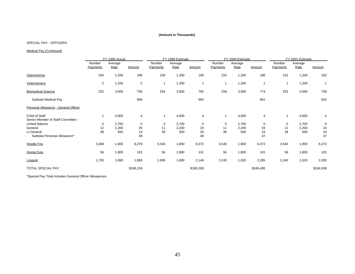#### SPECIAL PAY - OFFICERS

#### Medical Pay (Continued)

|                                                      |                    | FY 1998 Actual  |                         |                    | FY 1999 Estimate |           |                    | FY 2000 Estimate |           | FY 2001 Estimate   |                 |              |
|------------------------------------------------------|--------------------|-----------------|-------------------------|--------------------|------------------|-----------|--------------------|------------------|-----------|--------------------|-----------------|--------------|
|                                                      | Number<br>Payments | Average<br>Rate | Amount                  | Number<br>Payments | Average<br>Rate  | Amount    | Number<br>Payments | Average<br>Rate  | Amount    | Number<br>Payments | Average<br>Rate | Amount       |
| <b>Optometrists</b>                                  | 165                | 1,200           | 198                     | 158                | 1,200            | 190       | 155                | 1,200            | 186       | 152                | 1,200           | 182          |
| Veterinarians                                        | 2                  | 1,200           | $\overline{\mathbf{c}}$ | 1                  | 1,200            | 1         |                    | 1,200            | 1         |                    | 1,200           | $\mathbf{1}$ |
| <b>Biomedical Science</b>                            | 252                | 3,000           | 756                     | 264                | 3,000            | 792       | 258                | 3,000            | 774       | 253                | 3,000           | 759          |
| Subtotal Medical Pay                                 |                    |                 | 956                     |                    |                  | 983       |                    |                  | 961       |                    |                 | 942          |
| Personal Allowance - General Officer                 |                    |                 |                         |                    |                  |           |                    |                  |           |                    |                 |              |
| Chief of Staff<br>Senior Member of Staff Committee - |                    | 4,000           | 4                       | 1                  | 4,000            | 4         | 1                  | 4,000            | 4         | 1                  | 4,000           | 4            |
| <b>United Nations</b>                                | 0                  | 2,700           | 0                       | 0                  | 2,700            | 0         | 0                  | 2,700            | 0         | 0                  | 2,700           | 0            |
| General                                              | 12                 | 2,200           | 26                      | 11                 | 2,200            | 24        | 11                 | 2,200            | 24        | 11                 | 2,200           | 24           |
| Lt General                                           | 38                 | 500             | 19                      | 39                 | 500              | 20        | 38                 | 500              | 19        | 38                 | 500             | 19           |
| Subtotal Personal Allowance*                         |                    |                 | 49                      |                    |                  | 48        |                    |                  | 47        |                    |                 | 47           |
| <b>Hostile Fire</b>                                  | 3,488              | 1,800           | 6,278                   | 3,540              | 1,800            | 6,372     | 3,540              | 1,800            | 6,372     | 3,540              | 1,800           | 6,372        |
| Diving Duty                                          | 56                 | 1,800           | 101                     | 56                 | 1,800            | 101       | 56                 | 1,800            | 101       | 56                 | 1,800           | 101          |
| Linguist                                             | 1,730              | 1,080           | 1,868                   | 1,990              | 1,080            | 2,149     | 2,240              | 1,020            | 2,285     | 2,240              | 1,020           | 2,285        |
| <b>TOTAL SPECIAL PAY</b>                             |                    |                 | \$188,159               |                    |                  | \$190,269 |                    |                  | \$186,495 |                    |                 | \$184,508    |

\*Special Pay Total Includes General Officer Allowances.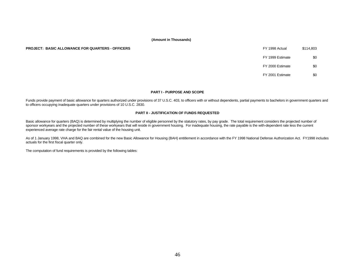#### **PROJECT: BASIC ALLOWANCE FOR QUARTERS - OFFICERS**

| FY 1998 Actual   | \$114.803 |
|------------------|-----------|
| FY 1999 Estimate | \$0       |
| FY 2000 Estimate | \$0       |
| FY 2001 Estimate |           |

#### **PART I - PURPOSE AND SCOPE**

Funds provide payment of basic allowance for quarters authorized under provisions of 37 U.S.C. 403, to officers with or without dependents, partial payments to bachelors in government quarters and to officers occupying inadequate quarters under provisions of 10 U.S.C. 2830.

#### **PART II - JUSTIFICATION OF FUNDS REQUESTED**

Basic allowance for quarters (BAQ) is determined by multiplying the number of eligible personnel by the statutory rates, by pay grade. The total requirement considers the projected number of sponsor workyears and the projected number of these workyears that will reside in government housing. For inadequate housing, the rate payable is the with-dependent rate less the current experienced average rate charge for the fair rental value of the housing unit.

As of 1 January 1998, VHA and BAQ are combined for the new Basic Allowance for Housing (BAH) entitlement in accordance with the FY 1998 National Defense Authorization Act. FY1998 includes actuals for the first fiscal quarter only.

The computation of fund requirements is provided by the following tables: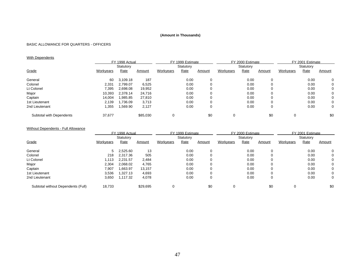## BASIC ALLOWANCE FOR QUARTERS - OFFICERS

# **With Dependents**

|                          | FY 1998 Actual |           |          | FY 1999 Estimate |             |          | FY 2000 Estimate |           |        | FY 2001 Estimate |           |        |
|--------------------------|----------------|-----------|----------|------------------|-------------|----------|------------------|-----------|--------|------------------|-----------|--------|
|                          |                | Statutory |          |                  | Statutory   |          |                  | Statutory |        |                  | Statutory |        |
| Grade                    | Workyears      | Rate      | Amount   | Workyears        | <b>Rate</b> | Amount   | <b>Workyears</b> | Rate      | Amount | Workyears        | Rate      | Amount |
| General                  | 60             | 3,109.18  | 187      |                  | 0.00        | 0        |                  | 0.00      |        |                  | 0.00      | 0      |
| Colonel                  | 2,331          | 2,799.07  | 6,525    |                  | 0.00        | 0        |                  | 0.00      |        |                  | 0.00      | 0      |
| Lt Colonel               | 7,395          | 2,698.08  | 19,952   |                  | 0.00        | 0        |                  | 0.00      |        |                  | 0.00      | 0      |
| Major                    | 10.393         | 2.378.14  | 24.716   |                  | 0.00        | 0        |                  | 0.00      |        |                  | 0.00      | 0      |
| Captain                  | 14,004         | 1,985.85  | 27,810   |                  | 0.00        | $\Omega$ |                  | 0.00      |        |                  | 0.00      | 0      |
| 1st Lieutenant           | 2,139          | .736.09   | 3,713    |                  | 0.00        | 0        |                  | 0.00      |        |                  | 0.00      | 0      |
| 2nd Lieutenant           | 1,355          | .569.90   | 2,127    |                  | 0.00        | 0        |                  | 0.00      |        |                  | 0.00      | 0      |
| Subtotal with Dependents | 37,677         |           | \$85,030 | 0                |             | \$0      | 0                |           | \$0    |                  |           | \$0    |

#### Without Dependents - Full Allowance

|                                    | FY 1998 Actual |           |          |           | FY 1999 Estimate |        |           | FY 2000 Estimate |        | FY 2001 Estimate |           |        |
|------------------------------------|----------------|-----------|----------|-----------|------------------|--------|-----------|------------------|--------|------------------|-----------|--------|
|                                    |                | Statutory |          |           | Statutory        |        |           | Statutory        |        |                  | Statutory |        |
| Grade                              | Workyears      | Rate      | Amount   | Workyears | Rate             | Amount | Workyears | Rate             | Amount | Workyears        | Rate      | Amount |
| General                            | 5              | 2,525.60  | 13       |           | 0.00             | 0      |           | 0.00             |        |                  | 0.00      | 0      |
| Colonel                            | 218            | 2.317.36  | 505      |           | 0.00             |        |           | 0.00             |        |                  | 0.00      | 0      |
| Lt Colonel                         | 1.113          | 2.231.57  | 2,484    |           | 0.00             |        |           | 0.00             |        |                  | 0.00      | 0      |
| Major                              | 2.304          | 2,068.02  | 4,765    |           | 0.00             | 0      |           | 0.00             |        |                  | 0.00      | 0      |
| Captain                            | 7,907          | 1.663.97  | 13.157   |           | 0.00             |        |           | 0.00             |        |                  | 0.00      | 0      |
| 1st Lieutenant                     | 3,536          | .327.13   | 4,693    |           | 0.00             |        |           | 0.00             |        |                  | 0.00      | 0      |
| 2nd Lieutenant                     | 3,650          | 117.32    | 4,078    |           | 0.00             | 0      |           | 0.00             | 0      |                  | 0.00      | 0      |
| Subtotal without Dependents (Full) | 18.733         |           | \$29,695 |           |                  | \$0    |           |                  | \$0    |                  |           | \$0    |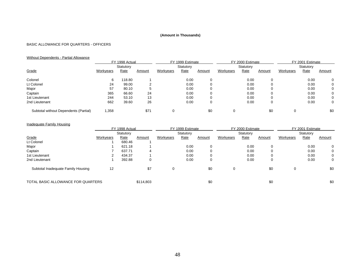## BASIC ALLOWANCE FOR QUARTERS - OFFICERS

# Without Dependents - Partial Allowance

|                                       | FY 1998 Actual |           |        |           | FY 1999 Estimate |        | FY 2000 Estimate |           |        | FY 2001 Estimate |           |              |
|---------------------------------------|----------------|-----------|--------|-----------|------------------|--------|------------------|-----------|--------|------------------|-----------|--------------|
|                                       |                | Statutory |        |           | Statutory        |        |                  | Statutory |        |                  | Statutory |              |
| Grade                                 | Workyears      | Rate      | Amount | Workyears | <b>Rate</b>      | Amount | Workyears        | Rate      | Amount | Workyears        | Rate      | Amount       |
| Colonel                               | 6              | 118.80    |        |           | 0.00             |        |                  | 0.00      |        |                  | 0.00      | 0            |
| Lt Colonel                            | 24             | 99.00     | ົ      |           | 0.00             |        |                  | 0.00      |        |                  | 0.00      | 0            |
| Major                                 | 57             | 80.10     | 5      |           | 0.00             |        |                  | 0.00      |        |                  | 0.00      | 0            |
| Captain                               | 365            | 66.60     | 24     |           | 0.00             |        |                  | 0.00      |        |                  | 0.00      | $\mathbf{0}$ |
| 1st Lieutenant                        | 244            | 53.10     | 13     |           | 0.00             |        |                  | 0.00      |        |                  | 0.00      | $\mathbf{0}$ |
| 2nd Lieutenant                        | 662            | 39.60     | 26     |           | 0.00             |        |                  | 0.00      | 0      |                  | 0.00      | 0            |
| Subtotal without Dependents (Partial) | .358           |           | \$71   |           |                  | \$0    | 0                |           | \$0    |                  |           | \$0          |

# Inadequate Family Housing

|                                    |                  | FY 1998 Actual |           |           | FY 1999 Estimate |        |           | FY 2000 Estimate |          |           | FY 2001 Estimate |        |
|------------------------------------|------------------|----------------|-----------|-----------|------------------|--------|-----------|------------------|----------|-----------|------------------|--------|
|                                    |                  | Statutory      |           |           | Statutory        |        |           | Statutory        |          |           | Statutory        |        |
| Grade                              | <b>Workyears</b> | Rate           | Amount    | Workyears | Rate             | Amount | Workyears | Rate             | Amount   | Workyears | Rate             | Amount |
| Lt Colonel                         |                  | 680.46         |           |           |                  |        |           |                  |          |           |                  |        |
| Major                              |                  | 621.18         |           |           | 0.00             |        |           | 0.00             |          |           | 0.00             | 0      |
| Captain                            |                  | 637.71         |           |           | 0.00             |        |           | 0.00             |          |           | 0.00             | 0      |
| 1st Lieutenant                     |                  | 434.37         |           |           | 0.00             |        |           | 0.00             |          |           | 0.00             | 0      |
| 2nd Lieutenant                     |                  | 392.88         | 0         |           | 0.00             |        |           | 0.00             | $\Omega$ |           | 0.00             | 0      |
| Subtotal Inadequate Family Housing | 12               |                | \$7       | 0         |                  | \$0    | 0         |                  | \$0      | 0         |                  | \$0    |
| TOTAL BASIC ALLOWANCE FOR QUARTERS |                  |                | \$114,803 |           |                  | \$0    |           |                  | \$0      |           |                  | \$0    |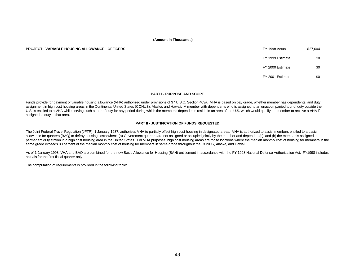#### **PROJECT: VARIABLE HOUSING ALLOWANCE - OFFICERS**

| FY 1998 Actual   | \$27,604 |
|------------------|----------|
| FY 1999 Estimate | \$0      |
| FY 2000 Estimate | \$0      |
| FY 2001 Estimate |          |

#### **PART I - PURPOSE AND SCOPE**

Funds provide for payment of variable housing allowance (VHA) authorized under provisions of 37 U.S.C. Section 403a. VHA is based on pay grade, whether member has dependents, and duty assignment in high cost housing areas in the Continental United States (CONUS), Alaska, and Hawaii. A member with dependents who is assigned to an unaccompanied tour of duty outside the U.S. is entitled to a VHA while serving such a tour of duty for any period during which the member's dependents reside in an area of the U.S. which would qualify the member to receive a VHA if assigned to duty in that area.

#### **PART II - JUSTIFICATION OF FUNDS REQUESTED**

The Joint Federal Travel Regulation (JFTR), 1 January 1987, authorizes VHA to partially offset high cost housing in designated areas. VHA is authorized to assist members entitled to a basic allowance for quarters (BAQ) to defray housing costs when: (a) Government quarters are not assigned or occupied jointly by the member and dependent(s), and (b) the member is assigned to permanent duty station in a high cost housing area in the United States. For VHA purposes, high cost housing areas are those locations where the median monthly cost of housing for members in the same grade exceeds 80 percent of the median monthly cost of housing for members in same grade throughout the CONUS, Alaska, and Hawaii.

As of 1 January 1998, VHA and BAQ are combined for the new Basic Allowance for Housing (BAH) entitlement in accordance with the FY 1998 National Defense Authorization Act. FY1998 includes actuals for the first fiscal quarter only.

The computation of requirements is provided in the following table: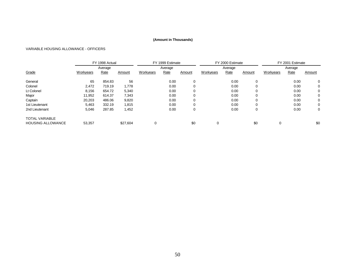#### VARIABLE HOUSING ALLOWANCE - OFFICERS

| FY 1998 Actual           |           |         |          |           | FY 1999 Estimate |        |           | FY 2000 Estimate |        | FY 2001 Estimate |         |          |  |
|--------------------------|-----------|---------|----------|-----------|------------------|--------|-----------|------------------|--------|------------------|---------|----------|--|
|                          |           | Average |          |           | Average          |        |           | Average          |        |                  | Average |          |  |
| Grade                    | Workyears | Rate    | Amount   | Workyears | Rate             | Amount | Workyears | Rate             | Amount | Workyears        | Rate    | Amount   |  |
| General                  | 65        | 854.83  | 56       |           | 0.00             | 0      |           | 0.00             | 0      |                  | 0.00    | $\Omega$ |  |
| Colonel                  | 2,472     | 719.19  | 1,778    |           | 0.00             | 0      |           | 0.00             | 0      |                  | 0.00    | 0        |  |
| Lt Colonel               | 8,156     | 654.72  | 5,340    |           | 0.00             | 0      |           | 0.00             |        |                  | 0.00    | 0        |  |
| Major                    | 11.952    | 614.37  | 7.343    |           | 0.00             | 0      |           | 0.00             | 0      |                  | 0.00    | 0        |  |
| Captain                  | 20,203    | 486.06  | 9,820    |           | 0.00             | 0      |           | 0.00             |        |                  | 0.00    | 0        |  |
| 1st Lieutenant           | 5,463     | 332.19  | 1,815    |           | 0.00             | 0      |           | 0.00             |        |                  | 0.00    | 0        |  |
| 2nd Lieutenant           | 5,046     | 287.85  | 1,452    |           | 0.00             | 0      |           | 0.00             | 0      |                  | 0.00    | 0        |  |
| <b>TOTAL VARIABLE</b>    |           |         |          |           |                  |        |           |                  |        |                  |         |          |  |
| <b>HOUSING ALLOWANCE</b> | 53,357    |         | \$27.604 |           |                  | \$0    |           |                  | \$0    |                  |         | \$0      |  |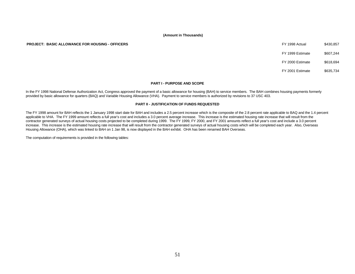**PROJECT: BASIC ALLOWANCE FOR HOUSING - OFFICERS** FOR THE RESERVE THAT A SALUST STATE OF THE SASS ACTUAL SECTION OF THE SASS ACTUAL STATES OF THE SASS ACTUAL STATES OF THE SASS ACTUAL STATES OF THE SASS ACTUAL STATES OF TH

FY 1999 Estimate \$607,244

FY 2000 Estimate \$618,694

FY 2001 Estimate \$635,734

#### **PART I - PURPOSE AND SCOPE**

In the FY 1998 National Defense Authorization Act, Congress approved the payment of a basic allowance for housing (BAH) to service members. The BAH combines housing payments formerly provided by basic allowance for quarters (BAQ) and Variable Housing Allowance (VHA). Payment to service members is authorized by revisions to 37 USC 403.

#### **PART II - JUSTIFICATION OF FUNDS REQUESTED**

The FY 1998 amount for BAH reflects the 1 January 1998 start date for BAH and includes a 2.5 percent increase which is the composite of the 2.8 percent rate applicable to BAQ and the 1.4 percent applicable to VHA. The FY 1999 amount reflects a full year's cost and includes a 3.0 percent average increase. This increase is the estimated housing rate increase that will result from the contractor generated surveys of actual housing costs projected to be completed during 1999. The FY 1999, FY 2000, and FY 2001 amounts reflect a full year's cost and include a 3.0 percent increase. This increase is the estimated housing rate increase that will result from the contractor generated surveys of actual housing costs which will be completed each year. Also, Overseas Housing Allowance (OHA), which was linked to BAH on 1 Jan 98, is now displayed in the BAH exhibit. OHA has been renamed BAH Overseas.

The computation of requirements is provided in the following tables: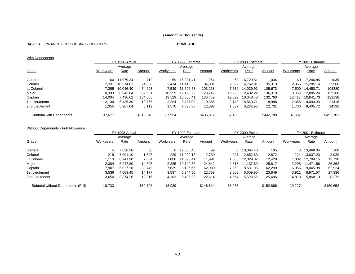#### BASIC ALLOWANCE FOR HOUSING - OFFICERS **DOMESTIC**

#### **With Dependents**

|                          |           | FY 1998 Actual |           |                  | FY 1999 Estimate |           |           | FY 2000 Estimate |           | FY 2001 Estimate |           |           |
|--------------------------|-----------|----------------|-----------|------------------|------------------|-----------|-----------|------------------|-----------|------------------|-----------|-----------|
|                          |           | Average        |           |                  | Average          |           |           | Average          |           |                  | Average   |           |
| Grade                    | Workyears | Rate           | Amount    | <b>Workyears</b> | <u>Rate</u>      | Amount    | Workyears | Rate             | Amount    | Workyears        | Rate      | Amount    |
| General                  | 60        | 11.979.34      | 719       | 59               | 16.331.41        | 964       | 60        | 16.729.51        | 1,004     | 60               | 17.246.85 | 1035      |
| Colonel                  | 2.331     | 10.574.81      | 24,650    | 2.414            | 14.416.50        | 34,801    | 2.392     | 14.762.91        | 35,313    | 2,365            | 15.205.14 | 35960     |
| Lt Colonel               | 7.395     | 10.046.40      | 74.293    | 7,539            | 13.696.53        | 103.258   | 7.532     | 14.029.91        | 105.673   | 7.500            | 14.450.71 | 108380    |
| Major                    | 10.393    | 8.943.64       | 92,951    | 10.559           | 12.193.29        | 128.749   | 10.965    | 12.432.22        | 136.319   | 10.869           | 12.805.24 | 139180    |
| Captain                  | 14.004    | 430.62         | 104.058   | 13,529           | 10.086.41        | 136.459   | 12.829    | 10.348.43        | 132.760   | 12.417           | 10.641.70 | 132138    |
| 1st Lieutenant           | 2,139     | 6,435.30       | 13,765    | 2,284            | 8.487.09         | 19,385    | 2.143     | 8.860.71         | 18,988    | 2,355            | 9,093.93  | 21416     |
| 2nd Lieutenant           | .355      | 5,987.04       | 8,112     | 1,570            | 7,895.37         | 12,396    | .537      | 8,282.90         | 12,731    | 1,736            | 8,405.72  | 14592     |
| Subtotal with Dependents | 37,677    |                | \$318,548 | 37,954           |                  | \$436,012 | 37,458    |                  | \$442,788 | 37,302           |           | \$452,701 |

#### Without Dependents - Full Allowance

|                                    | FY 1998 Actual |          |          |           | FY 1999 Estimate |           |           | FY 2000 Estimate |           | FY 2001 Estimate |           |           |
|------------------------------------|----------------|----------|----------|-----------|------------------|-----------|-----------|------------------|-----------|------------------|-----------|-----------|
|                                    |                | Average  |          |           | Average          |           |           | Average          |           |                  | Average   |           |
| Grade                              | Workyears      | Rate     | Amount   | Workyears | Rate             | Amount    | Workyears | Rate             | Amount    | Workyears        | Rate      | Amount    |
| General                            | 5              | 0.630.20 | 38       | 8         | 12.366.46        | 99        | 8         | 13.064.40        | 105       | 8                | 13.468.34 | 108       |
| Colonel                            | 218            | 7.001.10 | 1,526    | 229       | 11.922.13        | 2,730     | 227       | 12.652.63        | 2,872     | 224              | 13.037.23 | 2,920     |
| Lt Colonel                         | 1.113          | 6.741.90 | 7.504    | 800,1     | 11.895.41        | 11.991    | 1.008     | 12.329.32        | 12.428    | .002             | 12.704.15 | 12,730    |
| Major                              | 2,304          | 6.247.80 | 14.395   | 2,285     | 10,740.36        | 24,542    | 2.318     | 11.137.69        | 25,817    | 2.298            | 11.471.56 | 26,362    |
| Captain                            | 7.907          | 5.027.10 | 39,749   | 7.639     | 8,126.66         | 62,080    | 7.260     | 8,581.08         | 62,299    | 6,956            | 9,045.98  | 62,924    |
| 1st Lieutenant                     | 3.536          | 4.009.45 | 14.177   | 3,587     | 6.344.56         | 22.758    | 3,608     | 6.609.90         | 23,849    | 3,921            | 6.971.67  | 27,336    |
| 2nd Lieutenant                     | 3,650          | 3,374.26 | 12,316   | 4,183     | 5,406.23         | 22,614    | 4,554     | 5,598.56         | 25,496    | 4,818            | 5,868.10  | 28,272    |
| Subtotal without Dependents (Full) | 18,733         |          | \$89.705 | 18,939    |                  | \$146,814 | 18,983    |                  | \$152,866 | 19,227           |           | \$160,652 |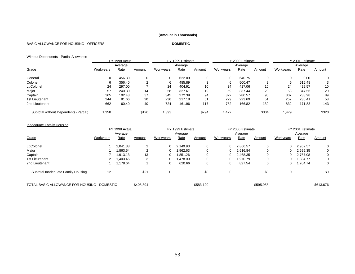#### BASIC ALLOWANCE FOR HOUSING - OFFICERS **DOMESTIC**

# Without Dependents - Partial Allowance

|                                       | FY 1998 Actual |             |        | FY 1999 Estimate |         |        |           | FY 2000 Estimate |        | FY 2001 Estimate |         |        |
|---------------------------------------|----------------|-------------|--------|------------------|---------|--------|-----------|------------------|--------|------------------|---------|--------|
|                                       |                | Average     |        |                  | Average |        |           | Average          |        |                  | Average |        |
| Grade                                 | Workyears      | <b>Rate</b> | Amount | Workyears        | Rate    | Amount | Workyears | <b>Rate</b>      | Amount | Workyears        | Rate    | Amount |
| General                               | 0              | 456.30      |        | 0                | 622.09  | 0      |           | 640.75           | 0      |                  | 0.00    |        |
| Colonel                               | 6              | 356.40      |        | 6                | 485.89  | 3      | 6         | 500.47           | 3      | 6                | 515.48  |        |
| Lt Colonel                            | 24             | 297.00      |        | 24               | 404.91  | 10     | 24        | 417.06           | 10     | 24               | 429.57  | 10     |
| Major                                 | 57             | 240.30      | 14     | 58               | 327.61  | 19     | 59        | 337.44           | 20     | 58               | 347.56  | 20     |
| Captain                               | 365            | 102.43      | 37     | 345              | 272.39  | 94     | 322       | 280.57           | 90     | 307              | 288.98  | 89     |
| 1st Lieutenant                        | 244            | 81.66       | 20     | 236              | 217.18  | 51     | 229       | 223.69           | 51     | 252              | 230.41  | 58     |
| 2nd Lieutenant                        | 662            | 60.40       | 40     | 724              | 161.96  | 117    | 782       | 166.82           | 130    | 832              | 171.83  | 143    |
| Subtotal without Dependents (Partial) | 1,358          |             | \$120  | 1,393            |         | \$294  | 1,422     |                  | \$304  | ,479             |         | \$323  |

#### Inadequate Family Housing

|                                              | FY 1998 Actual   |          |           |             | FY 1999 Estimate |           |           | FY 2000 Estimate |           | FY 2001 Estimate |          |           |
|----------------------------------------------|------------------|----------|-----------|-------------|------------------|-----------|-----------|------------------|-----------|------------------|----------|-----------|
|                                              |                  | Average  |           |             | Average          |           |           | Average          |           |                  | Average  |           |
| Grade                                        | <b>Workyears</b> | Rate     | Amount    | Workyears   | <u>Rate</u>      | Amount    | Workyears | <b>Rate</b>      | Amount    | Workyears        | Rate     | Amount    |
| Lt Colonel                                   |                  | 2.041.38 |           | 0           | 2.149.93         | 0         |           | 2.866.57         | 0         | 0                | 2,952.57 |           |
| Major                                        |                  | .863.54  |           | 0           | 962.63           | 0         |           | 2.616.84         | 0         | 0                | 2,695.35 |           |
| Captain                                      |                  | .913.13  | 13        | 0           | .851.26          | 0         |           | 2.468.35         | 0         | 0                | 2.767.08 |           |
| 1st Lieutenant                               |                  | .403.46  |           | 0           | 1.478.09         | 0         |           | 1.970.79         | 0         | 0                | 1,884.77 |           |
| 2nd Lieutenant                               |                  | ,178.64  |           | 0           | 620.66           | 0         |           | 827.54           | 0         | 0                | 1,704.74 |           |
| Subtotal Inadequate Family Housing           | 12               |          | \$21      | $\mathbf 0$ |                  | \$0       | $\Omega$  |                  | \$0       | 0                |          | \$0       |
| TOTAL BASIC ALLOWANCE FOR HOUSING - DOMESTIC |                  |          | \$408,394 |             |                  | \$583,120 |           |                  | \$595,958 |                  |          | \$613,676 |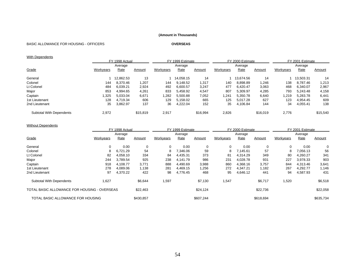#### BASIC ALLOWANCE FOR HOUSING - OFFICERS **OVERSEAS**

#### **With Dependents**

|                          |           | FY 1998 Actual |          |                  | FY 1999 Estimate |          |           | FY 2000 Estimate |          | FY 2001 Estimate |           |          |
|--------------------------|-----------|----------------|----------|------------------|------------------|----------|-----------|------------------|----------|------------------|-----------|----------|
|                          |           | Average        |          |                  | Average          |          |           | Average          |          |                  | Average   |          |
| Grade                    | Workyears | <b>Rate</b>    | Amount   | <b>Workyears</b> | <b>Rate</b>      | Amount   | Workyears | <b>Rate</b>      | Amount   | Workyears        | Rate      | Amount   |
| General                  |           | 12,862.53      | 13       |                  | 14.058.15        | 14       |           | 13.674.56        | 14       |                  | 13,503.31 | 14       |
| Colonel                  | 144       | 8,370.46       | 1,207    | 144              | 9,148.52         | 1,317    | 140       | 8.898.89         | 246. ا   | 138              | 8,787.46  | 1,213    |
| Lt Colonel               | 484       | 6.039.21       | 2,924    | 492              | 6,600.57         | 3,247    | 477       | 6.420.47         | 3,063    | 468              | 6.340.07  | 2,967    |
| Major                    | 853       | 4.994.65       | 4,261    | 833              | 5.458.92         | 4,547    | 807       | 5.309.97         | 4,285    | 793              | 5.243.48  | 4,158    |
| Captain                  | 1,325     | 5,033.04       | 6,671    | .282             | 5,500.88         | 7,052    | 1,241     | 5,350.78         | 6,640    | .219             | 5,283.78  | 6,441    |
| 1st Lieutenant           | 128       | 4.719.34       | 606      | 129              | 5,158.02         | 665      | 125       | 5.017.28         | 627      | 123              | 4,954.45  | 609      |
| 2nd Lieutenant           | 35        | 3,862.97       | 137      | 36               | 4,222.04         | 152      | 35        | 4,106.84         | 144      | 34               | 4,055.41  | 138      |
| Subtotal With Dependents | 2,972     |                | \$15,819 | 2,917            |                  | \$16,994 | 2,826     |                  | \$16.019 | 2,776            |           | \$15,540 |

#### **Without Dependents**

|                                              |           | FY 1998 Actual |           | FY 1999 Estimate |          |           |           | FY 2000 Estimate |           | FY 2001 Estimate |          |           |  |
|----------------------------------------------|-----------|----------------|-----------|------------------|----------|-----------|-----------|------------------|-----------|------------------|----------|-----------|--|
|                                              |           | Average        |           |                  | Average  |           |           | Average          |           |                  | Average  |           |  |
| Grade                                        | Workyears | Rate           | Amount    | Workyears        | Rate     | Amount    | Workyears | Rate             | Amount    | Workyears        | Rate     | Amount    |  |
| General                                      | 0         | 0.00           | 0         | 0                | 0.00     | 0         | 0         | 0.00             | 0         | 0                | 0.00     | 0         |  |
| Colonel                                      | 8         | 6.721.29       | 54        | 8                | 7.346.06 | 59        | 8         | 7.145.61         | 57        | 8                | 7.056.13 | 56        |  |
| Lt Colonel                                   | 82        | 4,058.10       | 334       | 84               | 4,435.31 | 373       | 81        | 4,314.29         | 349       | 80               | 4,260.27 | 341       |  |
| Major                                        | 244       | 3.789.54       | 925       | 238              | 4.141.79 | 986       | 231       | 4.028.78         | 931       | 227              | 3.978.33 | 903       |  |
| Captain                                      | 918       | 4.108.77       | 3,771     | 888              | 4,490.69 | 3,988     | 860       | 4.368.16         | 3,757     | 844              | 4.313.46 | 3,641     |  |
| 1st Lieutenant                               | 278       | 4.089.06       | 1,138     | 281              | 4,469.15 | .256      | 272       | 4,347.21         | 1,182     | 267              | 4,292.77 | 1,146     |  |
| 2nd Lieutenant                               | 97        | 4,370.22       | 422       | 98               | 4,776.45 | 468       | 95        | 4,646.12         | 441       | 94               | 4,587.93 | 431       |  |
| Subtotal With Dependents                     | 1,627     |                | \$6,644   | 1,597            |          | \$7,130   | 1,547     |                  | \$6,717   | 1,520            |          | \$6,518   |  |
| TOTAL BASIC ALLOWANCE FOR HOUSING - OVERSEAS |           |                | \$22.463  |                  |          | \$24,124  |           |                  | \$22,736  |                  |          | \$22,058  |  |
| TOTAL BASIC ALLOWANCE FOR HOUSING            |           |                | \$430,857 |                  |          | \$607.244 |           |                  | \$618,694 |                  |          | \$635,734 |  |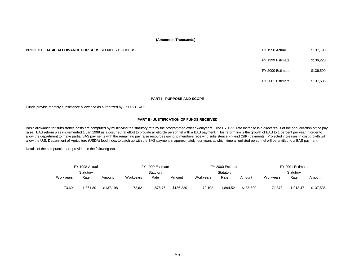#### **PROJECT: BASIC ALLOWANCE FOR SUBSISTENCE - OFFICERS**

| FY 1998 Actual   | \$137,198 |
|------------------|-----------|
| FY 1999 Estimate | \$136.220 |
| FY 2000 Estimate | \$136.599 |
| FY 2001 Estimate | \$137,536 |

#### **PART I - PURPOSE AND SCOPE**

Funds provide monthly subsistence allowance as authorized by 37 U.S.C. 402.

#### **PART II - JUSTIFICATION OF FUNDS RECEIVED**

Basic allowance for subsistence costs are computed by multiplying the statutory rate by the programmed officer workyears. The FY 1999 rate increase is a direct result of the annualization of the pay raise. BAS reform was implemented 1 Jan 1998 as a cost neutral effort to provide all eligible personnel with a BAS payment. This reform limits the growth of BAS to 1 percent per year in order to allow the department to make partial BAS payments with the remaining pay raise resources going to members receiving subsistence -in-kind (SIK) payments. Projected increases in cost growth will allow the U.S. Department of Agriculture (USDA) food index to catch up with the BAS payment in approximately four years at which time all enlisted personnel will be entitled to a BAS payment.

Details of the computation are provided in the following table:

|                  | FY 1998 Actual |           |           | FY 1999 Estimate |           | FY 2000 Estimate |             |           | FY 2001 Estimate |             |               |  |
|------------------|----------------|-----------|-----------|------------------|-----------|------------------|-------------|-----------|------------------|-------------|---------------|--|
|                  | Statutory      |           |           | Statutory        |           |                  | Statutory   |           |                  | Statutory   |               |  |
| <b>Workyears</b> | <u>Rate</u>    | Amount    | Workyears | <b>Rate</b>      | Amount    | Workyears        | <u>Rate</u> | Amount    | Workyears        | <u>Rate</u> | <b>Amount</b> |  |
| 73,691           | .861.80        | \$137,198 | 72,621    | .875.76          | \$136.220 | 72,102           | .894.52     | \$136.599 | 71,878           | 1.913.47    | \$137,536     |  |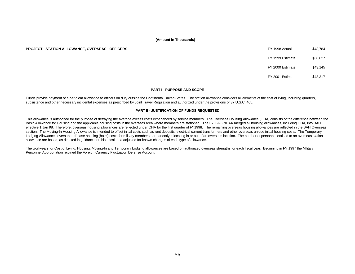#### **PROJECT: STATION ALLOWANCE, OVERSEAS - OFFICERS**

| FY 1998 Actual   | \$48.784 |
|------------------|----------|
| FY 1999 Estimate | \$38.827 |
| FY 2000 Estimate | \$43,145 |

FY 2001 Estimate \$43,317

#### **PART I - PURPOSE AND SCOPE**

Funds provide payment of a per diem allowance to officers on duty outside the Continental United States. The station allowance considers all elements of the cost of living, including quarters, subsistence and other necessary incidental expenses as prescribed by Joint Travel Regulation and authorized under the provisions of 37 U.S.C. 405.

#### **PART II - JUSTIFICATION OF FUNDS REQUESTED**

This allowance is authorized for the purpose of defraying the average excess costs experienced by service members. The Overseas Housing Allowance (OHA) consists of the difference between the Basic Allowance for Housing and the applicable housing costs in the overseas area where members are stationed. The FY 1998 NDAA merged all housing allowances, including OHA, into BAH effective 1 Jan 98. Therefore, overseas housing allowances are reflected under OHA for the first quarter of FY1998. The remaining overseas housing allowances are reflected in the BAH Overseas section. The Moving-In Housing Allowance is intended to offset initial costs such as rent deposits, electrical current transformers and other overseas unique initial housing costs. The Temporary Lodging Allowance covers the off-base housing (hotel) costs for military members permanently relocating in or out of an overseas location. The number of personnel entitled to an overseas station allowance are based, as directed in guidance, on historical data adjusted for known changes of each type of allowance.

The workyears for Cost of Living, Housing, Moving-In and Temporary Lodging allowances are based on authorized overseas strengths for each fiscal year. Beginning in FY 1997 the Military Personnel Appropriation rejoined the Foreign Currency Fluctuation Defense Account.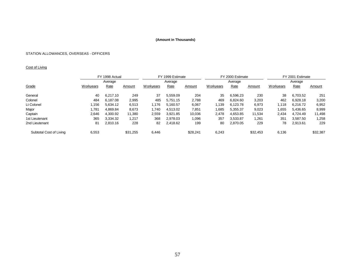# STATION ALLOWANCES, OVERSEAS - OFFICERS

# Cost of Living

|                         |                  | FY 1998 Actual |          |                  | FY 1999 Estimate |          |           | FY 2000 Estimate |          |                  | FY 2001 Estimate |               |  |
|-------------------------|------------------|----------------|----------|------------------|------------------|----------|-----------|------------------|----------|------------------|------------------|---------------|--|
|                         | Average          |                |          |                  | Average          |          |           | Average          |          |                  | Average          |               |  |
| Grade                   | <b>Workyears</b> | Rate           | Amount   | <b>Workyears</b> | Rate             | Amount   | Workyears | Rate             | Amount   | <b>Workyears</b> | Rate             | <b>Amount</b> |  |
| General                 | 40               | 6.217.10       | 249      | 37               | 5.559.09         | 204      | 35        | 6,596.23         | 230      | 38               | 6,703.52         | 251           |  |
| Colonel                 | 484              | 6.187.08       | 2,995    | 485              | 5.751.15         | 2,788    | 469       | 6.824.60         | 3,203    | 462              | 6.928.18         | 3,200         |  |
| Lt Colonel              | .156             | 5.634.12       | 6,513    | 1.176            | 5.160.57         | 6,067    | .139      | 6.123.78         | 6,973    | 1.118            | 6.216.72         | 6,952         |  |
| Major                   | 1.781            | 4.869.84       | 8,673    | 1,740            | 4.513.02         | 7,851    | .685      | 5,355.37         | 9,023    | .655             | 5.436.65         | 8,999         |  |
| Captain                 | 2,646            | 4,300.92       | 11,380   | 2,559            | 3.921.85         | 10,036   | 2,478     | 4.653.85         | 11,534   | 2,434            | 4.724.49         | 11,498        |  |
| 1st Lieutenant          | 365              | 3,334.32       | 1,217    | 368              | 2,978.03         | 1,096    | 357       | 3,533.87         | 1,261    | 351              | 3.587.50         | 1,258         |  |
| 2nd Lieutenant          | 81               | 2,810.16       | 228      | 82               | 2,418.62         | 199      | 80        | 2,870.05         | 229      | 78               | 2,913.61         | 229           |  |
| Subtotal Cost of Living | 6,553            |                | \$31,255 | 6.446            |                  | \$28.241 | 6.243     |                  | \$32,453 | 6.136            |                  | \$32,387      |  |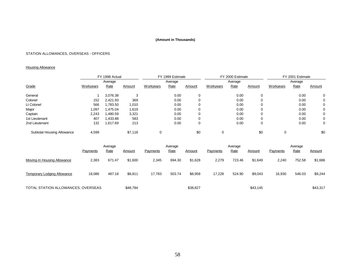# STATION ALLOWANCES, OVERSEAS - OFFICERS

# **Housing Allowance**

|                            |           | FY 1998 Actual |         |                  | FY 1999 Estimate |        |           | FY 2000 Estimate |        |           | FY 2001 Estimate |        |
|----------------------------|-----------|----------------|---------|------------------|------------------|--------|-----------|------------------|--------|-----------|------------------|--------|
|                            |           | Average        |         |                  | Average          |        |           | Average          |        |           | Average          |        |
| Grade                      | Workyears | Rate           | Amount  | <b>Workyears</b> | Rate             | Amount | Workyears | Rate             | Amount | Workyears | Rate             | Amount |
| General                    |           | 3,076.38       | 3       |                  | 0.00             | 0      |           | 0.00             | 0      |           | 0.00             | 0      |
| Colonel                    | 152       | 2,421.93       | 369     |                  | 0.00             |        |           | 0.00             | 0      |           | 0.00             | 0      |
| Lt Colonel                 | 566       | 1,783.50       | 1,010   |                  | 0.00             | 0      |           | 0.00             | 0      |           | 0.00             | 0      |
| Major                      | 1,097     | 1.475.04       | 1,619   |                  | 0.00             |        |           | 0.00             | 0      |           | 0.00             | 0      |
| Captain                    | 2,243     | .480.59        | 3,321   |                  | 0.00             |        |           | 0.00             | 0      |           | 0.00             | 0      |
| 1st Lieutenant             | 407       | 433.88         | 583     |                  | 0.00             |        |           | 0.00             | 0      |           | 0.00             | 0      |
| 2nd Lieutenant             | 132       | 617.69.        | 213     |                  | 0.00             | 0      |           | 0.00             | 0      |           | 0.00             | 0      |
| Subtotal Housing Allowance | 4,599     |                | \$7,118 | 0                |                  | \$0    | 0         |                  | \$0    |           |                  | \$0    |

|                                    |          | Average |          | Average  |             |          |          | Average |               | Average  |        |               |  |
|------------------------------------|----------|---------|----------|----------|-------------|----------|----------|---------|---------------|----------|--------|---------------|--|
|                                    | Payments | Rate    | Amount   | Payments | <b>Rate</b> | Amount   | Payments | Rate    | <b>Amount</b> | Payments | Rate   | <u>Amount</u> |  |
| Moving-In Housing Allowance        | 2,383    | 671.47  | \$1,600  | 2,345    | 694.30      | \$1.628  | 2,279    | 723.46  | \$1.649       | 2,240    | 752.58 | \$1,686       |  |
| <b>Temporary Lodging Allowance</b> | 18,086   | 487.18  | \$8,811  | 17,783   | 503.74      | \$8,958  | 17.228   | 524.90  | \$9,043       | 16,930   | 546.03 | \$9,244       |  |
| TOTAL STATION ALLOWANCES, OVERSEAS |          |         | \$48,784 |          |             | \$38,827 |          |         | \$43,145      |          |        | \$43,317      |  |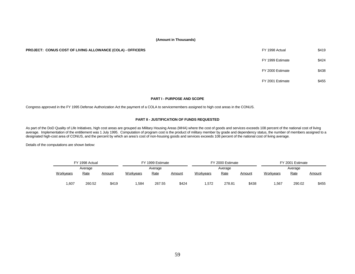| FY 1998 Actual   | \$419 |
|------------------|-------|
| FY 1999 Estimate | \$424 |
| FY 2000 Estimate | \$438 |
| FY 2001 Estimate |       |

#### **PART I - PURPOSE AND SCOPE**

Congress approved in the FY 1995 Defense Authorization Act the payment of a COLA to servicemembers assigned to high cost areas in the CONUS.

#### **PART II - JUSTIFICATION OF FUNDS REQUESTED**

As part of the DoD Quality of Life Initiatives, high cost areas are grouped as Military Housing Areas (MHA) where the cost of goods and services exceeds 108 percent of the national cost of living average. Implementation of the entitlement was 1 July 1995. Computation of program cost is the product of military member by grade and dependency status, the number of members assigned to a designated high-cost area of CONUS, and the percent by which an area's cost of non-housing goods and services exceeds 108 percent of the national cost of living average.

Details of the computations are shown below:

|                  | FY 1998 Actual |        |                  | FY 1999 Estimate |               | FY 2000 Estimate |             |               | FY 2001 Estimate |             |               |  |
|------------------|----------------|--------|------------------|------------------|---------------|------------------|-------------|---------------|------------------|-------------|---------------|--|
|                  | Average        |        |                  | Average          |               |                  | Average     |               |                  | Average     |               |  |
| <b>Workyears</b> | Rate           | Amount | <b>Workvears</b> | <u>Rate</u>      | <u>Amount</u> | Workyears        | <b>Rate</b> | <u>Amount</u> | Workyears        | <u>Rate</u> | <u>Amount</u> |  |
| 1,607            | 260.52         | \$419  | .584             | 267.55           | \$424         | .572             | 278.81      | \$438         | .567             | 290.02      | \$455         |  |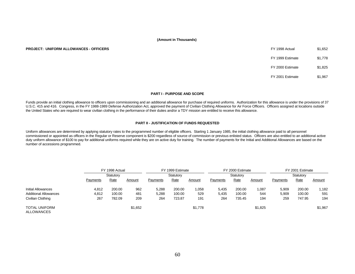#### **PROJECT: UNIFORM ALLOWANCES - OFFICERS**

| FY 1998 Actual   | \$1,652 |
|------------------|---------|
| FY 1999 Estimate | \$1.778 |
| FY 2000 Estimate | \$1.825 |
| FY 2001 Estimate | \$1.967 |

#### **PART I - PURPOSE AND SCOPE**

Funds provide an initial clothing allowance to officers upon commissioning and an additional allowance for purchase of required uniforms. Authorization for this allowance is under the provisions of 37 U.S.C. 415 and 416. Congress, in the FY 1988-1989 Defense Authorization Act, approved the payment of Civilian Clothing Allowance for Air Force Officers. Officers assigned at locations outside the United States who are required to wear civilian clothing in the performance of their duties and/or a TDY mission are entitled to receive this allowance.

#### **PART II - JUSTIFICATION OF FUNDS REQUESTED**

Uniform allowances are determined by applying statutory rates to the programmed number of eligible officers. Starting 1 January 1985, the initial clothing allowance paid to all personnel commissioned or appointed as officers in the Regular or Reserve component is \$200 regardless of source of commission or previous enlisted status. Officers are also entitled to an additional active duty uniform allowance of \$100 to pay for additional uniforms required while they are on active duty for training. The number of payments for the Initial and Additional Allowances are based on the number of accessions programmed.

|                                    | FY 1998 Actual<br>Statutory |        |         |          | FY 1999 Estimate<br>Statutory |         |          | FY 2000 Estimate |         | FY 2001 Estimate |             |         |
|------------------------------------|-----------------------------|--------|---------|----------|-------------------------------|---------|----------|------------------|---------|------------------|-------------|---------|
|                                    |                             |        |         |          |                               |         |          | Statutory        |         |                  | Statutory   |         |
|                                    | Payments                    | Rate   | Amount  | Payments | Rate                          | Amount  | Payments | <b>Rate</b>      | Amount  | Payments         | <u>Rate</u> | Amount  |
| Initial Allowances                 | 4,812                       | 200.00 | 962     | 5,288    | 200.00                        | 0.058   | 5,435    | 200.00           | 1,087   | 5,909            | 200.00      | .182    |
| <b>Additional Allowances</b>       | 4.812                       | 100.00 | 481     | 5,288    | 100.00                        | 529     | 5,435    | 100.00           | 544     | 5,909            | 100.00      | 591     |
| Civilian Clothing                  | 267                         | 782.09 | 209     | 264      | 723.87                        | 191     | 264      | 735.45           | 194     | 259              | 747.95      | 194     |
| <b>TOTAL UNIFORM</b><br>ALLOWANCES |                             |        | \$1,652 |          |                               | \$1,778 |          |                  | \$1,825 |                  |             | \$1,967 |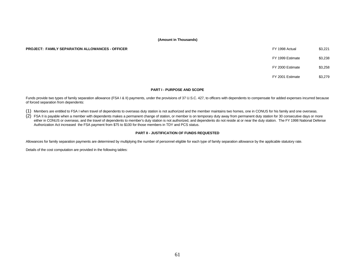#### **PROJECT: FAMILY SEPARATION ALLOWANCES - OFFICER Actual \$3,221 Actual \$3,221 Actual \$3,321 Actual \$3,321 Actual \$3,321 Actual \$3,321 Actual \$3,321 Actual \$3,321 Actual \$3,321 Actual \$3,321 Actual \$3,321 Actual \$3,321 Actua**

| FY 1998 Actual   | \$3.221 |
|------------------|---------|
| FY 1999 Estimate | \$3.238 |

FY 2000 Estimate \$3,258

FY 2001 Estimate \$3,279

#### **PART I - PURPOSE AND SCOPE**

Funds provide two types of family separation allowance (FSA I & II) payments, under the provisions of 37 U.S.C. 427, to officers with dependents to compensate for added expenses incurred because of forced separation from dependents:

- (1) Members are entitled to FSA I when travel of dependents to overseas duty station is not authorized and the member maintains two homes, one in CONUS for his family and one overseas.
- $(2)$  FSA II is payable when a member with dependents makes a permanent change of station, or member is on temporary duty away from permanent duty station for 30 consecutive days or more either in CONUS or overseas, and the travel of dependents to member's duty station is not authorized, and dependents do not reside at or near the duty station. The FY 1998 National Defense Authorization Act increased the FSA payment from \$75 to \$100 for those members in TDY and PCS status.

#### **PART II - JUSTIFICATION OF FUNDS REQUESTED**

Allowances for family separation payments are determined by multiplying the number of personnel eligible for each type of family separation allowance by the applicable statutory rate.

Details of the cost computation are provided in the following tables: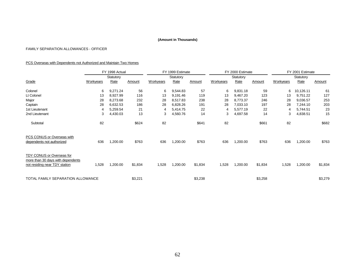# FAMILY SEPARATION ALLOWANCES - OFFICER

# PCS Overseas with Dependents not Authorized and Maintain Two Homes

|                                                                                                 | FY 1998 Actual<br>Statutory |             |         | FY 1999 Estimate<br>Statutory |          |         |           | FY 2000 Estimate |         | FY 2001 Estimate |           |         |
|-------------------------------------------------------------------------------------------------|-----------------------------|-------------|---------|-------------------------------|----------|---------|-----------|------------------|---------|------------------|-----------|---------|
|                                                                                                 |                             |             |         |                               |          |         | Statutory |                  |         | Statutory        |           |         |
| Grade                                                                                           | Workyears                   | <b>Rate</b> | Amount  | Workyears                     | Rate     | Amount  | Workyears | Rate             | Amount  | Workyears        | Rate      | Amount  |
| Colonel                                                                                         | 6                           | 9,271.24    | 56      | 6                             | 9,544.83 | 57      | 6         | 9,831.18         | 59      | 6                | 10,126.11 | 61      |
| Lt Colonel                                                                                      | 13                          | 8,927.99    | 116     | 13                            | 9,191.46 | 119     | 13        | 9,467.20         | 123     | 13               | 9,751.22  | 127     |
| Major                                                                                           | 28                          | 8,273.68    | 232     | 28                            | 8,517.83 | 238     | 28        | 8,773.37         | 246     | 28               | 9,036.57  | 253     |
| Captain                                                                                         | 28                          | 6,632.53    | 186     | 28                            | 6,828.26 | 191     | 28        | 7,033.10         | 197     | 28               | 7,244.10  | 203     |
| 1st Lieutenant                                                                                  | 4                           | 5,259.54    | 21      | 4                             | 5,414.75 | 22      | 4         | 5,577.19         | 22      | 4                | 5,744.51  | 23      |
| 2nd Lieutenant                                                                                  | 3                           | 4,430.03    | 13      | 3                             | 4,560.76 | 14      | 3         | 4,697.58         | 14      | 3                | 4,838.51  | 15      |
| Subtotal                                                                                        | 82                          |             | \$624   | 82                            |          | \$641   | 82        |                  | \$661   | 82               |           | \$682   |
| PCS CONUS or Overseas with<br>dependents not authorized                                         | 636                         | 1,200.00    | \$763   | 636                           | 1,200.00 | \$763   | 636       | 1,200.00         | \$763   | 636              | 1,200.00  | \$763   |
| TDY CONUS or Overseas for<br>more than 30 days with dependents<br>not residing near TDY station | 1,528                       | 1,200.00    | \$1,834 | 1,528                         | 1,200.00 | \$1,834 | 1,528     | 1,200.00         | \$1,834 | 1,528            | 1,200.00  | \$1,834 |
| TOTAL FAMILY SEPARATION ALLOWANCE                                                               |                             |             | \$3,221 |                               |          | \$3,238 |           |                  | \$3,258 |                  |           | \$3,279 |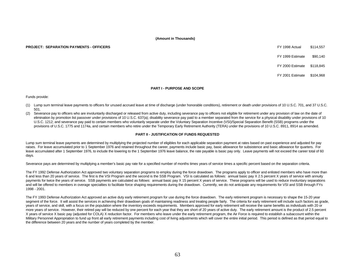#### **PROJECT: SEPARATION PAYMENTS - OFFICERS** FX 1998 Actual \$114,557

FY 1999 Estimate \$90,140

FY 2000 Estimate \$118,845

FY 2001 Estimate \$104,968

#### **PART I - PURPOSE AND SCOPE**

Funds provide:

- (1) Lump sum terminal leave payments to officers for unused accrued leave at time of discharge (under honorable conditions), retirement or death under provisions of 10 U.S.C. 701, and 37 U.S.C. 501.
- (2) Severance pay to officers who are involuntarily discharged or released from active duty, including severance pay to officers not eligible for retirement under any provision of law on the date of elimination by promotion list passover under provisions of 10 U.S.C. 637(a); disability severance pay paid to a member separated from the service for a physical disability under provisions of 10 U.S.C. 1212; and severance pay paid to certain members who voluntarily separate under the Voluntary Separation Incentive (VSI)/Special Separation Benefit (SSB) programs under the provisions of U.S.C. 1775 and 1174a, and certain members who retire under the Temporary Early Retirement Authority (TERA) under the provisions of 10 U.S.C. 8911, 8914 as amended.

#### **PART II - JUSTIFICATION OF FUNDS REQUESTED**

Lump sum terminal leave payments are determined by multiplying the projected number of eligibles for each applicable separation payment at rates based on past experience and adjusted for pay raises. For leave accumulated prior to 1 September 1976 and retained throughout the career, payments include basic pay, basic allowance for subsistence and basic allowance for quarters. For leave accumulated after 1 September 1976, to include the lowering to the 1 September 1976 leave balance, the rate payable is basic pay only. Leave payments will not exceed the career total of 60 days.

Severance pays are determined by multiplying a member's basic pay rate for a specified number of months times years of service times a specific percent based on the separation criteria.

The FY 1992 Defense Authorization Act approved two voluntary separation programs to employ during the force drawdown. The programs apply to officer and enlisted members who have more than 6 and less than 20 years of service. The first is the VSI Program and the second is the SSB Program. VSI is calculated as follows: annual basic pay X 2.5 percent X years of service with annuity payments for twice the years of service. SSB payments are calculated as follows: annual basic pay X 15 percent X years of service. These programs will be used to reduce involuntary separations and will be offered to members in overage specialties to facilitate force shaping requirements during the drawdown. Currently, we do not anticipate any requirements for VSI and SSB through FYs 1998 - 2001.

The FY 1993 Defense Authorization Act approved an active duty early retirement program for use during the force drawdown. The early retirement program is necessary to shape the 15-20 year segment of the force. It will assist the services in achieving their drawdown goals of maintaining readiness and treating people fairly. The criteria for early retirement will include such factors as grade, years of service, and skill, with a focus on the population where the inventory exceeds requirements. Members approved for early retirement will receive the same benefits as individuals with 20 or more years of service. However, their retired pay will be reduced by one percent for each year that they are short of 20 years of active duty. The early retirement amount is the product of 2.5 percent X years of service X basic pay (adjusted for COLA) X reduction factor. For members who leave under the early retirement program, the Air Force is required to establish a subaccount within the Military Personnel Appropriation to fund up front all early retirement payments including cost of living adjustments which will cover the entire initial period. This period is defined as that period equal to the difference between 20 years and the number of years completed by the member.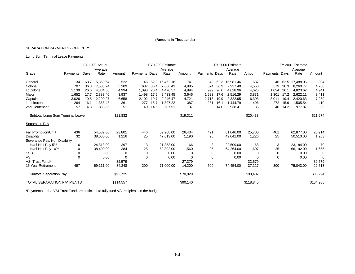#### SEPARATION PAYMENTS - OFFICERS

# Lump Sum Terminal Leave Payments

|                                  |          |      | FY 1998 Actual |           |                 | FY 1999 Estimate |           |          |             | FY 2000 Estimate |           |           |          | FY 2001 Estimate |           |           |  |
|----------------------------------|----------|------|----------------|-----------|-----------------|------------------|-----------|----------|-------------|------------------|-----------|-----------|----------|------------------|-----------|-----------|--|
|                                  |          |      | Average        |           |                 |                  | Average   |          |             |                  | Average   |           |          |                  | Average   |           |  |
| Grade                            | Payments | Days | Rate           | Amount    | <b>Payments</b> | Days             | Rate      | Amount   | Payments    | Days             | Rate      | Amount    | Payments | Days             | Rate      | Amount    |  |
| General                          | 34       | 63.7 | 15,360.64      | 522       | 45              | 62.9             | 16,462.18 | 741      | 43          | 62.3             | 15,981.46 | 687       | 46       | 62.5             | 17,488.05 | 804       |  |
| Colonel                          | 707      | 36.8 | 7,508.74       | 5,309     | 637             | 36.4             | 7.666.43  | 4,885    | 574         | 36.9             | 7.927.40  | 4,550     | 579      | 36.3             | 8.260.77  | 4,780     |  |
| Lt Colonel                       | 1,139    | 26.6 | 4,384.50       | 4,994     | 1.093           | 26.4             | 4.476.57  | 4,894    | 999         | 26.6             | 4.628.96  | 4,625     | 1.024    | 26.1             | 4.823.62  | 4,941     |  |
| Major                            | 1,652    | 17.7 | 2,383.40       | 3,937     | 1.498           | 17.5             | 2.433.45  | 3,646    | 1,523       | 17.6             | 2.516.29  | 3,831     | 1,301    | 17.2             | 2.622.11  | 3,411     |  |
| Captain                          | 3,026    | 19.8 | 2,200.27       | 6,658     | 2,102           | 19.7             | 2,246.47  | 4,721    | 2,713       | 19.9             | 2,322.95  | 6,303     | 3,011    | 19.4             | 2,420.63  | 7,289     |  |
| 1st Lieutenant                   | 264      | 16.1 | 1,368.48       | 361       | 277             | 16.7             | 1,397.22  | 387      | 281         | 16.1             | 1,444.79  | 406       | 272      | 15.9             | 1,505.54  | 410       |  |
| 2nd Lieutenant                   | 57       | 14.3 | 888.85         | 51        | 40              | 14.5             | 907.51    | 37       | 38          | 14.0             | 938.41    | 36        | 40       | 14.2             | 977.87    | 39        |  |
| Subtotal Lump Sum Terminal Leave |          |      |                | \$21,832  |                 |                  |           | \$19,311 |             |                  |           | \$20,438  |          |                  |           | \$21,674  |  |
| <b>Separation Pay</b>            |          |      |                |           |                 |                  |           |          |             |                  |           |           |          |                  |           |           |  |
| <b>Fail Promotion/Unfit</b>      | 436      |      | 54.589.00      | 23.801    | 446             |                  | 59,268.00 | 26,434   | 421         |                  | 61.046.00 | 25,700    | 401      |                  | 62.877.00 | 25,214    |  |
| Disability                       | 32       |      | 38,000.00      | 1,216     | 25              |                  | 47,613.00 | 1,190    | 25          |                  | 49,041.00 | 1,226     | 25       |                  | 50,513.00 | 1,263     |  |
| Severance Pay, Non Disability    |          |      |                |           |                 |                  |           |          |             |                  |           |           |          |                  |           |           |  |
| Invol-Half Pay 5%                | 16       |      | 24,813.00      | 397       | 3               |                  | 21,853.00 | 66       | 3           |                  | 22,509.00 | 68        | 3        |                  | 23.184.00 | 70        |  |
| Invol-Half Pay 10%               | 10       |      | 38,400.00      | 384       | 25              |                  | 62,392.00 | 1,560    | 25          |                  | 64,264.00 | 1,607     | 25       |                  | 66,192.00 | 1,655     |  |
| <b>SSB</b>                       | 0        |      | 0.00           | $\Omega$  | 0               |                  | 0.00      | 0        | 0           |                  | 0.00      |           | 0        |                  | 0.00      | $\Omega$  |  |
| <b>VSI</b>                       | 0        |      | 0.00           | $\Omega$  | 0               |                  | 0.00      | $\Omega$ | $\mathbf 0$ |                  | 0.00      | $\Omega$  | 0        |                  | 0.00      | $\Omega$  |  |
| VSI Trust Fund*                  |          |      |                | 32,579    |                 |                  |           | 27,379   |             |                  |           | 32,579    |          |                  |           | 32,579    |  |
| 15 Year Retirement               | 497      |      | 69,111.00      | 34,348    | 200             |                  | 71,000.00 | 14,200   | 500         |                  | 74,454.00 | 37,227    | 300      |                  | 75,043.00 | 22,513    |  |
| Subtotal Separation Pay          |          |      |                | \$92,725  |                 |                  |           | \$70,829 |             |                  |           | \$98,407  |          |                  |           | \$83,294  |  |
| <b>TOTAL SEPARATION PAYMENTS</b> |          |      |                | \$114,557 |                 |                  |           | \$90,140 |             |                  |           | \$118,845 |          |                  |           | \$104,968 |  |

\*Payments to the VSI Trust Fund are sufficient to fully fund VSI recipients in the budget.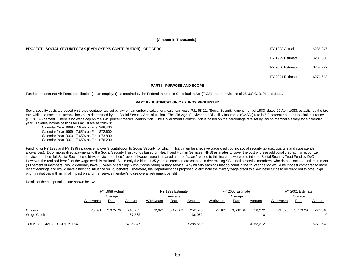#### **PROJECT: SOCIAL SECURITY TAX (EMPLOYER'S CONTRIBUTION) - OFFICERS** FOR THE SUPPOSE THE SAME SERVIS AND SEXELY AND SEXELY AND SEXELY AND SEXELY AND SEXELY AND SEXELY AND SEXELY AND SEXELY AND SEXELY AND SEXELY AND SEXELY A

FY 1999 Estimate \$288,660

FY 2000 Estimate \$258,272

FY 2001 Estimate \$271,648

#### **PART I - PURPOSE AND SCOPE**

Funds represent the Air Force contribution (as an employer) as required by the Federal Insurance Contribution Act (FICA) under provisions of 26 U.S.C. 3101 and 3111.

#### **PART II - JUSTIFICATION OF FUNDS REQUESTED**

Social security costs are based on the percentage rate set by law on a member's salary for a calendar year. P.L. 98-21, "Social Security Amendment of 1983" dated 20 April 1983, established the tax rate while the maximum taxable income is determined by the Social Security Administration. The Old Age, Survivor and Disability Insurance (OASDI) rate is 6.2 percent and the Hospital Insurance (HI) is 1.45 percent. There is no wage cap on the 1.45 percent medical contribution. The Government's contribution is based on the percentage rate set by law on member's salary for a calendar year. Taxable income ceilings for OASDI are as follows:

Calendar Year 1998 - 7.65% on First \$68,400 Calendar Year 1999 - 7.65% on First \$72,600 Calendar Year 2000 - 7.65% on First \$73,800 Calendar Year 2001 - 7.65% on First \$76,200

Funding for FY 1998 and FY 1999 includes employer's contribution to Social Security for which military members receive wage credit but no social security tax (i.e., quarters and subsistence allowances). DoD makes direct payments to the Social Security Trust Funds based on Health and Human Services (HHS) estimates to cover the cost of these additional credits. To recognize service members full Social Security eligibility, service members' reported wages were increased and the "taxes" related to this increase were paid into the Social Security Trust Fund by DoD. However, the realized benefit of the wage credit is minimal. Since only the highest 35 years of earnings are counted in determining SS benefits, service members, who do not continue until retirement (83 percent of members), would generally have 35 years of earnings without considering military service. Any military earnings that do count in the 35 year period would be modest compared to more recent earnings and would have almost no influence on SS benefits. Therefore, the Department has proposed to eliminate the military wage credit to allow these funds to be reapplied to other high priority initiatives with minimal impact on a former service member's future overall retirement benefit.

Details of the computations are shown below:

|                                | FY 1998 Actual |          |                   | FY 1999 Estimate<br>Average |          |                   |           | FY 2000 Estimate |           | FY 2001 Estimate |          |              |  |
|--------------------------------|----------------|----------|-------------------|-----------------------------|----------|-------------------|-----------|------------------|-----------|------------------|----------|--------------|--|
|                                | Average        |          |                   |                             |          |                   | Average   |                  |           | Average          |          |              |  |
|                                | Workyears      | Rate     | Amount            | Workyears                   | Rate     | Amount            | Workyears | <u>Rate</u>      | Amount    | Workyears        | Rate     | Amount       |  |
| <b>Officers</b><br>Wage Credit | 73.691         | 3.375.79 | 248,765<br>37,582 | 72.621                      | 3.478.03 | 252,578<br>36,082 | 72.102    | 3,582.04         | 258.272   | 71.878           | 3.779.29 | 271,648<br>0 |  |
| TOTAL SOCIAL SECURITY TAX      |                |          | \$286,347         |                             |          | \$288,660         |           |                  | \$258,272 |                  |          | \$271,648    |  |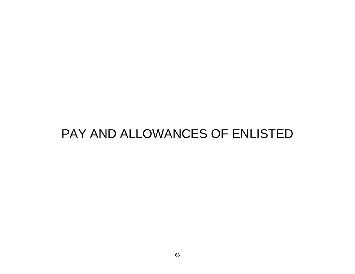# PAY AND ALLOWANCES OF ENLISTED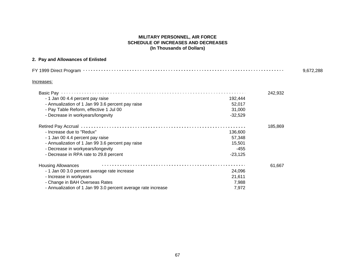# **MILITARY PERSONNEL, AIR FORCE SCHEDULE OF INCREASES AND DECREASES (In Thousands of Dollars)**

# **2. Pay and Allowances of Enlisted**

| Increases:                                                    |           |         |  |  |  |  |  |
|---------------------------------------------------------------|-----------|---------|--|--|--|--|--|
| Basic Pay                                                     |           | 242,932 |  |  |  |  |  |
| - 1 Jan 00 4.4 percent pay raise                              | 192,444   |         |  |  |  |  |  |
| - Annualization of 1 Jan 99 3.6 percent pay raise             | 52,017    |         |  |  |  |  |  |
| - Pay Table Reform, effective 1 Jul 00                        | 31,000    |         |  |  |  |  |  |
| - Decrease in workyears/longevity                             | $-32,529$ |         |  |  |  |  |  |
| Retired Pay Accrual ………………………………………………………………………………            |           | 185,869 |  |  |  |  |  |
| - Increase due to "Redux"                                     | 136,600   |         |  |  |  |  |  |
| - 1 Jan 00 4.4 percent pay raise                              | 57,348    |         |  |  |  |  |  |
| - Annualization of 1 Jan 99 3.6 percent pay raise             | 15,501    |         |  |  |  |  |  |
| - Decrease in workyears/longevity                             | $-455$    |         |  |  |  |  |  |
| - Decrease in RPA rate to 29.8 percent                        | $-23,125$ |         |  |  |  |  |  |
| <b>Housing Allowances</b>                                     |           | 61,667  |  |  |  |  |  |
| - 1 Jan 00 3.0 percent average rate increase                  | 24,096    |         |  |  |  |  |  |
| - Increase in workyears                                       | 21,611    |         |  |  |  |  |  |
| - Change in BAH Overseas Rates                                | 7,988     |         |  |  |  |  |  |
| - Annualization of 1 Jan 99 3.0 percent average rate increase | 7,972     |         |  |  |  |  |  |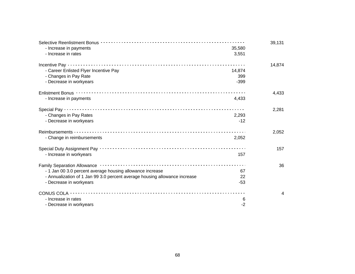| - Increase in payments                                                     | 35,580 | 39,131 |
|----------------------------------------------------------------------------|--------|--------|
| - Increase in rates                                                        | 3,551  |        |
|                                                                            |        | 14,874 |
| - Career Enlisted Flyer Incentive Pay                                      | 14,874 |        |
| - Changes in Pay Rate                                                      | 399    |        |
| - Decrease in workyears                                                    | $-399$ |        |
|                                                                            |        | 4,433  |
| - Increase in payments                                                     | 4,433  |        |
|                                                                            |        | 2,281  |
| - Changes in Pay Rates                                                     | 2,293  |        |
| - Decrease in workyears                                                    | $-12$  |        |
|                                                                            |        | 2,052  |
| - Change in reimbursements                                                 | 2,052  |        |
|                                                                            |        | 157    |
| - Increase in workyears                                                    | 157    |        |
|                                                                            |        | 36     |
| - 1 Jan 00 3.0 percent average housing allowance increase                  | 67     |        |
| - Annualization of 1 Jan 99 3.0 percent average housing allowance increase | 22     |        |
| - Decrease in workyears                                                    | $-53$  |        |
|                                                                            |        | 4      |
| - Increase in rates                                                        | 6      |        |
| - Decrease in workyears                                                    | -2     |        |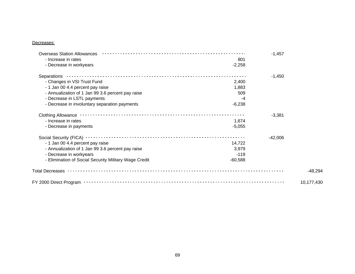# Decreases:

| <b>Overseas Station Allowances</b>                                 | $-1,457$   |
|--------------------------------------------------------------------|------------|
| - Increase in rates                                                | 801        |
| - Decrease in workyears<br>$-2,258$                                |            |
| Separations                                                        | $-1,450$   |
| - Changes in VSI Trust Fund                                        | 2,400      |
| - 1 Jan 00 4.4 percent pay raise                                   | 1,883      |
| - Annualization of 1 Jan 99 3.6 percent pay raise                  | 509        |
| - Decrease in LSTL payments                                        | -4         |
| - Decrease in involuntary separation payments<br>$-6,238$          |            |
|                                                                    | $-3,381$   |
| - Increase in rates                                                | 1,674      |
| $-5,055$<br>- Decrease in payments                                 |            |
|                                                                    | $-42,006$  |
| - 1 Jan 00 4.4 percent pay raise<br>14,722                         |            |
| - Annualization of 1 Jan 99 3.6 percent pay raise                  | 3,979      |
| - Decrease in workyears                                            | $-119$     |
| - Elimination of Social Security Military Wage Credit<br>$-60,588$ |            |
|                                                                    | $-48,294$  |
|                                                                    | 10,177,430 |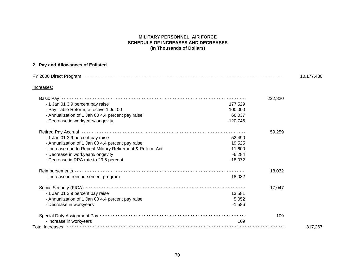# **MILITARY PERSONNEL, AIR FORCE SCHEDULE OF INCREASES AND DECREASES (In Thousands of Dollars)**

# **2. Pay and Allowances of Enlisted**

| Increases:                                                                                              |            |         |         |  |  |  |  |
|---------------------------------------------------------------------------------------------------------|------------|---------|---------|--|--|--|--|
| Basic Pay …………………………………………………………………………………                                                               |            | 222,820 |         |  |  |  |  |
| - 1 Jan 01 3.9 percent pay raise                                                                        | 177,529    |         |         |  |  |  |  |
| - Pay Table Reform, effective 1 Jul 00                                                                  | 100,000    |         |         |  |  |  |  |
| - Annualization of 1 Jan 00 4.4 percent pay raise                                                       | 66,037     |         |         |  |  |  |  |
| - Decrease in workyears/longevity                                                                       | $-120,746$ |         |         |  |  |  |  |
| Retired Pay Accrual <b>Discuss Constructs (2012)</b> Retired Pay Accrue 2014 12:00:00 Pay Accruate 2014 |            | 59,259  |         |  |  |  |  |
| - 1 Jan 01 3.9 percent pay raise                                                                        | 52,490     |         |         |  |  |  |  |
| - Annualization of 1 Jan 00 4.4 percent pay raise                                                       | 19,525     |         |         |  |  |  |  |
| - Increase due to Repeal Military Retirement & Reform Act                                               | 11,600     |         |         |  |  |  |  |
| - Decrease in workyears/longevity                                                                       | $-6,284$   |         |         |  |  |  |  |
| - Decrease in RPA rate to 29.5 percent                                                                  | $-18,072$  |         |         |  |  |  |  |
|                                                                                                         |            | 18,032  |         |  |  |  |  |
| - Increase in reimbursement program                                                                     | 18,032     |         |         |  |  |  |  |
|                                                                                                         |            | 17,047  |         |  |  |  |  |
| - 1 Jan 01 3.9 percent pay raise                                                                        | 13,581     |         |         |  |  |  |  |
| - Annualization of 1 Jan 00 4.4 percent pay raise                                                       | 5,052      |         |         |  |  |  |  |
| - Decrease in workyears                                                                                 | $-1,586$   |         |         |  |  |  |  |
|                                                                                                         |            | 109     |         |  |  |  |  |
| - Increase in workyears                                                                                 | 109        |         |         |  |  |  |  |
|                                                                                                         |            |         | 317,267 |  |  |  |  |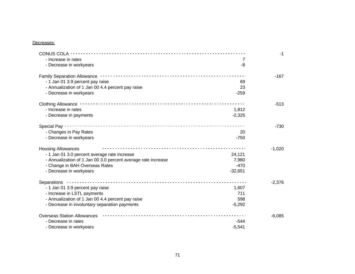# Decreases:

| CONUS COLA - - - - - - - - - -                                |           | -1       |
|---------------------------------------------------------------|-----------|----------|
| - Increase in rates                                           | 7         |          |
| - Decrease in workyears                                       | -8        |          |
|                                                               |           | $-167$   |
| - 1 Jan 01 3.9 percent pay raise                              | 69        |          |
| - Annualization of 1 Jan 00 4.4 percent pay raise             | 23        |          |
| - Decrease in workyears                                       | $-259$    |          |
|                                                               |           | $-513$   |
| - Increase in rates                                           | 1,812     |          |
| - Decrease in payments                                        | $-2,325$  |          |
|                                                               |           | $-730$   |
| - Changes in Pay Rates                                        | 20        |          |
| - Decrease in workyears                                       | $-750$    |          |
| <b>Housing Allowances</b>                                     |           | $-1,020$ |
| - 1 Jan 01 3.0 percent average rate increase                  | 24,121    |          |
| - Annualization of 1 Jan 00 3.0 percent average rate increase | 7,980     |          |
| - Change in BAH Overseas Rates                                | $-470$    |          |
| - Decrease in workyears                                       | $-32,651$ |          |
| Separations <b>Separations</b>                                |           | $-2,376$ |
| - 1 Jan 01 3.9 percent pay raise                              | 1,607     |          |
| - Increase in LSTL payments                                   | 711       |          |
| - Annualization of 1 Jan 00 4.4 percent pay raise             | 598       |          |
| - Decrease in involuntary separation payments                 | $-5,292$  |          |
| <b>Overseas Station Allowances</b>                            |           | $-6,085$ |
| - Decrease in rates                                           | $-544$    |          |
| - Decrease in workyears                                       | $-5,541$  |          |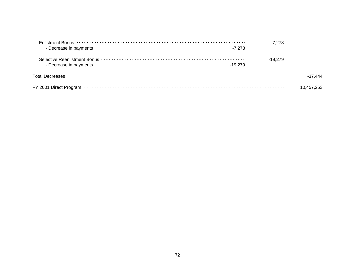| - Decrease in payments | $-7.273$  | $-7.273$  |            |
|------------------------|-----------|-----------|------------|
| - Decrease in payments | $-19.279$ | $-19.279$ |            |
|                        |           |           | -37 444    |
|                        |           |           | 10.457.253 |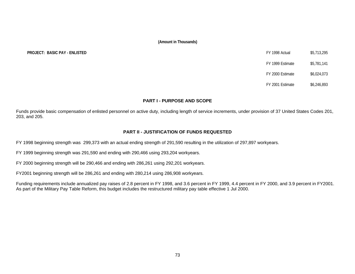**PROJECT: BASIC PAY - ENLISTED** 

| FY 1998 Actual   | \$5,713,295 |
|------------------|-------------|
| FY 1999 Estimate | \$5,781,141 |
| FY 2000 Estimate | \$6,024,073 |
| FY 2001 Estimate | \$6,246,893 |

# **PART I - PURPOSE AND SCOPE**

Funds provide basic compensation of enlisted personnel on active duty, including length of service increments, under provision of 37 United States Codes 201, 203, and 205.

# **PART II - JUSTIFICATION OF FUNDS REQUESTED**

FY 1998 beginning strength was 299,373 with an actual ending strength of 291,590 resulting in the utilization of 297,897 workyears.

FY 1999 beginning strength was 291,590 and ending with 290,466 using 293,204 workyears.

FY 2000 beginning strength will be 290,466 and ending with 286,261 using 292,201 workyears.

FY2001 beginning strength will be 286,261 and ending with 280,214 using 286,908 workyears.

Funding requirements include annualized pay raises of 2.8 percent in FY 1998, and 3.6 percent in FY 1999, 4.4 percent in FY 2000, and 3.9 percent in FY2001. As part of the Military Pay Table Reform, this budget includes the restructured military pay table effective 1 Jul 2000.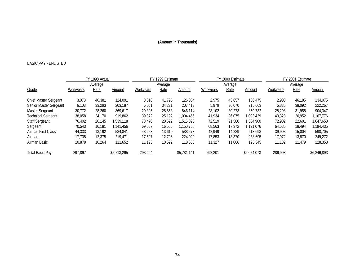# BASIC PAY - ENLISTED

|                              | FY 1998 Actual<br>Average |        |             |           | FY 1999 Estimate |             |           | FY 2000 Estimate |             | FY 2001 Estimate |        |               |  |
|------------------------------|---------------------------|--------|-------------|-----------|------------------|-------------|-----------|------------------|-------------|------------------|--------|---------------|--|
|                              |                           |        |             |           | Average          |             |           | Average          |             | Average          |        |               |  |
| Grade                        | Workyears                 | Rate   | Amount      | Workyears | Rate             | Amount      | Workyears | Rate             | Amount      | Workyears        | Rate   | <b>Amount</b> |  |
| <b>Chief Master Sergeant</b> | 3,073                     | 40,381 | 124.091     | 3,016     | 41.795           | 126.054     | 2,975     | 43.857           | 130.475     | 2.903            | 46.185 | 134,075       |  |
| Senior Master Sergeant       | 6,103                     | 33,293 | 203,187     | 6,061     | 34,221           | 207,413     | 5,979     | 36,070           | 215,663     | 5,835            | 38,092 | 222,267       |  |
| Master Sergeant              | 30.772                    | 28,260 | 869.617     | 29,325    | 28.853           | 846.114     | 28.102    | 30.273           | 850.732     | 28.298           | 31,958 | 904.347       |  |
| <b>Technical Sergeant</b>    | 38,058                    | 24,170 | 919.862     | 39,872    | 25,192           | 1,004,455   | 41,934    | 26,075           | 1.093.429   | 43,328           | 26,952 | 1,167,776     |  |
| <b>Staff Sergeant</b>        | 76,402                    | 20.145 | 1,539,118   | 73.470    | 20,622           | 1,515,098   | 72,519    | 21,580           | 1,564,960   | 72,902           | 22,601 | 1.647.658     |  |
| Sergeant                     | 70.543                    | 16.181 | 1,141,456   | 69,507    | 16.556           | 1.150.758   | 68,563    | 17,372           | 1.191.076   | 64,585           | 18.494 | 1,194,435     |  |
| Airman First Class           | 44,333                    | 13.192 | 584.841     | 43,253    | 13,610           | 588.673     | 42,949    | 14.289           | 613.698     | 39.903           | 15,004 | 598,705       |  |
| Airman                       | 17.735                    | 12,375 | 219.471     | 17,507    | 12.796           | 224.020     | 17,853    | 13,370           | 238,695     | 17.972           | 13,870 | 249,272       |  |
| Airman Basic                 | 10,878                    | 10,264 | 111.652     | 11,193    | 10,592           | 118,556     | 11,327    | 11.066           | 125,345     | 11,182           | 11.479 | 128,358       |  |
| <b>Total Basic Pay</b>       | 297.897                   |        | \$5,713,295 | 293.204   |                  | \$5,781,141 | 292.201   |                  | \$6,024,073 | 286,908          |        | \$6,246,893   |  |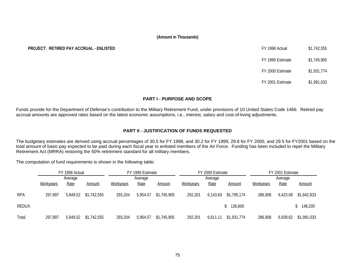# **PROJECT: RETIRED PAY ACCRUAL - ENLISTED**

| FY 1998 Actual   | \$1,742,555 |
|------------------|-------------|
| FY 1999 Estimate | \$1,745,905 |
| FY 2000 Estimate | \$1,931,774 |
| FY 2001 Estimate | \$1,991,033 |

# **PART I - PURPOSE AND SCOPE**

Funds provide for the Department of Defense's contribution to the Military Retirement Fund, under provisions of 10 United States Code 1466. Retired pay accrual amounts are approved rates based on the latest economic assumptions, i.e., interest, salary and cost-of-living adjustments.

# **PART II - JUSTIFICATION OF FUNDS REQUESTED**

The budgetary estimates are derived using accrual percentages of 30.5 for FY 1998, and 30.2 for FY 1999, 29.8 for FY 2000, and 29.5 for FY2001 based on the total amount of basic pay expected to be paid during each fiscal year to enlisted members of the Air Force. Funding has been included to repel the Military Retirement Act (MRRA) restoring the 50% retirement standard for all military members.

The computation of fund requirements is shown in the following table:

|            | FY 1998 Actual |          |             | FY 1999 Estimate |          |             |           | FY 2000 Estimate |             | FY 2001 Estimate |          |             |  |
|------------|----------------|----------|-------------|------------------|----------|-------------|-----------|------------------|-------------|------------------|----------|-------------|--|
|            | Average        |          |             |                  | Average  |             |           | Average          |             | Average          |          |             |  |
|            | Workyears      | Rate     | Amount      | <b>Workyears</b> | Rate     | Amount      | Workyears | Rate             | Amount      | Workyears        | Rate     | Amount      |  |
| <b>RPA</b> | 297.897        | 5,849.52 | \$1,742,555 | 293,204          | 5,954.57 | \$1,745,905 | 292,201   | 6,143.63         | \$1,795,174 | 286,908          | 6,423.08 | \$1,842,833 |  |
| REDUX      |                |          |             |                  |          |             |           |                  | \$136,600   |                  |          | 148,200     |  |
| Total      | 297,897        | 5,849.52 | \$1,742,555 | 293,204          | 5,954.57 | \$1,745,905 | 292,201   | 6,611.11         | \$1,931,774 | 286,908          | 6,939.62 | \$1,991,033 |  |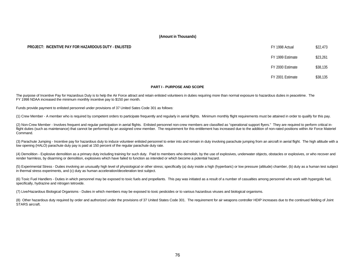# **PROJECT: INCENTIVE PAY FOR HAZARDOUS DUTY - ENLISTED FOR A SECULIE ACTUAL SECULIE ACTUAL ACTUAL SECULIE ACTUAL S**

# FY 1999 Estimate \$23,261

FY 2000 Estimate \$38,135

FY 2001 Estimate \$38,135

## **PART I - PURPOSE AND SCOPE**

The purpose of Incentive Pay for Hazardous Duty is to help the Air Force attract and retain enlisted volunteers in duties requiring more than normal exposure to hazardous duties in peacetime. The FY 1998 NDAA increased the minimum monthly incentive pay to \$150 per month.

Funds provide payment to enlisted personnel under provisions of 37 United Sates Code 301 as follows:

(1) Crew Member - A member who is required by competent orders to participate frequently and regularly in aerial flights. Minimum monthly flight requirements must be attained in order to qualify for this pay.

(2) Non-Crew Member - Involves frequent and regular participation in aerial flights. Enlisted personnel non-crew members are classified as "operational support flyers." They are required to perform critical inflight duties (such as maintenance) that cannot be performed by an assigned crew member. The requirement for this entitlement has increased due to the addition of non-rated positions within Air Force Materiel Command.

(3) Parachute Jumping - Incentive pay for hazardous duty to induce volunteer enlisted personnel to enter into and remain in duty involving parachute jumping from an aircraft in aerial flight. The high altitude with a low opening (HALO) parachute duty pay is paid at 150 percent of the regular parachute duty rate.

(4) Demolition - Explosive demolition as a primary duty including training for such duty. Paid to members who demolish, by the use of explosives, underwater objects, obstacles or explosives, or who recover and render harmless, by disarming or demolition, explosives which have failed to function as intended or which become a potential hazard.

(5) Experimental Stress - Duties involving an unusually high level of physiological or other stress; specifically (a) duty inside a high (hyperbaric) or low pressure (altitude) chamber, (b) duty as a human test subject in thermal stress experiments, and (c) duty as human acceleration/deceleration test subject.

(6) Toxic Fuel Handlers - Duties in which personnel may be exposed to toxic fuels and propellants. This pay was initiated as a result of a number of casualties among personnel who work with hypergolic fuel, specifically, hydrazine and nitrogen tetroxide.

(7) Live/Hazardous Biological Organisms - Duties in which members may be exposed to toxic pesticides or to various hazardous viruses and biological organisms.

(8) Other hazardous duty required by order and authorized under the provisions of 37 United States Code 301. The requirement for air weapons controller HDIP increases due to the continued fielding of Joint STARS aircraft.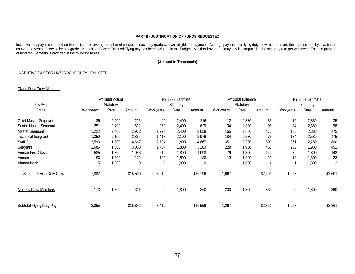# **PART II - JUSTIFICATION OF FUNDS REQUESTED**

Incentive duty pay is computed on the basis of the average number of enlisted in each pay grade who are eligible for payment. Average pay rates for flying duty crew members are those prescribed by law, based on average years of service by pay grade. In addition, Career Enlist ed Flying pay has been included in this budget. All other hazardous duty pay is computed at the statutory rate per workyear. The computation of fund requirements is provided in the following tables:

# **(Amount in Thousands)**

# INCENTIVE PAY FOR HAZARDOUS DUTY - ENLISTED

# Flying Duty Crew Members

|                              | FY 1998 Actual |           |               | FY 1999 Estimate |           |               |           | FY 2000 Estimate |                | FY 2001 Estimate |           |         |
|------------------------------|----------------|-----------|---------------|------------------|-----------|---------------|-----------|------------------|----------------|------------------|-----------|---------|
| Yrs Svc                      |                | Statutory |               |                  | Statutory |               |           | Statutory        |                |                  | Statutory |         |
| Grade                        | Workyears      | Rate      | <b>Amount</b> | Workyears        | Rate      | <b>Amount</b> | Workyears | Rate             | <b>Amount</b>  | Workyears        | Rate      | Amount  |
| <b>Chief Master Sergeant</b> | 86             | 2,400     | 206           | 90               | 2,400     | 216           | 12        | 2,880            | 35             | 12               | 2,880     | 35      |
| Senior Master Sergeant       | 251            | 2,400     | 602           | 262              | 2,400     | 629           | 34        | 2,880            | 98             | 34               | 2,880     | 98      |
| Master Sergeant              | 222            | 2,400     | 2,933         | 1,274            | 2,400     | 3,058         | 165       | 2,880            | 475            | 165              | 2,880     | 475     |
| <b>Technical Sergeant</b>    | ,359           | 2,100     | 2,854         | 1,417            | 2,100     | 2,976         | 184       | 2,580            | 475            | 184              | 2,580     | 475     |
| <b>Staff Sergeant</b>        | 2,593          | 1,800     | 4,667         | 2,704            | 1,800     | 4,867         | 351       | 2,280            | 800            | 351              | 2,280     | 800     |
| Sergeant                     | 1,685          | 1,800     | 3,033         | 1,757            | 1,800     | 3,163         | 228       | 1,980            | 451            | 228              | 1,980     | 451     |
| Airman First Class           | 585            | 1,800     | 1,053         | 610              | 1,800     | 1,098         | 79        | 1,800            | 142            | 79               | 1,800     | 142     |
| Airman                       | 96             | 1,800     | 173           | 100              | 1,800     | 180           | 13        | 1,800            | 23             | 13               | 1,800     | 23      |
| Airman Basic                 | 5              | 1,800     | 9             | 5                | 1,800     | 9             |           | 1,800            | $\overline{2}$ |                  | 1,800     | 2       |
| Subtotal Flying Duty Crew    | 7,882          |           | \$15,530      | 8,219            |           | \$16,196      | 1,067     |                  | \$2,501        | 1,067            |           | \$2,501 |
| <b>Non-Fly Crew Members</b>  | 173            | 1,800     | 311           | 200              | 1,800     | 360           | 200       | 1,800            | 360            | 200              | 1,800     | 360     |
| Subtotal Flying Duty Pay     | 8,055          |           | \$15,841      | 8,419            |           | \$16,556      | 1,267     |                  | \$2,861        | 1,267            |           | \$2,861 |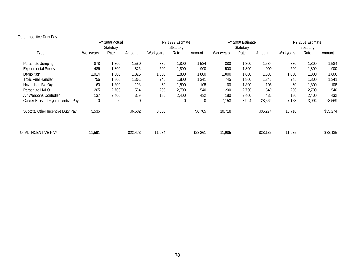# **Other Incentive Duty Pay**

|                                     | FY 1998 Actual<br>Statutory |       |               | FY 1999 Estimate |                |                |           | FY 2000 Estimate |          | FY 2001 Estimate |       |          |  |
|-------------------------------------|-----------------------------|-------|---------------|------------------|----------------|----------------|-----------|------------------|----------|------------------|-------|----------|--|
|                                     |                             |       |               |                  | Statutory      |                |           | Statutory        |          | Statutory        |       |          |  |
| <b>Type</b>                         | Workyears                   | Rate  | <u>Amount</u> | Workyears        | Rate           | <b>Amount</b>  | Workyears | Rate             | Amount   | Workyears        | Rate  | Amount   |  |
| Parachute Jumping                   | 878                         | 1,800 | 1,580         | 880              | 1,800          | 1,584          | 880       | ,800             | 1,584    | 880              | 1,800 | 1,584    |  |
| <b>Experimental Stress</b>          | 486                         | 1,800 | 875           | 500              | 1,800          | 900            | 500       | ,800             | 900      | 500              | 1,800 | 900      |  |
| <b>Demolition</b>                   | 1,014                       | 1,800 | 1,825         | 1,000            | 1,800          | 1,800          | 1,000     | ,800             | 1,800    | 1,000            | 1,800 | 1,800    |  |
| <b>Toxic Fuel Handler</b>           | 756                         | 1,800 | 1,361         | 745              | 1,800          | 1,341          | 745       | ,800             | 1,341    | 745              | 1,800 | 1,341    |  |
| Hazardous Bio Org                   | 60                          | 1,800 | 108           | 60               | 1,800          | 108            | 60        | ,800             | 108      | 60               | 1,800 | 108      |  |
| Parachute HALO                      | 205                         | 2,700 | 554           | 200              | 2.700          | 540            | 200       | 2,700            | 540      | 200              | 2,700 | 540      |  |
| Air Weapons Controller              | 137                         | 2,400 | 329           | 180              | 2,400          | 432            | 180       | 2,400            | 432      | 180              | 2,400 | 432      |  |
| Career Enlisted Flyer Incentive Pay | $\overline{0}$              | 0     | 0             | $\boldsymbol{0}$ | $\overline{0}$ | $\overline{0}$ | 7,153     | 3,994            | 28,569   | 7,153            | 3,994 | 28,569   |  |
| Subtotal Other Incentive Duty Pay   | 3,536                       |       | \$6,632       | 3,565            |                | \$6,705        | 10,718    |                  | \$35,274 | 10,718           |       | \$35,274 |  |
| TOTAL INCENTIVE PAY                 | 11,591                      |       | \$22,473      | 11,984           |                | \$23,261       | 11,985    |                  | \$38,135 | 11,985           |       | \$38,135 |  |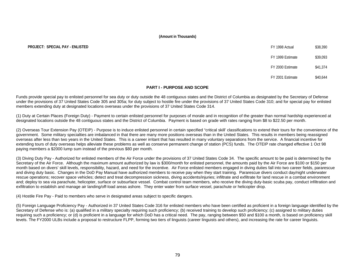# **PROJECT: SPECIAL PAY - ENLISTED**

| FY 1998 Actual   | \$38,390 |
|------------------|----------|
| FY 1999 Estimate | \$39,093 |
| FY 2000 Estimate | \$41,374 |
| FY 2001 Estimate | \$40.644 |

# **PART I - PURPOSE AND SCOPE**

Funds provide special pay to enlisted personnel for sea duty or duty outside the 48 contiguous states and the District of Columbia as designated by the Secretary of Defense under the provisions of 37 United States Code 305 and 305a; for duty subject to hostile fire under the provisions of 37 United States Code 310; and for special pay for enlisted members extending duty at designated locations overseas under the provisions of 37 United States Code 314.

(1) Duty at Certain Places (Foreign Duty) - Payment to certain enlisted personnel for purposes of morale and in recognition of the greater than normal hardship experienced at designated locations outside the 48 contiguous states and the District of Columbia. Payment is based on grade with rates ranging from \$8 to \$22.50 per month.

(2) Overseas Tour Extension Pay (OTEIP) - Purpose is to induce enlisted personnel in certain specified "critical skill' classifications to extend their tours for the convenience of the government. Some military specialties are imbalanced in that there are many more positions overseas than in the United States. This results in members being reassigned overseas after less than two years in the United States. This is a career irritant that has resulted in many voluntary separations from the service. A financial incentive for extending tours of duty overseas helps alleviate these problems as well as conserve permanent change of station (PCS) funds. The OTEIP rate changed effective 1 Oct 98 paying members a \$2000 lump sum instead of the previous \$80 per month.

(3) Diving Duty Pay - Authorized for enlisted members of the Air Force under the provisions of 37 United States Code 34. The specific amount to be paid is determined by the Secretary of the Air Force. Although the maximum amount authorized by law is \$300/month for enlisted personnel, the amounts paid by the Air Force are \$100 or \$150 per month based on divers' skill levels, responsibility, hazard, and need for the incentive. Air Force enlisted members engaged in diving duties fall into two career fields, pararescue and diving duty basic. Changes in the DoD Pay Manual have authorized members to receive pay when they start training. Pararescue divers conduct day/night underwater rescue operations; recover space vehicles; detect and treat decompression sickness, diving accidents/injuries; infiltrate and exfiltrate for land rescue in a combat environment and; deploy to sea via parachute, helicopter, surface or subsurface vessel. Combat control team members, who receive the diving duty-basic scuba pay, conduct infiltration and exfiltration to establish and manage air landing/off-load areas ashore. They enter water from surface vessel, parachute or helicopter drop.

(4) Hostile Fire Pay - Paid to members who serve in designated areas subject to specific dangers.

(5) Foreign Language Proficiency Pay - Authorized in 37 United States Code 316 for enlisted members who have been certified as proficient in a foreign language identified by the Secretary of Defense who is: (a) qualified in a military specialty requiring such proficiency; (b) received training to develop such proficiency; (c) assigned to military duties requiring such a proficiency; or (d) is proficient in a language for which DoD has a critical need. The pay, ranging between \$50 and \$100 a month, is based on proficiency skill levels. The FY2000 ULBs include a proposal to restructure FLPP, forming two tiers of linguists (career linguists and others), and increasing the rate for career linguists.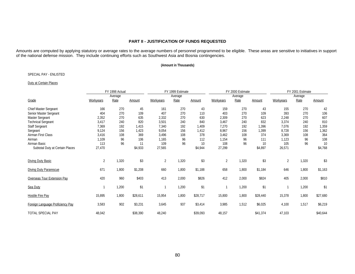# **PART II - JUSTIFICATION OF FUNDS REQUESTED**

Amounts are computed by applying statutory or average rates to the average numbers of personnel programmed to be eligible. These areas are sensitive to initiatives in support of the national defense mission. They include continuing efforts such as Southwest Asia and Bosnia contingencies.

# **(Amount in Thousands)**

# SPECIAL PAY - ENLISTED

# Duty at Certain Places

|                                  | FY 1998 Actual |         |          |           | FY 1999 Estimate |          |                | FY 2000 Estimate |          | FY 2001 Estimate |         |          |
|----------------------------------|----------------|---------|----------|-----------|------------------|----------|----------------|------------------|----------|------------------|---------|----------|
|                                  |                | Average |          |           | Average          |          |                | Average          |          |                  | Average |          |
| Grade                            | Workyears      | Rate    | Amount   | Workyears | Rate             | Amount   | Workyears      | Rate             | Amount   | Workyears        | Rate    | Amount   |
| Chief Master Sergeant            | 166            | 270     | 45       | 161       | 270              | 43       | 159            | 270              | 43       | 155              | 270     | 42       |
| Senior Master Sergeant           | 404            | 270     | 109      | 407       | 270              | 110      | 403            | 270              | 109      | 393              | 270     | 106      |
| <b>Master Sergeant</b>           | 2,352          | 270     | 635      | 2,332     | 270              | 630      | 2,309          | 270              | 623      | 2,248            | 270     | 607      |
| <b>Technical Sergeant</b>        | 3,417          | 240     | 820      | 3,501     | 240              | 840      | 3,467          | 240              | 832      | 3,374            | 240     | 810      |
| <b>Staff Sergeant</b>            | 7,369          | 192     | 1,415    | 7,340     | 192              | 1,409    | 7,270          | 192              | 1,396    | 7,076            | 192     | 1,359    |
| Sergeant                         | 9,124          | 156     | 1,423    | 9,054     | 156              | 1,412    | 8.967          | 156              | 1,399    | 8,728            | 156     | 1,362    |
| Airman First Class               | 3,416          | 108     | 369      | 3,496     | 108              | 378      | 3,462          | 108              | 374      | 3,369            | 108     | 364      |
| Airman                           | 1,109          | 96      | 106      | 1,165     | 96               | 112      | 1,154          | 96               | 111      | 1,123            | 96      | 108      |
| Airman Basic                     | 113            | 96      | 11       | 109       | 96               | 10       | 108            | 96               | 10       | 105              | 96      | 10       |
| Subtotal Duty at Certain Places  | 27,470         |         | \$4,933  | 27,565    |                  | \$4,944  | 27,299         |                  | \$4,897  | 26,571           |         | \$4,768  |
| <b>Diving Duty Basic</b>         | $\overline{2}$ | 1,320   | \$3      | 2         | 1,320            | \$3      | $\overline{2}$ | 1,320            | \$3      | $\overline{2}$   | 1,320   | \$3      |
| <b>Diving Duty Pararescue</b>    | 671            | 1,800   | \$1,208  | 660       | 1,800            | \$1,188  | 658            | 1,800            | \$1,184  | 646              | 1,800   | \$1,163  |
| Overseas Tour Extension Pay      | 420            | 960     | \$403    | 413       | 2,000            | \$826    | 412            | 2,000            | \$824    | 405              | 2,000   | \$810    |
| Sea Duty                         |                | 1,200   | \$1      | 1         | 1,200            | \$1      | $\mathbf{1}$   | 1,200            | \$1      |                  | 1,200   | \$1      |
| <b>Hostile Fire Pay</b>          | 15,895         | 1,800   | \$28,611 | 15,954    | 1,800            | \$28,717 | 15,800         | 1,800            | \$28,440 | 15,378           | 1,800   | \$27,680 |
| Foreign Language Proficiency Pay | 3,583          | 902     | \$3,231  | 3,645     | 937              | \$3,414  | 3,985          | 1,512            | \$6,025  | 4,100            | 1,517   | \$6,219  |
| <b>TOTAL SPECIAL PAY</b>         | 48,042         |         | \$38,390 | 48,240    |                  | \$39,093 | 48,157         |                  | \$41,374 | 47,103           |         | \$40,644 |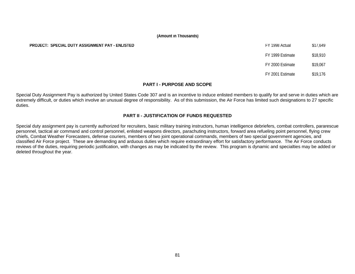# **PROJECT: SPECIAL DUTY ASSIGNMENT PAY - ENLISTED**

| FY 1998 Actual   | \$17,649 |
|------------------|----------|
| FY 1999 Estimate | \$18,910 |
| FY 2000 Estimate | \$19,067 |
| FY 2001 Estimate | \$19,176 |

# **PART I - PURPOSE AND SCOPE**

Special Duty Assignment Pay is authorized by United States Code 307 and is an incentive to induce enlisted members to qualify for and serve in duties which are extremely difficult, or duties which involve an unusual degree of responsibility. As of this submission, the Air Force has limited such designations to 27 specific duties.

# **PART II - JUSTIFICATION OF FUNDS REQUESTED**

Special duty assignment pay is currently authorized for recruiters, basic military training instructors, human intelligence debriefers, combat controllers, pararescue personnel, tactical air command and control personnel, enlisted weapons directors, parachuting instructors, forward area refueling point personnel, flying crew chiefs, Combat Weather Forecasters, defense couriers, members of two joint operational commands, members of two special government agencies, and classified Air Force project. These are demanding and arduous duties which require extraordinary effort for satisfactory performance. The Air Force conducts reviews of the duties, requiring periodic justification, with changes as may be indicated by the review. This program is dynamic and specialties may be added or deleted throughout the year.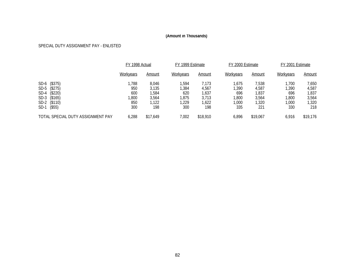# SPECIAL DUTY ASSIGNMENT PAY - ENLISTED

|                                   | FY 1998 Actual   |          | FY 1999 Estimate |          | FY 2000 Estimate |          | FY 2001 Estimate |               |  |
|-----------------------------------|------------------|----------|------------------|----------|------------------|----------|------------------|---------------|--|
|                                   | <b>Workyears</b> | Amount   | <b>Workyears</b> | Amount   | Workyears        | Amount   | Workyears        | <u>Amount</u> |  |
| SD-6 (\$375)                      | ,788             | 8,046    | 1.594            | 7,173    | .675             | 7,538    | 1.700            | 7,650         |  |
| SD-5 (\$275)                      | 950              | 3,135    | ,384             | 4,567    | ,390             | 4,587    | ,390             | 4,587         |  |
| SD-4 (\$220)                      | 600              | ,584     | 620              | 1,637    | 696              | 1,837    | 696              | 1,837         |  |
| SD-3 (\$165)                      | ,800             | 3,564    | .875             | 3.713    | ,800             | 3,564    | ,800             | 3,564         |  |
| SD-2<br>(\$110)                   | 850              | ,122     | ,229             | ,622     | ,000             | 1,320    | ,000             | 1,320         |  |
| $($ \$55)<br>SD-1                 | 300              | 198      | 300              | 198      | 335              | 221      | 330              | 218           |  |
| TOTAL SPECIAL DUTY ASSIGNMENT PAY | 6,288            | \$17,649 | 002.'            | \$18,910 | 6,896            | \$19,067 | 6.916            | \$19,176      |  |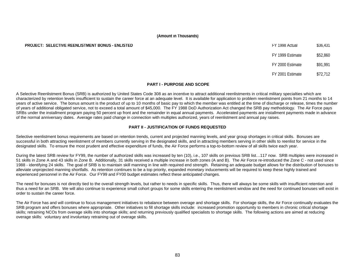# **PROJECT: SELECTIVE REENLISTMENT BONUS - ENLISTED** FRIELD FOR THE STATE STATES FOR THE STATE STATES AND FY 1998 Actual \$36,431

# FY 1999 Estimate \$52,860 FY 2000 Estimate \$91,991

FY 2001 Estimate \$72,712

# **PART I - PURPOSE AND SCOPE**

A Selective Reenlistment Bonus (SRB) is authorized by United States Code 308 as an incentive to attract additional reenlistments in critical military specialties which are characterized by retention levels insufficient to sustain the career force at an adequate level. It is available for application to problem reenlistment points from 21 months to 14 years of active service. The bonus amount is the product of up to 10 months of basic pay to which the member was entitled at the time of discharge or release, times the number of years of additional obligated service, not to exceed a total amount of \$45,000. The FY 1988 DoD Authorization Act changed the SRB pay methodology. The Air Force pays SRBs under the installment program paying 50 percent up front and the remainder in equal annual payments. Accelerated payments are installment payments made in advance of the normal anniversary dates. Average rates paid change in connection with multiples authorized, years of reenlistment and annual pay raises.

# **PART II - JUSTIFICATION OF FUNDS REQUESTED**

Selective reenlistment bonus requirements are based on retention trends, current and projected manning levels, and year group shortages in critical skills. Bonuses are successful in both attracting reenlistment of members currently serving in the designated skills, and in attracting members serving in other skills to reenlist for service in the designated skills. To ensure the most prudent and effective expenditure of funds, the Air Force performs a top-to-bottom review of all skills twice each year.

During the latest SRB review for FY99, the number of authorized skills was increased by ten (10), i.e., 107 skills on previous SRB list...117 now. SRB multiples were increased in 51 skills in Zone A and 43 skills in Zone B. Additionally, 31 skills received a multiple increase in both zones (A and B). The Air Force re-introduced the Zone C - not used since 1988 - identifying 24 skills. The goal of SRB is to maintain skill manning in line with required end strength. Retaining an adequate budget allows for the distribution of bonuses to alleviate unprojected manning shortfalls. As retention continues to be a top priority, expanded monetary inducements will be required to keep these highly trained and experienced personnel in the Air Force. Our FY99 and FY00 budget estimates reflect these anticipated changes.

The need for bonuses is not directly tied to the overall strength levels, but rather to needs in specific skills. Thus, there will always be some skills with insufficient retention and thus a need for an SRB. We will also continue to experience small cohort groups for some skills entering the reenlistment window and the need for continued bonuses will exist in order to sustain the career force.

The Air Force has and will continue to focus management initiatives to rebalance between overage and shortage skills. For shortage skills, the Air Force continually evaluates the SRB program and offers bonuses where appropriate. Other initiatives to fill shortage skills include: increased promotion opportunity to members in chronic critical shortage skills; retraining NCOs from overage skills into shortage skills; and returning previously qualified specialists to shortage skills. The following actions are aimed at reducing overage skills: voluntary and involuntary retraining out of overage skills.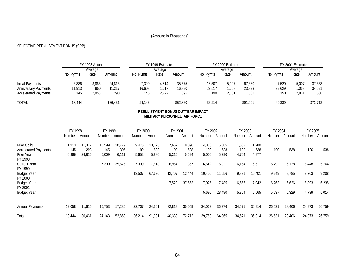# SELECTIVE REENLISTMENT BONUS (SRB)

|                             |           | FY 1998 Actual |          | FY 1999 Estimate |         |          |           | FY 2000 Estimate |          | FY 2001 Estimate |         |               |  |
|-----------------------------|-----------|----------------|----------|------------------|---------|----------|-----------|------------------|----------|------------------|---------|---------------|--|
|                             |           | Average        |          |                  | Average |          |           | Average          |          |                  | Average |               |  |
|                             | No. Pymts | Rate           | Amount   | No. Pymts        | Rate    | Amount   | No. Pymts | Rate             | Amount   | <u>No. Pymts</u> | Rate    | <u>Amount</u> |  |
| Initial Payments            | 6,386     | 3,886          | 24.816   | 7.390            | 4.814   | 35.575   | 13,507    | 5,007            | 67.630   | 7,520            | 5,007   | 37,653        |  |
| <b>Anniversary Payments</b> | 11.913    | 950            | 11.317   | 16,608           | 1.017   | 16,890   | 22,517    | 058, ا           | 23,823   | 32,629           | 1,058   | 34,521        |  |
| <b>Accelerated Payments</b> | 145       | 2,053          | 298      | 145              | 2,722   | 395      | 190       | 2,831            | 538      | 190              | 2,831   | 538           |  |
| <b>TOTAL</b>                | 18.444    |                | \$36,431 | 24,143           |         | \$52,860 | 36,214    |                  | \$91,991 | 40,339           |         | \$72,712      |  |

# **REENLISTMENT BONUS OUTYEAR IMPACT MILITARY PERSONNEL, AIR FORCE**

|                                                                     | FY 1998                |                         | FY 1999                |                        | FY 2000               |                        | FY 2001               |                       | FY 2002               |                       | FY 2003               |                      | FY 2004        |                | FY 2005        |                |
|---------------------------------------------------------------------|------------------------|-------------------------|------------------------|------------------------|-----------------------|------------------------|-----------------------|-----------------------|-----------------------|-----------------------|-----------------------|----------------------|----------------|----------------|----------------|----------------|
|                                                                     | Number                 | Amount                  | Number                 | Amount                 | Number                | Amount                 | <b>Number</b>         | Amount                | Number                | Amount                | Number                | Amount               | Number         | Amount         | Number         | Amount         |
| Prior Oblig<br><b>Accelerated Payments</b><br>Prior Year<br>FY 1998 | 11,913<br>145<br>6,386 | 11,317<br>298<br>24,816 | 10,599<br>145<br>6,009 | 10.779<br>395<br>6,111 | 9,475<br>190<br>5,652 | 10,025<br>538<br>5,980 | 7,652<br>190<br>5,316 | 8,096<br>538<br>5,624 | 4,806<br>190<br>5,000 | 5,085<br>538<br>5,290 | 1,682<br>190<br>4,704 | ,780<br>538<br>4,977 | 190            | 538            | 190            | 538            |
| <b>Current Year</b>                                                 |                        |                         | 7,390                  | 35,575                 | 7,390                 | 7,818                  | 6,954                 | 7,357                 | 6,542                 | 6,921                 | 6,154                 | 6,511                | 5,792          | 6,128          | 5,448          | 5,764          |
| FY 1999<br><b>Budget Year</b><br>FY 2000<br><b>Budget Year</b>      |                        |                         |                        |                        | 13,507                | 67,630                 | 12,707<br>7,520       | 13,444<br>37,653      | 10,450<br>7,075       | 11,056<br>7,485       | 9,831<br>6,656        | 10,401<br>7,042      | 9,249<br>6,263 | 9,785<br>6,626 | 8,703<br>5,893 | 9,208<br>6,235 |
| FY 2001                                                             |                        |                         |                        |                        |                       |                        |                       |                       |                       |                       |                       |                      |                |                |                |                |
| <b>Budget Year</b>                                                  |                        |                         |                        |                        |                       |                        |                       |                       | 5,690                 | 28,490                | 5,354                 | 5,665                | 5,037          | 5,329          | 4,739          | 5,014          |
| <b>Annual Payments</b>                                              | 12,058                 | 11,615                  | 16,753                 | 17,285                 | 22,707                | 24,361                 | 32,819                | 35,059                | 34,063                | 36,376                | 34,571                | 36,914               | 26,531         | 28,406         | 24,973         | 26,759         |
| Total                                                               | 18,444                 | 36,431                  | 24,143                 | 52,860                 | 36,214                | 91,991                 | 40,339                | 72,712                | 39,753                | 64,865                | 34,571                | 36,914               | 26,531         | 28,406         | 24,973         | 26,759         |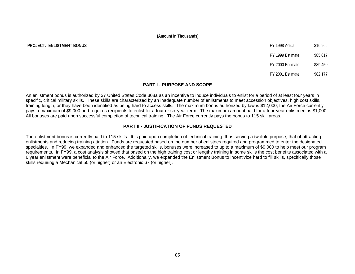# **PROJECT: ENLISTMENT BONUS FY 1998 ACTUAL \$16,966 ACTUAL \$16,966 ACTUAL \$16,966 ACTUAL \$16,966 ACTUAL \$16,966 ACTU**

| FY 1998 Actual   | \$16,966 |
|------------------|----------|
| FY 1999 Estimate | \$85,017 |
|                  |          |

FY 2000 Estimate \$89,450

FY 2001 Estimate \$82,177

# **PART I - PURPOSE AND SCOPE**

An enlistment bonus is authorized by 37 United States Code 308a as an incentive to induce individuals to enlist for a period of at least four years in specific, critical military skills. These skills are characterized by an inadequate number of enlistments to meet accession objectives, high cost skills, training length, or they have been identified as being hard to access skills. The maximum bonus authorized by law is \$12,000; the Air Force currently pays a maximum of \$9,000 and requires recipients to enlist for a four or six year term. The maximum amount paid for a four-year enlistment is \$1,000. All bonuses are paid upon successful completion of technical training. The Air Force currently pays the bonus to 115 skill areas.

# **PART II - JUSTIFICATION OF FUNDS REQUESTED**

The enlistment bonus is currently paid to 115 skills. It is paid upon completion of technical training, thus serving a twofold purpose, that of attracting enlistments and reducing training attrition. Funds are requested based on the number of enlistees required and programmed to enter the designated specialties. In FY99, we expanded and enhanced the targeted skills, bonuses were increased to up to a maximum of \$9,000 to help meet our program requirements. In FY99, a cost analysis showed that based on the high training cost or lengthy training in some skills the cost benefits associated with a 6 year enlistment were beneficial to the Air Force. Additionally, we expanded the Enlistment Bonus to incentivize hard to fill skills, specifically those skills requiring a Mechanical 50 (or higher) or an Electronic 67 (or higher).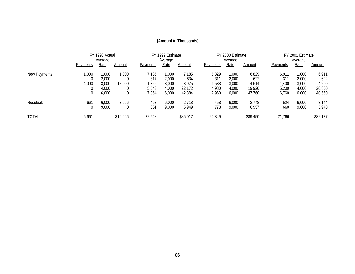|              |                 | FY 1998 Actual |          | FY 1999 Estimate |         |          | FY 2000 Estimate |         |          |                 | FY 2001 Estimate |          |
|--------------|-----------------|----------------|----------|------------------|---------|----------|------------------|---------|----------|-----------------|------------------|----------|
|              |                 | Average        |          |                  | Average |          |                  | Average |          |                 | Average          |          |
|              | <b>Payments</b> | Rate           | Amount   | <b>Payments</b>  | Rate    | Amount   | Payments         | Rate    | Amount   | <b>Payments</b> | <u>Rate</u>      | Amount   |
| New Payments | 000,            | .000           | 1,000    | 7,185            | 000, 1  | 7,185    | 6,829            | ,000    | 6,829    | 6,911           | 1,000            | 6,911    |
|              |                 | 2,000          |          | 317              | 2,000   | 634      | 311              | 2,000   | 622      | 311             | 2,000            | 622      |
|              | 4,000           | 3.000          | 12,000   | ,325             | 3.000   | 3,975    | ,538             | 3,000   | 4,614    | 1,400           | 3,000            | 4,200    |
|              |                 | 4.000          |          | 5.543            | 4.000   | 22.172   | 4.980            | 4,000   | 19,920   | 5,200           | 4,000            | 20,800   |
|              |                 | 6,000          |          | 7,064            | 6,000   | 42,384   | 7,960            | 6,000   | 47,760   | 6,760           | 6,000            | 40,560   |
| Residual:    | 661             | 6,000          | 3,966    | 453              | 6,000   | 2,718    | 458              | 6,000   | 2,748    | 524             | 6,000            | 3,144    |
|              |                 | 9,000          |          | 661              | 9,000   | 5,949    | 773              | 9,000   | 6,957    | 660             | 9,000            | 5,940    |
| <b>TOTAL</b> | 5,661           |                | \$16,966 | 22,548           |         | \$85,017 | 22,849           |         | \$89,450 | 21,766          |                  | \$82,177 |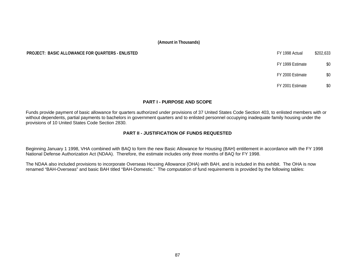# **PROJECT: BASIC ALLOWANCE FOR OUARTERS - ENLISTED**

| FY 1998 Actual   | \$202.633 |
|------------------|-----------|
| FY 1999 Estimate | \$0       |
| FY 2000 Estimate | \$0       |
| FY 2001 Estimate |           |

# **PART I - PURPOSE AND SCOPE**

Funds provide payment of basic allowance for quarters authorized under provisions of 37 United States Code Section 403, to enlisted members with or without dependents, partial payments to bachelors in government quarters and to enlisted personnel occupying inadequate family housing under the provisions of 10 United States Code Section 2830.

# **PART II - JUSTIFICATION OF FUNDS REQUESTED**

Beginning January 1 1998, VHA combined with BAQ to form the new Basic Allowance for Housing (BAH) entitlement in accordance with the FY 1998 National Defense Authorization Act (NDAA). Therefore, the estimate includes only three months of BAQ for FY 1998.

The NDAA also included provisions to incorporate Overseas Housing Allowance (OHA) with BAH, and is included in this exhibit. The OHA is now renamed "BAH-Overseas" and basic BAH titled "BAH-Domestic." The computation of fund requirements is provided by the following tables: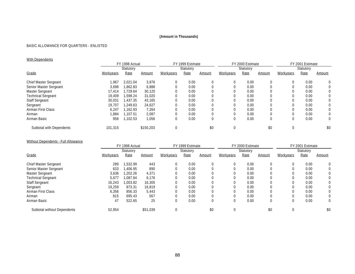# BASIC ALLOWANCE FOR QUARTERS - ENLISTED

# With Dependents

|                           | FY 1998 Actual |           |           |                  | FY 1999 Estimate |        |           | FY 2000 Estimate |        | FY 2001 Estimate |           |              |  |
|---------------------------|----------------|-----------|-----------|------------------|------------------|--------|-----------|------------------|--------|------------------|-----------|--------------|--|
|                           |                | Statutory |           |                  | Statutory        |        |           | Statutory        |        |                  | Statutory |              |  |
| Grade                     | Workyears      | Rate      | Amount    | <b>Workyears</b> | Rate             | Amount | Workyears | Rate             | Amount | <b>Workyears</b> | Rate      | Amount       |  |
| Chief Master Sergeant     | 1,967          | 2,021.04  | 3,976     | $\mathbf 0$      | 0.00             |        |           | 0.00             | 0      |                  | 0.00      | $\Omega$     |  |
| Senior Master Sergeant    | 3,698          | 1.862.83  | 6,888     |                  | 0.00             |        |           | 0.00             |        |                  | 0.00      | $\mathbf{0}$ |  |
| Master Sergeant           | 17.414         | .729.64   | 30,120    |                  | 0.00             |        |           | 0.00             |        |                  | 0.00      | 0            |  |
| <b>Technical Sergeant</b> | 19.409         | 1,598.24  | 31,020    |                  | 0.00             |        |           | 0.00             |        |                  | 0.00      | $\Omega$     |  |
| <b>Staff Sergeant</b>     | 30,031         | 1.437.35  | 43,165    |                  | 0.00             |        |           | 0.00             |        |                  | 0.00      | 0            |  |
| Sergeant                  | 19.707         | 1.249.63  | 24,627    |                  | 0.00             |        |           | 0.00             |        |                  | 0.00      | 0            |  |
| Airman First Class        | 6,247          | 1.162.93  | 7,264     |                  | 0.00             |        |           | 0.00             |        |                  | 0.00      | $\Omega$     |  |
| Airman                    | .884           | 1.107.51  | 2,087     |                  | 0.00             |        |           | 0.00             |        |                  | 0.00      | 0            |  |
| Airman Basic              | 958            | 1.102.53  | 1,056     | $\mathbf 0$      | 0.00             |        |           | 0.00             | 0      |                  | 0.00      | 0            |  |
| Subtotal with Dependents  | 101,315        |           | \$150.203 |                  |                  | \$0    |           |                  | \$0    |                  |           | \$0          |  |

# Without Dependents - Full Allowance

|                             | FY 1998 Actual |           |          | FY 1999 Estimate |           |        |           | FY 2000 Estimate |        | FY 2001 Estimate |           |        |
|-----------------------------|----------------|-----------|----------|------------------|-----------|--------|-----------|------------------|--------|------------------|-----------|--------|
|                             |                | Statutory |          |                  | Statutory |        |           | Statutory        |        |                  | Statutory |        |
| Grade                       | Workyears      | Rate      | Amount   | Workyears        | Rate      | Amount | Workyears | Rate             | Amount | Workyears        | Rate      | Amount |
| Chief Master Sergeant       | 289            | 1,532.99  | 443      | $\mathbf 0$      | 0.00      |        | 0         | 0.00             |        |                  | 0.00      | 0      |
| Senior Master Sergeant      | 633            | .406.95   | 890      |                  | 0.00      |        |           | 0.00             |        |                  | 0.00      | 0      |
| Master Sergeant             | 3,636          | .202.26   | 4,371    |                  | 0.00      |        |           | 0.00             |        |                  | 0.00      | 0      |
| <b>Technical Sergeant</b>   | 5,677          | .087.84   | 6,176    |                  | 0.00      |        |           | 0.00             |        |                  | 0.00      | 0      |
| <b>Staff Sergeant</b>       | 16,243         | 1.003.82  | 16,305   |                  | 0.00      |        |           | 0.00             |        |                  | 0.00      | 0      |
| Sergeant                    | 19.259         | 873.31    | 16,819   |                  | 0.00      |        |           | 0.00             |        |                  | 0.00      | 0      |
| Airman First Class          | 6,356          | 856.33    | 5,443    |                  | 0.00      |        |           | 0.00             |        |                  | 0.00      | 0      |
| Airman                      | 815            | 695.43    | 567      |                  | 0.00      |        |           | 0.00             |        |                  | 0.00      | 0      |
| Airman Basic                | 47             | 522.65    | 25       | $\left($         | 0.00      |        |           | 0.00             | 0      |                  | 0.00      | 0      |
| Subtotal without Dependents | 52,954         |           | \$51.039 |                  |           | \$0    |           |                  | \$0    |                  |           | \$0    |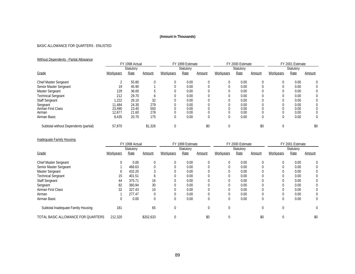# BASIC ALLOWANCE FOR QUARTERS - ENLISTED

# Without Dependents - Partial Allowance

|                                       | FY 1998 Actual |           |         | FY 1999 Estimate |           |          | FY 2000 Estimate |           |        | FY 2001 Estimate |           |        |  |
|---------------------------------------|----------------|-----------|---------|------------------|-----------|----------|------------------|-----------|--------|------------------|-----------|--------|--|
|                                       |                | Statutory |         |                  | Statutory |          |                  | Statutory |        |                  | Statutory |        |  |
| Grade                                 | Workyears      | Rate      | Amount  | Workyears        | Rate      | Amount   | Workyears        | Rate      | Amount | Workyears        | Rate      | Amount |  |
| <b>Chief Master Sergeant</b>          |                | 55.80     |         | 0                | 0.00      | $\Omega$ |                  | 0.00      |        | $\left( \right)$ | 0.00      |        |  |
| Senior Master Sergeant                | 19             | 45.90     |         |                  | 0.00      |          |                  | 0.00      |        |                  | 0.00      |        |  |
| Master Sergeant                       | 129            | 36.00     |         |                  | 0.00      | 0        |                  | 0.00      |        |                  | 0.00      |        |  |
| <b>Technical Sergeant</b>             | 212            | 29.70     |         |                  | 0.00      |          |                  | 0.00      |        |                  | 0.00      |        |  |
| Staff Sergeant                        | 1,222          | 26.10     | 32      | 0                | 0.00      | 0        |                  | 0.00      |        |                  | 0.00      |        |  |
| Sergeant                              | 11.484         | 24.30     | 279     |                  | 0.00      |          |                  | 0.00      |        |                  | 0.00      |        |  |
| Airman First Class                    | 23,490         | 23.40     | 550     |                  | 0.00      |          |                  | 0.00      |        |                  | 0.00      |        |  |
| Airman                                | 12,877         | 21.60     | 278     |                  | 0.00      |          |                  | 0.00      |        |                  | 0.00      |        |  |
| Airman Basic                          | 8,435          | 20.70     | 175     | 0                | 0.00      | 0        |                  | 0.00      |        |                  | 0.00      |        |  |
| Subtotal without Dependents (partial) | 57,870         |           | \$1,326 |                  |           | \$0      |                  |           | \$0    |                  |           | \$0    |  |

# Inadequate Family Housing

|                                    | FY 1998 Actual |           | FY 1999 Estimate |              |           | FY 2000 Estimate |           |           | FY 2001 Estimate |           |           |        |
|------------------------------------|----------------|-----------|------------------|--------------|-----------|------------------|-----------|-----------|------------------|-----------|-----------|--------|
|                                    |                | Statutory |                  |              | Statutory |                  |           | Statutory |                  |           | Statutory |        |
| Grade                              | Workyears      | Rate      | <u>Amount</u>    | Workyears    | Rate      | Amount           | Workyears | Rate      | Amount           | Workyears | Rate      | Amount |
| <b>Chief Master Sergeant</b>       | 0              | 0.00      | 0                | $\theta$     | 0.00      |                  |           | 0.00      |                  | 0         | 0.00      |        |
| Senior Master Sergeant             |                | 466.63    |                  |              | 0.00      |                  |           | 0.00      |                  |           | 0.00      |        |
| Master Sergeant                    | O              | 432.20    |                  | U            | 0.00      |                  |           | 0.00      |                  | 0         | 0.00      |        |
| <b>Technical Sergeant</b>          | 15             | 401.51    | <sub>b</sub>     | $\Omega$     | 0.00      |                  |           | 0.00      |                  | 0         | 0.00      |        |
| <b>Staff Sergeant</b>              | 44             | 375.71    | 16               |              | 0.00      |                  |           | 0.00      |                  |           | 0.00      |        |
| Sergeant                           | 82             | 360.94    | 30               |              | 0.00      |                  |           | 0.00      |                  |           | 0.00      | 0      |
| Airman First Class                 | 32             | 327.43    | 10               |              | 0.00      |                  |           | 0.00      |                  |           | 0.00      |        |
| Airman                             |                | 277.47    | 0                | 0            | 0.00      |                  |           | 0.00      |                  | 0         | 0.00      |        |
| Airman Basic                       | 0              | 0.00      | $\Omega$         | $\mathbf{0}$ | 0.00      | $\Omega$         |           | 0.00      | $\Omega$         | 0         | 0.00      | 0      |
| Subtotal Inadequate Family Housing | 181            |           | 65               | $\Omega$     |           |                  |           |           |                  | 0         |           | 0      |
| TOTAL BASIC ALLOWANCE FOR QUARTERS | 212,320        |           | \$202,633        | C            |           | \$0              |           |           | \$0              | 0         |           | \$0    |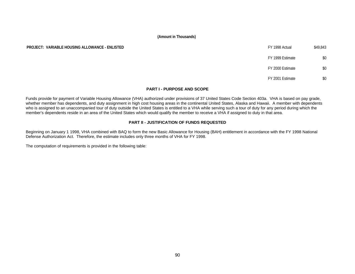# **PROJECT: VARIABLE HOUSING ALLOWANCE - ENLISTED EXECUTED EXECUTED FY 1998 Actual \$49,843**

# FY 1999 Estimate \$0 FY 2000 Estimate \$0 FY 2001 Estimate \$0

# **PART I - PURPOSE AND SCOPE**

Funds provide for payment of Variable Housing Allowance (VHA) authorized under provisions of 37 United States Code Section 403a. VHA is based on pay grade, whether member has dependents, and duty assignment in high cost housing areas in the continental United States, Alaska and Hawaii. A member with dependents who is assigned to an unaccompanied tour of duty outside the United States is entitled to a VHA while serving such a tour of duty for any period during which the member's dependents reside in an area of the United States which would qualify the member to receive a VHA if assigned to duty in that area.

# **PART II - JUSTIFICATION OF FUNDS REQUESTED**

Beginning on January 1 1998, VHA combined with BAQ to form the new Basic Allowance for Housing (BAH) entitlement in accordance with the FY 1998 National Defense Authorization Act. Therefore, the estimate includes only three months of VHA for FY 1998.

The computation of requirements is provided in the following table: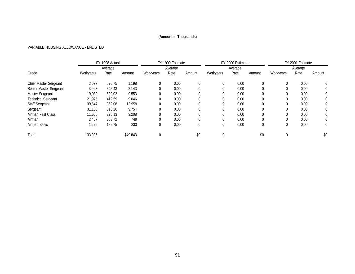# VARIABLE HOUSING ALLOWANCE - ENLISTED

|                           |           | FY 1998 Actual |               |           | FY 1999 Estimate |          |              | FY 2000 Estimate |               | FY 2001 Estimate |         |          |
|---------------------------|-----------|----------------|---------------|-----------|------------------|----------|--------------|------------------|---------------|------------------|---------|----------|
|                           |           | Average        |               |           | Average          |          |              | Average          |               |                  | Average |          |
| Grade                     | Workyears | Rate           | <u>Amount</u> | Workyears | Rate             | Amount   | Workyears    | Rate             | <u>Amount</u> | Workyears        | Rate    | Amount   |
| Chief Master Sergeant     | 2,077     | 576.75         | 1.198         | $\theta$  | 0.00             | 0        | 0            | 0.00             | 0             |                  | 0.00    | $\Omega$ |
| Senior Master Sergeant    | 3,928     | 545.43         | 2,143         | 0         | 0.00             | 0        | 0            | 0.00             |               |                  | 0.00    |          |
| Master Sergeant           | 19,030    | 502.02         | 9,553         | $\Omega$  | 0.00             |          | $\Omega$     | 0.00             |               |                  | 0.00    |          |
| <b>Technical Sergeant</b> | 21.925    | 412.59         | 9,046         |           | 0.00             |          | $\mathbf 0$  | 0.00             |               |                  | 0.00    | 0        |
| <b>Staff Sergeant</b>     | 39,647    | 352.08         | 13.959        | $\Omega$  | 0.00             | 0        | $\Omega$     | 0.00             | 0             |                  | 0.00    | 0        |
| Sergeant                  | 31,136    | 313.26         | 9,754         |           | 0.00             |          | $\Omega$     | 0.00             |               |                  | 0.00    | 0        |
| Airman First Class        | 11,660    | 275.13         | 3,208         | $\Omega$  | 0.00             | $\Omega$ | $\mathbf{0}$ | 0.00             | 0             |                  | 0.00    |          |
| Airman                    | 2,467     | 303.72         | 749           |           | 0.00             |          | $\mathbf 0$  | 0.00             |               |                  | 0.00    |          |
| Airman Basic              | 1,226     | 189.75         | 233           | $\Omega$  | 0.00             | 0        | $\mathbf{0}$ | 0.00             | 0             |                  | 0.00    | 0        |
| Total                     | 133,096   |                | \$49,843      |           |                  | \$0      | 0            |                  | \$0           |                  |         | \$0      |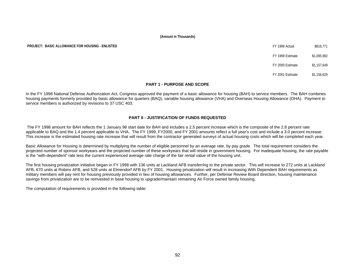**PROJECT: BASIC ALLOWANCE FOR HOUSING - ENLISTED FOR ALLOWANCE FOR HOUSING - ENLISTED FY 1998 Actual** \$816.771

FY 1999 Estimate \$1,095,982

FY 2000 Estimate \$1,157,649

FY 2001 Estimate \$1,156,629

# **PART 1 - PURPOSE AND SCOPE**

In the FY 1998 National Defense Authorization Act, Congress approved the payment of a basic allowance for housing (BAH) to service members. The BAH combines housing payments formerly provided by basic allowance for quarters (BAQ), variable housing allowance (VHA) and Overseas Housing Allowance (OHA). Payment to service members is authorized by revisions to 37 USC 403.

# **PART II - JUSTIFICATION OF FUNDS REQUESTED**

 The FY 1998 amount for BAH reflects the 1 January 98 start date for BAH and includes a 2.5 percent increase which is the composite of the 2.8 percent rate applicable to BAQ and the 1.4 percent applicable to VHA. The FY 1999, FY2000, and FY 2001 amounts reflect a full year's cost and include a 3.0 percent increase. This increase is the estimated housing rate increase that will result from the contractor generated surveys of actual housing costs which will be completed each year.

Basic Allowance for Housing is determined by multiplying the number of eligible personnel by an average rate, by pay grade. The total requirement considers the projected number of sponsor workyears and the projected number of these workyears that will reside in government housing. For inadequate housing, the rate payable is the "with-dependent" rate less the current experienced average rate charge of the fair rental value of the housing unit.

The first housing privatization initiative began in FY 1998 with 136 units at Lackland AFB transferring to the private sector. This will increase to 272 units at Lackland AFB, 670 units at Robins AFB, and 528 units at Elmendorf AFB by FY 2001. Housing privatization will result in increasing With Dependent BAH requirements as military members will pay rent for housing previously provided in lieu of housing allowances. Further, per Defense Review Board direction, housing maintenance savings from privatization are to be reinvested in base housing to upgrade/maintain remaining Air Force owned family housing.

The computation of requirements is provided in the following table: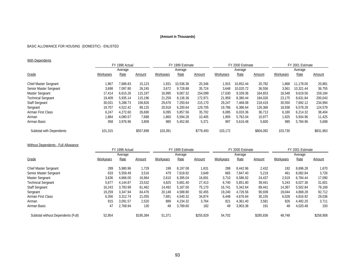# BASIC ALLOWANCE FOR HOUSING (DOMESTIC) - ENLISTED

# **With Dependents**

|                           |           | FY 1998 Actual |           |           | FY 1999 Estimate |           |           | FY 2000 Estimate |           | FY 2001 Estimate |           |           |
|---------------------------|-----------|----------------|-----------|-----------|------------------|-----------|-----------|------------------|-----------|------------------|-----------|-----------|
|                           |           | Average        |           |           | Average          |           |           | Average          |           |                  | Average   |           |
| Grade                     | Workyears | Rate           | Amount    | Workyears | Rate             | Amount    | Workyears | Rate             | Amount    | Workyears        | Rate      | Amount    |
| Chief Master Sergeant     | 1.967     | 7.686.83       | 15,123    | 1.931     | 10.536.36        | 20,346    | 1.915     | 10.852.44        | 20,782    | 1,868            | 11.178.00 | 20,881    |
| Senior Master Sergeant    | 3,698     | 7.097.80       | 26,245    | 3,672     | 9.728.88         | 35.724    | 3,648     | 10.020.72        | 36,556    | 3,561            | 10.321.44 | 36,755    |
| Master Sergeant           | 17.414    | 6.615.26       | 115.197   | 16,995    | 9,067.32         | 154.099   | 17,630    | 9.339.36         | 164.653   | 16,548           | 9.619.56  | 159,184   |
| <b>Technical Sergeant</b> | 19.409    | 5.935.14       | 115.196   | 21,259    | 8,136.36         | 172.971   | 21.959    | 8.380.44         | 184.026   | 23,175           | 8.631.84  | 200,043   |
| <b>Staff Sergeant</b>     | 30.031    | 5.288.73       | 158.826   | 29,676    | 7.250.64         | 215,170   | 29.247    | 7.468.08         | 218,419   | 30,550           | 7.692.12  | 234,994   |
| Sergeant                  | 19,707    | 4.522.42       | 89,125    | 20,918    | 6,200.64         | 129.705   | 19,786    | 6.386.64         | 126,366   | 18,938           | 6.578.28  | 124,579   |
| Airman First Class        | 6.247     | 4.272.60       | 26,690    | 6,095     | 5.857.56         | 35,702    | 6,085     | 6.033.36         | 36,713    | 6,180            | 6.214.32  | 38,404    |
| Airman                    | 1,884     | 4.080.57       | 7,688     | 1,860     | 5,594.28         | 10,405    | 1,905     | 5.762.04         | 10,977    | 1,925            | 5.934.96  | 11,425    |
| Airman Basic              | 958       | 3,976.96       | 3,809     | 985       | 5,452.80         | 5,371     | 997       | 5,616.48         | 5,600     | 985              | 5.784.96  | 5,698     |
| Subtotal with Dependents  | 101.315   |                | \$557.899 | 103.391   |                  | \$779.493 | 103,172   |                  | \$804.092 | 103,730          |           | \$831,963 |

# Without Dependents - Full Allowance

|                                    |           | FY 1998 Actual |           |           | FY 1999 Estimate |           |                 | FY 2000 Estimate |           | FY 2001 Estimate |          |           |
|------------------------------------|-----------|----------------|-----------|-----------|------------------|-----------|-----------------|------------------|-----------|------------------|----------|-----------|
|                                    |           | Average        |           |           | Average          |           |                 | Average          |           |                  | Average  |           |
| Grade                              | Workyears | Rate           | Amount    | Workyears | Rate             | Amount    | Workyears       | Rate             | Amount    | Workyears        | Rate     | Amount    |
| Chief Master Sergeant              | 289       | 5.980.96       | 1.729     | 199       | 8.197.08         | 1,631     | 288             | 8.442.96         | 2,432     | 192              | 8.696.28 | 1,670     |
| Senior Master Sergeant             | 633       | 5.559.49       | 3.516     | 479       | 7.618.92         | 3.649     | 665             | 7.847.40         | 5,219     | 461              | 8.082.84 | 3,726     |
| Master Sergeant                    | 3,636     | 4.666.00       | 16,964    | 2,610     | 6.395.04         | 16,691    | 3,710           | 6.586.92         | 24,437    | 2,519            | 6.784.44 | 17,090    |
| <b>Technical Sergeant</b>          | 5,677     | 4.144.87       | 23,532    | 4,825     | 5.681.40         | 27,413    | 6.740           | 5.851.80         | 39,441    | 5,243            | 6.027.36 | 31,601    |
| <b>Staff Sergeant</b>              | 16,243    | 3.783.99       | 61.462    | 14,492    | 5.187.00         | 75,170    | 16.741          | 5.342.64         | 89.441    | 14,387           | 5.502.84 | 79,169    |
| Sergeant                           | 19.259    | 3.347.94       | 64.476    | 20.148    | 4.588.80         | 92,455    | 19.240          | 4.726.56         | 90,939    | 19,044           | 4.868.28 | 92,712    |
| Airman First Class                 | 6,356     | 3.312.74       | 21.055    | 7,681     | 4.540.32         | 34,874    | 6.448           | 4.676.64         | 30.155    | 6,028            | 4.816.92 | 29,036    |
| Airman                             | 815       | 3.091.57       | 2,520     | 889       | 4,234.32         | 3,764     | 82 <sup>2</sup> | 4.361.40         | 3,581     | 826              | 4.492.20 | 3,711     |
| Airman Basic                       | 47        | 2.768.94       | 130       | 48        | 3,789.60         | 182       | 49              | 3,903.36         | 191       | 48               | 4,020.48 | 193       |
| Subtotal without Dependents (Full) | 52.954    |                | \$195,384 | 51,371    |                  | \$255.829 | 54,702          |                  | \$285,836 | 48.748           |          | \$258,908 |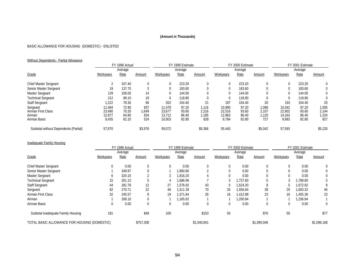# BASIC ALLOWANCE FOR HOUSING (DOMESTIC) - ENLISTED

# Without Dependents - Partial Allowance

|                                                          |                                     | FY 1998 Actual                   |                           |                                      | FY 1999 Estimate                 |                               |                                     | FY 2000 Estimate                 |                                |                                     | FY 2001 Estimate                 |                                |
|----------------------------------------------------------|-------------------------------------|----------------------------------|---------------------------|--------------------------------------|----------------------------------|-------------------------------|-------------------------------------|----------------------------------|--------------------------------|-------------------------------------|----------------------------------|--------------------------------|
|                                                          |                                     | Average                          |                           |                                      | Average                          |                               |                                     | Average                          |                                |                                     | Average                          |                                |
| Grade                                                    | Workyears                           | Rate                             | Amount                    | Workyears                            | Rate                             | Amount                        | Workyears                           | Rate                             | <b>Amount</b>                  | Workyears                           | Rate                             | Amount                         |
| Chief Master Sergeant                                    |                                     | 167.40                           | $\mathbf 0$               | 0                                    | 223.20                           | $\Omega$                      | 0                                   | 223.20                           |                                |                                     | 223.20                           |                                |
| Senior Master Sergeant                                   | 19                                  | 137.70                           |                           | 0                                    | 183.60                           |                               | 0                                   | 183.60                           |                                |                                     | 183.60                           |                                |
| Master Sergeant                                          | 129                                 | 108.00                           | 14                        |                                      | 144.00                           |                               |                                     | 144.00                           |                                |                                     | 144.00                           |                                |
| <b>Technical Sergeant</b>                                | 212                                 | 89.10                            | 19                        | 0                                    | 118.80                           |                               | 0                                   | 118.80                           |                                |                                     | 118.80                           |                                |
| <b>Staff Sergeant</b>                                    | 1,222                               | 78.30                            | 96                        | 202                                  | 104.40                           | 21                            | 187                                 | 104.40                           | 20                             | 193                                 | 104.40                           | 20                             |
| Sergeant<br>Airman First Class<br>Airman<br>Airman Basic | 11.484<br>23.490<br>12,877<br>8,435 | 72.90<br>70.20<br>64.80<br>62.10 | 837<br>.649<br>834<br>524 | 11.478<br>23,677<br>13.712<br>10,003 | 97.20<br>93.60<br>86.40<br>82.80 | 1,116<br>2,216<br>.185<br>828 | 10.990<br>22,516<br>12,963<br>8,784 | 97.20<br>93.60<br>86.40<br>82.80 | 1.068<br>2,107<br>1.120<br>727 | 10,342<br>22,902<br>14,163<br>9,993 | 97.20<br>93.60<br>86.40<br>82.80 | 1,005<br>2,144<br>1,224<br>827 |
| Subtotal without Dependents (Partial)                    | 57.870                              |                                  | \$3,976                   | 59,072                               |                                  | \$5,366                       | 55,440                              |                                  | \$5,042                        | 57,593                              |                                  | \$5,220                        |

# Inadequate Family Housing

|                                              |           | FY 1998 Actual |           | FY 1999 Estimate |          |             |           | FY 2000 Estimate |             | FY 2001 Estimate |          |             |
|----------------------------------------------|-----------|----------------|-----------|------------------|----------|-------------|-----------|------------------|-------------|------------------|----------|-------------|
|                                              |           | Average        |           |                  | Average  |             |           | Average          |             |                  | Average  |             |
| Grade                                        | Workyears | Rate           | Amount    | Workyears        | Rate     | Amount      | Workyears | Rate             | Amount      | Workyears        | Rate     | Amount      |
| Chief Master Sergeant                        | 0         | 0.00           | $\Omega$  | 0                | 0.00     |             | 0         | 0.00             |             | 0                | 0.00     | $\Omega$    |
| Senior Master Sergeant                       |           | 349.97         |           |                  | 1,960.80 |             | 0         | 0.00             |             |                  | 0.00     |             |
| Master Sergeant                              | O         | 324.15         |           |                  | 1,816.20 |             | 0         | 0.00             |             |                  | 0.00     |             |
| <b>Technical Sergeant</b>                    | 15        | 301.13         |           |                  | ,686.96  |             |           | .737.60          |             |                  | 1.789.80 |             |
| <b>Staff Sergeant</b>                        | 44        | 281.78         | 12        | 27               | 1.576.92 | 43          |           | .624.20          |             |                  | 1,672.92 |             |
| Sergeant                                     | 82        | 270.71         | 22        | 46               | 1,511.28 | 70          | 25        | 1.556.64         | 39          | 25               | 1,603.32 | 40          |
| Airman First Class                           | 32        | 245.57         | 8         | 19               | 1,371.84 | 26          | 16        | 1,412.88         | 23          | 16               | 1,455.36 | 23          |
| Airman                                       |           | 208.10         |           |                  | 1.165.92 |             |           | 1.200.84         |             |                  | 1.236.84 |             |
| Airman Basic                                 |           | 0.00           | $\Omega$  | 0                | 0.00     |             | 0         | 0.00             | $\Omega$    | 0                | 0.00     |             |
| Subtotal Inadequate Family Housing           | 181       |                | \$49      | 100              |          | \$153       | 50        |                  | \$76        | 50               |          | \$77        |
| TOTAL BASIC ALLOWANCE FOR HOUSING (DOMESTIC) |           |                | \$757,308 |                  |          | \$1,040,841 |           |                  | \$1,095,046 |                  |          | \$1,096,168 |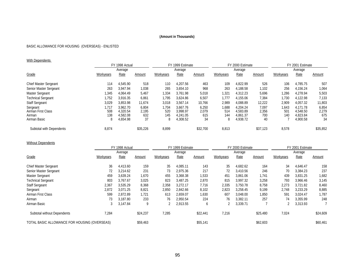# BASIC ALLOWANCE FOR HOUSING (OVERSEAS) - ENLISTED

# With Dependents

|                                                          |                          | FY 1998 Actual                               |                             |                          | FY 1999 Estimate                             |                             |                          | FY 2000 Estimate                             |                             |                                 | FY 2001 Estimate                             |                             |
|----------------------------------------------------------|--------------------------|----------------------------------------------|-----------------------------|--------------------------|----------------------------------------------|-----------------------------|--------------------------|----------------------------------------------|-----------------------------|---------------------------------|----------------------------------------------|-----------------------------|
|                                                          |                          | Average                                      |                             |                          | Average                                      |                             |                          | Average                                      |                             |                                 | Average                                      |                             |
| Grade                                                    | Workyears                | Rate                                         | Amount                      | Workyears                | Rate                                         | Amount                      | Workyears                | Rate                                         | <b>Amount</b>               | Workyears                       | Rate                                         | Amount                      |
| Chief Master Sergeant                                    | 114                      | 4.545.90                                     | 518                         | 110                      | 4.207.56                                     | 463                         | 109                      | 4.822.99                                     | 526                         | 106                             | 4.785.75                                     | 507                         |
| Senior Master Sergeant                                   | 263                      | 3.947.94                                     | 1,038                       | 265                      | 3,654.10                                     | 968                         | 263                      | 4.188.58                                     | 1,102                       | 256                             | 4.156.24                                     | 1,064                       |
| Master Sergeant                                          | ,345                     | 4.064.49                                     | 5,467                       | 1,334                    | 3.761.98                                     | 5,018                       | ,321                     | 4.312.23                                     | 5,696                       | ,286                            | 4.278.94                                     | 5,503                       |
| <b>Technical Sergeant</b>                                | i,752                    | 3.916.35                                     | 6,861                       | 1,795                    | 3,624.86                                     | 6,507                       | 1.777                    | 4,155.06                                     | 7,384                       | 730ء                            | 4,122.98                                     | 7,133                       |
| <b>Staff Sergeant</b>                                    | 3,029                    | 3,853.98                                     | 11,674                      | 3,018                    | 3,567.14                                     | 10,766                      | 2,989                    | 4,088.89                                     | 12,222                      | 2,909                           | 4,057.32                                     | 11,803                      |
| Sergeant<br>Airman First Class<br>Airman<br>Airman Basic | 1.717<br>508<br>138<br>8 | 3.962.70<br>4.320.54<br>4.582.08<br>4,654.98 | 6,804<br>2,195<br>632<br>37 | 1,704<br>520<br>145<br>8 | 3.667.76<br>3.998.97<br>4,241.05<br>4,308.52 | 6,250<br>2,079<br>615<br>34 | 1,688<br>514<br>144<br>8 | 4.204.24<br>4.583.89<br>4.861.37<br>4,938.72 | 7.097<br>2,356<br>700<br>40 | 1,643<br>50 <sup>°</sup><br>140 | 4.171.78<br>4.548.50<br>4.823.84<br>4,900.58 | 6,854<br>2,279<br>675<br>34 |
| Subtotal with Dependents                                 | 8,874                    |                                              | \$35,226                    | 8,899                    |                                              | \$32,700                    | 8,813                    |                                              | \$37.123                    | 8,578                           |                                              | \$35,852                    |

# Without Dependents

|                                                                                                                                                                                               |           | FY 1998 Actual |          |           | FY 1999 Estimate |               |           | FY 2000 Estimate |               |           | FY 2001 Estimate |          |
|-----------------------------------------------------------------------------------------------------------------------------------------------------------------------------------------------|-----------|----------------|----------|-----------|------------------|---------------|-----------|------------------|---------------|-----------|------------------|----------|
| Grade<br>Chief Master Sergeant<br>Senior Master Sergeant<br>Master Sergeant<br><b>Technical Sergeant</b><br><b>Staff Sergeant</b><br>Sergeant<br>Airman First Class<br>Airman<br>Airman Basic |           | Average        |          |           | Average          |               |           | Average          |               |           | Average          |          |
|                                                                                                                                                                                               | Workyears | Rate           | Amount   | Workyears | Rate             | <b>Amount</b> | Workyears | Rate             | <u>Amount</u> | Workyears | Rate             | Amount   |
|                                                                                                                                                                                               | 36        | 4.413.60       | 159      | 35        | 4.085.11         | 143           | 35        | 4.682.62         | 164           | 34        | 4.646.47         | 158      |
|                                                                                                                                                                                               | 72        | 3,214.62       | 231      | 73        | 2,975.36         | 217           | 72        | 3.410.56         | 246           | 70        | 3,384.23         | 237      |
|                                                                                                                                                                                               | 459       | 3.639.24       | 1,670    | 455       | 3,368.38         | 1,533         | 451       | 3.861.06         | 1,741         | 439       | 3.831.25         | 1,682    |
|                                                                                                                                                                                               | 803       | 3.767.67       | 3,025    | 823       | 3.487.25         | 2,870         | 815       | 3.997.32         | 3,258         | 793       | 3.966.46         | 3,145    |
|                                                                                                                                                                                               | 2,367     | 3,535.29       | 8,368    | 2,358     | 3.272.17         | 7,716         | 2,335     | 3.750.78         | 8,758         | 2,273     | 3.721.82         | 8,460    |
|                                                                                                                                                                                               | 2,872     | 3.071.25       | 8,821    | 2,850     | 2.842.66         | 8,102         | 2,823     | 3.258.45         | 9,199         | 2,748     | 3.233.29         | 8,885    |
|                                                                                                                                                                                               | 599       | 2.872.89       | 1,721    | 613       | 2,659.07         | 1,630         | 607       | 3,048.00         | 1,850         | 591       | 3,024.47         | 1,787    |
|                                                                                                                                                                                               | 73        | 3.187.80       | 233      | 76        | 2.950.54         | 224           | 76        | 3.382.11         | 257           | 74        | 3.355.99         | 248      |
|                                                                                                                                                                                               | 3         | 3.147.84       | 9        |           | 2.913.55         | b             |           | 3.339.71         |               |           | 3,313.93         |          |
| Subtotal without Dependents                                                                                                                                                                   | 7,284     |                | \$24,237 | 7,285     |                  | \$22,441      | 7,216     |                  | \$25,480      | 7,024     |                  | \$24,609 |
| TOTAL BASIC ALLOWANCE FOR HOUSING (OVERSEAS)                                                                                                                                                  |           |                | \$59,463 |           |                  | \$55,141      |           |                  | \$62,603      |           |                  | \$60,461 |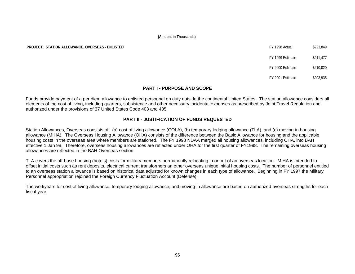**PROJECT: STATION ALLOWANCE, OVERSEAS - ENLISTED** 

| FY 1998 Actual   | \$223,849 |
|------------------|-----------|
| FY 1999 Estimate | \$211,477 |
| FY 2000 Estimate | \$210,020 |

FY 2001 Estimate \$203,935

# **PART I - PURPOSE AND SCOPE**

Funds provide payment of a per diem allowance to enlisted personnel on duty outside the continental United States. The station allowance considers all elements of the cost of living, including quarters, subsistence and other necessary incidental expenses as prescribed by Joint Travel Regulation and authorized under the provisions of 37 United States Code 403 and 405.

# **PART II - JUSTIFICATION OF FUNDS REQUESTED**

Station Allowances, Overseas consists of: (a) cost of living allowance (COLA), (b) temporary lodging allowance (TLA), and (c) moving-in housing allowance (MIHA). The Overseas Housing Allowance (OHA) consists of the difference between the Basic Allowance for housing and the applicable housing costs in the overseas area where members are stationed. The FY 1998 NDAA merged all housing allowances, including OHA, into BAH effective 1 Jan 98. Therefore, overseas housing allowances are reflected under OHA for the first quarter of FY1998. The remaining overseas housing allowances are reflected in the BAH Overseas section.

TLA covers the off-base housing (hotels) costs for military members permanently relocating in or out of an overseas location. MIHA is intended to offset initial costs such as rent deposits, electrical current transformers an other overseas unique initial housing costs. The number of personnel entitled to an overseas station allowance is based on historical data adjusted for known changes in each type of allowance. Beginning in FY 1997 the Military Personnel appropriation rejoined the Foreign Currency Fluctuation Account (Defense).

The workyears for cost of living allowance, temporary lodging allowance, and moving-in allowance are based on authorized overseas strengths for each fiscal year.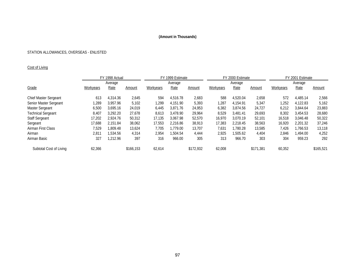# STATION ALLOWANCES, OVERSEAS - ENLISTED

# Cost of Living

|                           |           | FY 1998 Actual |           |           | FY 1999 Estimate |           |           |          | FY 2000 Estimate | FY 2001 Estimate |             |           |
|---------------------------|-----------|----------------|-----------|-----------|------------------|-----------|-----------|----------|------------------|------------------|-------------|-----------|
|                           |           | Average        |           |           | Average          |           |           | Average  |                  |                  | Average     |           |
| Grade                     | Workyears | Rate           | Amount    | Workyears | Rate             | Amount    | Workyears | Rate     | Amount           | Workyears        | <b>Rate</b> | Amount    |
| Chief Master Sergeant     | 613       | 4.314.36       | 2,645     | 594       | 4,516.78         | 2,683     | 588       | 4.520.04 | 2,658            | 572              | 4.485.14    | 2,566     |
| Senior Master Sergeant    | ,289      | 3.957.96       | 5,102     | 1,299     | 4.151.90         | 5,393     | ,287      | 4.154.91 | 5,347            | 1,252            | 4.122.83    | 5,162     |
| Master Sergeant           | 6,500     | 3.695.16       | 24,019    | 6,445     | 3.871.76         | 24,953    | 6,382     | 3.874.56 | 24,727           | 6,212            | 3.844.64    | 23,883    |
| <b>Technical Sergeant</b> | 8,407     | 3.292.20       | 27,678    | 8,613     | 3.478.90         | 29.964    | 8,529     | 3.481.41 | 29,693           | 8,302            | 3.454.53    | 28,680    |
| <b>Staff Sergeant</b>     | 17,202    | 2.924.76       | 50,312    | 17,135    | 3,067.98         | 52,570    | 16,970    | 3.070.19 | 52,101           | 16,518           | 3.046.48    | 50,322    |
| Sergeant                  | 17.688    | 2.151.84       | 38,062    | 17.553    | 2.216.86         | 38.913    | 17,383    | 2.218.45 | 38,563           | 16.920           | 2.201.32    | 37,246    |
| Airman First Class        | 7.529     | .809.48        | 13,624    | 7.705     | 1.779.00         | 13,707    | 7,631     | 1.780.28 | 13,585           | 7,426            | 1.766.53    | 13,118    |
| Airman                    | 2,811     | 1,534.56       | 4,314     | 2,954     | 1,504.54         | 4.444     | 2,925     | ,505.62  | 4,404            | 2,846            | 1.494.00    | 4,252     |
| Airman Basic              | 327       | ,212.96        | 397       | 316       | 966.00           | 305       | 313       | 966.70   | 303              | 304              | 959.23      | 292       |
| Subtotal Cost of Living   | 62,366    |                | \$166.153 | 62,614    |                  | \$172,932 | 62,008    |          | \$171.381        | 60,352           |             | \$165,521 |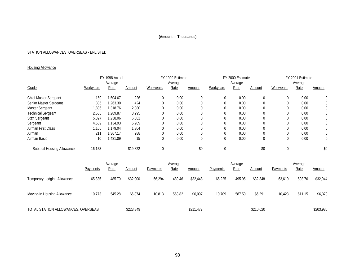# STATION ALLOWANCES, OVERSEAS - ENLISTED

# **Housing Allowance**

|                            | FY 1998 Actual |          |          | FY 1999 Estimate |         |        |           | FY 2000 Estimate |          | FY 2001 Estimate |         |        |
|----------------------------|----------------|----------|----------|------------------|---------|--------|-----------|------------------|----------|------------------|---------|--------|
|                            |                | Average  |          |                  | Average |        |           | Average          |          |                  | Average |        |
| Grade                      | Workyears      | Rate     | Amount   | Workyears        | Rate    | Amount | Workyears | Rate             | Amount   | Workyears        | Rate    | Amount |
| Chief Master Sergeant      | 150            | 1,504.67 | 226      |                  | 0.00    | 0      |           | 0.00             | 0        |                  | 0.00    | 0      |
| Senior Master Sergeant     | 335            | 1,263.30 | 424      |                  | 0.00    |        |           | 0.00             |          |                  | 0.00    | 0      |
| Master Sergeant            | ,805           | 1,318.76 | 2,380    |                  | 0.00    |        |           | 0.00             |          |                  | 0.00    | 0      |
| <b>Technical Sergeant</b>  | 2,555          | 1.289.87 | 3,295    |                  | 0.00    |        |           | 0.00             |          |                  | 0.00    | 0      |
| <b>Staff Sergeant</b>      | 5,397          | 1.238.06 | 6,681    |                  | 0.00    |        |           | 0.00             |          |                  | 0.00    | 0      |
| Sergeant                   | 4,589          | 1.134.93 | 5,209    |                  | 0.00    |        |           | 0.00             |          |                  | 0.00    | 0      |
| Airman First Class         | ,106           | 1.179.04 | 1,304    |                  | 0.00    |        |           | 0.00             |          |                  | 0.00    | 0      |
| Airman                     | 211            | 1.367.17 | 288      |                  | 0.00    | 0      |           | 0.00             |          |                  | 0.00    | 0      |
| Airman Basic               | 10             | 431.09   | 15       |                  | 0.00    | 0      |           | 0.00             | $\Omega$ |                  | 0.00    | 0      |
| Subtotal Housing Allowance | 16,158         |          | \$19,822 |                  |         | \$0    |           |                  | \$0      |                  |         | \$0    |

|                                    |                 | Average |               |                 | Average     |           |                 | Average     |               |          | Average |           |
|------------------------------------|-----------------|---------|---------------|-----------------|-------------|-----------|-----------------|-------------|---------------|----------|---------|-----------|
|                                    | <b>Payments</b> | Rate    | <u>Amount</u> | <b>Payments</b> | <u>Rate</u> | Amount    | <b>Payments</b> | <u>Rate</u> | <u>Amount</u> | Payments | Rate    | Amount    |
| <b>Temporary Lodging Allowance</b> | 65,885          | 485.70  | \$32,000      | 66,294          | 489.46      | \$32,448  | 65,225          | 495.95      | \$32,348      | 63,610   | 503.76  | \$32,044  |
| Moving-In Housing Allowance        | 10,773          | 545.28  | \$5,874       | 10,813          | 563.82      | \$6,097   | 10,709          | 587.50      | \$6,291       | 10,423   | 611.15  | \$6,370   |
| TOTAL STATION ALLOWANCES, OVERSEAS |                 |         | \$223,849     |                 |             | \$211,477 |                 |             | \$210,020     |          |         | \$203,935 |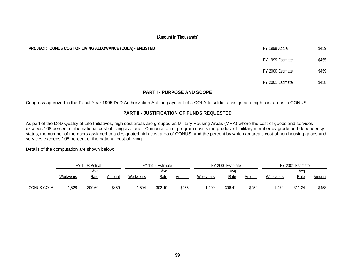# **PROJECT: CONUS COST OF LIVING ALLOWANCE (COLA) - ENLISTED FROJECT: CONUS COST OF LIVING ALLOWANCE (COLA) - ENLISTED**

# **FY 1999 Estimate** \$455 FY 2000 Estimate \$459

FY 2001 Estimate \$458

# **PART I - PURPOSE AND SCOPE**

Congress approved in the Fiscal Year 1995 DoD Authorization Act the payment of a COLA to soldiers assigned to high cost areas in CONUS.

# **PART II - JUSTIFICATION OF FUNDS REQUESTED**

As part of the DoD Quality of Life Initiatives, high cost areas are grouped as Military Housing Areas (MHA) where the cost of goods and services exceeds 108 percent of the national cost of living average. Computation of program cost is the product of military member by grade and dependency status, the number of members assigned to a designated high-cost area of CONUS, and the percent by which an area's cost of non-housing goods and services exceeds 108 percent of the national cost of living.

Details of the computation are shown below:

|            |                  | FY 1998 Actual     |        |           | FY 1999 Estimate   |        |                  | FY 2000 Estimate |        |           | FY 2001 Estimate   |        |
|------------|------------------|--------------------|--------|-----------|--------------------|--------|------------------|------------------|--------|-----------|--------------------|--------|
|            | <b>Workyears</b> | Avg<br><b>Rate</b> | Amount | Workyears | Ava<br><u>Rate</u> | Amount | <b>Workyears</b> | Ava<br>Rate      | Amount | Workyears | Ava<br><u>Rate</u> | Amount |
| CONUS COLA | ,528             | 300.60             | \$459  | ,504      | 302.40             | \$455  | ,499             | 306.41           | \$459  | .472      | 311.24             | \$458  |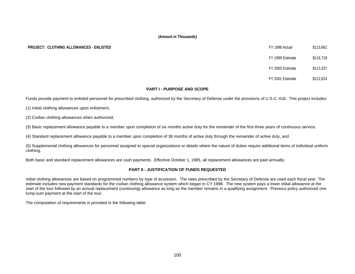# **PROJECT: CLOTHING ALLOWANCES - ENLISTED**

| FY 1998 Actual   | \$113,662 |
|------------------|-----------|
| FY 1999 Estimate | \$116,718 |
| FY 2000 Estimate | \$113,337 |
| FY 2001 Estimate | \$112,824 |

# **PART I - PURPOSE AND SCOPE**

Funds provide payment to enlisted personnel for prescribed clothing, authorized by the Secretary of Defense under the provisions of U.S.C. 418. This project includes:

(1) Initial clothing allowances upon enlistment,

(2) Civilian clothing allowances when authorized,

(3) Basic replacement allowance payable to a member upon completion of six months active duty for the remainder of the first three years of continuous service,

(4) Standard replacement allowance payable to a member upon completion of 36 months of active duty through the remainder of active duty, and

(5) Supplemental clothing allowances for personnel assigned to special organizations or details where the nature of duties require additional items of individual uniform clothing.

Both basic and standard replacement allowances are cash payments. Effective October 1, 1985, all replacement allowances are paid annually.

# **PART II - JUSTIFICATION OF FUNDS REQUESTED**

Initial clothing allowances are based on programmed numbers by type of accession. The rates prescribed by the Secretary of Defense are used each fiscal year. The estimate includes new payment standards for the civilian clothing allowance system which began in CY 1998. The new system pays a lower initial allowance at the start of the tour followed by an annual replacement (continuing) allowance as long as the member remains in a qualifying assignment. Previous policy authorized one lump-sum payment at the start of the tour.

The computation of requirements is provided in the following table: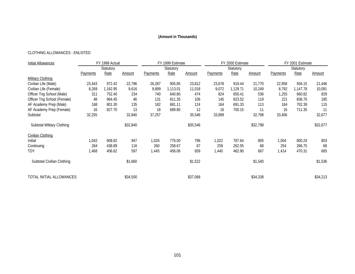# CLOTHING ALLOWANCES - ENLISTED

| Initial Allowances          |                 | FY 1998 Actual |          |          | FY 1999 Estimate |          |          | FY 2000 Estimate |               |                 | FY 2001 Estimate |          |
|-----------------------------|-----------------|----------------|----------|----------|------------------|----------|----------|------------------|---------------|-----------------|------------------|----------|
|                             |                 | Statutory      |          |          | Statutory        |          |          | Statutory        |               |                 | Statutory        |          |
|                             | <b>Payments</b> | Rate           | Amount   | Payments | Rate             | Amount   | Payments | Rate             | <b>Amount</b> | <b>Payments</b> | Rate             | Amount   |
| <b>Military Clothing</b>    |                 |                |          |          |                  |          |          |                  |               |                 |                  |          |
| Civilian Life (Male)        | 23,443          | 972.42         | 22,796   | 26,287   | 905.85           | 23,812   | 23,678   | 919.44           | 21,770        | 22,958          | 934.15           | 21,446   |
| Civilian Life (Female)      | 8,269           | 1,162.95       | 9,616    | 9,899    | 1,113.01         | 11,018   | 9,072    | 1,129.71         | 10,249        | 8,792           | 1,147.78         | 10,091   |
| Officer Tng School (Male)   | 311             | 752.40         | 234      | 740      | 640.80           | 474      | 824      | 650.41           | 536           | 1,255           | 660.82           | 829      |
| Officer Tng School (Female) | 48              | 964.45         | 46       | 131      | 811.35           | 106      | 145      | 823.52           | 119           | 221             | 836.70           | 185      |
| AF Academy Prep (Male)      | 168             | 801.30         | 135      | 182      | 681.11           | 124      | 164      | 691.33           | 113           | 164             | 702.39           | 115      |
| AF Academy Prep (Female)    | 16              | 827.70         | 13       | 18       | 689.80           | 12       | 16       | 700.15           | 11            | 16              | 711.35           | 11       |
| Subtotal                    | 32,255          |                | 32,840   | 37,257   |                  | 35,546   | 33,899   |                  | 32,798        | 33,406          |                  | 32,677   |
| Subtotal Military Clothing  |                 |                | \$32,840 |          |                  | \$35,546 |          |                  | \$32,798      |                 |                  | \$32,677 |
| Civilian Clothing           |                 |                |          |          |                  |          |          |                  |               |                 |                  |          |
| Initial                     | 1,042           | 908.82         | 947      | 1,026    | 776.00           | 796      | 1,022    | 787.64           | 805           | 1,004           | 800.24           | 803      |
| Continuing                  | 264             | 438.89         | 116      | 260      | 258.67           | 67       | 259      | 262.55           | 68            | 254             | 266.75           | 68       |
| TDY                         | 1,468           | 406.62         | 597      | 1,445    | 456.06           | 659      | 1,440    | 462.90           | 667           | 1,414           | 470.31           | 665      |
| Subtotal Civilian Clothing  |                 |                | \$1,660  |          |                  | \$1,522  |          |                  | \$1,540       |                 |                  | \$1,536  |
| TOTAL INITIAL ALLOWANCES    |                 |                | \$34,500 |          |                  | \$37,068 |          |                  | \$34,338      |                 |                  | \$34,213 |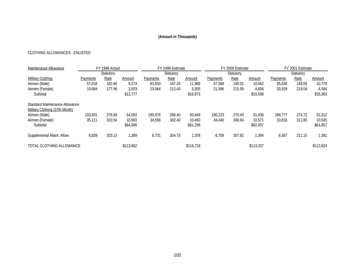# CLOTHING ALLOWANCES - ENLISTED

| Maintenance Allowance          |          | FY 1998 Actual |           |          | FY 1999 Estimate |           |                 | FY 2000 Estimate |               |          | FY 2001 Estimate |               |
|--------------------------------|----------|----------------|-----------|----------|------------------|-----------|-----------------|------------------|---------------|----------|------------------|---------------|
|                                |          | Statutory      |           |          | Statutory        |           |                 | Statutory        |               |          | Statutory        |               |
| Military Clothing              | Payments | Rate           | Amount    | Payments | Rate             | Amount    | <b>Payments</b> | <u>Rate</u>      | <u>Amount</u> | Payments | <u>Rate</u>      | <u>Amount</u> |
| Airmen (Male)                  | 57,016   | 162.66         | 9,274     | 63.933   | 187.20           | 11.968    | 57,588          | 190.01           | 10,942        | 55,836   | 193.05           | 10,779        |
| Airmen (Female)                | 19,684   | 177.96         | 3,503     | 23,564   | 212.40           | 5,005     | 21,596          | 215.59           | 4,656         | 20,929   | 219.04           | 4,584         |
| Subtotal                       |          |                | \$12,777  |          |                  | \$16,973  |                 |                  | \$15,598      |          |                  | \$15,363      |
| Standard Maintenance Allowance |          |                |           |          |                  |           |                 |                  |               |          |                  |               |
| Military Clothing (37th Month) |          |                |           |          |                  |           |                 |                  |               |          |                  |               |
| Airmen (Male)                  | 193.931  | 278.93         | 54.093    | 190.876  | 266.40           | 50.849    | 190,223         | 270.40           | 51.436        | 186.777  | 274.72           | 51,312        |
| Airmen (Female)                | 35,111   | 310.54         | 10.903    | 34,558   | 302.40           | 10.450    | 34,440          | 306.94           | 10,571        | 33,816   | 311.85           | 10,545        |
| Subtotal                       |          |                | \$64.996  |          |                  | \$61,299  |                 |                  | \$62,007      |          |                  | \$61,857      |
| Supplemental Maint. Allow.     | 6,839    | 203.13         | 1,389     | 6,731    | 204.75           | 1,378     | 6,708           | 207.82           | 1,394         | 6,587    | 211.15           | 1,391         |
| TOTAL CLOTHING ALLOWANCE       |          |                | \$113,662 |          |                  | \$116,718 |                 |                  | \$113,337     |          |                  | \$112,824     |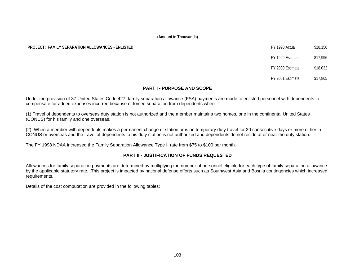# **PROJECT: FAMILY SEPARATION ALLOWANCES - ENLISTED FOUR SEPARATION ALLOWANCES - ENLISTED FY 1998 Actual \$18,156**

FY 1999 Estimate \$17,996

FY 2000 Estimate \$18,032

FY 2001 Estimate \$17,865

# **PART I - PURPOSE AND SCOPE**

Under the provision of 37 United States Code 427, family separation allowance (FSA) payments are made to enlisted personnel with dependents to compensate for added expenses incurred because of forced separation from dependents when:

(1) Travel of dependents to overseas duty station is not authorized and the member maintains two homes, one in the continental United States (CONUS) for his family and one overseas.

(2) When a member with dependents makes a permanent change of station or is on temporary duty travel for 30 consecutive days or more either in CONUS or overseas and the travel of dependents to his duty station is not authorized and dependents do not reside at or near the duty station.

The FY 1998 NDAA increased the Family Separation Allowance Type II rate from \$75 to \$100 per month.

# **PART II - JUSTIFICATION OF FUNDS REQUESTED**

Allowances for family separation payments are determined by multiplying the number of personnel eligible for each type of family separation allowance by the applicable statutory rate. This project is impacted by national defense efforts such as Southwest Asia and Bosnia contingencies which increased requirements.

Details of the cost computation are provided in the following tables: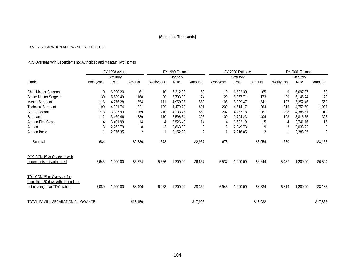# FAMILY SEPARATION ALLOWANCES - ENLISTED

# PCS Overseas with Dependents not Authorized and Maintain Two Homes

|                                                                | FY 1998 Actual   |          |                |                 | FY 1999 Estimate |         |           | FY 2000 Estimate |                | FY 2001 Estimate |          |                |  |
|----------------------------------------------------------------|------------------|----------|----------------|-----------------|------------------|---------|-----------|------------------|----------------|------------------|----------|----------------|--|
|                                                                | Statutory        |          |                | Statutory       |                  |         | Statutory |                  |                | Statutory        |          |                |  |
| Grade                                                          | <b>Workyears</b> | Rate     | Amount         | Workyears       | Rate             | Amount  | Workyears | Rate             | Amount         | <b>Workyears</b> | Rate     | Amount         |  |
| <b>Chief Master Sergeant</b>                                   | 10               | 6,090.20 | 61             | 10 <sup>°</sup> | 6,312.92         | 63      | 10        | 6,502.30         | 65             | 9                | 6,697.37 | 60             |  |
| Senior Master Sergeant                                         | 30               | 5,589.49 | 168            | 30              | 5,793.89         | 174     | 29        | 5,967.71         | 173            | 29               | 6,146.74 | 178            |  |
| Master Sergeant                                                | 116              | 4,776.28 | 554            | 111             | 4,950.95         | 550     | 106       | 5,099.47         | 541            | 107              | 5,252.46 | 562            |  |
| <b>Technical Sergeant</b>                                      | 190              | 4,321.74 | 821            | 199             | 4,479.78         | 891     | 209       | 4,614.17         | 964            | 216              | 4,752.60 | 1,027          |  |
| <b>Staff Sergeant</b>                                          | 218              | 3,987.93 | 869            | 210             | 4.133.76         | 868     | 207       | 4,257.78         | 881            | 208              | 4,385.51 | 912            |  |
| Sergeant                                                       | 112              | 3,469.46 | 389            | 110             | 3,596.34         | 396     | 109       | 3,704.23         | 404            | 103              | 3,815.35 | 393            |  |
| Airman First Class                                             |                  | 3,401.99 | 14             | 4               | 3,526.40         | 14      | 4         | 3,632.19         | 15             | 4                | 3,741.16 | 15             |  |
| Airman                                                         |                  | 2,762.79 | 8              | 3               | 2,863.82         | 9       | 3         | 2,949.73         | 9              |                  | 3,038.22 | 9              |  |
| Airman Basic                                                   |                  | 2,076.35 | $\overline{2}$ | 1               | 2,152.28         | 2       |           | 2,216.85         | $\overline{2}$ |                  | 2,283.35 | $\overline{2}$ |  |
| Subtotal                                                       | 684              |          | \$2,886        | 678             |                  | \$2,967 | 678       |                  | \$3,054        | 680              |          | \$3,158        |  |
| PCS CONUS or Overseas with<br>dependents not authorized        | 5,645            | 1,200.00 | \$6,774        | 5,556           | 1,200.00         | \$6,667 | 5,537     | 1,200.00         | \$6,644        | 5,437            | 1,200.00 | \$6,524        |  |
|                                                                |                  |          |                |                 |                  |         |           |                  |                |                  |          |                |  |
| TDY CONUS or Overseas for<br>more than 30 days with dependents |                  |          |                |                 |                  |         |           |                  |                |                  |          |                |  |
| not residing near TDY station                                  | 7,080            | 1,200.00 | \$8,496        | 6,968           | 1,200.00         | \$8,362 | 6,945     | 1,200.00         | \$8,334        | 6,819            | 1,200.00 | \$8,183        |  |
| TOTAL FAMILY SEPARATION ALLOWANCE<br>\$18,156                  |                  |          |                |                 | \$17,996         |         |           | \$18,032         |                |                  | \$17,865 |                |  |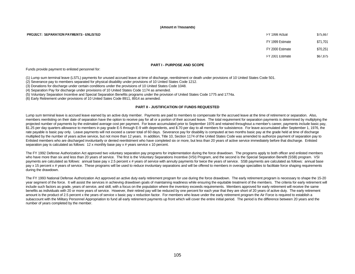**PROJECT: SEPARATION PAYMENTS - ENLISTED**  $$75,667$ 

FY 1999 Estimate \$71,701 FY 2000 Estimate \$70,251 FY 2001 Estimate \$67,875

# **PART I - PURPOSE AND SCOPE**

Funds provide payment to enlisted personnel for:

(1) Lump sum terminal leave (LSTL) payments for unused accrued leave at time of discharge, reenlistment or death under provisions of 10 United States Code 501.

(2) Severance pay to members separated for physical disability under provisions of 10 United States Code 1212.

(3) Donations for discharge under certain conditions under the provisions of 10 United States Code 1048.

(4) Separation Pay for discharge under provisions of 10 United States Code 1174 as amended.

(5) Voluntary Separation Incentive and Special Separation Benefits programs under the provision of United States Code 1775 and 1774a.

(6) Early Retirement under provisions of 10 United Sates Code 8911, 8914 as amended.

# **PART II - JUSTIFICATION OF FUNDS REQUESTED**

Lump sum terminal leave is accrued leave earned by an active duty member. Payments are paid to members to compensate for the accrued leave at the time of retirement or separation. Also, members reenlisting on their date of separation have the option to receive pay for all or a portion of their accrued leave. The total requirement for separation payments is determined by multiplying the projected number of payments by the estimated average cost per payment. For leave accumulated prior to September 1976 and retained throughout a member's career, payments include basic pay, \$1.25 per day quarters allowance to members in pay grade E-5 through E-9 with dependents, and \$.70 per day to all members for subsistence. For leave accumulated after September 1, 1976, the rate payable is basic pay only. Leave payments will not exceed a career total of 60 days. Severance pay for disability is computed at two months basic pay at the grade held at time of discharge multiplied by the number of years active service, but not more than 12 years. In addition, Title 10, Section 1174 of the United States Code was amended to authorize payment of separation pay to Enlisted members who are discharged involuntarily or denied reenlistment who have completed six or more, but less than 20 years of active service immediately before that discharge. Enlisted separation pay is calculated as follows: 12 x monthly base pay x # years service x 10 percent.

The FY 1992 Defense Authorization Act approved two voluntary separation pay programs for implementation during the force drawdown. The programs apply to both officer and enlisted members who have more than six and less than 20 years of service. The first is the Voluntary Separations Incentive (VSI) Program, and the second is the Special Separation Benefit (SSB) program. VSI payments are calculated as follows: annual base pay x 2.5 percent x # years of service with annuity payments for twice the years of service. SSB payments are calculated as follows: annual base pay x 15 percent x # years of service. These programs will be used to reduce involuntary separations and will be offered to members in overage specialties to facilitate force shaping requirements during the drawdown.

The FY 1993 National Defense Authorization Act approved an active duty early retirement program for use during the force drawdown. The early retirement program is necessary to shape the 15-20 year segment of the force. It will assist the services in achieving drawdown goals of maintaining readiness while ensuring the equitable treatment of the members. The criteria for early retirement will include such factors as grade, years of service, and skill, with a focus on the population where the inventory exceeds requirements. Members approved for early retirement will receive the same benefits as individuals with 20 or more years of service. However, their retired pay will be reduced by one percent for each year that they are short of 20 years of active duty. The early retirement amount is the product of 2.5 percent x the years of service x basic pay x reduction factor. For members who leave under the early retirement program the Air Force is required to establish a subaccount with the Military Personnel Appropriation to fund all early retirement payments up front which will cover the entire initial period. The period is the difference between 20 years and the number of years completed by the member.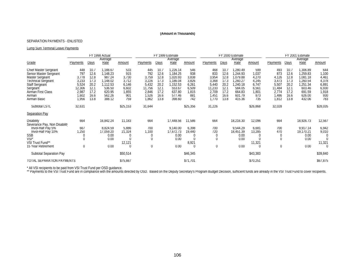# SEPARATION PAYMENTS - ENLISTED

## Lump Sum Terminal Leave Payments

|                                                                                                                                                                                      | FY 1998 Actual                                                             |                                                                      |                                                                                                | FY 1999 Estimate                                                      |                                                                            |                                                                      |                                                                                               | FY 2000 Estimate                                                      |                                                                            |                                                                      |                                                                                                 | FY 2001 Estimate                                                        |                                                                           |                                                                      |                                                                                                 |                                                                         |
|--------------------------------------------------------------------------------------------------------------------------------------------------------------------------------------|----------------------------------------------------------------------------|----------------------------------------------------------------------|------------------------------------------------------------------------------------------------|-----------------------------------------------------------------------|----------------------------------------------------------------------------|----------------------------------------------------------------------|-----------------------------------------------------------------------------------------------|-----------------------------------------------------------------------|----------------------------------------------------------------------------|----------------------------------------------------------------------|-------------------------------------------------------------------------------------------------|-------------------------------------------------------------------------|---------------------------------------------------------------------------|----------------------------------------------------------------------|-------------------------------------------------------------------------------------------------|-------------------------------------------------------------------------|
| Grade                                                                                                                                                                                | Payments                                                                   | Days                                                                 | Average<br>Rate                                                                                | Amount                                                                | Payments                                                                   | Days                                                                 | Average<br>Rate                                                                               | Amount                                                                | Payments                                                                   | Days                                                                 | Average<br>Rate                                                                                 | Amount                                                                  | Payments                                                                  | Days                                                                 | Average<br>Rate                                                                                 | Amount                                                                  |
| <b>Chief Master Sergeant</b><br>Senior Master Sergeant<br>Master Sergeant<br><b>Technical Sergeant</b><br>Staff Sergeant<br>Sergeant<br>Airman First Class<br>Airman<br>Airman Basic | 448<br>797<br>3,778<br>3,233<br>5,524<br>12,306<br>2,987<br>1,602<br>1,956 | 10.7<br>12.6<br>12.8<br>17.3<br>20.2<br>12.1<br>17.2<br>16.6<br>13.8 | 1,188.67<br>1,148.23<br>987.24<br>1,148.02<br>1,112.53<br>536.50<br>620.95<br>562.26<br>388.12 | 533<br>915<br>3,730<br>3,712<br>6,146<br>6,602<br>1,855<br>901<br>759 | 445<br>792<br>3,759<br>3,226<br>5,432<br>11,756<br>2,846<br>1,526<br>1,862 | 10.7<br>12.6<br>12.8<br>17.3<br>20.2<br>12.1<br>17.2<br>16.6<br>13.8 | ,226.14<br>1,184.25<br>1,020.93<br>186.04<br>1,152.53<br>553.67<br>637.80<br>577.46<br>398.60 | 546<br>938<br>3,838<br>3,826<br>6,261<br>6,509<br>1,815<br>881<br>742 | 468<br>833<br>3,954<br>3,368<br>5,440<br>11,233<br>2,709<br>1,451<br>1,770 | 10.7<br>12.6<br>12.8<br>17.3<br>20.2<br>12.1<br>17.2<br>16.6<br>13.8 | 1,280.49<br>1,244.93<br>1.079.88<br>1,260.27<br>,240.18<br>584.05<br>664.83<br>601.79<br>415.36 | 599<br>1,037<br>4,270<br>4,245<br>6,747<br>6,561<br>1,801<br>873<br>735 | 493<br>873<br>4,126<br>3,473<br>5,507<br>11,484<br>2,774<br>,486<br>1,812 | 10.7<br>12.6<br>12.8<br>17.3<br>20.2<br>12.1<br>17.2<br>16.6<br>13.8 | 1,306.89<br>1,259.83<br>1,081.18<br>1,260.54<br>,251.34<br>603.46<br>691.59<br>626.00<br>432.06 | 644<br>1,100<br>4,461<br>4,378<br>6,891<br>6,930<br>1,918<br>930<br>783 |
| Subtotal LSTL                                                                                                                                                                        | 32,631                                                                     |                                                                      |                                                                                                | \$25,153                                                              | 31,644                                                                     |                                                                      |                                                                                               | \$25,356                                                              | 31,226                                                                     |                                                                      |                                                                                                 | \$26,868                                                                | 32,028                                                                    |                                                                      |                                                                                                 | \$28,035                                                                |
| <b>Separation Pay</b>                                                                                                                                                                |                                                                            |                                                                      |                                                                                                |                                                                       |                                                                            |                                                                      |                                                                                               |                                                                       |                                                                            |                                                                      |                                                                                                 |                                                                         |                                                                           |                                                                      |                                                                                                 |                                                                         |
| <b>Disability</b><br>Severance Pay, Non Disabilit<br>Invol-Half Pay 5%<br>Invol-Half Pay 10%<br><b>SSB</b><br>VSI <sup>*</sup><br>VSI Trust Fund**<br>15 Year Retirement             | 664<br>667<br>1,250<br>$\Omega$<br>$\left($<br>$\overline{0}$              |                                                                      | 16,842.24<br>8,824.59<br>17,059.20<br>0.00<br>0.00<br>0.00                                     | 11,183<br>5,886<br>21,324<br>C<br>$\sqrt{ }$<br>12,121<br>$\left($    | 664<br>700<br>1,100<br>0<br>$\Omega$<br>$\overline{0}$                     |                                                                      | 17,448.56<br>9,140.00<br>17,672.73<br>0.00<br>0.00<br>0.00                                    | 11,586<br>6,398<br>19,440<br>U<br>8,921<br>0                          | 664<br>700<br>720<br>$\Omega$<br>$\left($                                  |                                                                      | 18,216.30<br>9,544.29<br>18,451.39<br>0.00<br>0.00<br>0.00                                      | 12,096<br>6,681<br>13,285<br>0<br>11,321<br>$\left($                    | 664<br>700<br>470<br>0<br>0                                               |                                                                      | 18,926.73<br>9,917.14<br>19,170.21<br>0.00<br>0.00<br>0.00                                      | 12,567<br>6,942<br>9,010<br>$\left($<br>$\Omega$<br>11,321<br>$\Omega$  |
| Subtotal Separation Pay                                                                                                                                                              |                                                                            |                                                                      |                                                                                                | \$50,514                                                              |                                                                            |                                                                      |                                                                                               | \$46,345                                                              |                                                                            |                                                                      |                                                                                                 | \$43,383                                                                |                                                                           |                                                                      |                                                                                                 | \$39,840                                                                |
| TOTAL SEPARATION PAYMENTS                                                                                                                                                            |                                                                            |                                                                      |                                                                                                | \$75,667                                                              |                                                                            |                                                                      |                                                                                               | \$71,701                                                              |                                                                            |                                                                      |                                                                                                 | \$70,251                                                                |                                                                           |                                                                      |                                                                                                 | \$67,875                                                                |

\* All VSI recipients to be paid from VSI Trust Fund per OSD guidance.

\*\* Payments to the VSI Trust Fund are in compliance with the amounts directed by OSD. Based on the Deputy Secretary's Program Budget Decision, sufficient funds are already in the VSI Trust Fund to cover recipients.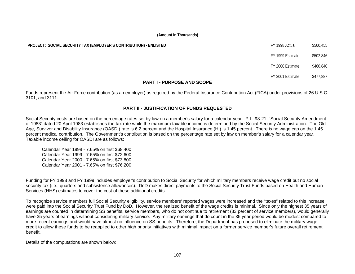#### **PROJECT: SOCIAL SECURITY TAX (EMPLOYER'S CONTRIBUTION) - ENLISTED FOUTHERS FY 1998** Actual \$500,455

FY 1999 Estimate \$502,846

FY 2000 Estimate \$460,840

FY 2001 Estimate \$477,887

#### **PART I - PURPOSE AND SCOPE**

Funds represent the Air Force contribution (as an employer) as required by the Federal Insurance Contribution Act (FICA) under provisions of 26 U.S.C. 3101, and 3111.

#### **PART II - JUSTIFICATION OF FUNDS REQUESTED**

Social Security costs are based on the percentage rates set by law on a member's salary for a calendar year. P.L. 98-21, "Social Security Amendment of 1983" dated 20 April 1983 establishes the tax rate while the maximum taxable income is determined by the Social Security Administration. The Old Age, Survivor and Disability Insurance (OASDI) rate is 6.2 percent and the Hospital Insurance (HI) is 1.45 percent. There is no wage cap on the 1.45 percent medical contribution. The Government's contribution is based on the percentage rate set by law on member's salary for a calendar year. Taxable income ceiling for OASDI are as follows:

Calendar Year 1998 - 7.65% on first \$68,400 Calendar Year 1999 - 7.65% on first \$72,600 Calendar Year 2000 - 7.65% on first \$73,800 Calendar Year 2001 - 7.65% on first \$76,200

Funding for FY 1998 and FY 1999 includes employer's contribution to Social Security for which military members receive wage credit but no social security tax (i.e., quarters and subsistence allowances). DoD makes direct payments to the Social Security Trust Funds based on Health and Human Services (HHS) estimates to cover the cost of these additional credits.

To recognize service members full Social Security eligibility, service members' reported wages were increased and the "taxes" related to this increase were paid into the Social Security Trust Fund by DoD. However, the realized benefit of the wage credits is minimal. Since only the highest 35 years of earnings are counted in determining SS benefits, service members, who do not continue to retirement (83 percent of service members), would generally have 35 years of earnings without considering military service. Any military earnings that do count in the 35 year period would be modest compared to more recent earnings and would have almost no influence on SS benefits. Therefore, the Department has proposed to eliminate the military wage credit to allow these funds to be reapplied to other high priority initiatives with minimal impact on a former service member's future overall retirement benefit.

Details of the computations are shown below: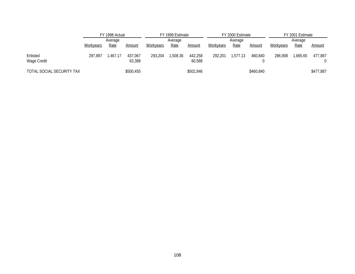|                           |           | FY 1998 Actual |                   | FY 1999 Estimate |             |                   |           | FY 2000 Estimate |           | FY 2001 Estimate |             |           |  |
|---------------------------|-----------|----------------|-------------------|------------------|-------------|-------------------|-----------|------------------|-----------|------------------|-------------|-----------|--|
|                           | Average   |                |                   | Average          |             |                   |           | Average          |           | Average          |             |           |  |
|                           | Workyears | <u>Rate</u>    | Amount            | Workyears        | <b>Rate</b> | <u>Amount</u>     | Workyears | <b>Rate</b>      | Amount    | Workyears        | <u>Rate</u> | Amount    |  |
| Enlisted<br>Wage Credit   | 297.897   | .467.17        | 437.067<br>63,388 | 293.204          | 1,508.36    | 442.258<br>60,588 | 292.201   | 1.577.13         | 460.840   | 286,908          | .665.65     | 477,887   |  |
| TOTAL SOCIAL SECURITY TAX |           |                | \$500,455         |                  |             | \$502,846         |           |                  | \$460,840 |                  |             | \$477,887 |  |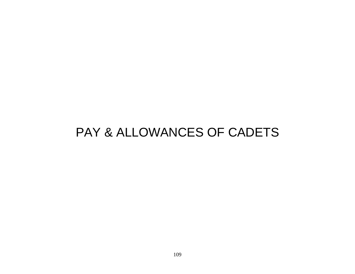## PAY & ALLOWANCES OF CADETS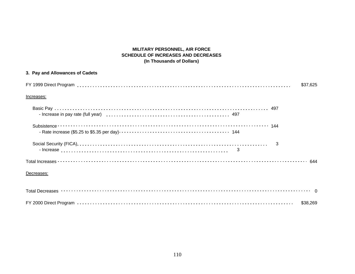## **MILITARY PERSONNEL, AIR FORCE SCHEDULE OF INCREASES AND DECREASES (In Thousands of Dollars)**

| 3. Pay and Allowances of Cadets |          |
|---------------------------------|----------|
|                                 | \$37,625 |
| Increases:                      |          |
|                                 |          |
|                                 |          |
|                                 | 3        |
|                                 |          |
| Decreases:                      |          |
|                                 |          |
|                                 | \$38,269 |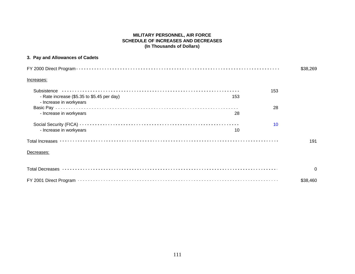#### **MILITARY PERSONNEL, AIR FORCE SCHEDULE OF INCREASES AND DECREASES (In Thousands of Dollars)**

## **3. Pay and Allowances of Cadets**

|                                                                              | \$38,269 |
|------------------------------------------------------------------------------|----------|
| Increases:                                                                   |          |
| 153                                                                          |          |
| - Rate increase (\$5.35 to \$5.45 per day)<br>153<br>- Increase in workyears |          |
|                                                                              | 28       |
| - Increase in workyears<br>28                                                |          |
|                                                                              | 10       |
| - Increase in workyears<br>10                                                |          |
|                                                                              | 191      |
| Decreases:                                                                   |          |
|                                                                              | $\Omega$ |
|                                                                              | \$38,460 |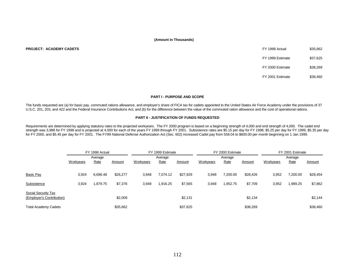| FY 1998 Actual   | \$35.662 |
|------------------|----------|
| FY 1999 Estimate | \$37.625 |
| FY 2000 Estimate | \$38.269 |
| FY 2001 Estimate | \$38,460 |

#### **PART I - PURPOSE AND SCOPE**

The funds requested are (a) for basic pay, commuted rations allowance, and employer's share of FICA tax for cadets appointed to the United States Air Force Academy under the provisions of 37 U.S.C. 201, 203, and 422 and the Federal Insurance Contributions Act; and (b) for the difference between the value of the commuted ration allowance and the cost of operational rations.

#### **PART II - JUSTIFICATION OF FUNDS REQUESTED**

Requirements are determined by applying statutory rates to the projected workyears. The FY 2000 program is based on a beginning strength of 4,000 and end strength of 4,000. The cadet end strength was 3,988 for FY 1998 and is projected at 4,000 for each of the years FY 1999 through FY 2001. Subsistence rates are \$5.15 per day for FY 1998, \$5.25 per day for FY 1999, \$5.35 per day for FY 2000, and \$5.45 per day for FY 2001. The FY99 National Defense Authorization Act (Sec. 602) increased Cadet pay from 558.04 to \$600.00 per month beginning on 1 Jan 1999.

|                             |                  | FY 1998 Actual |          |                  | FY 1999 Estimate |          |                  | FY 2000 Estimate |               | FY 2001 Estimate |          |               |  |
|-----------------------------|------------------|----------------|----------|------------------|------------------|----------|------------------|------------------|---------------|------------------|----------|---------------|--|
|                             | Average          |                |          | Average          |                  |          |                  | Average          |               | Average          |          |               |  |
|                             | <b>Workyears</b> | Rate           | Amount   | <b>Workyears</b> | Rate             | Amount   | <b>Workyears</b> | Rate             | <b>Amount</b> | <b>Workyears</b> | Rate     | <b>Amount</b> |  |
|                             |                  |                |          |                  |                  |          |                  |                  |               |                  |          |               |  |
| Basic Pay                   | 3,924            | 6,696.48       | \$26,277 | 3,948            | 7,074.12         | \$27,929 | 3,948            | 7,200.00         | \$28,426      | 3,952            | 7,200.00 | \$28,454      |  |
| Subsistence                 | 3,924            | 1,879.75       | \$7.376  | 3,948            | 916.25           | \$7,565  | 3,948            | 1,952.75         | \$7,709       | 3,952            | .989.25  | \$7,862       |  |
| Social Security Tax         |                  |                |          |                  |                  |          |                  |                  |               |                  |          |               |  |
| (Employer's Contribution)   |                  |                | \$2,009  |                  |                  | \$2,131  |                  |                  | \$2,134       |                  |          | \$2,144       |  |
| <b>Total Academy Cadets</b> |                  |                | \$35,662 |                  |                  | \$37,625 |                  |                  | \$38,269      |                  |          | \$38,460      |  |

**PROJECT: ACADEMY CADETS**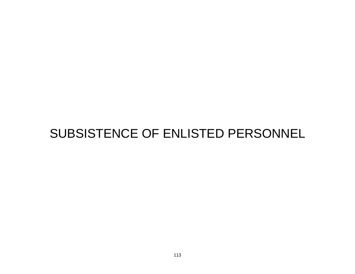# SUBSISTENCE OF ENLISTED PERSONNEL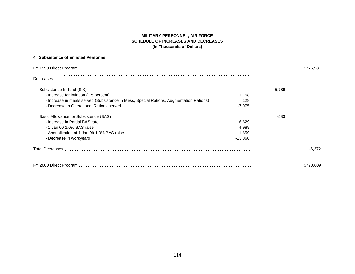#### **MILITARY PERSONNEL, AIR FORCE SCHEDULE OF INCREASES AND DECREASES (In Thousands of Dollars)**

#### **4. Subsistence of Enlisted Personnel**

|                                                                                         | \$776,981 |          |           |  |  |  |  |  |  |
|-----------------------------------------------------------------------------------------|-----------|----------|-----------|--|--|--|--|--|--|
| Decreases:                                                                              |           |          |           |  |  |  |  |  |  |
|                                                                                         |           | $-5.789$ |           |  |  |  |  |  |  |
| - Increase for inflation (1.5 percent)                                                  | 1,158     |          |           |  |  |  |  |  |  |
| - Increase in meals served (Subsistence in Mess, Special Rations, Augmentation Rations) | 128       |          |           |  |  |  |  |  |  |
| - Decrease in Operational Rations served                                                | $-7,075$  |          |           |  |  |  |  |  |  |
|                                                                                         |           | -583     |           |  |  |  |  |  |  |
| - Increase in Partial BAS rate                                                          | 6,629     |          |           |  |  |  |  |  |  |
| - 1 Jan 00 1.0% BAS raise                                                               | 4.989     |          |           |  |  |  |  |  |  |
| - Annualization of 1 Jan 99 1.0% BAS raise                                              | 1,659     |          |           |  |  |  |  |  |  |
| - Decrease in workyears                                                                 | $-13,860$ |          |           |  |  |  |  |  |  |
|                                                                                         |           |          | $-6.372$  |  |  |  |  |  |  |
|                                                                                         |           |          | \$770,609 |  |  |  |  |  |  |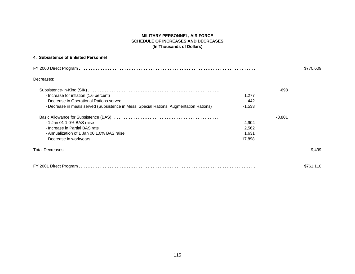#### **MILITARY PERSONNEL, AIR FORCE SCHEDULE OF INCREASES AND DECREASES (In Thousands of Dollars)**

#### **4. Subsistence of Enlisted Personnel**

| \$770,609                                                                               |           |          |           |  |  |  |  |  |  |
|-----------------------------------------------------------------------------------------|-----------|----------|-----------|--|--|--|--|--|--|
| Decreases:                                                                              |           |          |           |  |  |  |  |  |  |
|                                                                                         |           | $-698$   |           |  |  |  |  |  |  |
| - Increase for inflation (1.6 percent)                                                  | 1.277     |          |           |  |  |  |  |  |  |
| - Decrease in Operational Rations served                                                | -442      |          |           |  |  |  |  |  |  |
| - Decrease in meals served (Subsistence in Mess, Special Rations, Augmentation Rations) | $-1,533$  |          |           |  |  |  |  |  |  |
|                                                                                         |           | $-8,801$ |           |  |  |  |  |  |  |
| - 1 Jan 01 1.0% BAS raise                                                               | 4,904     |          |           |  |  |  |  |  |  |
| - Increase in Partial BAS rate                                                          | 2,562     |          |           |  |  |  |  |  |  |
| - Annualization of 1 Jan 00 1.0% BAS raise                                              | 1,631     |          |           |  |  |  |  |  |  |
| - Decrease in workyears                                                                 | $-17,898$ |          |           |  |  |  |  |  |  |
|                                                                                         |           |          | $-9.499$  |  |  |  |  |  |  |
| FY 2001 Direct Program.                                                                 |           |          | \$761,110 |  |  |  |  |  |  |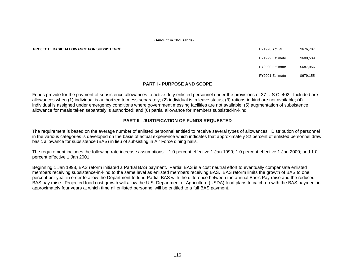**PROJECT: BASIC ALLOWANCE FOR SUBSISTENCE** 

| FY1998 Actual   | \$676,707 |
|-----------------|-----------|
| FY1999 Estimate | \$688.539 |
| FY2000 Estimate | \$687.956 |
| FY2001 Estimate | \$679.155 |

#### **PART I - PURPOSE AND SCOPE**

Funds provide for the payment of subsistence allowances to active duty enlisted personnel under the provisions of 37 U.S.C. 402. Included are allowances when (1) individual is authorized to mess separately; (2) individual is in leave status; (3) rations-in-kind are not available; (4) individual is assigned under emergency conditions where government messing facilities are not available; (5) augmentation of subsistence allowance for meals taken separately is authorized; and (6) partial allowance for members subsisted-in-kind.

#### **PART II - JUSTIFICATION OF FUNDS REQUESTED**

The requirement is based on the average number of enlisted personnel entitled to receive several types of allowances. Distribution of personnel in the various categories is developed on the basis of actual experience which indicates that approximately 82 percent of enlisted personnel draw basic allowance for subsistence (BAS) in lieu of subsisting in Air Force dining halls.

The requirement includes the following rate increase assumptions: 1.0 percent effective 1 Jan 1999; 1.0 percent effective 1 Jan 2000; and 1.0 percent effective 1 Jan 2001.

Beginning 1 Jan 1998, BAS reform initiated a Partial BAS payment. Partial BAS is a cost neutral effort to eventually compensate enlisted members receiving subsistence-in-kind to the same level as enlisted members receiving BAS. BAS reform limits the growth of BAS to one percent per year in order to allow the Department to fund Partial BAS with the difference between the annual Basic Pay raise and the reduced BAS pay raise. Projected food cost growth will allow the U.S. Department of Agriculture (USDA) food plans to catch-up with the BAS payment in approximately four years at which time all enlisted personnel will be entitled to a full BAS payment.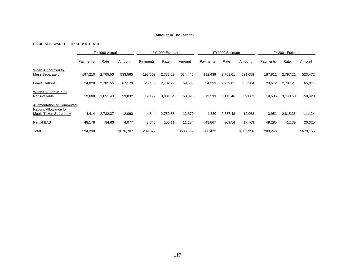#### BASIC ALLOWANCE FOR SUBSISTENCE

|                                                                                           | FY1998 Actual |          |           | FY1999 Estimate |          |           |          | FY2000 Estimate |           | FY2001 Estimate |          |               |  |
|-------------------------------------------------------------------------------------------|---------------|----------|-----------|-----------------|----------|-----------|----------|-----------------|-----------|-----------------|----------|---------------|--|
|                                                                                           | Payments      | Rate     | Amount    | Payments        | Rate     | Amount    | Payments | Rate            | Amount    | Payments        | Rate     | <b>Amount</b> |  |
| When Authorized to<br><b>Mess Separately</b>                                              | 197,210       | 2,705.56 | 533,565   | 195,603         | 2,732.29 | 534,445   | 192,439  | 2,759.61        | 531,058   | 187,812         | 2,787.21 | 523,472       |  |
| Leave Rations                                                                             | 24,828        | 2.705.56 | 67,173    | 25,436          | 2,732.29 | 69,500    | 24,353   | 2.759.61        | 67,204    | 23,612          | 2.787.21 | 65,811        |  |
| When Rations-In-Kind<br>Not Available                                                     | 19,608        | 3,051.40 | 59,832    | 19,499          | 3.081.64 | 60,090    | 19,233   | 3,112.46        | 59,863    | 18,585          | 3,143.58 | 58,423        |  |
| <b>Augmentation of Commuted</b><br>Rations Allowance for<br><b>Meals Taken Separately</b> | 4,414         | 2.732.37 | 12,060    | 4,844           | 2.759.88 | 13,370    | 4,330    | 2.787.48        | 12,068    | 3,951           | 2.815.35 | 11,124        |  |
| <b>Partial BAS</b>                                                                        | 48,178        | 84.63    | 4,077     | 43,645          | 255.11   | 11,134    | 48,067   | 369.54          | 17,763    | 49,285          | 412.39   | 20,325        |  |
| Total                                                                                     | 294,238       |          | \$676,707 | 289,029         |          | \$688,539 | 288,422  |                 | \$687,956 | 283,245         |          | \$679,155     |  |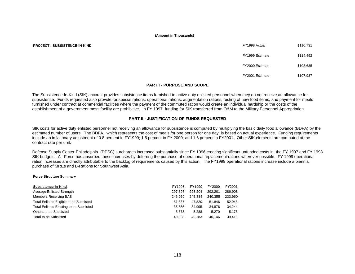**PROJECT: SUBSISTENCE-IN-KIND** 

| FY1998 Actual   | \$110,731 |
|-----------------|-----------|
| FY1999 Estimate | \$114,492 |
| FY2000 Estimate | \$108,685 |
| FY2001 Estimate | \$107.987 |

#### **PART I - PURPOSE AND SCOPE**

The Subsistence-In-Kind (SIK) account provides subsistence items furnished to active duty enlisted personnel when they do not receive an allowance for subsistence. Funds requested also provide for special rations, operational rations, augmentation rations, testing of new food items, and payment for meals furnished under contract at commercial facilities where the payment of the commuted ration would create an individual hardship or the costs of the establishment of a government mess facility are prohibitive. In FY 1997, funding for SIK transferred from O&M to the Military Personnel Appropriation.

#### **PART II - JUSTIFICATION OF FUNDS REQUESTED**

SIK costs for active duty enlisted personnel not receiving an allowance for subsistence is computed by multiplying the basic daily food allowance (BDFA) by the estimated number of users. The BDFA , which represents the cost of meals for one person for one day, is based on actual experience. Funding requirements include an inflationary adjustment of 0.8 percent in FY1999; 1.5 percent in FY 2000; and 1.6 percent in FY2001. Other SIK elements are computed at the contract rate per unit.

Defense Supply Center-Philadelphia (DPSC) surcharges increased substantially since FY 1996 creating significant unfunded costs in the FY 1997 and FY 1998 SIK budgets. Air Force has absorbed these increases by deferring the purchase of operational replacement rations wherever possible. FY 1999 operational ration increases are directly attributable to the backlog of requirements caused by this action. The FY1999 operational rations increase include a biennial purchase of MREs and B-Rations for Southwest Asia.

#### **Force Structure Summary**

| Subsistence-in-Kind                     | FY1998  | FY1999  | FY2000  | FY2001  |
|-----------------------------------------|---------|---------|---------|---------|
| Average Enlisted Strength               | 297.897 | 293.204 | 292.201 | 286,908 |
| <b>Members Receiving BAS</b>            | 246.060 | 245.384 | 240.355 | 233,960 |
| Total Enlisted Eligible to be Subsisted | 51.837  | 47.820  | 51.846  | 52.948  |
| Total Enlisted Electing to be Subsisted | 35.555  | 34.995  | 34.876  | 34,244  |
| Others to be Subsisted                  | 5.373   | 5.288   | 5.270   | 5,175   |
| Total to be Subsisted                   | 40.928  | 40.283  | 40.146  | 39.419  |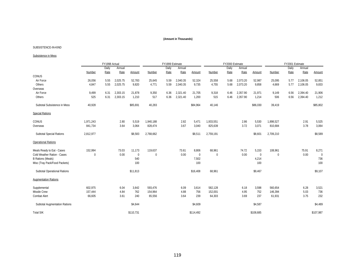#### SUBSISTENCE-IN-KIND

#### Subsistence in Mess

|                                      | FY1998 Actual |               |                |             | FY1999 Estimate |               |                |             | FY2000 Estimate |               |                |             | FY2001 Estimate |               |                |             |
|--------------------------------------|---------------|---------------|----------------|-------------|-----------------|---------------|----------------|-------------|-----------------|---------------|----------------|-------------|-----------------|---------------|----------------|-------------|
|                                      | Number        | Daily<br>Rate | Annual<br>Rate | Amount      | Number          | Daily<br>Rate | Annual<br>Rate | Amount      | Number          | Daily<br>Rate | Annual<br>Rate | Amount      | Number          | Daily<br>Rate | Annual<br>Rate | Amount      |
| CONUS                                |               |               |                |             |                 |               |                |             |                 |               |                |             |                 |               |                |             |
| Air Force                            | 26,056        | 5.55          | 2,025.75       | 52,783      | 25,645          | 5.59          | 2,040.35       | 52,324      | 25,558          | 5.68          | 2,073.20       | 52,987      | 25,095          | 5.77          | 2,106.05       | 52,851      |
| Others                               | 4,847         | 5.55          | 2,025.75       | 9,820       | 4,771           | 5.59          | 2,040.35       | 9,735       | 4,755           | 5.68          | 2,073.20       | 9,858       | 4,669           | 5.77          | 2,106.05       | 9,833       |
| Overseas                             |               |               |                |             |                 |               |                |             |                 |               |                |             |                 |               |                |             |
| Air Force                            | 9,499         | 6.31          | 2,303.15       | 21,878      | 9,350           | 6.36          | 2,321.40       | 21,705      | 9,318           | 6.46          | 2,357.90       | 21,971      | 9,149           | 6.56          | 2,394.40       | 21,906      |
| Others                               | 525           | 6.31          | 2,303.15       | 1,210       | 517             | 6.36          | 2,321.40       | 1,200       | 515             | 6.46          | 2,357.90       | 1,214       | 506             | 6.56          | 2,394.40       | 1,212       |
| Subtotal Subsistence in Mess         | 40,928        |               |                | \$85,691    | 40,283          |               |                | \$84,964    | 40,146          |               |                | \$86,030    | 39,419          |               |                | \$85,802    |
| <b>Special Rations</b>               |               |               |                |             |                 |               |                |             |                 |               |                |             |                 |               |                |             |
| CONUS                                | 1,971,243     |               | 2.80           | 5,519       | 1,940,188       |               | 2.82           | 5,471       | 1,933,551       |               | 2.86           | 5,530       | 1,898,527       |               | 2.91           | 5,525       |
| Overseas                             | 841,734       |               | 3.64           | 3,064       | 828,474         |               | 3.67           | 3,040       | 825,639         |               | 3.72           | 3,071       | 810,684         |               | 3.78           | 3,064       |
| <b>Subtotal Special Rations</b>      | 2,812,977     |               |                | \$8,583     | 2,768,662       |               |                | \$8,511     | 2,759,191       |               |                | \$8,601     | 2,709,210       |               |                | \$8,589     |
| <b>Operational Rations</b>           |               |               |                |             |                 |               |                |             |                 |               |                |             |                 |               |                |             |
| Meals Ready to Eat - Cases           | 152,994       |               | 73.03          | 11,173      | 119,637         |               | 73.61          | 8,806       | 68,961          |               | 74.72          | 5,153       | 108,961         |               | 75.91          | 8,271       |
| Cold Weather Ration - Cases          | 0             |               | 0.00           | $\mathbf 0$ | $\mathbf 0$     |               | 0.00           | $\mathbf 0$ | $\mathbf 0$     |               | 0.00           | $\mathbf 0$ | $\mathbf{0}$    |               | 0.00           | $\mathbf 0$ |
| <b>B Rations (Meals)</b>             |               |               |                | 540         |                 |               |                | 7,502       |                 |               |                | 4,214       |                 |               |                | 736         |
| Misc (Tray Pack/Food Packets)        |               |               |                | 100         |                 |               |                | 100         |                 |               |                | 100         |                 |               |                | 100         |
| Subtotal Operational Rations         |               |               |                | \$11,813    |                 |               |                | \$16,408    | 68,961          |               |                | \$9,467     |                 |               |                | \$9,107     |
| <b>Augmentation Rations</b>          |               |               |                |             |                 |               |                |             |                 |               |                |             |                 |               |                |             |
| Supplemental                         | 602,975       |               | 6.04           | 3,642       | 593.476         |               | 6.09           | 3,614       | 582.128         |               | 6.18           | 3,598       | 560,654         |               | 6.28           | 3,521       |
| Missile Crew                         | 157,444       |               | 4.84           | 762         | 154,964         |               | 4.88           | 756         | 152,001         |               | 4.95           | 752         | 146,394         |               | 5.03           | 736         |
| Combat Alert                         | 66,605        |               | 3.61           | 240         | 65,556          |               | 3.64           | 239         | 64,303          |               | 3.69           | 237         | 61,931          |               | 3.75           | 232         |
| <b>Subtotal Augmentation Rations</b> |               |               |                | \$4,644     |                 |               |                | \$4,609     |                 |               |                | \$4,587     |                 |               |                | \$4,489     |
| <b>Total SIK</b>                     |               |               |                | \$110,731   |                 |               |                | \$114,492   |                 |               |                | \$108,685   |                 |               |                | \$107,987   |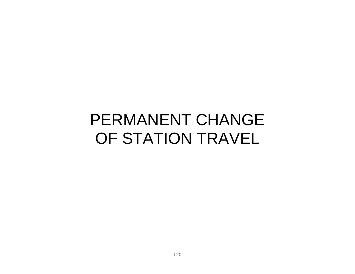# PERMANENT CHANGE OF STATION TRAVEL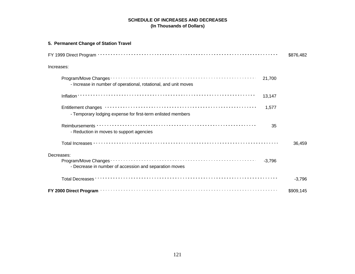#### **SCHEDULE OF INCREASES AND DECREASES (In Thousands of Dollars)**

| 5. Permanent Change of Station Travel                                            |           |
|----------------------------------------------------------------------------------|-----------|
|                                                                                  | \$876,482 |
| Increases:                                                                       |           |
| 21,700<br>- Increase in number of operational, rotational, and unit moves        |           |
| 13,147                                                                           |           |
| 1,577<br>- Temporary lodging expense for first-term enlisted members             |           |
| 35<br>- Reduction in moves to support agencies                                   |           |
|                                                                                  | 36,459    |
| Decreases:<br>$-3,796$<br>- Decrease in number of accession and separation moves |           |
|                                                                                  | $-3,796$  |
|                                                                                  | \$909,145 |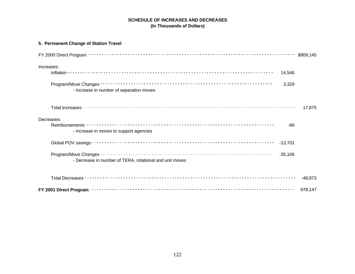## **SCHEDULE OF INCREASES AND DECREASES (In Thousands of Dollars)**

| 5. Permanent Change of Station Travel                                |           |
|----------------------------------------------------------------------|-----------|
|                                                                      |           |
| Increases:                                                           |           |
| 14,546                                                               |           |
| 3,329<br>- Increase in number of separation moves                    |           |
|                                                                      | 17,875    |
| Decreases:                                                           |           |
| $-66$<br>- Increase in moves to support agencies                     |           |
| $-13,701$                                                            |           |
| $-35,106$<br>- Decrease in number of TERA, rotational and unit moves |           |
|                                                                      | $-48,873$ |
|                                                                      | 878,147   |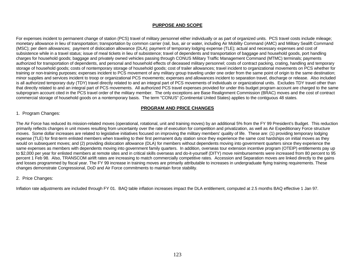#### **PURPOSE AND SCOPE**

For expenses incident to permanent change of station (PCS) travel of military personnel either individually or as part of organized units. PCS travel costs include mileage; monetary allowance in lieu of transportation; transportation by common carrier (rail, bus, air or water, including Air Mobility Command (AMC) and Military Sealift Command (MSC); per diem allowances; payment of dislocation allowance (DLA); payment of temporary lodging expense (TLE); actual and necessary expenses and cost of subsistence while in a travel status; issue of meal tickets in lieu of subsistence; travel of dependents and transportation of baggage and household goods, port handling charges for household goods; baggage and privately owned vehicles passing through CONUS Military Traffic Management Command (MTMC) terminals; payments authorized for transportation of dependents, and personal and household effects of deceased military personnel; costs of contract packing, crating, handling and temporary storage of household goods; costs of nontemporary storage of household goods; cost of trailer allowances; travel incident to organizational movements on PCS whether for training or non-training purposes; expenses incident to PCS movement of any military group traveling under one order from the same point of origin to the same destination; minor supplies and services incident to troop or organizational PCS movements; expenses and allowances incident to separation travel, discharge or release. Also included is all authorized temporary duty (TDY) travel directly related to and an integral part of PCS movements of individuals or organizational units. Excludes TDY travel other than that directly related to and an integral part of PCS movements. All authorized PCS travel expenses provided for under this budget program account are charged to the same subprogram account cited in the PCS travel order of the military member. The only exceptions are Base Realignment Commission (BRAC) moves and the cost of contract commercial storage of household goods on a nontemporary basis. The term "CONUS" (Continental United States) applies to the contiguous 48 states.

#### **PROGRAM AND PRICE CHANGES**

#### 1. Program Changes:

The Air Force has reduced its mission-related moves (operational, rotational, unit and training moves) by an additional 5% from the FY 99 President's Budget. This reduction primarily reflects changes in unit moves resulting from uncertainty over the rate of execution for competition and privatization, as well as Air Expeditionary Force structure moves. Some dollar increases are related to legislative initiatives focused on improving the military members' quality of life. These are: (1) providing temporary lodging expense (TLE) for first-term enlisted members when traveling to their first permanent duty station since they experience the same cost hardships on initial moves as they would on subsequent moves; and (2) providing dislocation allowance (DLA) for members without dependents moving into government quarters since they experience the same expenses as members with dependents moving into government family quarters. In addition, overseas tour extension incentive program (OTEIP) entitlements pay up to \$2,000 per year for enlisted members at remote sites and in critical skills overseas and do-it-yourself (DITY) move reimbursements were increased from 80 percent to 95 percent 1 Feb 98. Also, TRANSCOM airlift rates are increasing to match commercially competitive rates. Accession and Separation moves are linked directly to the gains and losses programmed by fiscal year. The FY 99 increase in training moves are primarily attributable to increases in undergraduate flying training requirements. These changes demonstrate Congressional, DoD and Air Force commitments to maintain force stability.

#### 2. Price Changes:

Inflation rate adjustments are included through FY 01. BAQ table inflation increases impact the DLA entitlement, computed at 2.5 months BAQ effective 1 Jan 97.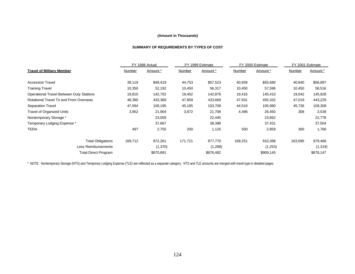#### **SUMMARY OF REQUIREMENTS BY TYPES OF COST**

|                                                 |         | FY 1998 Actual |         | FY 1999 Estimate |         | FY 2000 Estimate | FY 2001 Estimate |           |
|-------------------------------------------------|---------|----------------|---------|------------------|---------|------------------|------------------|-----------|
| <b>Travel of Military Member</b>                | Number  | Amount *       | Number  | Amount *         | Number  | Amount *         | Number           | Amount *  |
| <b>Accession Travel</b>                         | 39,119  | \$49,419       | 44,753  | \$57,523         | 40,939  | \$55,680         | 40,840           | \$56,897  |
| <b>Training Travel</b>                          | 10,350  | 52,192         | 10,450  | 56,317           | 10,450  | 57,596           | 10,450           | 58,516    |
| <b>Operational Travel Between Duty Stations</b> | 19,810  | 142,702        | 19,402  | 142,876          | 19,416  | 145,410          | 19,042           | 145,928   |
| Rotational Travel To and From Overseas          | 48,390  | 433,368        | 47,859  | 433,669          | 47,931  | 455,332          | 47,019           | 443,229   |
| Separation Travel                               | 47,594  | 109,195        | 45,185  | 103,708          | 44,519  | 105,980          | 45,736           | 109,308   |
| <b>Travel of Organized Units</b>                | 3,952   | 21,904         | 3,872   | 21,708           | 4,496   | 26,450           | 308              | 3,539     |
| Nontemporary Storage *                          |         | 23,059         |         | 22,445           |         | 23,662           |                  | 22,778    |
| Temporary Lodging Expense *                     |         | 37,667         |         | 38,398           |         | 37,431           |                  | 37,504    |
| TERA                                            | 497     | 2,755          | 200     | 1,125            | 500     | 2,859            | 300              | 1,766     |
| <b>Total Obligations</b>                        | 169,712 | 872,261        | 171,721 | 877,770          | 168,251 | 910,398          | 163,695          | 879,466   |
| <b>Less Reimbursements</b>                      |         | (1,370)        |         | (1,288)          |         | (1,253)          |                  | (1,319)   |
| <b>Total Direct Program</b>                     |         | \$870,891      |         | \$876,482        |         | \$909,145        |                  | \$878,147 |

\* NOTE: Nontemporary Storage (NTS) and Temporary Lodging Expense (TLE) are reflected as a separate category. NTS and TLE amounts are merged with travel type in detailed pages.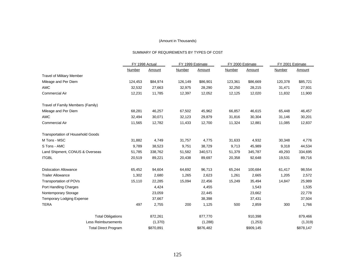#### SUMMARY OF REQUIREMENTS BY TYPES OF COST

|                                          | FY 1998 Actual |           | FY 1999 Estimate |           | FY 2000 Estimate |           | FY 2001 Estimate |           |  |
|------------------------------------------|----------------|-----------|------------------|-----------|------------------|-----------|------------------|-----------|--|
|                                          | Number         | Amount    | Number           | Amount    | Number           | Amount    | Number           | Amount    |  |
| <b>Travel of Military Member</b>         |                |           |                  |           |                  |           |                  |           |  |
| Mileage and Per Diem                     | 124,453        | \$84,974  | 126,149          | \$86,901  | 123,361          | \$86,669  | 120,378          | \$85,721  |  |
| <b>AMC</b>                               | 32,532         | 27,663    | 32,975           | 28,290    | 32,250           | 28,215    | 31,471           | 27,931    |  |
| <b>Commercial Air</b>                    | 12,231         | 11,785    | 12,397           | 12,052    | 12,125           | 12,020    | 11,832           | 11,900    |  |
| Travel of Family Members (Family)        |                |           |                  |           |                  |           |                  |           |  |
| Mileage and Per Diem                     | 68,281         | 46,257    | 67,502           | 45,962    | 66,857           | 46,615    | 65,448           | 46,457    |  |
| <b>AMC</b>                               | 32,494         | 30,071    | 32,123           | 29,879    | 31,816           | 30,304    | 31,146           | 30,201    |  |
| <b>Commercial Air</b>                    | 11,565         | 12,782    | 11,433           | 12,700    | 11,324           | 12,881    | 11,085           | 12,837    |  |
| <b>Transportation of Household Goods</b> |                |           |                  |           |                  |           |                  |           |  |
| M Tons - MSC                             | 31,882         | 4,749     | 31,757           | 4,775     | 31,633           | 4,932     | 30,348           | 4,776     |  |
| S Tons - AMC                             | 9,789          | 38,523    | 9,751            | 38,729    | 9,713            | 45,989    | 9,318            | 44,534    |  |
| Land Shipment, CONUS & Overseas          | 51,785         | 338,762   | 51,582           | 340,571   | 51,379           | 345,787   | 49,293           | 334,695   |  |
| <b>ITGBL</b>                             | 20,519         | 89,221    | 20,438           | 89,697    | 20,358           | 92,648    | 19,531           | 89,716    |  |
| <b>Dislocation Allowance</b>             | 65,452         | 94,604    | 64,692           | 96,713    | 65,244           | 100,684   | 61,417           | 98,554    |  |
| <b>Trailer Allowance</b>                 | 1,302          | 2,680     | 1,265            | 2,623     | 1,261            | 2,665     | 1,205            | 2,572     |  |
| <b>Transportation of POVs</b>            | 15,110         | 22,285    | 15,094           | 22,456    | 15,249           | 35,494    | 14,847           | 25,989    |  |
| Port Handling Charges                    |                | 4,424     |                  | 4,455     |                  | 1,543     |                  | 1,535     |  |
| Nontemporary Storage                     |                | 23,059    |                  | 22,445    |                  | 23,662    |                  | 22,778    |  |
| Temporary Lodging Expense                |                | 37,667    |                  | 38,398    |                  | 37,431    |                  | 37,504    |  |
| <b>TERA</b>                              | 497            | 2,755     | 200              | 1,125     | 500              | 2,859     | 300              | 1,766     |  |
| <b>Total Obligations</b>                 |                | 872,261   |                  | 877,770   |                  | 910,398   |                  | 879,466   |  |
| <b>Less Reimbursements</b>               |                | (1,370)   |                  | (1,288)   |                  | (1,253)   |                  | (1, 319)  |  |
| <b>Total Direct Program</b>              |                | \$870,891 |                  | \$876,482 |                  | \$909,145 |                  | \$878,147 |  |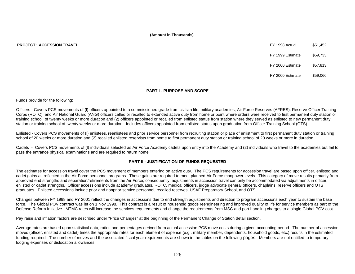#### **PROJECT: ACCESSION TRAVEL** FY 1998 ACTUAL \$51,452,453,452 ACTUAL \$51,452,453,454,452 ACTUAL \$51,452,452 ACTUAL \$51,452,452 ACTUAL \$51,452,452 ACTUAL \$51,452,452 ACTUAL \$51,452,452 ACTUAL \$51,452 ACTUAL \$51,452 ACTUAL \$51,

| FY 1999 Estimate | \$59,733 |
|------------------|----------|
| FY 1998 Actual   | \$51,452 |

FY 2000 Estimate \$57,813

FY 2000 Estimate \$59,066

#### **PART I - PURPOSE AND SCOPE**

Funds provide for the following:

Officers - Covers PCS movements of (l) officers appointed to a commissioned grade from civilian life, military academies, Air Force Reserves (AFRES), Reserve Officer Training Corps (ROTC), and Air National Guard (ANG) officers called or recalled to extended active duty from home or point where orders were received to first permanent duty station or training school, of twenty weeks or more duration and (2) officers appointed or recalled from enlisted status from station where they served as enlisted to new permanent duty station or training school of twenty weeks or more duration. Includes officers appointed from enlisted status upon graduation from Officer Training School (OTS).

Enlisted - Covers PCS movements of (l) enlistees, reenlistees and prior service personnel from recruiting station or place of enlistment to first permanent duty station or training school of 20 weeks or more duration and (2) recalled enlisted reservists from home to first permanent duty station or training school of 20 weeks or more in duration.

Cadets - Covers PCS movements of (l) individuals selected as Air Force Academy cadets upon entry into the Academy and (2) individuals who travel to the academies but fail to pass the entrance physical examinations and are required to return home.

#### **PART II - JUSTIFICATION OF FUNDS REQUESTED**

The estimates for accession travel cover the PCS movement of members entering on active duty. The PCS requirements for accession travel are based upon officer, enlisted and cadet gains as reflected in the Air Force personnel programs. These gains are required to meet planned Air Force manpower levels. This category of move results primarily from approved end strengths and separation/retirements from the Air Force; consequently, adjustments in accession travel can only be accommodated via adjustments in officer, enlisted or cadet strengths. Officer accessions include academy graduates, ROTC, medical officers, judge advocate general officers, chaplains, reserve officers and OTS graduates. Enlisted accessions include prior and nonprior service personnel, recalled reserves, USAF Preparatory School, and OTS.

Changes between FY 1998 and FY 2001 reflect the changes in accessions due to end strength adjustments and direction to program accessions each year to sustain the base force. The Global POV contract was let on 1 Nov 1998. This contract is a result of household goods reengineering and improved quality of life for service members as part of the Defense Reform Initiative. MTMC rates will increase the services requirements and change the requirements from MSC and port handling charges to a single Global POV cost.

Pay raise and inflation factors are described under "Price Changes" at the beginning of the Permanent Change of Station detail section.

Average rates are based upon statistical data, ratios and percentages derived from actual accession PCS move costs during a given accounting period. The number of accession moves (officer, enlisted and cadet) times the appropriate rates for each element of expense (e.g., military member, dependents, household goods, etc.) results in the estimated funding required. The number of moves and the associated fiscal year requirements are shown in the tables on the following pages. Members are not entitled to temporary lodging expenses or dislocation allowances.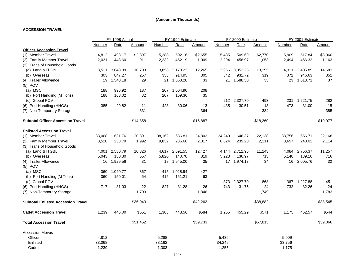#### **ACCESSION TRAVEL**

|                                           |        | FY 1998 Actual |          | FY 1999 Estimate |             |          |        | FY 2000 Estimate |          | FY 2001 Estimate |          |          |
|-------------------------------------------|--------|----------------|----------|------------------|-------------|----------|--------|------------------|----------|------------------|----------|----------|
|                                           | Number | Rate           | Amount   | Number           | Rate        | Amount   | Number | Rate             | Amount   | Number           | Rate     | Amount   |
| <b>Officer Accession Travel</b>           |        |                |          |                  |             |          |        |                  |          |                  |          |          |
| (1) Member Travel                         | 4,812  | 498.17         | \$2,397  | 5,288            | 502.16      | \$2,655  | 5,435  | 509.69           | \$2,770  | 5,909            | 517.84   | \$3,060  |
| (2) Family Member Travel                  | 2,031  | 448.60         | 911      | 2,232            | 452.19      | 1,009    | 2,294  | 458.97           | 1,053    | 2,494            | 466.32   | 1,163    |
| (3) Trans of Household Goods              |        |                |          |                  |             |          |        |                  |          |                  |          |          |
| (a) Land & ITGBL                          | 3,511  | 3,048.39       | 10,703   | 3,858            | 3,179.23    | 12,265   | 3,966  | 3,352.25         | 13,295   | 4,311            | 3,405.89 | 14,683   |
| (b) Overseas                              | 303    | 847.27         | 257      | 333              | 914.95      | 305      | 342    | 931.72           | 319      | 372              | 946.63   | 352      |
| (4) Trailer Allowance                     | 19     | 1,540.18       | 29       |                  | 21 1,563.28 | 33       | 21     | 1,588.30         | 33       | 23               | 1,613.71 | 37       |
| $(5)$ POV                                 |        |                |          |                  |             |          |        |                  |          |                  |          |          |
| (a) MSC                                   | 188    | 996.92         | 187      | 207              | 1,004.90    | 208      |        |                  |          |                  |          |          |
| (b) Port Handling (M Tons)                | 188    | 168.02         | 32       | 207              | 169.36      | 35       |        |                  |          |                  |          |          |
| (c) Global POV                            |        |                |          |                  |             |          |        | 212 2,327.70     | 493      | 231              | 1,221.75 | 282      |
| (6) Port Handling (HHGS)                  | 385    | 29.82          | 11       | 423              | 30.06       | 13       | 435    | 30.51            | 13       | 473              | 31.00    | 15       |
| (7) Non-Temporary Storage                 |        |                | 331      |                  |             | 364      |        |                  | 384      |                  |          | 385      |
| <b>Subtotal Officer Accession Travel</b>  |        |                | \$14,858 |                  |             | \$16,887 |        |                  | \$18,360 |                  |          | \$19,977 |
| <b>Enlisted Accession Travel</b>          |        |                |          |                  |             |          |        |                  |          |                  |          |          |
| (1) Member Travel                         | 33,068 | 631.76         | 20,891   | 38,162           | 636.81      | 24,302   | 34,249 | 646.37           | 22,138   | 33,756           | 656.71   | 22,168   |
| (2) Family Member Travel                  | 8,520  | 233.79         | 1,992    | 9,832            | 235.66      | 2,317    | 8,824  | 239.20           | 2,111    | 8,697            | 243.02   | 2,114    |
| (3) Trans of Household Goods              |        |                |          |                  |             |          |        |                  |          |                  |          |          |
| (a) Land & ITGBL                          | 4,001  | 2,580.79       | 10,326   | 4,617            | 2,691.55    | 12,427   | 4,144  | 2,712.96         | 11,243   | 4,084            | 2,756.37 | 11,257   |
| (b) Overseas                              | 5,043  | 130.30         | 657      | 5,820            | 140.70      | 819      | 5,223  | 136.97           | 715      | 5,148            | 139.16   | 716      |
| (4) Trailer Allowance                     | 16     | 1,929.56       | 31       | 18               | 1,945.00    | 35       |        | 17 1,974.17      | 34       | 16               | 2,005.76 | 32       |
| $(5)$ POV                                 |        |                |          |                  |             |          |        |                  |          |                  |          |          |
| (a) MSC                                   | 360    | 1,020.77       | 367      | 415              | 1,028.94    | 427      |        |                  |          |                  |          |          |
| (b) Port Handling (M Tons)                | 360    | 150.01         | 54       | 415              | 151.21      | 63       |        |                  |          |                  |          |          |
| (c) Global POV                            |        |                |          |                  |             |          | 373    | 2,327.70         | 868      | 367              | 1,227.88 | 451      |
| (6) Port Handling (HHGS)                  | 717    | 31.03          | 22       | 827              | 31.28       | 26       | 743    | 31.75            | 24       | 732              | 32.26    | 24       |
| (7) Non-Temporary Storage                 |        |                | 1,703    |                  |             | 1,846    |        |                  | 1,749    |                  |          | 1,783    |
| <b>Subtotal Enlisted Accession Travel</b> |        |                | \$36,043 |                  |             | \$42,262 |        |                  | \$38,882 |                  |          | \$38,545 |
| <b>Cadet Accession Travel</b>             | 1,239  | 445.00         | \$551    | 1,303            | 448.56      | \$584    | 1,255  | 455.29           | \$571    | 1,175            | 462.57   | \$544    |
| <b>Total Accession Travel</b>             |        |                | \$51,452 |                  |             | \$59,733 |        |                  | \$57,813 |                  |          | \$59,066 |
| <b>Accession Moves</b>                    |        |                |          |                  |             |          |        |                  |          |                  |          |          |
| Officer                                   | 4,812  |                |          | 5,288            |             |          | 5,435  |                  |          | 5,909            |          |          |
| Enlisted                                  | 33,068 |                |          | 38,162           |             |          | 34,249 |                  |          | 33,756           |          |          |
| Cadets                                    | 1,239  |                |          | 1,303            |             |          | 1,255  |                  |          | 1,175            |          |          |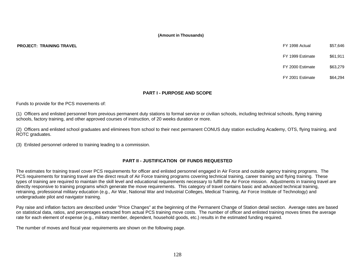- FY 1999 Estimate \$61,911
- FY 2000 Estimate \$63,279
- FY 2001 Estimate \$64,294

#### **PART I - PURPOSE AND SCOPE**

Funds to provide for the PCS movements of:

(1) Officers and enlisted personnel from previous permanent duty stations to formal service or civilian schools, including technical schools, flying training schools, factory training, and other approved courses of instruction, of 20 weeks duration or more.

(2) Officers and enlisted school graduates and eliminees from school to their next permanent CONUS duty station excluding Academy, OTS, flying training, and ROTC graduates.

(3) Enlisted personnel ordered to training leading to a commission.

#### **PART II - JUSTIFICATION OF FUNDS REQUESTED**

The estimates for training travel cover PCS requirements for officer and enlisted personnel engaged in Air Force and outside agency training programs. The PCS requirements for training travel are the direct result of Air Force training programs covering technical training, career training and flying training. These types of training are required to maintain the skill level and educational requirements necessary to fulfill the Air Force mission. Adjustments in training travel are directly responsive to training programs which generate the move requirements. This category of travel contains basic and advanced technical training, retraining, professional military education (e.g., Air War, National War and Industrial Colleges, Medical Training, Air Force Institute of Technology) and undergraduate pilot and navigator training.

Pay raise and inflation factors are described under "Price Changes" at the beginning of the Permanent Change of Station detail section. Average rates are based on statistical data, ratios, and percentages extracted from actual PCS training move costs. The number of officer and enlisted training moves times the average rate for each element of expense (e.g., military member, dependent, household goods, etc.) results in the estimated funding required.

The number of moves and fiscal year requirements are shown on the following page.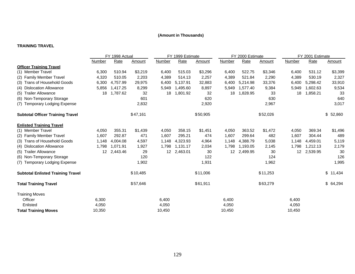#### **TRAINING TRAVEL**

|                                          | FY 1998 Actual   |          |               |               | FY 1999 Estimate |          |                 | FY 2000 Estimate |          | FY 2001 Estimate |          |           |
|------------------------------------------|------------------|----------|---------------|---------------|------------------|----------|-----------------|------------------|----------|------------------|----------|-----------|
|                                          | <b>Number</b>    | Rate     | <u>Amount</u> | <b>Number</b> | Rate             | Amount   | Number          | Rate             | Amount   | Number           | Rate     | Amount    |
| <b>Officer Training Travel</b>           |                  |          |               |               |                  |          |                 |                  |          |                  |          |           |
| (1) Member Travel                        | 6,300            | 510.94   | \$3,219       | 6,400         | 515.03           | \$3,296  | 6,400           | 522.75           | \$3,346  | 6,400            | 531.12   | \$3,399   |
| (2) Family Member Travel                 | 4,320            | 510.05   | 2,203         | 4,389         | 514.13           | 2,257    | 4,389           | 521.84           | 2,290    | 4,389            | 530.19   | 2,327     |
| (3) Trans of Household Goods             | 6,300            | 4,757.99 | 29,975        | 6,400         | 5,137.91         | 32,883   | 6,400           | 5,214.98         | 33,376   | 6,400            | 5,298.42 | 33,910    |
| (4) Dislocation Allowance                | 5,856            | 1,417.25 | 8,299         | 5,949         | 1,495.60         | 8,897    | 5,949           | 1,577.40         | 9,384    | 5,949            | 1,602.63 | 9,534     |
| (5) Trailer Allowance                    | 18               | 1,787.62 | 32            | 18            | 1,801.92         | 32       | 18              | 1,828.95         | 33       | 18               | 1,858.21 | 33        |
| (6) Non-Temporary Storage                |                  |          | 601           |               |                  | 620      |                 |                  | 630      |                  |          | 640       |
| (7) Temporary Lodging Expense            |                  |          | 2,832         |               |                  | 2,920    |                 |                  | 2,967    |                  |          | 3,017     |
| <b>Subtotal Officer Training Travel</b>  |                  |          | \$47,161      |               |                  | \$50,905 |                 |                  | \$52,026 |                  |          | \$52,860  |
| <b>Enlisted Training Travel</b>          |                  |          |               |               |                  |          |                 |                  |          |                  |          |           |
| (1) Member Travel                        | 4,050            | 355.31   | \$1,439       | 4,050         | 358.15           | \$1,451  | 4,050           | 363.52           | \$1,472  | 4,050            | 369.34   | \$1,496   |
| (2) Family Member Travel                 | 1,607            | 292.87   | 471           | 1,607         | 295.21           | 474      | 1,607           | 299.64           | 482      | 1,607            | 304.44   | 489       |
| (3) Trans of Household Goods             | 1,148            | 4.004.08 | 4,597         | 1,148         | 4,323.93         | 4,964    | 1,148           | 4,388.79         | 5,038    | 1,148            | 4,459.01 | 5,119     |
| (4) Dislocation Allowance                | 1,798            | 1.071.91 | 1,927         | 1,798         | 1,131.17         | 2,034    | 1,798           | 1,193.05         | 2,145    | 1,798            | 1,212.13 | 2,179     |
| (5) Trailer Allowance                    | 12 <sup>12</sup> | 2,443.46 | 29            | 12            | 2,463.01         | 30       | 12 <sup>2</sup> | 2,499.95         | 30       | 12 <sup>2</sup>  | 2,539.95 | 30        |
| (6) Non-Temporary Storage                |                  |          | 120           |               |                  | 122      |                 |                  | 124      |                  |          | 126       |
| (7) Temporary Lodging Expense            |                  |          | 1,902         |               |                  | 1,931    |                 |                  | 1,962    |                  |          | 1,995     |
| <b>Subtotal Enlisted Training Travel</b> |                  |          | \$10,485      |               |                  | \$11,006 |                 |                  | \$11,253 |                  |          | \$11,434  |
| <b>Total Training Travel</b>             |                  |          | \$57,646      |               |                  | \$61,911 |                 |                  | \$63,279 |                  |          | \$ 64,294 |
| <b>Training Moves</b>                    |                  |          |               |               |                  |          |                 |                  |          |                  |          |           |
| Officer                                  | 6,300            |          |               | 6,400         |                  |          | 6,400           |                  |          | 6,400            |          |           |
| Enlisted                                 | 4,050            |          |               | 4,050         |                  |          | 4,050           |                  |          | 4,050            |          |           |
| <b>Total Training Moves</b>              | 10,350           |          |               | 10,450        |                  |          | 10,450          |                  |          | 10,450           |          |           |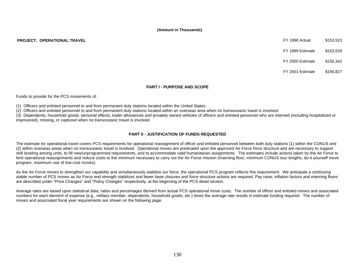**PROJECT: OPERATIONAL TRAVEL** \$153,523

FY 1999 Estimate \$153,628

FY 2000 Estimate \$156,342

FY 2001 Estimate \$156,827

#### **PART I - PURPOSE AND SCOPE**

Funds to provide for the PCS movements of:

(1) Officers and enlisted personnel to and from permanent duty stations located within the United States.

(2) Officers and enlisted personnel to and from permanent duty stations located within an overseas area when no transoceanic travel is involved.

(3) Dependents, household goods, personal effects, trailer allowances and privately owned vehicles of officers and enlisted personnel who are interned (including hospitalized or imprisoned), missing, or captured when no transoceanic travel is involved.

#### **PART II - JUSTIFICATION OF FUNDS REQUESTED**

The estimate for operational travel covers PCS requirements for operational reassignment of officer and enlisted personnel between both duty stations (1) within the CONUS and (2) within overseas areas when no transoceanic travel is involved. Operational moves are predicated upon the approved Air Force force structure and are necessary to support skill leveling among units, to fill new/unprogrammed requirements, and to accommodate valid humanitarian assignments. The estimates include actions taken by the Air Force to limit operational reassignments and reduce costs to the minimum necessary to carry out the Air Force mission (manning floor, minimum CONUS tour lengths, do-it-yourself move program, maximum use of low-cost moves).

As the Air Force moves to strengthen our capability and simultaneously stabilize our force, the operational PCS program reflects this requirement. We anticipate a continuing stable number of PCS moves as Air Force end strength stabilizes and fewer base closures and force structure actions are required. Pay raise, inflation factors and manning floors are described under "Price Changes" and "Policy Changes" respectively, at the beginning of the PCS detail section.

Average rates are based upon statistical data, ratios and percentages derived from actual PCS operational move costs. The number of officer and enlisted moves and associated numbers for each element of expense (e.g., military member, dependents, household goods, etc.) times the average rate results in estimate funding required. The number of moves and associated fiscal year requirements are shown on the following page.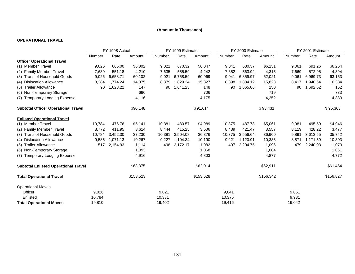#### **OPERATIONAL TRAVEL**

|                                             | FY 1998 Actual |          |           | FY 1999 Estimate |          |           |        | FY 2000 Estimate |           | FY 2001 Estimate |          |           |
|---------------------------------------------|----------------|----------|-----------|------------------|----------|-----------|--------|------------------|-----------|------------------|----------|-----------|
|                                             | Number         | Rate     | Amount    | Number           | Rate     | Amount    | Number | Rate             | Amount    | Number           | Rate     | Amount    |
| <b>Officer Operational Travel</b>           |                |          |           |                  |          |           |        |                  |           |                  |          |           |
| (1) Member Travel                           | 9,026          | 665.00   | \$6,002   | 9,021            | 670.32   | \$6,047   | 9,041  | 680.37           | \$6,151   | 9,061            | 691.26   | \$6,264   |
| (2) Family Member Travel                    | 7,639          | 551.18   | 4,210     | 7,635            | 555.59   | 4,242     | 7,652  | 563.92           | 4,315     | 7,669            | 572.95   | 4,394     |
| (3) Trans of Household Goods                | 9,026          | 6,658.71 | 60,102    | 9,021            | 6,758.59 | 60,969    | 9,041  | 6,859.97         | 62,021    | 9,061            | 6,969.73 | 63,153    |
| (4) Dislocation Allowance                   | 8,384          | 1,774.24 | 14,875    | 8,379            | 1,829.24 | 15,327    | 8,398  | 1,884.12         | 15,823    | 8,417            | 1,940.64 | 16,334    |
| (5) Trailer Allowance                       | 90             | 1,628.22 | 147       | 90               | 1,641.25 | 148       | 90     | 1,665.86         | 150       | 90               | 1,692.52 | 152       |
| (6) Non-Temporary Storage                   |                |          | 696       |                  |          | 706       |        |                  | 719       |                  |          | 733       |
| (7) Temporary Lodging Expense               |                |          | 4,116     |                  |          | 4,175     |        |                  | 4,252     |                  |          | 4,333     |
| <b>Subtotal Officer Operational Travel</b>  |                |          | \$90,148  |                  |          | \$91,614  |        |                  | \$93,431  |                  |          | \$95,363  |
| <b>Enlisted Operational Travel</b>          |                |          |           |                  |          |           |        |                  |           |                  |          |           |
| (1) Member Travel                           | 10,784         | 476.76   | \$5,141   | 10,381           | 480.57   | \$4,989   | 10,375 | 487.78           | \$5,061   | 9,981            | 495.59   | \$4,946   |
| (2) Family Member Travel                    | 8,772          | 411.95   | 3,614     | 8,444            | 415.25   | 3,506     | 8,439  | 421.47           | 3,557     | 8,119            | 428.22   | 3,477     |
| (3) Trans of Household Goods                | 10,784         | 3,452.30 | 37,230    | 10,381           | 3,504.08 | 36,376    | 10,375 | 3,556.64         | 36,900    | 9,891            | 3,613.55 | 35,742    |
| (4) Dislocation Allowance                   | 9,585          | 1,071.13 | 10,267    | 9,227            | 1,104.34 | 10,190    | 9,221  | 1,120.91         | 10,336    | 8,871            | 1,171.59 | 10,393    |
| (5) Trailer Allowance                       | 517            | 2,154.93 | 1,114     | 498              | 2,172.17 | 1,082     | 497    | 2,204.75         | 1,096     | 479              | 2,240.03 | 1,073     |
| (6) Non-Temporary Storage                   |                |          | 1,093     |                  |          | 1,068     |        |                  | 1,084     |                  |          | 1,061     |
| (7) Temporary Lodging Expense               |                |          | 4,916     |                  |          | 4,803     |        |                  | 4,877     |                  |          | 4,772     |
| <b>Subtotal Enlisted Operational Travel</b> |                |          | \$63,375  |                  |          | \$62,014  |        |                  | \$62,911  |                  |          | \$61,464  |
| <b>Total Operational Travel</b>             |                |          | \$153,523 |                  |          | \$153,628 |        |                  | \$156,342 |                  |          | \$156,827 |
| <b>Operational Moves</b>                    |                |          |           |                  |          |           |        |                  |           |                  |          |           |
| Officer                                     | 9,026          |          |           | 9,021            |          |           | 9,041  |                  |           | 9,061            |          |           |
| Enlisted                                    | 10,784         |          |           | 10,381           |          |           | 10,375 |                  |           | 9,981            |          |           |
| <b>Total Operational Moves</b>              | 19,810         |          |           | 19,402           |          |           | 19,416 |                  |           | 19,042           |          |           |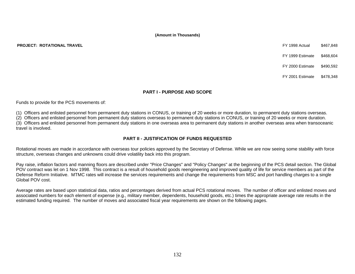**PROJECT: ROTATIONAL TRAVEL** FY 1998 Actual \$467,848

FY 1999 Estimate \$468,604

FY 2000 Estimate \$490,592

FY 2001 Estimate \$478,348

#### **PART I - PURPOSE AND SCOPE**

Funds to provide for the PCS movements of:

(1) Officers and enlisted personnel from permanent duty stations in CONUS, or training of 20 weeks or more duration, to permanent duty stations overseas.

(2) Officers and enlisted personnel from permanent duty stations overseas to permanent duty stations in CONUS, or training of 20 weeks or more duration.

(3) Officers and enlisted personnel from permanent duty stations in one overseas area to permanent duty stations in another overseas area when transoceanic travel is involved.

#### **PART II - JUSTIFICATION OF FUNDS REQUESTED**

Rotational moves are made in accordance with overseas tour policies approved by the Secretary of Defense. While we are now seeing some stability with force structure, overseas changes and unknowns could drive volatility back into this program.

Pay raise, inflation factors and manning floors are described under "Price Changes" and "Policy Changes" at the beginning of the PCS detail section. The Global POV contract was let on 1 Nov 1998. This contract is a result of household goods reengineering and improved quality of life for service members as part of the Defense Reform Initiative. MTMC rates will increase the services requirements and change the requirements from MSC and port handling charges to a single Global POV cost.

Average rates are based upon statistical data, ratios and percentages derived from actual PCS rotational moves. The number of officer and enlisted moves and associated numbers for each element of expense (e.g., military member, dependents, household goods, etc.) times the appropriate average rate results in the estimated funding required. The number of moves and associated fiscal year requirements are shown on the following pages.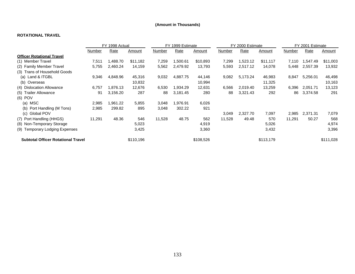#### **ROTATIONAL TRAVEL**

|                                           | FY 1998 Actual |          |           |               | FY 1999 Estimate |           |        | FY 2000 Estimate |           | FY 2001 Estimate |          |               |
|-------------------------------------------|----------------|----------|-----------|---------------|------------------|-----------|--------|------------------|-----------|------------------|----------|---------------|
|                                           | Number         | Rate     | Amount    | <u>Number</u> | Rate             | Amount    | Number | Rate             | Amount    | <b>Number</b>    | Rate     | <u>Amount</u> |
| <b>Officer Rotational Travel</b>          |                |          |           |               |                  |           |        |                  |           |                  |          |               |
| (1) Member Travel                         | 7,511          | ,488.70  | \$11,182  | 7,259         | 1,500.61         | \$10,893  | 7,299  | 1,523.12         | \$11,117  | 7,110            | 1,547.49 | \$11,003      |
| (2) Family Member Travel                  | 5,755          | 2,460.24 | 14,159    | 5,562         | 2,479.92         | 13,793    | 5,593  | 2,517.12         | 14,078    | 5,448            | 2,557.39 | 13,932        |
| (3) Trans of Household Goods              |                |          |           |               |                  |           |        |                  |           |                  |          |               |
| (a) Land & ITGBL                          | 9,346          | 4,848.96 | 45,316    | 9,032         | 4,887.75         | 44,146    | 9,082  | 5,173.24         | 46,983    | 8,847            | 5,256.01 | 46,498        |
| (b) Overseas                              |                |          | 10,832    |               |                  | 10,994    |        |                  | 11,325    |                  |          | 10,163        |
| (4) Dislocation Allowance                 | 6,757          | .876.13  | 12,676    | 6,530         | 1,934.29         | 12,631    | 6,566  | 2,019.40         | 13,259    | 6,396            | 2,051.71 | 13,123        |
| (5) Trailer Allowance                     | 91             | 3,156.20 | 287       | 88            | 3,181.45         | 280       | 88     | 3,321.43         | 292       | 86               | 3,374.58 | 291           |
| $(6)$ POV                                 |                |          |           |               |                  |           |        |                  |           |                  |          |               |
| (a) MSC                                   | 2,985          | .961.22  | 5,855     | 3,048         | 1,976.91         | 6,026     |        |                  |           |                  |          |               |
| (b) Port Handling (M Tons)                | 2,985          | 299.82   | 895       | 3,048         | 302.22           | 921       |        |                  |           |                  |          |               |
| (c) Global POV                            |                |          |           |               |                  |           | 3,049  | 2,327.70         | 7,097     | 2,985            | 2,371.31 | 7,079         |
| (7) Port Handling (HHGS)                  | 11,291         | 48.36    | 546       | 11,528        | 48.75            | 562       | 11,528 | 49.48            | 570       | 11,291           | 50.27    | 568           |
| (8) Non-Temporary Storage                 |                |          | 5,023     |               |                  | 4,919     |        |                  | 5,026     |                  |          | 4,974         |
| (9) Temporary Lodging Expenses            |                |          | 3,425     |               |                  | 3,360     |        |                  | 3,432     |                  |          | 3,396         |
| <b>Subtotal Officer Rotational Travel</b> |                |          | \$110,196 |               |                  | \$108,526 |        |                  | \$113,179 |                  |          | \$111,028     |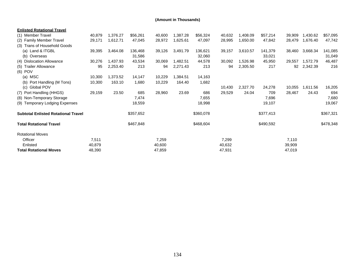| <b>Enlisted Rotational Travel</b>          |        |          |           |        |          |           |        |          |           |        |          |           |
|--------------------------------------------|--------|----------|-----------|--------|----------|-----------|--------|----------|-----------|--------|----------|-----------|
| (1) Member Travel                          | 40,879 | 1,376.27 | \$56,261  | 40,600 | 1,387.28 | \$56,324  | 40,632 | 1,408.09 | \$57,214  | 39,909 | 1,430.62 | \$57,095  |
| (2) Family Member Travel                   | 29,171 | 1,612.71 | 47,045    | 28,972 | 1,625.61 | 47,097    | 28,995 | 1,650.00 | 47,842    | 28,479 | 1,676.40 | 47,742    |
| (3) Trans of Household Goods               |        |          |           |        |          |           |        |          |           |        |          |           |
| (a) Land & ITGBL                           | 39,395 | 3,464.08 | 136,468   | 39,126 | 3,491.79 | 136,621   | 39,157 | 3,610.57 | 141,379   | 38,460 | 3,668.34 | 141,085   |
| (b) Overseas                               |        |          | 31,586    |        |          | 32,060    |        |          | 33,021    |        |          | 31,049    |
| (4) Dislocation Allowance                  | 30,276 | 1,437.93 | 43,534    | 30,069 | 1,482.51 | 44,578    | 30,092 | 1,526.98 | 45,950    | 29,557 | 1,572.79 | 46,487    |
| (5) Trailer Allowance                      | 95     | 2,253.40 | 213       | 94     | 2,271.43 | 213       | 94     | 2,305.50 | 217       | 92     | 2,342.39 | 216       |
| $(6)$ POV                                  |        |          |           |        |          |           |        |          |           |        |          |           |
| MSC<br>(a)                                 | 10,300 | 1,373.52 | 14,147    | 10,229 | 1,384.51 | 14,163    |        |          |           |        |          |           |
| Port Handling (M Tons)<br>(b)              | 10,300 | 163.10   | 1,680     | 10,229 | 164.40   | 1,682     |        |          |           |        |          |           |
| (c)<br><b>Global POV</b>                   |        |          |           |        |          |           | 10,430 | 2,327.70 | 24,278    | 10,055 | 1,611.56 | 16,205    |
| (7) Port Handling (HHGS)                   | 29,159 | 23.50    | 685       | 28,960 | 23.69    | 686       | 29,529 | 24.04    | 709       | 28,467 | 24.43    | 694       |
| (8) Non-Temporary Storage                  |        |          | 7,474     |        |          | 7,655     |        |          | 7,696     |        |          | 7,680     |
| (9) Temporary Lodging Expenses             |        |          | 18,559    |        |          | 18,998    |        |          | 19,107    |        |          | 19,067    |
| <b>Subtotal Enlisted Rotational Travel</b> |        |          | \$357,652 |        |          | \$360,078 |        |          | \$377,413 |        |          | \$367,321 |
| <b>Total Rotational Travel</b>             |        |          | \$467,848 |        |          | \$468,604 |        |          | \$490,592 |        |          | \$478,348 |
| <b>Rotational Moves</b>                    |        |          |           |        |          |           |        |          |           |        |          |           |
| Officer                                    | 7,511  |          |           | 7,259  |          |           | 7,299  |          |           | 7,110  |          |           |
| Enlisted                                   | 40,879 |          |           | 40,600 |          |           | 40,632 |          |           | 39,909 |          |           |
| <b>Total Rotational Moves</b>              | 48,390 |          |           | 47,859 |          |           | 47,931 |          |           | 47,019 |          |           |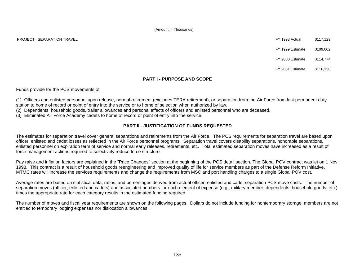PROJECT: SEPARATION TRAVEL 6117,129

FY 1999 Estimate \$109,002

FY 2000 Estimate \$114,774

FY 2001 Estimate \$116,138

#### **PART I - PURPOSE AND SCOPE**

Funds provide for the PCS movements of:

(1) Officers and enlisted personnel upon release, normal retirement (excludes TERA retirement), or separation from the Air Force from last permanent duty station to home of record or point of entry into the service or to home of selection when authorized by law.

(2) Dependents, household goods, trailer allowances and personal effects of officers and enlisted personnel who are deceased.

(3) Eliminated Air Force Academy cadets to home of record or point of entry into the service.

#### **PART II - JUSTIFICATION OF FUNDS REQUESTED**

The estimates for separation travel cover general separations and retirements from the Air Force. The PCS requirements for separation travel are based upon officer, enlisted and cadet losses as reflected in the Air Force personnel programs. Separation travel covers disability separations, honorable separations, enlisted personnel on expiration term of service and normal early releases, retirements, etc. Total estimated separation moves have increased as a result of force management actions required to selectively reduce force structure.

Pay raise and inflation factors are explained in the "Price Changes" section at the beginning of the PCS detail section. The Global POV contract was let on 1 Nov 1998. This contract is a result of household goods reengineering and improved quality of life for service members as part of the Defense Reform Initiative. MTMC rates will increase the services requirements and change the requirements from MSC and port handling charges to a single Global POV cost.

Average rates are based on statistical data, ratios, and percentages derived from actual officer, enlisted and cadet separation PCS move costs. The number of separation moves (officer, enlisted and cadets) and associated numbers for each element of expense (e.g., military member, dependents, household goods, etc.) times the appropriate rate for each category results in the estimated funding required.

The number of moves and fiscal year requirements are shown on the following pages. Dollars do not include funding for nontemporary storage; members are not entitled to temporary lodging expenses nor dislocation allowances.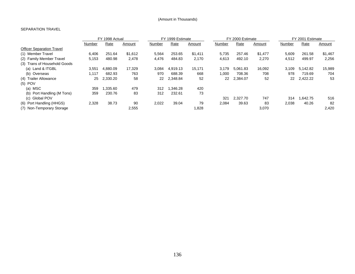#### SEPARATION TRAVEL

|                                  | FY 1998 Actual |          |         |        | FY 1999 Estimate |         |        | FY 2000 Estimate |         |        | FY 2001 Estimate |         |  |
|----------------------------------|----------------|----------|---------|--------|------------------|---------|--------|------------------|---------|--------|------------------|---------|--|
|                                  | Number         | Rate     | Amount  | Number | Rate             | Amount  | Number | Rate             | Amount  | Number | Rate             | Amount  |  |
| <b>Officer Separation Travel</b> |                |          |         |        |                  |         |        |                  |         |        |                  |         |  |
| (1) Member Travel                | 6,406          | 251.64   | \$1,612 | 5,564  | 253.65           | \$1,411 | 5,735  | 257.46           | \$1,477 | 5,609  | 261.58           | \$1,467 |  |
| (2) Family Member Travel         | 5,153          | 480.98   | 2,478   | 4,476  | 484.83           | 2.170   | 4,613  | 492.10           | 2,270   | 4,512  | 499.97           | 2,256   |  |
| (3) Trans of Household Goods     |                |          |         |        |                  |         |        |                  |         |        |                  |         |  |
| (a) Land & ITGBL                 | 3,551          | 4.880.09 | 17,329  | 3,084  | 4.919.13         | 15.171  | 3.179  | 5.061.83         | 16,092  | 3.109  | 5.142.82         | 15,989  |  |
| (b) Overseas                     | 1.117          | 682.93   | 763     | 970    | 688.39           | 668     | 1.000  | 708.36           | 708     | 978    | 719.69           | 704     |  |
| (4) Trailer Allowance            | 25             | 2,330.20 | 58      | 22     | 2,348.84         | 52      | 22     | 2,384.07         | 52      | 22     | 2,422.22         | 53      |  |
| $(5)$ POV                        |                |          |         |        |                  |         |        |                  |         |        |                  |         |  |
| (a) MSC                          | 359            | 1.335.60 | 479     | 312    | .346.28          | 420     |        |                  |         |        |                  |         |  |
| (b) Port Handling (M Tons)       | 359            | 230.76   | 83      | 312    | 232.61           | 73      |        |                  |         |        |                  |         |  |
| (c) Global POV                   |                |          |         |        |                  |         | 321    | 2.327.70         | 747     | 314    | .642.75          | 516     |  |
| (6) Port Handling (HHGS)         | 2,328          | 38.73    | 90      | 2,022  | 39.04            | 79      | 2,084  | 39.63            | 83      | 2,038  | 40.26            | 82      |  |
| (7) Non-Temporary Storage        |                |          | 2,555   |        |                  | .828    |        |                  | 3,070   |        |                  | 2.420   |  |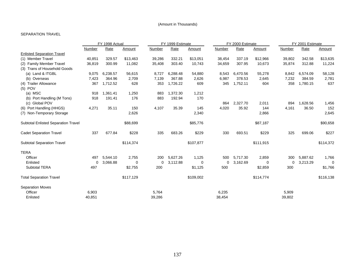#### SEPARATION TRAVEL

|                                     | FY 1998 Actual |          |           |               | FY 1999 Estimate |           |             | FY 2000 Estimate |           | FY 2001 Estimate |          |           |
|-------------------------------------|----------------|----------|-----------|---------------|------------------|-----------|-------------|------------------|-----------|------------------|----------|-----------|
|                                     | <b>Number</b>  | Rate     | Amount    | <b>Number</b> | Rate             | Amount    | Number      | Rate             | Amount    | Number           | Rate     | Amount    |
| <b>Enlisted Separation Travel</b>   |                |          |           |               |                  |           |             |                  |           |                  |          |           |
| (1) Member Travel                   | 40,851         | 329.57   | \$13,463  | 39,286        | 332.21           | \$13,051  | 38,454      | 337.19           | \$12,966  | 39,802           | 342.58   | \$13,635  |
| (2) Family Member Travel            | 36,819         | 300.99   | 11,082    | 35,408        | 303.40           | 10,743    | 34,659      | 307.95           | 10,673    | 35,874           | 312.88   | 11,224    |
| (3) Trans of Household Goods        |                |          |           |               |                  |           |             |                  |           |                  |          |           |
| (a) Land & ITGBL                    | 9,075          | 6,238.57 | 56,615    | 8,727         | 6,288.48         | 54,880    | 8,543       | 6,470.56         | 55,278    | 8,842            | 6,574.09 | 58,128    |
| Overseas<br>(b)                     | 7,423          | 364.96   | 2,709     | 7,139         | 367.88           | 2,626     | 6,987       | 378.53           | 2,645     | 7,232            | 384.59   | 2,781     |
| (4) Trailer Allowance               | 367            | 1,712.52 | 628       | 353           | 1,726.22         | 609       | 345         | 1,752.11         | 604       | 358              | 1,780.15 | 637       |
| $(5)$ POV                           |                |          |           |               |                  |           |             |                  |           |                  |          |           |
| (a) MSC                             | 918            | 1.361.41 | 1,250     | 883           | 1,372.30         | 1,212     |             |                  |           |                  |          |           |
| Port Handling (M Tons)<br>(b)       | 918            | 191.41   | 176       | 883           | 192.94           | 170       |             |                  |           |                  |          |           |
| (c) Global POV                      |                |          |           |               |                  |           | 864         | 2,327.70         | 2,011     | 894              | 1,628.56 | 1,456     |
| (6) Port Handling (HHGS)            | 4,271          | 35.11    | 150       | 4,107         | 35.39            | 145       | 4,020       | 35.92            | 144       | 4,161            | 36.50    | 152       |
| (7) Non-Temporary Storage           |                |          | 2,626     |               |                  | 2,340     |             |                  | 2,866     |                  |          | 2,645     |
| Subtotal Enlisted Separation Travel |                |          | \$88,699  |               |                  | \$85,776  |             |                  | \$87,187  |                  |          | \$90,658  |
| <b>Cadet Separation Travel</b>      | 337            | 677.84   | \$228     | 335           | 683.26           | \$229     | 330         | 693.51           | \$229     | 325              | 699.06   | \$227     |
| <b>Subtotal Separation Travel</b>   |                |          | \$114,374 |               |                  | \$107,877 |             |                  | \$111,915 |                  |          | \$114,372 |
| <b>TERA</b>                         |                |          |           |               |                  |           |             |                  |           |                  |          |           |
| Officer                             | 497            | 5,544.10 | 2,755     | 200           | 5,627.26         | 1,125     | 500         | 5,717.30         | 2,859     | 300              | 5,887.62 | 1,766     |
| Enlisted                            | 0              | 3,066.88 | 0         | 0             | 3,112.88         | 0         | $\mathbf 0$ | 3,162.69         | 0         | 0                | 3,213.29 | $\Omega$  |
| <b>Subtotal TERA</b>                | 497            |          | \$2,755   | 200           |                  | \$1,125   | 500         |                  | \$2,859   | 300              |          | \$1,766   |
| <b>Total Separation Travel</b>      |                |          | \$117,129 |               |                  | \$109,002 |             |                  | \$114,774 |                  |          | \$116,138 |
| <b>Separation Moves</b>             |                |          |           |               |                  |           |             |                  |           |                  |          |           |
| Officer                             | 6,903          |          |           | 5,764         |                  |           | 6,235       |                  |           | 5,909            |          |           |
| Enlisted                            | 40,851         |          |           | 39,286        |                  |           | 38,454      |                  |           | 39,802           |          |           |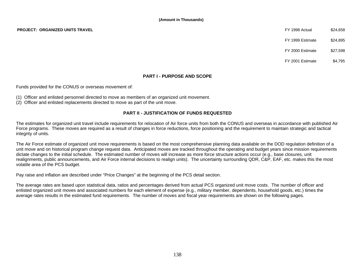FY 1999 Estimate \$24,895

FY 2000 Estimate \$27,598

FY 2001 Estimate \$4,795

#### **PART I - PURPOSE AND SCOPE**

Funds provided for the CONUS or overseas movement of:

- (1) Officer and enlisted personnel directed to move as members of an organized unit movement.
- (2) Officer and enlisted replacements directed to move as part of the unit move.

#### **PART II - JUSTIFICATION OF FUNDS REQUESTED**

The estimates for organized unit travel include requirements for relocation of Air force units from both the CONUS and overseas in accordance with published Air Force programs. These moves are required as a result of changes in force reductions, force positioning and the requirement to maintain strategic and tactical integrity of units.

The Air Force estimate of organized unit move requirements is based on the most comprehensive planning data available on the DOD regulation definition of a unit move and on historical program change request data. Anticipated moves are tracked throughout the operating and budget years since mission requirements dictate changes to the initial schedule. The estimated number of moves will increase as more force structure actions occur (e.g., base closures, unit realignments, public announcements, and Air Force internal decisions to realign units). The uncertainty surrounding QDR, C&P, EAF, etc. makes this the most volatile area of the PCS budget.

Pay raise and inflation are described under "Price Changes" at the beginning of the PCS detail section.

The average rates are based upon statistical data, ratios and percentages derived from actual PCS organized unit move costs. The number of officer and enlisted organized unit moves and associated numbers for each element of expense (e.g., military member, dependents, household goods, etc.) times the average rates results in the estimated fund requirements. The number of moves and fiscal year requirements are shown on the following pages.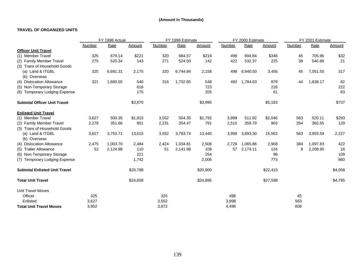#### **TRAVEL OF ORGANIZED UNITS**

|                                      | FY 1998 Actual |          |          | FY 1999 Estimate |             |          | FY 2000 Estimate |          |          | FY 2001 Estimate |          |         |
|--------------------------------------|----------------|----------|----------|------------------|-------------|----------|------------------|----------|----------|------------------|----------|---------|
|                                      | Number         | Rate     | Amount   | Number           | <b>Rate</b> | Amount   | Number           | Rate     | Amount   | <b>Number</b>    | Rate     | Amount  |
| <b>Officer Unit Travel</b>           |                |          |          |                  |             |          |                  |          |          |                  |          |         |
| (1) Member Travel                    | 325            | 679.14   | \$221    | 320              | 684.57      | \$219    | 498              | 694.84   | \$346    | 45               | 705.96   | \$32    |
| (2) Family Member Travel             | 275            | 520.34   | 143      | 271              | 524.50      | 142      | 422              | 532.37   | 225      | 38               | 540.89   | 21      |
| (3) Trans of Household Goods         |                |          |          |                  |             |          |                  |          |          |                  |          |         |
| (a) Land & ITGBL                     | 325            | 6,691.31 | 2,175    | 320              | 6,744.84    | 2,158    | 498              | 6,940.50 | 3,456    | 45               | 7,051.55 | 317     |
| (b) Overseas                         |                |          |          |                  |             |          |                  |          |          |                  |          |         |
| (4) Dislocation Allowance            | 321            | 1,680.55 | 540      | 316              | 1,732.65    | 548      | 492              | 1,784.63 | 879      | 44               | 1,838.17 | 82      |
| (5) Non-Temporary Storage            |                |          | 616      |                  |             | 723      |                  |          | 216      |                  |          | 222     |
| (6) Temporary Lodging Expense        |                |          | 175      |                  |             | 205      |                  |          | 61       |                  |          | 63      |
| <b>Subtotal Officer Unit Travel</b>  |                |          | \$3,870  |                  |             | \$3,995  |                  |          | \$5,183  |                  |          | \$737   |
| <b>Enlisted Unit Travel</b>          |                |          |          |                  |             |          |                  |          |          |                  |          |         |
| (1) Member Travel                    | 3,627          | 500.35   | \$1,815  | 3,552            | 504.35      | \$1,792  | 3,998            | 511.92   | \$2,046  | 563              | 520.11   | \$293   |
| (2) Family Member Travel             | 2,278          | 351.66   | 801      | 2,231            | 354.47      | 791      | 2,510            | 359.79   | 903      | 354              | 365.55   | 129     |
| (3) Trans of Household Goods         |                |          |          |                  |             |          |                  |          |          |                  |          |         |
| (a) Land & ITGBL                     | 3,627          | 3,753.71 | 13,615   | 3,552            | 3,783.74    | 13,440   | 3,998            | 3,893.30 | 15,563   | 563              | 3,955.59 | 2,227   |
| (b) Overseas                         |                |          |          |                  |             |          |                  |          |          |                  |          |         |
| (4) Dislocation Allowance            | 2,475          | 1,003.70 | 2,484    | 2,424            | 1,034.81    | 2,508    | 2,728            | 1,065.86 | 2,908    | 384              | 1,097.83 | 422     |
| (5) Trailer Allowance                | 52             | 2,124.98 | 110      | 51               | 2,141.98    | 109      | 57               | 2,174.11 | 124      | 8                | 2,208.90 | 18      |
| (6) Non-Temporary Storage            |                |          | 221      |                  |             | 254      |                  |          | 98       |                  |          | 109     |
| (7) Temporary Lodging Expense        |                |          | 1,742    |                  |             | 2,006    |                  |          | 773      |                  |          | 860     |
| <b>Subtotal Enlisted Unit Travel</b> |                |          | \$20,788 |                  |             | \$20,900 |                  |          | \$22,415 |                  |          | \$4,058 |
| <b>Total Unit Travel</b>             |                |          | \$24,658 |                  |             | \$24,895 |                  |          | \$27,598 |                  |          | \$4,795 |
| <b>Unit Travel Moves</b>             |                |          |          |                  |             |          |                  |          |          |                  |          |         |
| Officer                              | 325            |          |          | 320              |             |          | 498              |          |          | 45               |          |         |
| Enlisted                             | 3,627          |          |          | 3,552            |             |          | 3,998            |          |          | 563              |          |         |
| <b>Total Unit Travel Moves</b>       | 3,952          |          |          | 3,872            |             |          | 4.496            |          |          | 608              |          |         |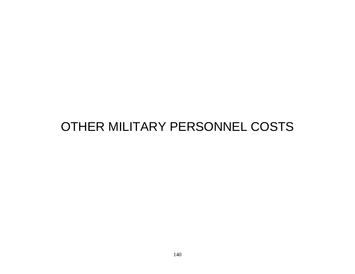# OTHER MILITARY PERSONNEL COSTS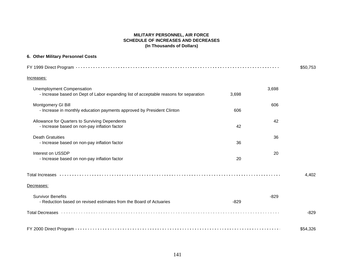#### **MILITARY PERSONNEL, AIR FORCE SCHEDULE OF INCREASES AND DECREASES (In Thousands of Dollars)**

#### **6. Other Military Personnel Costs**

|                                                                                                                           |        |        | \$50,753 |
|---------------------------------------------------------------------------------------------------------------------------|--------|--------|----------|
| Increases:                                                                                                                |        |        |          |
| <b>Unemployment Compensation</b><br>- Increase based on Dept of Labor expanding list of acceptable reasons for separation | 3,698  | 3,698  |          |
| Montgomery GI Bill<br>- Increase in monthly education payments approved by President Clinton                              | 606    | 606    |          |
| Allowance for Quarters to Surviving Dependents<br>- Increase based on non-pay inflation factor                            | 42     | 42     |          |
| <b>Death Gratuities</b><br>- Increase based on non-pay inflation factor                                                   | 36     | 36     |          |
| Interest on USSDP<br>- Increase based on non-pay inflation factor                                                         | 20     | 20     |          |
|                                                                                                                           |        |        | 4,402    |
| Decreases:                                                                                                                |        |        |          |
| <b>Survivor Benefits</b><br>- Reduction based on revised estimates from the Board of Actuaries                            | $-829$ | $-829$ |          |
| Total Decreases Address And Address Andreas Andreas Andreas Andreas Andreas Andreas Andreas Andreas Andreas An            |        |        | $-829$   |
|                                                                                                                           |        |        | \$54,326 |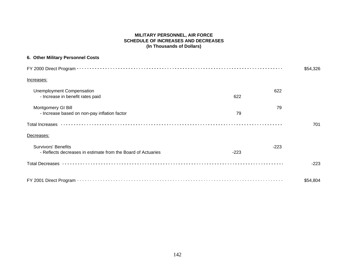#### **MILITARY PERSONNEL, AIR FORCE SCHEDULE OF INCREASES AND DECREASES (In Thousands of Dollars)**

| 6. Other Military Personnel Costs                                                          |        |        |          |
|--------------------------------------------------------------------------------------------|--------|--------|----------|
|                                                                                            |        |        | \$54,326 |
| Increases:                                                                                 |        |        |          |
| <b>Unemployment Compensation</b><br>- Increase in benefit rates paid                       | 622    | 622    |          |
| Montgomery GI Bill<br>- Increase based on non-pay inflation factor                         | 79     | 79     |          |
|                                                                                            |        |        | 701      |
| Decreases:                                                                                 |        |        |          |
| <b>Survivors' Benefits</b><br>- Reflects decreases in estimate from the Board of Actuaries | $-223$ | $-223$ |          |
|                                                                                            |        |        | $-223$   |
|                                                                                            |        |        | \$54,804 |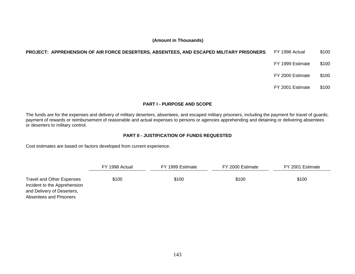# **PROJECT: APPREHENSION OF AIR FORCE DESERTERS, ABSENTEES, AND ESCAPED MILITARY PRISONERS** FY 1998 Actual \$100

- FY 1999 Estimate \$100
- FY 2000 Estimate \$100
- FY 2001 Estimate \$100

# **PART I - PURPOSE AND SCOPE**

The funds are for the expenses and delivery of military deserters, absentees, and escaped military prisoners, including the payment for travel of guards; payment of rewards or reimbursement of reasonable and actual expenses to persons or agencies apprehending and detaining or delivering absentees or deserters to military control.

# **PART II - JUSTIFICATION OF FUNDS REQUESTED**

Cost estimates are based on factors developed from current experience.

|                                                                                                                    | FY 1998 Actual | FY 1999 Estimate | FY 2000 Estimate | FY 2001 Estimate |
|--------------------------------------------------------------------------------------------------------------------|----------------|------------------|------------------|------------------|
| Travel and Other Expenses<br>Incident to the Apprehension<br>and Delivery of Deserters,<br>Absentees and Prisoners | \$100          | \$100            | \$100            | \$100            |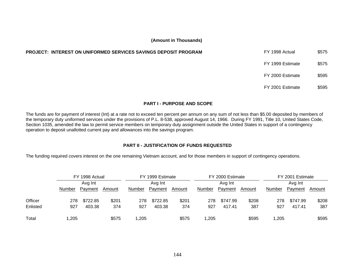| PROJECT: INTEREST ON UNIFORMED SERVICES SAVINGS DEPOSIT PROGRAM | FY 1998 Actual   | \$575 |
|-----------------------------------------------------------------|------------------|-------|
|                                                                 | FY 1999 Estimate | \$575 |
|                                                                 | FY 2000 Estimate | \$595 |
|                                                                 | FY 2001 Estimate | \$595 |

#### **PART I - PURPOSE AND SCOPE**

The funds are for payment of interest (Int) at a rate not to exceed ten percent per annum on any sum of not less than \$5.00 deposited by members of the temporary duty uniformed services under the provisions of P.L. 8-538, approved August 14, 1966. During FY 1991, Title 10, United States Code, Section 1035, amended the law to permit service members on temporary duty assignment outside the United States in support of a contingency operation to deposit unallotted current pay and allowances into the savings program.

# **PART II - JUSTIFICATION OF FUNDS REQUESTED**

The funding required covers interest on the one remaining Vietnam account, and for those members in support of contingency operations.

|          |         | FY 1998 Actual |         |               | FY 1999 Estimate |        |         | FY 2000 Estimate |        |        | FY 2001 Estimate |        |
|----------|---------|----------------|---------|---------------|------------------|--------|---------|------------------|--------|--------|------------------|--------|
|          | Avg Int |                | Avg Int |               | Avg Int          |        | Avg Int |                  |        |        |                  |        |
|          | Number  | Payment        | Amount  | <b>Number</b> | Payment          | Amount | Number  | Payment          | Amount | Number | Payment          | Amount |
| Officer  | 278     | \$722.85       | \$201   | 278           | \$722.85         | \$201  | 278     | \$747.99         | \$208  | 278    | \$747.99         | \$208  |
| Enlisted | 927     | 403.38         | 374     | 927           | 403.38           | 374    | 927     | 417.41           | 387    | 927    | 417.41           | 387    |
| Total    | ,205    |                | \$575   | 1.205         |                  | \$575  | ,205    |                  | \$595  | 1.205  |                  | \$595  |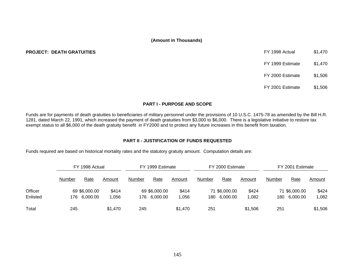#### **PROJECT: DEATH GRATUITIES**

| FY 1998 Actual   | \$1,470 |
|------------------|---------|
| FY 1999 Estimate | \$1,470 |
| FY 2000 Estimate | \$1.506 |
| FY 2001 Estimate | \$1,506 |

# **PART I - PURPOSE AND SCOPE**

Funds are for payments of death gratuities to beneficiaries of military personnel under the provisions of 10 U.S.C. 1475-78 as amended by the Bill H.R. 1281, dated March 22, 1991, which increased the payment of death gratuities from \$3,000 to \$6,000. There is a legislative initiative to restore tax exempt status to all \$6,000 of the death gratuity benefit in FY2000 and to protect any future increases in this benefit from taxation.

# **PART II - JUSTIFICATION OF FUNDS REQUESTED**

Funds required are based on historical mortality rates and the statutory gratuity amount. Computation details are:

|          | FY 1998 Actual |               | FY 1999 Estimate |               | FY 2000 Estimate |         | FY 2001 Estimate |               |         |        |               |         |
|----------|----------------|---------------|------------------|---------------|------------------|---------|------------------|---------------|---------|--------|---------------|---------|
|          | Number         | Rate          | Amount           | <b>Number</b> | Rate             | Amount  | Number           | Rate          | Amount  | Number | Rate          | Amount  |
| Officer  |                | 69 \$6,000.00 | \$414            |               | 69 \$6,000.00    | \$414   |                  | 71 \$6,000.00 | \$424   |        | 71 \$6,000.00 | \$424   |
| Enlisted |                | 176 6,000.00  | 1,056            | 176.          | 6,000.00         | 1,056   | 180              | 6,000.00      | 1,082   |        | 180 6,000.00  | 1,082   |
| Total    | 245            |               | \$1,470          | 245           |                  | \$1.470 | 251              |               | \$1,506 | 251    |               | \$1,506 |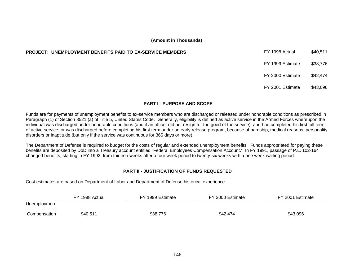#### **PROJECT: UNEMPLOYMENT BENEFITS PAID TO EX-SERVICE MEMBERS**

| FY 1998 Actual   | \$40,511 |
|------------------|----------|
| FY 1999 Estimate | \$38,776 |
| FY 2000 Estimate | \$42.474 |
| FY 2001 Estimate | \$43,096 |

# **PART I - PURPOSE AND SCOPE**

Funds are for payments of unemployment benefits to ex-service members who are discharged or released under honorable conditions as prescribed in Paragraph (1) of Section 8521 (a) of Title 5, United States Code. Generally, eligibility is defined as active service in the Armed Forces whereupon the individual was discharged under honorable conditions (and if an officer did not resign for the good of the service); and had completed his first full term of active service; or was discharged before completing his first term under an early release program, because of hardship, medical reasons, personality disorders or inaptitude (but only if the service was continuous for 365 days or more).

The Department of Defense is required to budget for the costs of regular and extended unemployment benefits. Funds appropriated for paying these benefits are deposited by DoD into a Treasury account entitled "Federal Employees Compensation Account." In FY 1991, passage of P.L. 102-164 changed benefits, starting in FY 1992, from thirteen weeks after a four week period to twenty-six weeks with a one week waiting period.

# **PART II - JUSTIFICATION OF FUNDS REQUESTED**

Cost estimates are based on Department of Labor and Department of Defense historical experience.

|              | FY 1998 Actual | FY 1999 Estimate | FY 2000 Estimate | FY 2001 Estimate |
|--------------|----------------|------------------|------------------|------------------|
| Unemploymen  |                |                  |                  |                  |
| Compensation | \$40,511       | \$38,776         | \$42,474         | \$43,096         |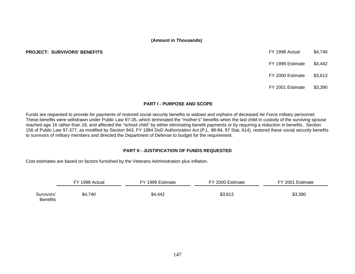#### **PROJECT: SURVIVORS' BENEFITS EXECUTE: SURVIVORS' BENEFITS EXECUTE: SURVIVORS' BENEFITS**

FY 1999 Estimate \$4,442 FY 2000 Estimate \$3,613

FY 2001 Estimate \$3,390

# **PART I - PURPOSE AND SCOPE**

Funds are requested to provide for payments of restored social security benefits to widows and orphans of deceased Air Force military personnel. These benefits were withdrawn under Public Law 97-35, which terminated the "mother's" benefits when the last child in custody of the surviving spouse reached age 16 rather than 18, and affected the "school child" by either eliminating benefit payments or by requiring a reduction in benefits. Section 156 of Public Law 97-377, as modified by Section 943, FY 1984 DoD Authorization Act (P.L. 98-94, 97 Stat, 614), restored these social security benefits to survivors of military members and directed the Department of Defense to budget for the requirement.

# **PART II - JUSTIFICATION OF FUNDS REQUESTED**

Cost estimates are based on factors furnished by the Veterans Administration plus inflation.

|                               | FY 1998 Actual | FY 1999 Estimate | FY 2000 Estimate | FY 2001 Estimate |
|-------------------------------|----------------|------------------|------------------|------------------|
| Survivors'<br><b>Benefits</b> | \$4,740        | \$4,442          | \$3,613          | \$3,390          |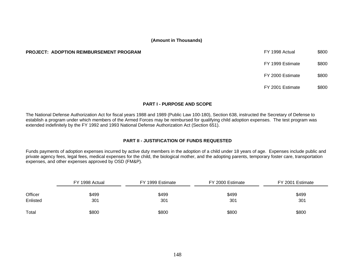#### **PROJECT: ADOPTION REIMBURSEMENT PROGRAM**

| FY 1998 Actual   | \$800 |
|------------------|-------|
| FY 1999 Estimate | \$800 |
| FY 2000 Estimate | \$800 |
| FY 2001 Estimate | \$800 |

#### **PART I - PURPOSE AND SCOPE**

The National Defense Authorization Act for fiscal years 1988 and 1989 (Public Law 100-180), Section 638, instructed the Secretary of Defense to establish a program under which members of the Armed Forces may be reimbursed for qualifying child adoption expenses. The test program was extended indefinitely by the FY 1992 and 1993 National Defense Authorization Act (Section 651).

# **PART II - JUSTIFICATION OF FUNDS REQUESTED**

Funds payments of adoption expenses incurred by active duty members in the adoption of a child under 18 years of age. Expenses include public and private agency fees, legal fees, medical expenses for the child, the biological mother, and the adopting parents, temporary foster care, transportation expenses, and other expenses approved by OSD (FM&P).

|          | FY 1998 Actual | FY 1999 Estimate | FY 2000 Estimate | FY 2001 Estimate |
|----------|----------------|------------------|------------------|------------------|
| Officer  | \$499          | \$499            | \$499            | \$499            |
| Enlisted | 301            | 301              | 301              | 301              |
| Total    | \$800          | \$800            | \$800            | \$800            |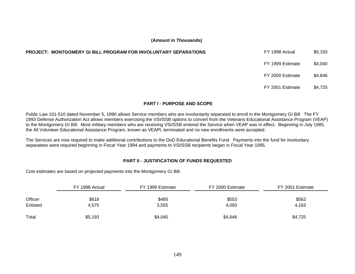| <b>PROJECT: MONTGOMERY GI BILL PROGRAM FOR INVOLUNTARY SEPARATIONS</b> | FY 1998 Actual   | \$5,193 |
|------------------------------------------------------------------------|------------------|---------|
|                                                                        | FY 1999 Estimate | \$4,040 |
|                                                                        | FY 2000 Estimate | \$4,646 |
|                                                                        | FY 2001 Estimate | \$4,725 |

# **PART I - PURPOSE AND SCOPE**

Public Law 101-510 dated November 5, 1990 allows Service members who are involuntarily separated to enroll in the Montgomery GI Bill. The FY 1993 Defense Authorization Act allows members exercising the VSI/SSB options to convert from the Veterans Educational Assistance Program (VEAP) to the Montgomery GI Bill. Most military members who are receiving VSI/SSB entered the Service when VEAP was in effect. Beginning in July 1985, the All Volunteer Educational Assistance Program, known as VEAPl, terminated and no new enrollments were accepted.

The Services are now required to make additional contributions to the DoD Educational Benefits Fund. Payments into the fund for involuntary separatees were required beginning in Fiscal Year 1994 and payments to VSI/SSB recipients began in Fiscal Year 1995.

# **PART II - JUSTIFICATION OF FUNDS REQUESTED**

Cost estimates are based on projected payments into the Montgomery GI Bill.

|          | FY 1998 Actual | FY 1999 Estimate | FY 2000 Estimate | FY 2001 Estimate |
|----------|----------------|------------------|------------------|------------------|
| Officer  | \$618          | \$485            | \$553            | \$562            |
| Enlisted | 4,575          | 3,555            | 4,093            | 4,163            |
| Total    | \$5,193        | \$4,040          | \$4,646          | \$4,725          |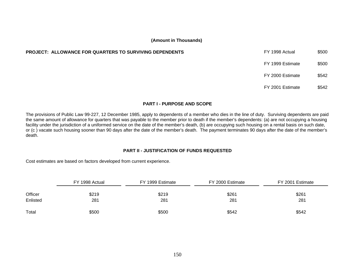# **PROJECT: ALLOWANCE FOR QUARTERS TO SURVIVING DEPENDENTS**

| FY 1998 Actual   | \$500 |
|------------------|-------|
| FY 1999 Estimate | \$500 |
| FY 2000 Estimate | \$542 |
| FY 2001 Estimate | \$542 |

# **PART I - PURPOSE AND SCOPE**

The provisions of Public Law 99-227, 12 December 1985, apply to dependents of a member who dies in the line of duty. Surviving dependents are paid the same amount of allowance for quarters that was payable to the member prior to death if the member's dependents: (a) are not occupying a housing facility under the jurisdiction of a uniformed service on the date of the member's death, (b) are occupying such housing on a rental basis on such date, or (c ) vacate such housing sooner than 90 days after the date of the member's death. The payment terminates 90 days after the date of the member's death.

#### **PART II - JUSTIFICATION OF FUNDS REQUESTED**

Cost estimates are based on factors developed from current experience.

|          | FY 1998 Actual | FY 1999 Estimate | FY 2000 Estimate | FY 2001 Estimate |
|----------|----------------|------------------|------------------|------------------|
| Officer  | \$219          | \$219            | \$261            | \$261            |
| Enlisted | 281            | 281              | 281              | 281              |
| Total    | \$500          | \$500            | \$542            | \$542            |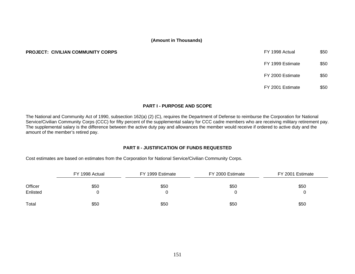#### **PROJECT: CIVILIAN COMMUNITY CORPS**

| FY 1998 Actual   | \$50 |
|------------------|------|
| FY 1999 Estimate | \$50 |
| FY 2000 Estimate | \$50 |
| FY 2001 Estimate |      |

#### **PART I - PURPOSE AND SCOPE**

The National and Community Act of 1990, subsection 162(a) (2) (C), requires the Department of Defense to reimburse the Corporation for National Service/Civilian Community Corps (CCC) for fifty percent of the supplemental salary for CCC cadre members who are receiving military retirement pay. The supplemental salary is the difference between the active duty pay and allowances the member would receive if ordered to active duty and the amount of the member's retired pay.

# **PART II - JUSTIFICATION OF FUNDS REQUESTED**

Cost estimates are based on estimates from the Corporation for National Service/Civilian Community Corps.

| FY 1998 Actual |      | FY 1999 Estimate | FY 2000 Estimate | FY 2001 Estimate |  |  |
|----------------|------|------------------|------------------|------------------|--|--|
| Officer        | \$50 | \$50             | \$50             | \$50             |  |  |
| Enlisted       |      |                  |                  |                  |  |  |
| Total          | \$50 | \$50             | \$50             | \$50             |  |  |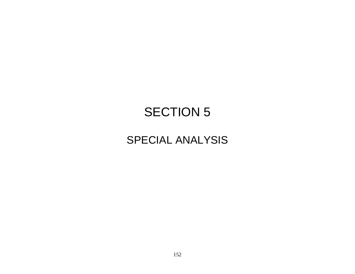# SECTION 5

# SPECIAL ANALYSIS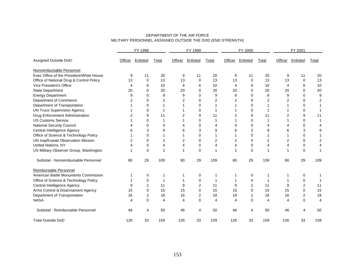| DEPARTMENT OF THE AIR FORCE                                |
|------------------------------------------------------------|
| MILITARY PERSONNEL ASSIGNED OUTSIDE THE DOD (END STRENGTH) |

|                                          | FY 1998 |                | FY 1999 |                | FY 2000         |       | FY 2001 |                 |                |                |                |                |
|------------------------------------------|---------|----------------|---------|----------------|-----------------|-------|---------|-----------------|----------------|----------------|----------------|----------------|
| Assigned Outside DoD:                    | Officer | Enlisted       | Total   | Officer        | <b>Enlisted</b> | Total | Officer | <b>Enlisted</b> | Total          | Officer        | Enlisted       | Total          |
| Nonreimbursable Personnel                |         |                |         |                |                 |       |         |                 |                |                |                |                |
| Exec Office of the President/White House | 9       | 11             | 20      | 9              | 11              | 20    | 9       | 11              | 20             | 9              | 11             | 20             |
| Office of National Drug & Control Policy | 13      | $\mathbf 0$    | 13      | 13             | 0               | 13    | 13      | 0               | 13             | 13             | 0              | 13             |
| Vice President's Office                  | 4       | 6              | 10      | 4              | 6               | 10    | 4       | 6               | 10             | 4              | 6              | 10             |
| State Department                         | 20      | 0              | 20      | 20             | 0               | 20    | 20      | 0               | 20             | 20             | 0              | 20             |
| <b>Energy Department</b>                 | 9       | $\Omega$       | 9       | 9              | $\Omega$        | 9     | 9       | $\Omega$        | 9              | 9              | $\Omega$       | 9              |
| Department of Commerce                   | 2       | $\Omega$       | 2       | 2              | $\Omega$        | 2     | 2       | $\Omega$        | $\overline{2}$ |                | 0              | $\overline{c}$ |
| Department of Transportation             |         | $\Omega$       |         |                | $\Omega$        |       |         | 0               |                |                | 0              | 1              |
| <b>UN Truce Supervision Agency</b>       |         | $\Omega$       |         |                | 0               | 1     |         | 0               |                |                | 0              | $\overline{1}$ |
| Drug Enforcement Administration          | 2       | 9              | 11      | $\overline{2}$ | 9               | 11    | 2       | 9               | 11             | $\overline{2}$ | 9              | 11             |
| <b>US Customs Service</b>                |         | $\Omega$       |         |                | $\Omega$        |       |         | $\Omega$        |                |                | $\Omega$       |                |
| <b>National Security Council</b>         |         | 0              |         | 4              | 0               | 4     |         | 0               | 4              |                | 0              | 4              |
| Central Intelligence Agency              | 6       | 3              | 9       | 6              | 3               | 9     | 6       | 3               | 9              | 6              | 3              | 9              |
| Office of Science & Technology Policy    |         | $\mathbf 0$    |         |                | 0               |       |         | 0               |                |                | 0              | 1              |
| UN Iraq/Kuwait Observation Mission       | 2       | 0              | 2       | $\overline{2}$ | 0               | 2     | 2       | 0               | 2              | 2              | 0              | 2              |
| <b>United Nations, NY</b>                | 4       | $\mathbf 0$    | 4       | 4              | 0               | 4     | 4       | 0               | 4              | 4              | 0              | 4              |
| US Military Observer Group, Washington   |         | $\mathbf 0$    |         |                | $\Omega$        | 1     |         | $\mathbf 0$     | 1              |                | 0              | 1              |
| Subtotal - Nonreimbursable Personnel     | 80      | 29             | 109     | 80             | 29              | 109   | 80      | 29              | 109            | 80             | 29             | 109            |
| Reimbursable Personnel                   |         |                |         |                |                 |       |         |                 |                |                |                |                |
| American Battle Monuments Commission     |         | 0              |         |                | 0               | 1     | 1       | 0               | -1             |                | 0              |                |
| Office of Science & Technology Policy    |         | 0              |         |                | 0               | 1     |         | 0               | -1             |                | 0              | 1              |
| Central Intelligence Agency              | 9       | $\overline{2}$ | 11      | 9              | $\overline{2}$  | 11    | 9       | $\overline{2}$  | 11             | 9              | $\overline{2}$ | 11             |
| Arms Control & Disarmament Agency        | 15      | $\mathbf 0$    | 15      | 15             | 0               | 15    | 15      | 0               | 15             | 15             | 0              | 15             |
| Department of Transportation             | 16      | 2              | 18      | 16             | 2               | 18    | 16      | 2               | 18             | 16             | 2              | 18             |
| <b>NASA</b>                              | 4       | $\Omega$       | 4       | 4              | $\mathbf{0}$    | 4     | 4       | 0               | 4              | 4              | 0              | $\overline{4}$ |
| Subtotal - Reimbursable Personnel        | 46      | 4              | 50      | 46             | 4               | 50    | 46      | 4               | 50             | 46             | 4              | 50             |
| <b>Total Outside DoD</b>                 | 126     | 33             | 159     | 126            | 33              | 159   | 126     | 33              | 159            | 126            | 33             | 159            |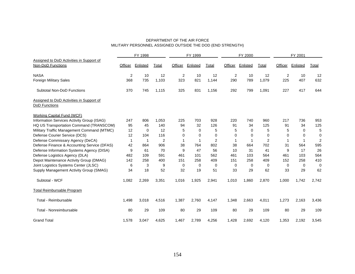#### DEPARTMENT OF THE AIR FORCE MILITARY PERSONNEL ASSIGNED OUTSIDE THE DOD (END STRENGTH)

|                                                               |              | FY 1998  |                |             | FY 1999  |                |         | FY 2000  |          |                | FY 2001        |                |
|---------------------------------------------------------------|--------------|----------|----------------|-------------|----------|----------------|---------|----------|----------|----------------|----------------|----------------|
| Assigned to DoD Activities in Support of<br>Non-DoD Functions | Officer      | Enlisted | Total          | Officer     | Enlisted | Total          | Officer | Enlisted | Total    | Officer        | Enlisted       | Total          |
| <b>NASA</b>                                                   | 2            | 10       | 12             | 2           | 10       | 12             | 2       | 10       | 12       | $\overline{2}$ | 10             | 12             |
| Foreign Military Sales                                        | 368          | 735      | 1,103          | 323         | 821      | 1,144          | 290     | 789      | 1,079    | 225            | 407            | 632            |
| Subtotal Non-DoD Functions                                    | 370          | 745      | 1,115          | 325         | 831      | 1,156          | 292     | 799      | 1,091    | 227            | 417            | 644            |
| Assigned to DoD Activities in Support of<br>DoD Functions     |              |          |                |             |          |                |         |          |          |                |                |                |
| <b>Working Capital Fund (WCF)</b>                             |              |          |                |             |          |                |         |          |          |                |                |                |
| Information Services Activity Group (ISAG)                    | 247          | 806      | 1,053          | 225         | 703      | 928            | 220     | 740      | 960      | 217            | 736            | 953            |
| HQ US Transportation Command (TRANSCOM)                       | 95           | 45       | 140            | 94          | 32       | 126            | 91      | 34       | 125      | 91             | 34             | 125            |
| Military Traffic Management Command (MTMC)                    | 12           | $\Omega$ | 12             | 5           | $\Omega$ | 5              | 5       | $\Omega$ | 5        | 5              | $\Omega$       | 5              |
| Defense Courier Service (DCS)                                 | 12           | 104      | 116            | 0           | $\Omega$ | 0              | 0       | 0        | $\Omega$ | $\Omega$       | 0              | 0              |
| Defense Commissary Agency (DeCA)                              | $\mathbf{1}$ | 1        | $\overline{2}$ | $\mathbf 1$ | 1        | $\overline{2}$ | 1       | 1        | 2        | 1              | $\overline{1}$ | $\overline{2}$ |
| Defense Finance & Accounting Service (DFAS)                   | 42           | 864      | 906            | 38          | 764      | 802            | 38      | 664      | 702      | 31             | 564            | 595            |
| Defense Information Systems Agency (DISA)                     | 9            | 61       | 70             | 9           | 47       | 56             | 10      | 31       | 41       | 9              | 17             | 26             |
| Defense Logistics Agency (DLA)                                | 482          | 109      | 591            | 461         | 101      | 562            | 461     | 103      | 564      | 461            | 103            | 564            |
| Depot Maintenance Activity Group (DMAG)                       | 142          | 258      | 400            | 151         | 258      | 409            | 151     | 258      | 409      | 152            | 258            | 410            |
| Joint Logistics Systems Center (JLSC)                         | 6            | 3        | 9              | 0           | $\Omega$ | $\mathbf 0$    | 0       | 0        | 0        | $\Omega$       | $\mathbf 0$    | $\mathbf 0$    |
| Supply Management Activity Group (SMAG)                       | 34           | 18       | 52             | 32          | 19       | 51             | 33      | 29       | 62       | 33             | 29             | 62             |
| Subtotal - WCF                                                | 1,082        | 2,269    | 3,351          | 1,016       | 1,925    | 2,941          | 1,010   | 1,860    | 2,870    | 1,000          | 1,742          | 2,742          |
| <b>Total Reimbursable Program</b>                             |              |          |                |             |          |                |         |          |          |                |                |                |
| Total - Reimbursable                                          | 1,498        | 3,018    | 4,516          | 1,387       | 2,760    | 4,147          | 1,348   | 2,663    | 4,011    | 1,273          | 2,163          | 3,436          |
| Total - Nonreimbursable                                       | 80           | 29       | 109            | 80          | 29       | 109            | 80      | 29       | 109      | 80             | 29             | 109            |
| <b>Grand Total</b>                                            | 1,578        | 3,047    | 4,625          | 1,467       | 2,789    | 4,256          | 1,428   | 2,692    | 4,120    | 1,353          | 2,192          | 3,545          |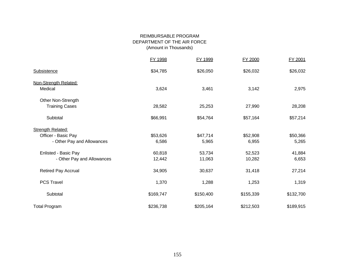# REIMBURSABLE PROGRAM DEPARTMENT OF THE AIR FORCE (Amount in Thousands)

|                            | FY 1998   | FY 1999   | FY 2000   | FY 2001   |
|----------------------------|-----------|-----------|-----------|-----------|
| Subsistence                | \$34,785  | \$26,050  | \$26,032  | \$26,032  |
| Non-Strength Related:      |           |           |           |           |
| Medical                    | 3,624     | 3,461     | 3,142     | 2,975     |
| Other Non-Strength         |           |           |           |           |
| <b>Training Cases</b>      | 28,582    | 25,253    | 27,990    | 28,208    |
| Subtotal                   | \$66,991  | \$54,764  | \$57,164  | \$57,214  |
| <b>Strength Related:</b>   |           |           |           |           |
| Officer - Basic Pay        | \$53,626  | \$47,714  | \$52,908  | \$50,366  |
| - Other Pay and Allowances | 6,586     | 5,965     | 6,955     | 5,265     |
| Enlisted - Basic Pay       | 60,818    | 53,734    | 52,523    | 41,884    |
| - Other Pay and Allowances | 12,442    | 11,063    | 10,282    | 6,653     |
| Retired Pay Accrual        | 34,905    | 30,637    | 31,418    | 27,214    |
| <b>PCS Travel</b>          | 1,370     | 1,288     | 1,253     | 1,319     |
| Subtotal                   | \$169,747 | \$150,400 | \$155,339 | \$132,700 |
| <b>Total Program</b>       | \$236,738 | \$205,164 | \$212,503 | \$189,915 |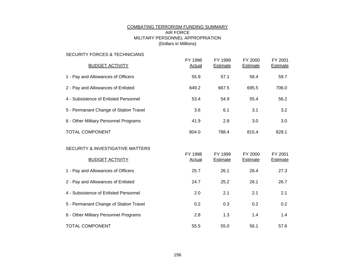# COMBATING TERRORISM FUNDING SUMMARY AIR FORCE MILITARY PERSONNEL APPROPRIATION (Dollars in Millions)

# SECURITY FORCES & TECHNICIANS

| <b>BUDGET ACTIVITY</b>                 | FY 1998<br>Actual | FY 1999<br>Estimate | FY 2000<br>Estimate | FY 2001<br><b>Estimate</b> |
|----------------------------------------|-------------------|---------------------|---------------------|----------------------------|
| 1 - Pay and Allowances of Officers     | 55.9              | 57.1                | 58.4                | 59.7                       |
| 2 - Pay and Allowances of Enlisted     | 649.2             | 667.5               | 695.5               | 706.0                      |
| 4 - Subsistence of Enlisted Personnel  | 53.4              | 54.9                | 55.4                | 56.2                       |
| 5 - Permanant Change of Station Travel | 3.6               | 6.1                 | 3.1                 | 3.2                        |
| 6 - Other Military Personnel Programs  | 41.9              | 2.8                 | 3.0                 | 3.0                        |
| <b>TOTAL COMPONENT</b>                 | 804.0             | 788.4               | 815.4               | 828.1                      |

#### SECURITY & INVESTIGATIVE MATTERS

| <b>BUDGET ACTIVITY</b>                 | FY 1998<br><b>Actual</b> | FY 1999<br>Estimate | FY 2000<br>Estimate | FY 2001<br><b>Estimate</b> |
|----------------------------------------|--------------------------|---------------------|---------------------|----------------------------|
| 1 - Pay and Allowances of Officers     | 25.7                     | 26.1                | 26.4                | 27.3                       |
| 2 - Pay and Allowances of Enlisted     | 24.7                     | 25.2                | 26.1                | 26.7                       |
| 4 - Subsistence of Enlisted Personnel  | 2.0                      | 2.1                 | 2.1                 | 2.1                        |
| 5 - Permanant Change of Station Travel | 0.2                      | 0.3                 | 0.2                 | 0.2                        |
| 6 - Other Military Personnel Programs  | 2.8                      | 1.3                 | 1.4                 | 1.4                        |
| <b>TOTAL COMPONENT</b>                 | 55.5                     | 55.0                | 56.1                | 57.6                       |